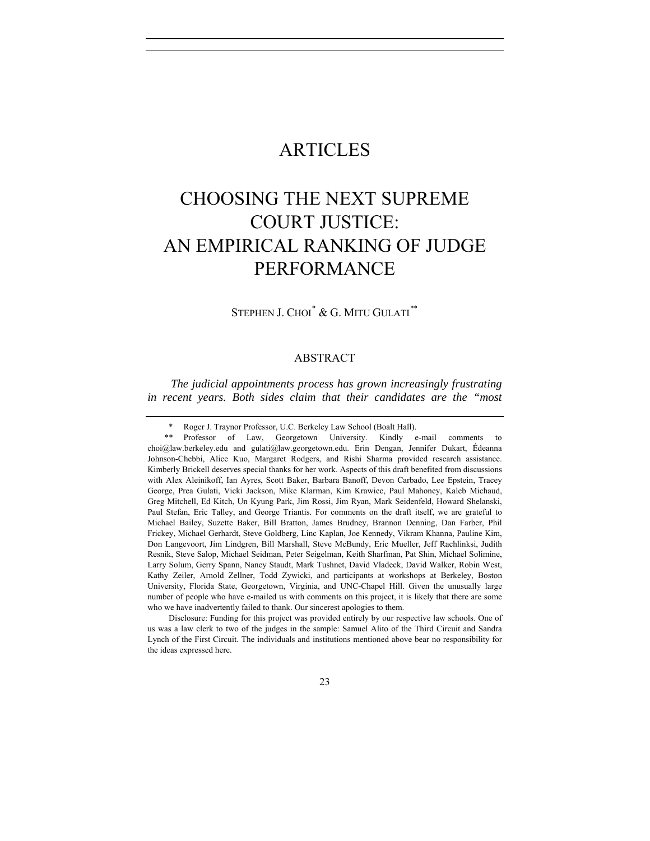## ARTICLES

# CHOOSING THE NEXT SUPREME COURT JUSTICE: AN EMPIRICAL RANKING OF JUDGE PERFORMANCE

STEPHEN J. CHOI<sup>[\\*](#page-0-0)</sup> & G. MITU GULATI<sup>[\\*\\*](#page-0-1)</sup>

#### ABSTRACT

*The judicial appointments process has grown increasingly frustrating in recent years. Both sides claim that their candidates are the "most* 

Disclosure: Funding for this project was provided entirely by our respective law schools. One of us was a law clerk to two of the judges in the sample: Samuel Alito of the Third Circuit and Sandra Lynch of the First Circuit. The individuals and institutions mentioned above bear no responsibility for the ideas expressed here.

Roger J. Traynor Professor, U.C. Berkeley Law School (Boalt Hall).

<span id="page-0-1"></span><span id="page-0-0"></span><sup>\*\*</sup> Professor of Law, Georgetown University. Kindly e-mail comments to choi@law.berkeley.edu and gulati@law.georgetown.edu. Erin Dengan, Jennifer Dukart, Édeanna Johnson-Chebbi, Alice Kuo, Margaret Rodgers, and Rishi Sharma provided research assistance. Kimberly Brickell deserves special thanks for her work. Aspects of this draft benefited from discussions with Alex Aleinikoff, Ian Ayres, Scott Baker, Barbara Banoff, Devon Carbado, Lee Epstein, Tracey George, Prea Gulati, Vicki Jackson, Mike Klarman, Kim Krawiec, Paul Mahoney, Kaleb Michaud, Greg Mitchell, Ed Kitch, Un Kyung Park, Jim Rossi, Jim Ryan, Mark Seidenfeld, Howard Shelanski, Paul Stefan, Eric Talley, and George Triantis. For comments on the draft itself, we are grateful to Michael Bailey, Suzette Baker, Bill Bratton, James Brudney, Brannon Denning, Dan Farber, Phil Frickey, Michael Gerhardt, Steve Goldberg, Linc Kaplan, Joe Kennedy, Vikram Khanna, Pauline Kim, Don Langevoort, Jim Lindgren, Bill Marshall, Steve McBundy, Eric Mueller, Jeff Rachlinksi, Judith Resnik, Steve Salop, Michael Seidman, Peter Seigelman, Keith Sharfman, Pat Shin, Michael Solimine, Larry Solum, Gerry Spann, Nancy Staudt, Mark Tushnet, David Vladeck, David Walker, Robin West, Kathy Zeiler, Arnold Zellner, Todd Zywicki, and participants at workshops at Berkeley, Boston University, Florida State, Georgetown, Virginia, and UNC-Chapel Hill. Given the unusually large number of people who have e-mailed us with comments on this project, it is likely that there are some who we have inadvertently failed to thank. Our sincerest apologies to them.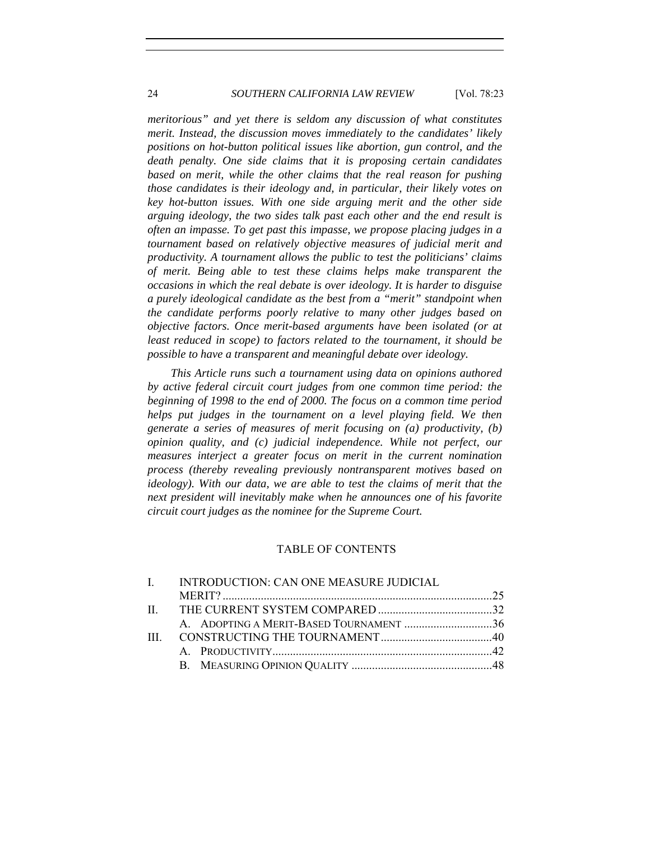#### 24 *SOUTHERN CALIFORNIA LAW REVIEW* [Vol. 78:23

*meritorious" and yet there is seldom any discussion of what constitutes merit. Instead, the discussion moves immediately to the candidates' likely positions on hot-button political issues like abortion, gun control, and the death penalty. One side claims that it is proposing certain candidates based on merit, while the other claims that the real reason for pushing those candidates is their ideology and, in particular, their likely votes on key hot-button issues. With one side arguing merit and the other side arguing ideology, the two sides talk past each other and the end result is often an impasse. To get past this impasse, we propose placing judges in a tournament based on relatively objective measures of judicial merit and productivity. A tournament allows the public to test the politicians' claims of merit. Being able to test these claims helps make transparent the occasions in which the real debate is over ideology. It is harder to disguise a purely ideological candidate as the best from a "merit" standpoint when the candidate performs poorly relative to many other judges based on objective factors. Once merit-based arguments have been isolated (or at least reduced in scope) to factors related to the tournament, it should be possible to have a transparent and meaningful debate over ideology.* 

*This Article runs such a tournament using data on opinions authored by active federal circuit court judges from one common time period: the beginning of 1998 to the end of 2000. The focus on a common time period helps put judges in the tournament on a level playing field. We then generate a series of measures of merit focusing on (a) productivity, (b) opinion quality, and (c) judicial independence. While not perfect, our measures interject a greater focus on merit in the current nomination process (thereby revealing previously nontransparent motives based on ideology*). With our data, we are able to test the claims of merit that the *next president will inevitably make when he announces one of his favorite circuit court judges as the nominee for the Supreme Court.* 

#### TABLE OF CONTENTS

| $\mathbf{I}$ | INTRODUCTION: CAN ONE MEASURE JUDICIAL  |  |
|--------------|-----------------------------------------|--|
|              |                                         |  |
|              |                                         |  |
|              | A. ADOPTING A MERIT-BASED TOURNAMENT 36 |  |
| $\mathbf{H}$ |                                         |  |
|              |                                         |  |
|              |                                         |  |
|              |                                         |  |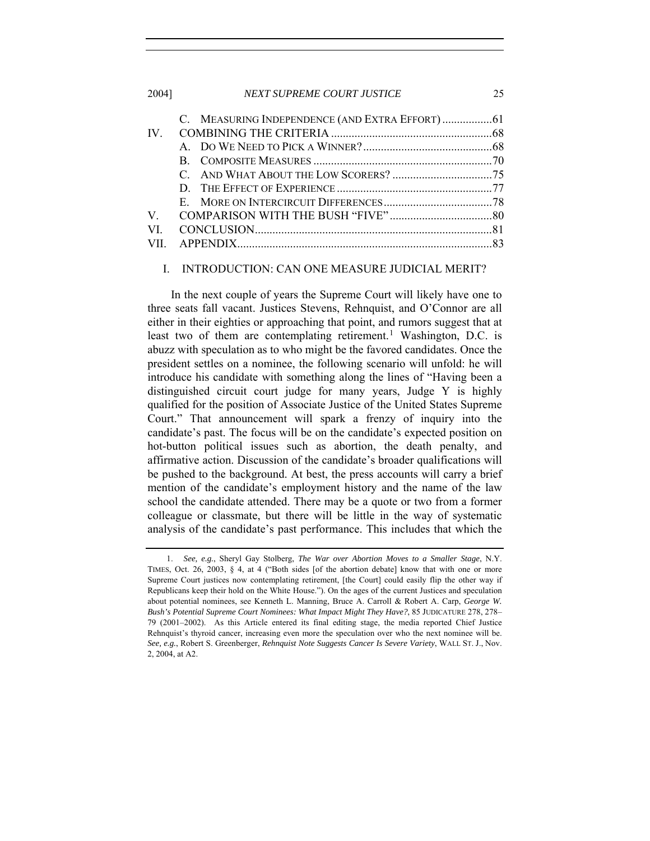<span id="page-2-0"></span>2004] *NEXT SUPREME COURT JUSTICE* 25

| IV  |  |
|-----|--|
|     |  |
|     |  |
|     |  |
|     |  |
|     |  |
| V   |  |
| VI. |  |
|     |  |
|     |  |

#### I. INTRODUCTION: CAN ONE MEASURE JUDICIAL MERIT?

In the next couple of years the Supreme Court will likely have one to three seats fall vacant. Justices Stevens, Rehnquist, and O'Connor are all either in their eighties or approaching that point, and rumors suggest that at least two of them are contemplating retirement.<sup>[1](#page-2-1)</sup> Washington, D.C. is abuzz with speculation as to who might be the favored candidates. Once the president settles on a nominee, the following scenario will unfold: he will introduce his candidate with something along the lines of "Having been a distinguished circuit court judge for many years, Judge Y is highly qualified for the position of Associate Justice of the United States Supreme Court." That announcement will spark a frenzy of inquiry into the candidate's past. The focus will be on the candidate's expected position on hot-button political issues such as abortion, the death penalty, and affirmative action. Discussion of the candidate's broader qualifications will be pushed to the background. At best, the press accounts will carry a brief mention of the candidate's employment history and the name of the law school the candidate attended. There may be a quote or two from a former colleague or classmate, but there will be little in the way of systematic analysis of the candidate's past performance. This includes that which the

<span id="page-2-1"></span><sup>1.</sup> *See, e.g.*, Sheryl Gay Stolberg, *The War over Abortion Moves to a Smaller Stage*, N.Y. TIMES, Oct. 26, 2003, § 4, at 4 ("Both sides [of the abortion debate] know that with one or more Supreme Court justices now contemplating retirement, [the Court] could easily flip the other way if Republicans keep their hold on the White House."). On the ages of the current Justices and speculation about potential nominees, see Kenneth L. Manning, Bruce A. Carroll & Robert A. Carp, *George W. Bush's Potential Supreme Court Nominees: What Impact Might They Have?*, 85 JUDICATURE 278, 278– 79 (2001–2002). As this Article entered its final editing stage, the media reported Chief Justice Rehnquist's thyroid cancer, increasing even more the speculation over who the next nominee will be. *See, e.g.*, Robert S. Greenberger, *Rehnquist Note Suggests Cancer Is Severe Variety*, WALL ST. J., Nov. 2, 2004, at A2.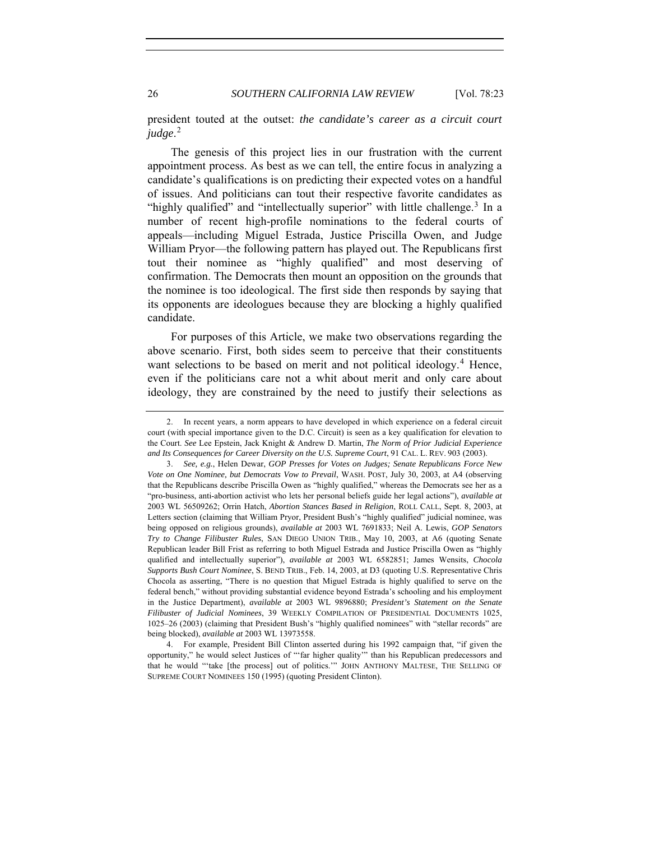president touted at the outset: *the candidate's career as a circuit court judge*. [2](#page-3-0)

The genesis of this project lies in our frustration with the current appointment process. As best as we can tell, the entire focus in analyzing a candidate's qualifications is on predicting their expected votes on a handful of issues. And politicians can tout their respective favorite candidates as "highly qualified" and "intellectually superior" with little challenge.<sup>[3](#page-3-1)</sup> In a number of recent high-profile nominations to the federal courts of appeals—including Miguel Estrada, Justice Priscilla Owen, and Judge William Pryor—the following pattern has played out. The Republicans first tout their nominee as "highly qualified" and most deserving of confirmation. The Democrats then mount an opposition on the grounds that the nominee is too ideological. The first side then responds by saying that its opponents are ideologues because they are blocking a highly qualified candidate.

For purposes of this Article, we make two observations regarding the above scenario. First, both sides seem to perceive that their constituents want selections to be based on merit and not political ideology.<sup>[4](#page-3-2)</sup> Hence, even if the politicians care not a whit about merit and only care about ideology, they are constrained by the need to justify their selections as

<span id="page-3-0"></span><sup>2.</sup> In recent years, a norm appears to have developed in which experience on a federal circuit court (with special importance given to the D.C. Circuit) is seen as a key qualification for elevation to the Court. *See* Lee Epstein, Jack Knight & Andrew D. Martin, *The Norm of Prior Judicial Experience and Its Consequences for Career Diversity on the U.S. Supreme Court*, 91 CAL. L. REV. 903 (2003).

<span id="page-3-1"></span><sup>3.</sup> *See, e.g.*, Helen Dewar, *GOP Presses for Votes on Judges; Senate Republicans Force New Vote on One Nominee, but Democrats Vow to Prevail*, WASH. POST, July 30, 2003, at A4 (observing that the Republicans describe Priscilla Owen as "highly qualified," whereas the Democrats see her as a "pro-business, anti-abortion activist who lets her personal beliefs guide her legal actions"), *available at*  2003 WL 56509262; Orrin Hatch, *Abortion Stances Based in Religion*, ROLL CALL, Sept. 8, 2003, at Letters section (claiming that William Pryor, President Bush's "highly qualified" judicial nominee, was being opposed on religious grounds), *available at* 2003 WL 7691833; Neil A. Lewis, *GOP Senators Try to Change Filibuster Rules*, SAN DIEGO UNION TRIB., May 10, 2003, at A6 (quoting Senate Republican leader Bill Frist as referring to both Miguel Estrada and Justice Priscilla Owen as "highly qualified and intellectually superior"), *available at* 2003 WL 6582851; James Wensits, *Chocola Supports Bush Court Nominee*, S. BEND TRIB., Feb. 14, 2003, at D3 (quoting U.S. Representative Chris Chocola as asserting, "There is no question that Miguel Estrada is highly qualified to serve on the federal bench," without providing substantial evidence beyond Estrada's schooling and his employment in the Justice Department), *available at* 2003 WL 9896880; *President's Statement on the Senate Filibuster of Judicial Nominees*, 39 WEEKLY COMPILATION OF PRESIDENTIAL DOCUMENTS 1025, 1025–26 (2003) (claiming that President Bush's "highly qualified nominees" with "stellar records" are being blocked), *available at* 2003 WL 13973558.

<span id="page-3-2"></span><sup>4.</sup> For example, President Bill Clinton asserted during his 1992 campaign that, "if given the opportunity," he would select Justices of "'far higher quality'" than his Republican predecessors and that he would "'take [the process] out of politics.'" JOHN ANTHONY MALTESE, THE SELLING OF SUPREME COURT NOMINEES 150 (1995) (quoting President Clinton).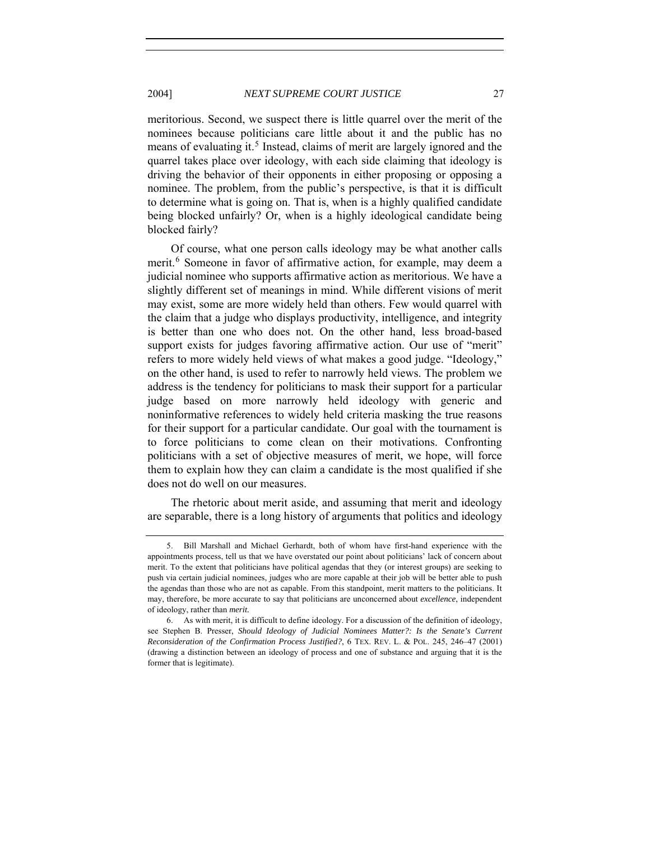meritorious. Second, we suspect there is little quarrel over the merit of the nominees because politicians care little about it and the public has no means of evaluating it.<sup>[5](#page-4-0)</sup> Instead, claims of merit are largely ignored and the quarrel takes place over ideology, with each side claiming that ideology is driving the behavior of their opponents in either proposing or opposing a nominee. The problem, from the public's perspective, is that it is difficult to determine what is going on. That is, when is a highly qualified candidate being blocked unfairly? Or, when is a highly ideological candidate being blocked fairly?

Of course, what one person calls ideology may be what another calls merit.<sup>[6](#page-4-1)</sup> Someone in favor of affirmative action, for example, may deem a judicial nominee who supports affirmative action as meritorious. We have a slightly different set of meanings in mind. While different visions of merit may exist, some are more widely held than others. Few would quarrel with the claim that a judge who displays productivity, intelligence, and integrity is better than one who does not. On the other hand, less broad-based support exists for judges favoring affirmative action. Our use of "merit" refers to more widely held views of what makes a good judge. "Ideology," on the other hand, is used to refer to narrowly held views. The problem we address is the tendency for politicians to mask their support for a particular judge based on more narrowly held ideology with generic and noninformative references to widely held criteria masking the true reasons for their support for a particular candidate. Our goal with the tournament is to force politicians to come clean on their motivations. Confronting politicians with a set of objective measures of merit, we hope, will force them to explain how they can claim a candidate is the most qualified if she does not do well on our measures.

The rhetoric about merit aside, and assuming that merit and ideology are separable, there is a long history of arguments that politics and ideology

<span id="page-4-0"></span><sup>5.</sup> Bill Marshall and Michael Gerhardt, both of whom have first-hand experience with the appointments process, tell us that we have overstated our point about politicians' lack of concern about merit. To the extent that politicians have political agendas that they (or interest groups) are seeking to push via certain judicial nominees, judges who are more capable at their job will be better able to push the agendas than those who are not as capable. From this standpoint, merit matters to the politicians. It may, therefore, be more accurate to say that politicians are unconcerned about *excellence*, independent of ideology, rather than *merit.*

<span id="page-4-1"></span><sup>6.</sup> As with merit, it is difficult to define ideology. For a discussion of the definition of ideology, see Stephen B. Presser, *Should Ideology of Judicial Nominees Matter?: Is the Senate's Current Reconsideration of the Confirmation Process Justified?*, 6 TEX. REV. L. & POL. 245, 246–47 (2001) (drawing a distinction between an ideology of process and one of substance and arguing that it is the former that is legitimate).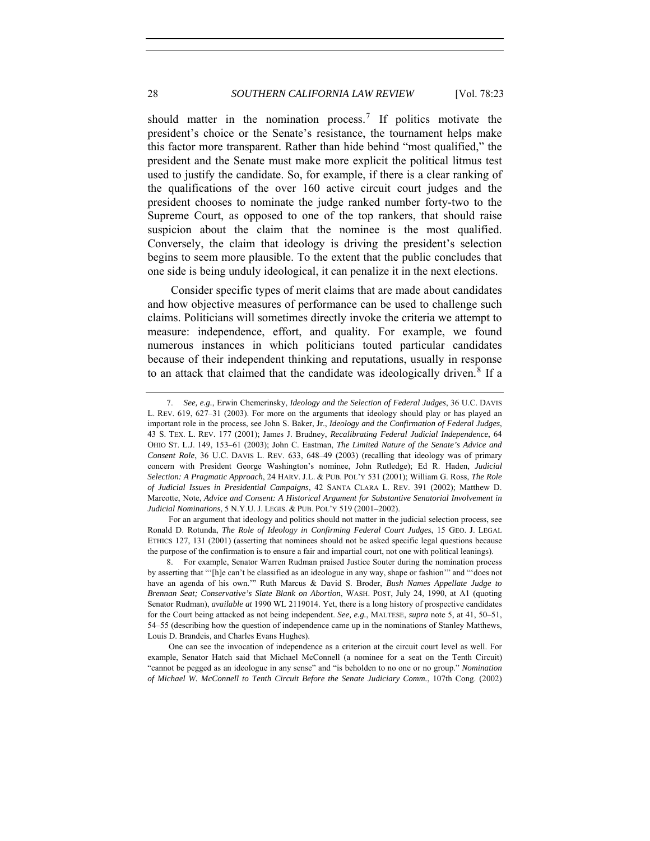should matter in the nomination process.<sup>[7](#page-5-0)</sup> If politics motivate the president's choice or the Senate's resistance, the tournament helps make this factor more transparent. Rather than hide behind "most qualified," the president and the Senate must make more explicit the political litmus test used to justify the candidate. So, for example, if there is a clear ranking of the qualifications of the over 160 active circuit court judges and the president chooses to nominate the judge ranked number forty-two to the Supreme Court, as opposed to one of the top rankers, that should raise suspicion about the claim that the nominee is the most qualified. Conversely, the claim that ideology is driving the president's selection begins to seem more plausible. To the extent that the public concludes that one side is being unduly ideological, it can penalize it in the next elections.

Consider specific types of merit claims that are made about candidates and how objective measures of performance can be used to challenge such claims. Politicians will sometimes directly invoke the criteria we attempt to measure: independence, effort, and quality. For example, we found numerous instances in which politicians touted particular candidates because of their independent thinking and reputations, usually in response to an attack that claimed that the candidate was ideologically driven.<sup>[8](#page-5-1)</sup> If a

For an argument that ideology and politics should not matter in the judicial selection process, see Ronald D. Rotunda, *The Role of Ideology in Confirming Federal Court Judges*, 15 GEO. J. LEGAL ETHICS 127, 131 (2001) (asserting that nominees should not be asked specific legal questions because the purpose of the confirmation is to ensure a fair and impartial court, not one with political leanings).

<span id="page-5-1"></span>8. For example, Senator Warren Rudman praised Justice Souter during the nomination process by asserting that "'[h]e can't be classified as an ideologue in any way, shape or fashion'" and "'does not have an agenda of his own.'" Ruth Marcus & David S. Broder, *Bush Names Appellate Judge to Brennan Seat; Conservative's Slate Blank on Abortion*, WASH. POST, July 24, 1990, at A1 (quoting Senator Rudman), *available at* 1990 WL 2119014. Yet, there is a long history of prospective candidates for the Court being attacked as not being independent. *See, e.g.*, MALTESE, *supra* note 5, at 41, 50–51, 54–55 (describing how the question of independence came up in the nominations of Stanley Matthews, Louis D. Brandeis, and Charles Evans Hughes).

One can see the invocation of independence as a criterion at the circuit court level as well. For example, Senator Hatch said that Michael McConnell (a nominee for a seat on the Tenth Circuit) "cannot be pegged as an ideologue in any sense" and "is beholden to no one or no group." *Nomination of Michael W. McConnell to Tenth Circuit Before the Senate Judiciary Comm.*, 107th Cong. (2002)

<span id="page-5-0"></span><sup>7.</sup> *See, e.g.*, Erwin Chemerinsky, *Ideology and the Selection of Federal Judges*, 36 U.C. DAVIS L. REV. 619, 627–31 (2003). For more on the arguments that ideology should play or has played an important role in the process, see John S. Baker, Jr., *Ideology and the Confirmation of Federal Judges*, 43 S. TEX. L. REV. 177 (2001); James J. Brudney, *Recalibrating Federal Judicial Independence*, 64 OHIO ST. L.J. 149, 153–61 (2003); John C. Eastman, *The Limited Nature of the Senate's Advice and Consent Role*, 36 U.C. DAVIS L. REV. 633, 648–49 (2003) (recalling that ideology was of primary concern with President George Washington's nominee, John Rutledge); Ed R. Haden, *Judicial Selection: A Pragmatic Approach*, 24 HARV. J.L. & PUB. POL'Y 531 (2001); William G. Ross, *The Role of Judicial Issues in Presidential Campaigns*, 42 SANTA CLARA L. REV. 391 (2002); Matthew D. Marcotte, Note, *Advice and Consent: A Historical Argument for Substantive Senatorial Involvement in Judicial Nominations*, 5 N.Y.U. J. LEGIS. & PUB. POL'Y 519 (2001–2002).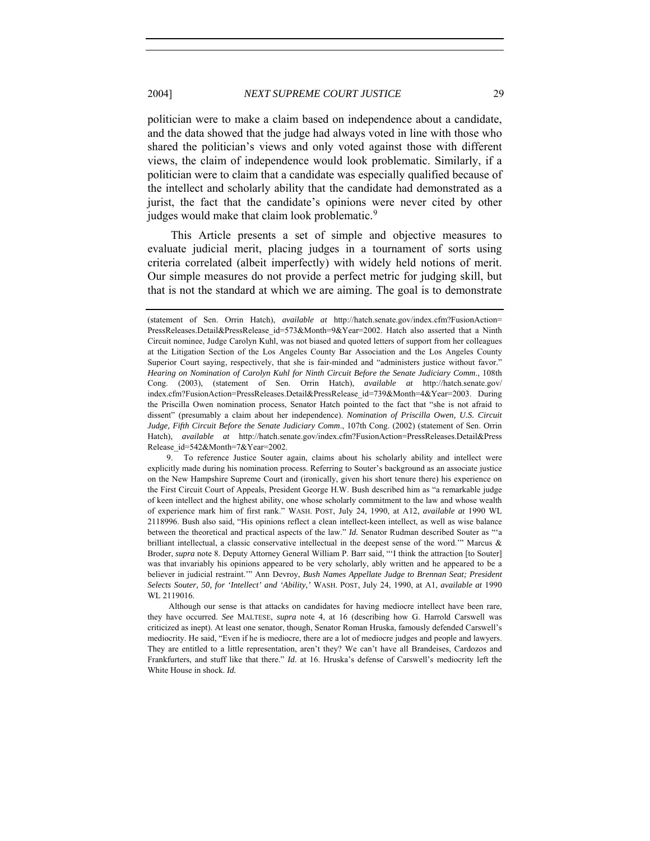politician were to make a claim based on independence about a candidate, and the data showed that the judge had always voted in line with those who shared the politician's views and only voted against those with different views, the claim of independence would look problematic. Similarly, if a politician were to claim that a candidate was especially qualified because of the intellect and scholarly ability that the candidate had demonstrated as a jurist, the fact that the candidate's opinions were never cited by other judges would make that claim look problematic.<sup>[9](#page-6-0)</sup>

This Article presents a set of simple and objective measures to evaluate judicial merit, placing judges in a tournament of sorts using criteria correlated (albeit imperfectly) with widely held notions of merit. Our simple measures do not provide a perfect metric for judging skill, but that is not the standard at which we are aiming. The goal is to demonstrate

<span id="page-6-0"></span>9. To reference Justice Souter again, claims about his scholarly ability and intellect were explicitly made during his nomination process. Referring to Souter's background as an associate justice on the New Hampshire Supreme Court and (ironically, given his short tenure there) his experience on the First Circuit Court of Appeals, President George H.W. Bush described him as "a remarkable judge of keen intellect and the highest ability, one whose scholarly commitment to the law and whose wealth of experience mark him of first rank." WASH. POST, July 24, 1990, at A12, *available at* 1990 WL 2118996. Bush also said, "His opinions reflect a clean intellect-keen intellect, as well as wise balance between the theoretical and practical aspects of the law." *Id.* Senator Rudman described Souter as "'a brilliant intellectual, a classic conservative intellectual in the deepest sense of the word.'" Marcus & Broder, *supra* note 8. Deputy Attorney General William P. Barr said, "'I think the attraction [to Souter] was that invariably his opinions appeared to be very scholarly, ably written and he appeared to be a believer in judicial restraint.'" Ann Devroy, *Bush Names Appellate Judge to Brennan Seat; President Selects Souter, 50, for 'Intellect' and 'Ability*,*'* WASH. POST, July 24, 1990, at A1, *available at* 1990 WL 2119016.

Although our sense is that attacks on candidates for having mediocre intellect have been rare, they have occurred. *See* MALTESE, *supra* note 4, at 16 (describing how G. Harrold Carswell was criticized as inept). At least one senator, though, Senator Roman Hruska, famously defended Carswell's mediocrity. He said, "Even if he is mediocre, there are a lot of mediocre judges and people and lawyers. They are entitled to a little representation, aren't they? We can't have all Brandeises, Cardozos and Frankfurters, and stuff like that there." *Id*. at 16. Hruska's defense of Carswell's mediocrity left the White House in shock. *Id.*

<sup>(</sup>statement of Sen. Orrin Hatch), *available at* http://hatch.senate.gov/index.cfm?FusionAction= PressReleases.Detail&PressRelease\_id=573&Month=9&Year=2002. Hatch also asserted that a Ninth Circuit nominee, Judge Carolyn Kuhl, was not biased and quoted letters of support from her colleagues at the Litigation Section of the Los Angeles County Bar Association and the Los Angeles County Superior Court saying, respectively, that she is fair-minded and "administers justice without favor." *Hearing on Nomination of Carolyn Kuhl for Ninth Circuit Before the Senate Judiciary Comm*., 108th Cong. (2003), (statement of Sen. Orrin Hatch), *available at* http://hatch.senate.gov/ index.cfm?FusionAction=PressReleases.Detail&PressRelease\_id=739&Month=4&Year=2003. During the Priscilla Owen nomination process, Senator Hatch pointed to the fact that "she is not afraid to dissent" (presumably a claim about her independence). *Nomination of Priscilla Owen, U.S. Circuit Judge, Fifth Circuit Before the Senate Judiciary Comm*., 107th Cong. (2002) (statement of Sen. Orrin Hatch), *available at* http://hatch.senate.gov/index.cfm?FusionAction=PressReleases.Detail&Press Release\_id=542&Month=7&Year=2002.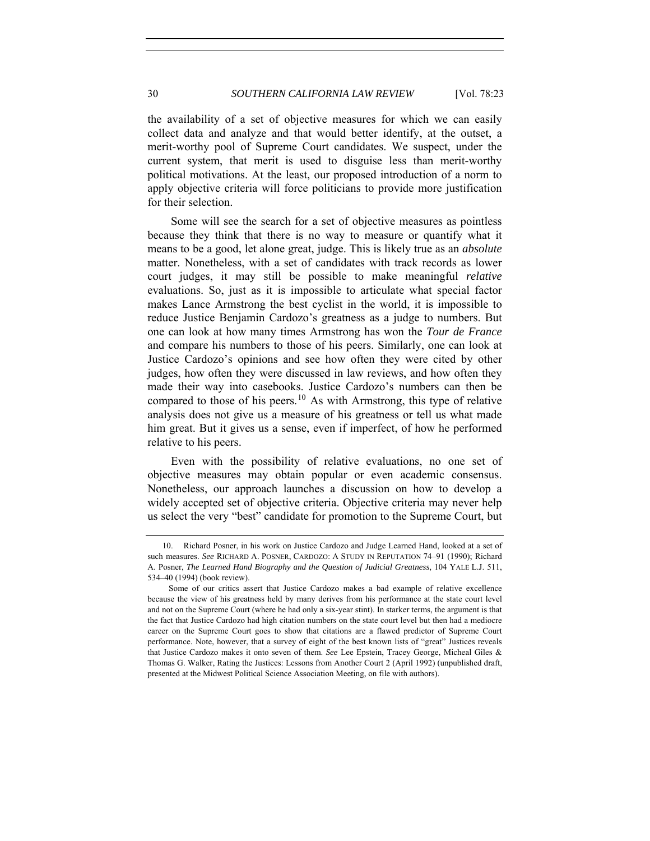the availability of a set of objective measures for which we can easily collect data and analyze and that would better identify, at the outset, a merit-worthy pool of Supreme Court candidates. We suspect, under the current system, that merit is used to disguise less than merit-worthy political motivations. At the least, our proposed introduction of a norm to apply objective criteria will force politicians to provide more justification for their selection.

Some will see the search for a set of objective measures as pointless because they think that there is no way to measure or quantify what it means to be a good, let alone great, judge. This is likely true as an *absolute* matter. Nonetheless, with a set of candidates with track records as lower court judges, it may still be possible to make meaningful *relative* evaluations. So, just as it is impossible to articulate what special factor makes Lance Armstrong the best cyclist in the world, it is impossible to reduce Justice Benjamin Cardozo's greatness as a judge to numbers. But one can look at how many times Armstrong has won the *Tour de France*  and compare his numbers to those of his peers. Similarly, one can look at Justice Cardozo's opinions and see how often they were cited by other judges, how often they were discussed in law reviews, and how often they made their way into casebooks. Justice Cardozo's numbers can then be compared to those of his peers.<sup>[10](#page-7-0)</sup> As with Armstrong, this type of relative analysis does not give us a measure of his greatness or tell us what made him great. But it gives us a sense, even if imperfect, of how he performed relative to his peers.

Even with the possibility of relative evaluations, no one set of objective measures may obtain popular or even academic consensus. Nonetheless, our approach launches a discussion on how to develop a widely accepted set of objective criteria. Objective criteria may never help us select the very "best" candidate for promotion to the Supreme Court, but

<span id="page-7-0"></span><sup>10.</sup> Richard Posner, in his work on Justice Cardozo and Judge Learned Hand, looked at a set of such measures. *See* RICHARD A. POSNER, CARDOZO: A STUDY IN REPUTATION 74–91 (1990); Richard A. Posner, *The Learned Hand Biography and the Question of Judicial Greatness*, 104 YALE L.J. 511, 534–40 (1994) (book review).

Some of our critics assert that Justice Cardozo makes a bad example of relative excellence because the view of his greatness held by many derives from his performance at the state court level and not on the Supreme Court (where he had only a six-year stint). In starker terms, the argument is that the fact that Justice Cardozo had high citation numbers on the state court level but then had a mediocre career on the Supreme Court goes to show that citations are a flawed predictor of Supreme Court performance. Note, however, that a survey of eight of the best known lists of "great" Justices reveals that Justice Cardozo makes it onto seven of them. *See* Lee Epstein, Tracey George, Micheal Giles & Thomas G. Walker, Rating the Justices: Lessons from Another Court 2 (April 1992) (unpublished draft, presented at the Midwest Political Science Association Meeting, on file with authors).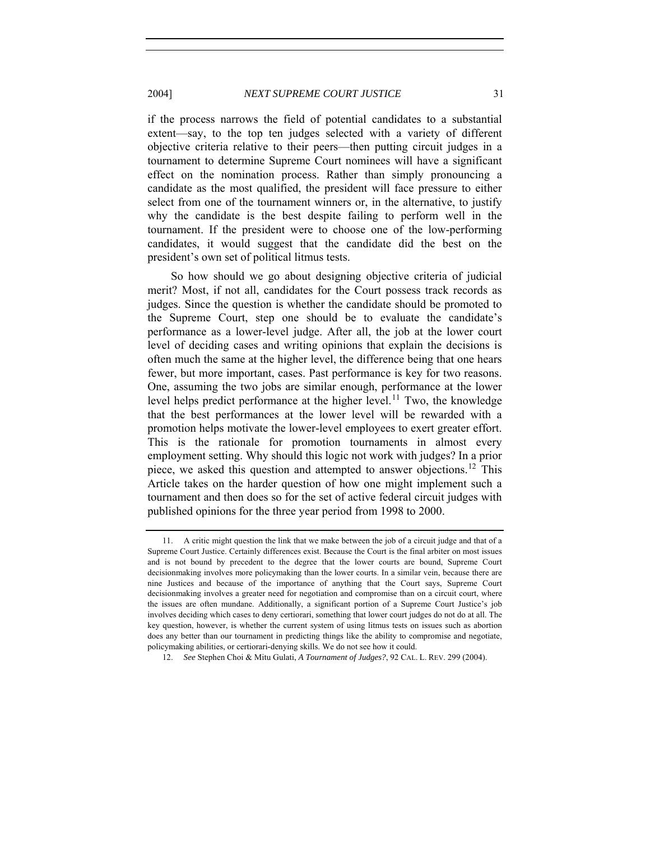if the process narrows the field of potential candidates to a substantial extent—say, to the top ten judges selected with a variety of different objective criteria relative to their peers—then putting circuit judges in a tournament to determine Supreme Court nominees will have a significant effect on the nomination process. Rather than simply pronouncing a candidate as the most qualified, the president will face pressure to either select from one of the tournament winners or, in the alternative, to justify why the candidate is the best despite failing to perform well in the tournament. If the president were to choose one of the low-performing candidates, it would suggest that the candidate did the best on the president's own set of political litmus tests.

So how should we go about designing objective criteria of judicial merit? Most, if not all, candidates for the Court possess track records as judges. Since the question is whether the candidate should be promoted to the Supreme Court, step one should be to evaluate the candidate's performance as a lower-level judge. After all, the job at the lower court level of deciding cases and writing opinions that explain the decisions is often much the same at the higher level, the difference being that one hears fewer, but more important, cases. Past performance is key for two reasons. One, assuming the two jobs are similar enough, performance at the lower level helps predict performance at the higher level.<sup>[11](#page-8-0)</sup> Two, the knowledge that the best performances at the lower level will be rewarded with a promotion helps motivate the lower-level employees to exert greater effort. This is the rationale for promotion tournaments in almost every employment setting. Why should this logic not work with judges? In a prior piece, we asked this question and attempted to answer objections.<sup>[12](#page-8-1)</sup> This Article takes on the harder question of how one might implement such a tournament and then does so for the set of active federal circuit judges with published opinions for the three year period from 1998 to 2000.

<span id="page-8-0"></span><sup>11.</sup> A critic might question the link that we make between the job of a circuit judge and that of a Supreme Court Justice. Certainly differences exist. Because the Court is the final arbiter on most issues and is not bound by precedent to the degree that the lower courts are bound, Supreme Court decisionmaking involves more policymaking than the lower courts. In a similar vein, because there are nine Justices and because of the importance of anything that the Court says, Supreme Court decisionmaking involves a greater need for negotiation and compromise than on a circuit court, where the issues are often mundane. Additionally, a significant portion of a Supreme Court Justice's job involves deciding which cases to deny certiorari, something that lower court judges do not do at all. The key question, however, is whether the current system of using litmus tests on issues such as abortion does any better than our tournament in predicting things like the ability to compromise and negotiate, policymaking abilities, or certiorari-denying skills. We do not see how it could.

<span id="page-8-1"></span><sup>12.</sup> *See* Stephen Choi & Mitu Gulati, *A Tournament of Judges?*, 92 CAL. L. REV. 299 (2004).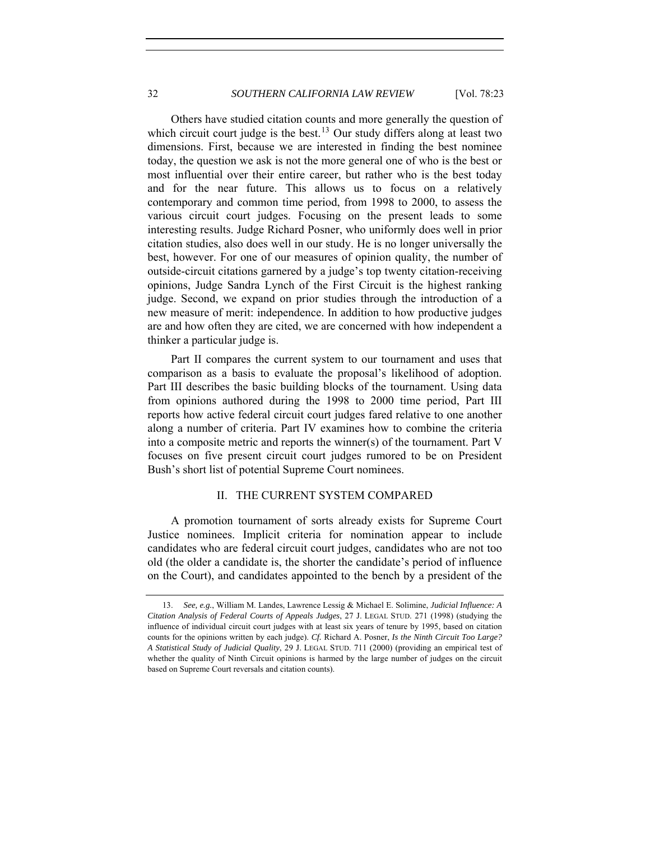Others have studied citation counts and more generally the question of which circuit court judge is the best.<sup>[13](#page-9-1)</sup> Our study differs along at least two dimensions. First, because we are interested in finding the best nominee today, the question we ask is not the more general one of who is the best or most influential over their entire career, but rather who is the best today and for the near future. This allows us to focus on a relatively contemporary and common time period, from 1998 to 2000, to assess the various circuit court judges. Focusing on the present leads to some interesting results. Judge Richard Posner, who uniformly does well in prior citation studies, also does well in our study. He is no longer universally the best, however. For one of our measures of opinion quality, the number of outside-circuit citations garnered by a judge's top twenty citation-receiving opinions, Judge Sandra Lynch of the First Circuit is the highest ranking judge. Second, we expand on prior studies through the introduction of a new measure of merit: independence. In addition to how productive judges are and how often they are cited, we are concerned with how independent a thinker a particular judge is.

Part II compares the current system to our tournament and uses that comparison as a basis to evaluate the proposal's likelihood of adoption. Part III describes the basic building blocks of the tournament. Using data from opinions authored during the 1998 to 2000 time period, Part III reports how active federal circuit court judges fared relative to one another along a number of criteria. Part IV examines how to combine the criteria into a composite metric and reports the winner(s) of the tournament. Part V focuses on five present circuit court judges rumored to be on President Bush's short list of potential Supreme Court nominees.

#### II. THE CURRENT SYSTEM COMPARED

A promotion tournament of sorts already exists for Supreme Court Justice nominees. Implicit criteria for nomination appear to include candidates who are federal circuit court judges, candidates who are not too old (the older a candidate is, the shorter the candidate's period of influence on the Court), and candidates appointed to the bench by a president of the

<span id="page-9-0"></span>

<span id="page-9-1"></span><sup>13.</sup> *See, e.g.*, William M. Landes, Lawrence Lessig & Michael E. Solimine, *Judicial Influence: A Citation Analysis of Federal Courts of Appeals Judges*, 27 J. LEGAL STUD. 271 (1998) (studying the influence of individual circuit court judges with at least six years of tenure by 1995, based on citation counts for the opinions written by each judge). *Cf.* Richard A. Posner, *Is the Ninth Circuit Too Large? A Statistical Study of Judicial Quality*, 29 J. LEGAL STUD. 711 (2000) (providing an empirical test of whether the quality of Ninth Circuit opinions is harmed by the large number of judges on the circuit based on Supreme Court reversals and citation counts).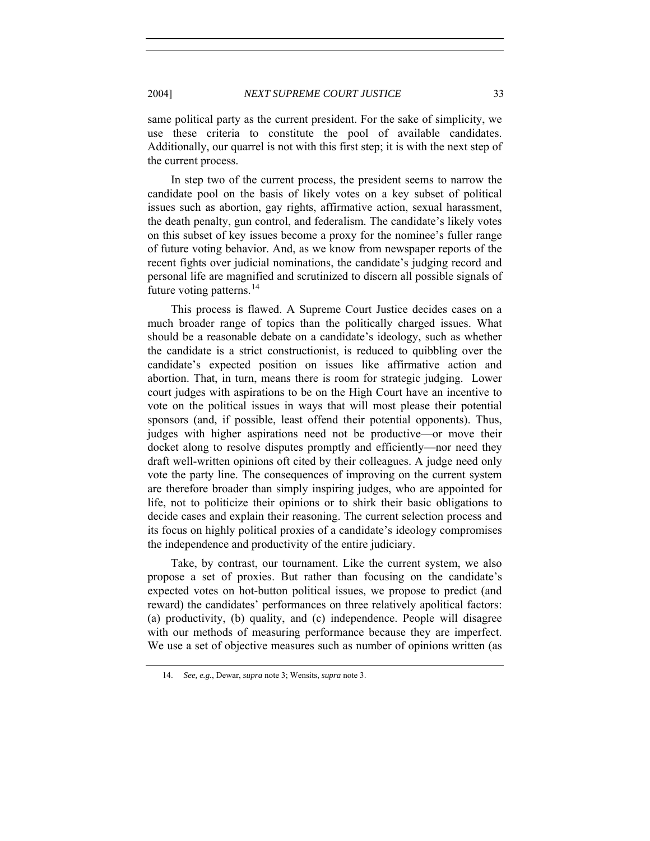same political party as the current president. For the sake of simplicity, we use these criteria to constitute the pool of available candidates. Additionally, our quarrel is not with this first step; it is with the next step of the current process.

In step two of the current process, the president seems to narrow the candidate pool on the basis of likely votes on a key subset of political issues such as abortion, gay rights, affirmative action, sexual harassment, the death penalty, gun control, and federalism. The candidate's likely votes on this subset of key issues become a proxy for the nominee's fuller range of future voting behavior. And, as we know from newspaper reports of the recent fights over judicial nominations, the candidate's judging record and personal life are magnified and scrutinized to discern all possible signals of future voting patterns.<sup>[14](#page-10-0)</sup>

This process is flawed. A Supreme Court Justice decides cases on a much broader range of topics than the politically charged issues. What should be a reasonable debate on a candidate's ideology, such as whether the candidate is a strict constructionist, is reduced to quibbling over the candidate's expected position on issues like affirmative action and abortion. That, in turn, means there is room for strategic judging. Lower court judges with aspirations to be on the High Court have an incentive to vote on the political issues in ways that will most please their potential sponsors (and, if possible, least offend their potential opponents). Thus, judges with higher aspirations need not be productive—or move their docket along to resolve disputes promptly and efficiently—nor need they draft well-written opinions oft cited by their colleagues. A judge need only vote the party line. The consequences of improving on the current system are therefore broader than simply inspiring judges, who are appointed for life, not to politicize their opinions or to shirk their basic obligations to decide cases and explain their reasoning. The current selection process and its focus on highly political proxies of a candidate's ideology compromises the independence and productivity of the entire judiciary.

Take, by contrast, our tournament. Like the current system, we also propose a set of proxies. But rather than focusing on the candidate's expected votes on hot-button political issues, we propose to predict (and reward) the candidates' performances on three relatively apolitical factors: (a) productivity, (b) quality, and (c) independence. People will disagree with our methods of measuring performance because they are imperfect. We use a set of objective measures such as number of opinions written (as

<span id="page-10-0"></span><sup>14.</sup> *See, e.g.*, Dewar, *supra* note 3; Wensits, *supra* note 3.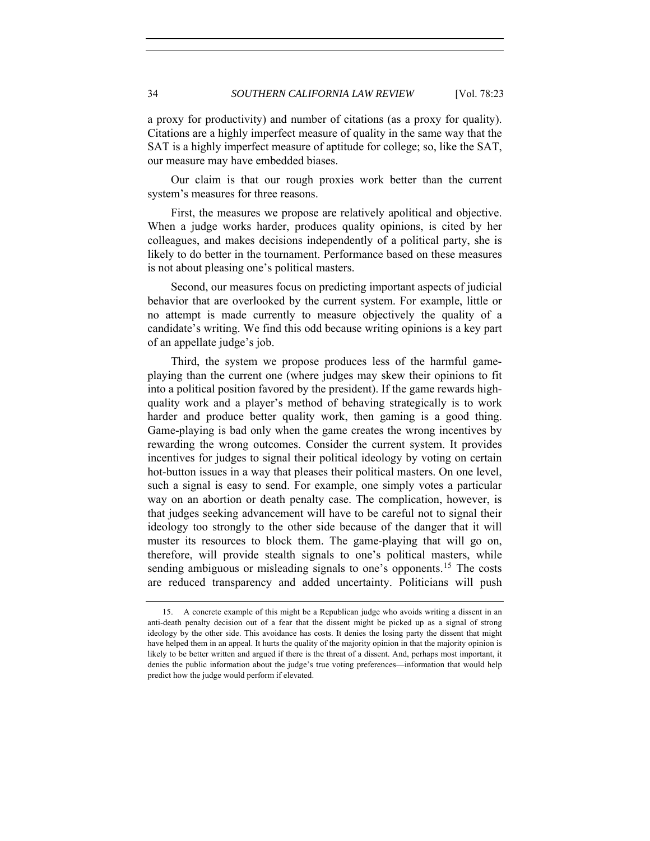a proxy for productivity) and number of citations (as a proxy for quality). Citations are a highly imperfect measure of quality in the same way that the SAT is a highly imperfect measure of aptitude for college; so, like the SAT, our measure may have embedded biases.

Our claim is that our rough proxies work better than the current system's measures for three reasons.

First, the measures we propose are relatively apolitical and objective. When a judge works harder, produces quality opinions, is cited by her colleagues, and makes decisions independently of a political party, she is likely to do better in the tournament. Performance based on these measures is not about pleasing one's political masters.

Second, our measures focus on predicting important aspects of judicial behavior that are overlooked by the current system. For example, little or no attempt is made currently to measure objectively the quality of a candidate's writing. We find this odd because writing opinions is a key part of an appellate judge's job.

Third, the system we propose produces less of the harmful gameplaying than the current one (where judges may skew their opinions to fit into a political position favored by the president). If the game rewards highquality work and a player's method of behaving strategically is to work harder and produce better quality work, then gaming is a good thing. Game-playing is bad only when the game creates the wrong incentives by rewarding the wrong outcomes. Consider the current system. It provides incentives for judges to signal their political ideology by voting on certain hot-button issues in a way that pleases their political masters. On one level, such a signal is easy to send. For example, one simply votes a particular way on an abortion or death penalty case. The complication, however, is that judges seeking advancement will have to be careful not to signal their ideology too strongly to the other side because of the danger that it will muster its resources to block them. The game-playing that will go on, therefore, will provide stealth signals to one's political masters, while sending ambiguous or misleading signals to one's opponents.<sup>[15](#page-11-0)</sup> The costs are reduced transparency and added uncertainty. Politicians will push

<span id="page-11-0"></span><sup>15.</sup> A concrete example of this might be a Republican judge who avoids writing a dissent in an anti-death penalty decision out of a fear that the dissent might be picked up as a signal of strong ideology by the other side. This avoidance has costs. It denies the losing party the dissent that might have helped them in an appeal. It hurts the quality of the majority opinion in that the majority opinion is likely to be better written and argued if there is the threat of a dissent. And, perhaps most important, it denies the public information about the judge's true voting preferences—information that would help predict how the judge would perform if elevated.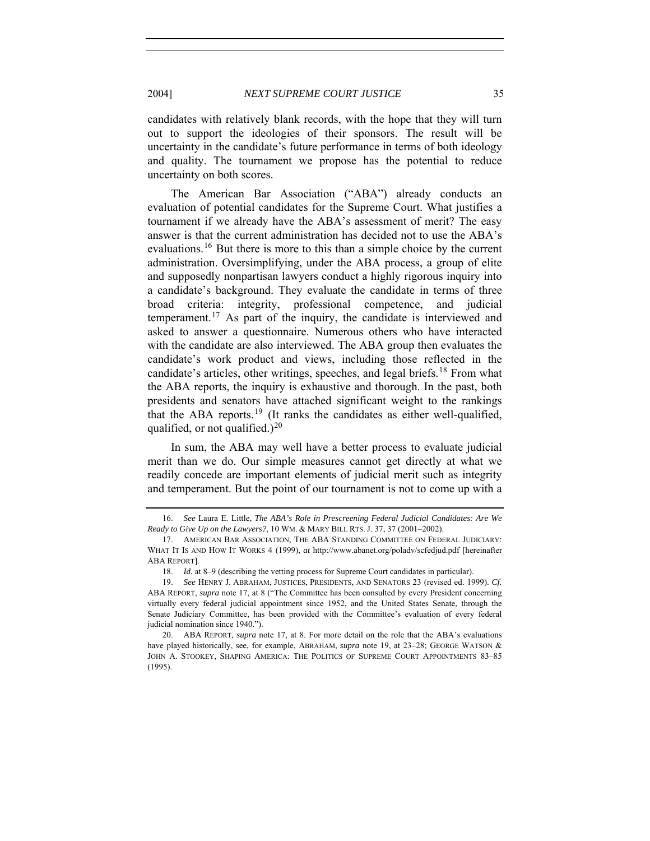candidates with relatively blank records, with the hope that they will turn out to support the ideologies of their sponsors. The result will be uncertainty in the candidate's future performance in terms of both ideology and quality. The tournament we propose has the potential to reduce uncertainty on both scores.

The American Bar Association ("ABA") already conducts an evaluation of potential candidates for the Supreme Court. What justifies a tournament if we already have the ABA's assessment of merit? The easy answer is that the current administration has decided not to use the ABA's evaluations.[16](#page-12-0) But there is more to this than a simple choice by the current administration. Oversimplifying, under the ABA process, a group of elite and supposedly nonpartisan lawyers conduct a highly rigorous inquiry into a candidate's background. They evaluate the candidate in terms of three broad criteria: integrity, professional competence, and judicial temperament.<sup>[17](#page-12-1)</sup> As part of the inquiry, the candidate is interviewed and asked to answer a questionnaire. Numerous others who have interacted with the candidate are also interviewed. The ABA group then evaluates the candidate's work product and views, including those reflected in the candidate's articles, other writings, speeches, and legal briefs.[18](#page-12-2) From what the ABA reports, the inquiry is exhaustive and thorough. In the past, both presidents and senators have attached significant weight to the rankings that the ABA reports.<sup>[19](#page-12-3)</sup> (It ranks the candidates as either well-qualified, qualified, or not qualified.)<sup>[20](#page-12-4)</sup>

In sum, the ABA may well have a better process to evaluate judicial merit than we do. Our simple measures cannot get directly at what we readily concede are important elements of judicial merit such as integrity and temperament. But the point of our tournament is not to come up with a

<span id="page-12-0"></span><sup>16.</sup> *See* Laura E. Little, *The ABA's Role in Prescreening Federal Judicial Candidates: Are We Ready to Give Up on the Lawyers?*, 10 WM. & MARY BILL RTS. J. 37, 37 (2001–2002).

<span id="page-12-1"></span><sup>17.</sup> AMERICAN BAR ASSOCIATION, THE ABA STANDING COMMITTEE ON FEDERAL JUDICIARY: WHAT IT IS AND HOW IT WORKS 4 (1999), *at* http://www.abanet.org/poladv/scfedjud.pdf [hereinafter ABA REPORT].

<sup>18.</sup> *Id.* at 8–9 (describing the vetting process for Supreme Court candidates in particular).

<span id="page-12-3"></span><span id="page-12-2"></span><sup>19.</sup> *See* HENRY J. ABRAHAM, JUSTICES, PRESIDENTS, AND SENATORS 23 (revised ed. 1999). *Cf.* ABA REPORT, *supra* note 17, at 8 ("The Committee has been consulted by every President concerning virtually every federal judicial appointment since 1952, and the United States Senate, through the Senate Judiciary Committee, has been provided with the Committee's evaluation of every federal judicial nomination since 1940.").

<span id="page-12-4"></span><sup>20.</sup> ABA REPORT, *supra* note 17, at 8. For more detail on the role that the ABA's evaluations have played historically, see, for example, ABRAHAM, *supra* note 19, at 23–28; GEORGE WATSON & JOHN A. STOOKEY, SHAPING AMERICA: THE POLITICS OF SUPREME COURT APPOINTMENTS 83-85 (1995).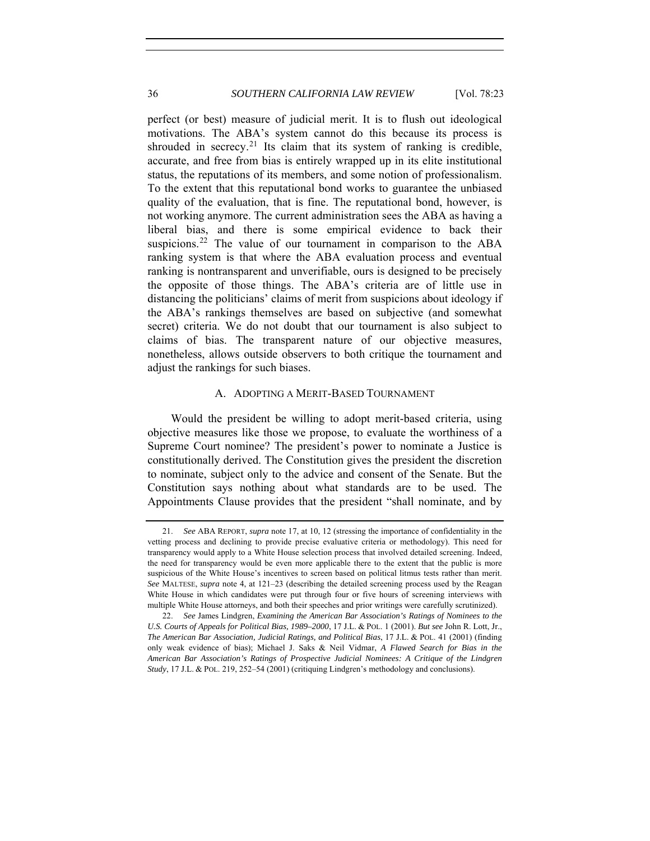<span id="page-13-0"></span>perfect (or best) measure of judicial merit. It is to flush out ideological motivations. The ABA's system cannot do this because its process is shrouded in secrecy.<sup>[21](#page-13-1)</sup> Its claim that its system of ranking is credible, accurate, and free from bias is entirely wrapped up in its elite institutional status, the reputations of its members, and some notion of professionalism. To the extent that this reputational bond works to guarantee the unbiased quality of the evaluation, that is fine. The reputational bond, however, is not working anymore. The current administration sees the ABA as having a liberal bias, and there is some empirical evidence to back their suspicions.<sup>[22](#page-13-2)</sup> The value of our tournament in comparison to the ABA ranking system is that where the ABA evaluation process and eventual ranking is nontransparent and unverifiable, ours is designed to be precisely the opposite of those things. The ABA's criteria are of little use in distancing the politicians' claims of merit from suspicions about ideology if the ABA's rankings themselves are based on subjective (and somewhat secret) criteria. We do not doubt that our tournament is also subject to claims of bias. The transparent nature of our objective measures, nonetheless, allows outside observers to both critique the tournament and adjust the rankings for such biases.

#### A. ADOPTING A MERIT-BASED TOURNAMENT

Would the president be willing to adopt merit-based criteria, using objective measures like those we propose, to evaluate the worthiness of a Supreme Court nominee? The president's power to nominate a Justice is constitutionally derived. The Constitution gives the president the discretion to nominate, subject only to the advice and consent of the Senate. But the Constitution says nothing about what standards are to be used. The Appointments Clause provides that the president "shall nominate, and by

<span id="page-13-1"></span><sup>21.</sup> *See* ABA REPORT, *supra* note 17, at 10, 12 (stressing the importance of confidentiality in the vetting process and declining to provide precise evaluative criteria or methodology). This need for transparency would apply to a White House selection process that involved detailed screening. Indeed, the need for transparency would be even more applicable there to the extent that the public is more suspicious of the White House's incentives to screen based on political litmus tests rather than merit. *See* MALTESE, *supra* note 4, at 121–23 (describing the detailed screening process used by the Reagan White House in which candidates were put through four or five hours of screening interviews with multiple White House attorneys, and both their speeches and prior writings were carefully scrutinized).

<span id="page-13-2"></span><sup>22.</sup> *See* James Lindgren, *Examining the American Bar Association's Ratings of Nominees to the U.S. Courts of Appeals for Political Bias, 1989–2000*, 17 J.L. & POL. 1 (2001). *But see* John R. Lott, Jr., *The American Bar Association, Judicial Ratings, and Political Bias*, 17 J.L. & POL. 41 (2001) (finding only weak evidence of bias); Michael J. Saks & Neil Vidmar, *A Flawed Search for Bias in the American Bar Association's Ratings of Prospective Judicial Nominees: A Critique of the Lindgren Study*, 17 J.L. & POL. 219, 252–54 (2001) (critiquing Lindgren's methodology and conclusions).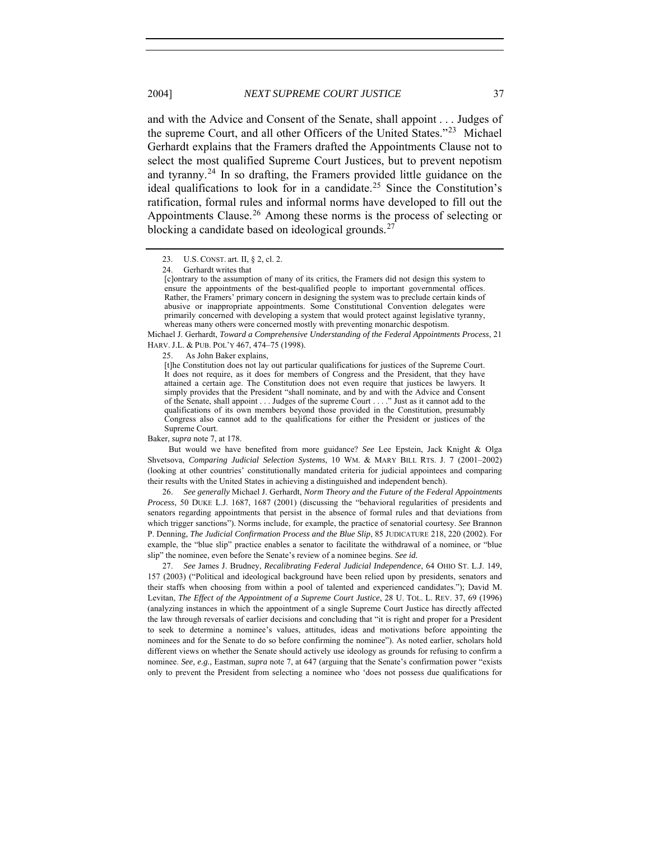and with the Advice and Consent of the Senate, shall appoint . . . Judges of the supreme Court, and all other Officers of the United States."[23](#page-14-0) Michael Gerhardt explains that the Framers drafted the Appointments Clause not to select the most qualified Supreme Court Justices, but to prevent nepotism and tyranny.[24](#page-14-1) In so drafting, the Framers provided little guidance on the ideal qualifications to look for in a candidate.[25](#page-14-2) Since the Constitution's ratification, formal rules and informal norms have developed to fill out the Appointments Clause.<sup>[26](#page-14-3)</sup> Among these norms is the process of selecting or blocking a candidate based on ideological grounds.<sup>[27](#page-14-4)</sup>

<span id="page-14-2"></span><span id="page-14-1"></span>Michael J. Gerhardt, *Toward a Comprehensive Understanding of the Federal Appointments Process*, 21 HARV. J.L. & PUB. POL'Y 467, 474–75 (1998).

25. As John Baker explains,

[t]he Constitution does not lay out particular qualifications for justices of the Supreme Court. It does not require, as it does for members of Congress and the President, that they have attained a certain age. The Constitution does not even require that justices be lawyers. It simply provides that the President "shall nominate, and by and with the Advice and Consent of the Senate, shall appoint . . . Judges of the supreme Court . . . ." Just as it cannot add to the qualifications of its own members beyond those provided in the Constitution, presumably Congress also cannot add to the qualifications for either the President or justices of the Supreme Court.

Baker, *supra* note 7, at 178.

But would we have benefited from more guidance? *See* Lee Epstein, Jack Knight & Olga Shvetsova, *Comparing Judicial Selection Systems*, 10 WM. & MARY BILL RTS. J. 7 (2001–2002) (looking at other countries' constitutionally mandated criteria for judicial appointees and comparing their results with the United States in achieving a distinguished and independent bench).

<span id="page-14-3"></span> 26. *See generally* Michael J. Gerhardt, *Norm Theory and the Future of the Federal Appointments Process*, 50 DUKE L.J. 1687, 1687 (2001) (discussing the "behavioral regularities of presidents and senators regarding appointments that persist in the absence of formal rules and that deviations from which trigger sanctions"). Norms include, for example, the practice of senatorial courtesy. *See* Brannon P. Denning, *The Judicial Confirmation Process and the Blue Slip*, 85 JUDICATURE 218, 220 (2002). For example, the "blue slip" practice enables a senator to facilitate the withdrawal of a nominee, or "blue slip" the nominee, even before the Senate's review of a nominee begins. *See id.*

<span id="page-14-4"></span> 27. *See* James J. Brudney, *Recalibrating Federal Judicial Independence*, 64 OHIO ST. L.J. 149, 157 (2003) ("Political and ideological background have been relied upon by presidents, senators and their staffs when choosing from within a pool of talented and experienced candidates."); David M. Levitan, *The Effect of the Appointment of a Supreme Court Justice*, 28 U. TOL. L. REV. 37, 69 (1996) (analyzing instances in which the appointment of a single Supreme Court Justice has directly affected the law through reversals of earlier decisions and concluding that "it is right and proper for a President to seek to determine a nominee's values, attitudes, ideas and motivations before appointing the nominees and for the Senate to do so before confirming the nominee"). As noted earlier, scholars hold different views on whether the Senate should actively use ideology as grounds for refusing to confirm a nominee. *See, e.g.*, Eastman, *supra* note 7, at 647 (arguing that the Senate's confirmation power "exists only to prevent the President from selecting a nominee who 'does not possess due qualifications for

<span id="page-14-0"></span> <sup>23.</sup> U.S. CONST. art. II, § 2, cl. 2.

 <sup>24.</sup> Gerhardt writes that

<sup>[</sup>c]ontrary to the assumption of many of its critics, the Framers did not design this system to ensure the appointments of the best-qualified people to important governmental offices. Rather, the Framers' primary concern in designing the system was to preclude certain kinds of abusive or inappropriate appointments. Some Constitutional Convention delegates were primarily concerned with developing a system that would protect against legislative tyranny, whereas many others were concerned mostly with preventing monarchic despotism.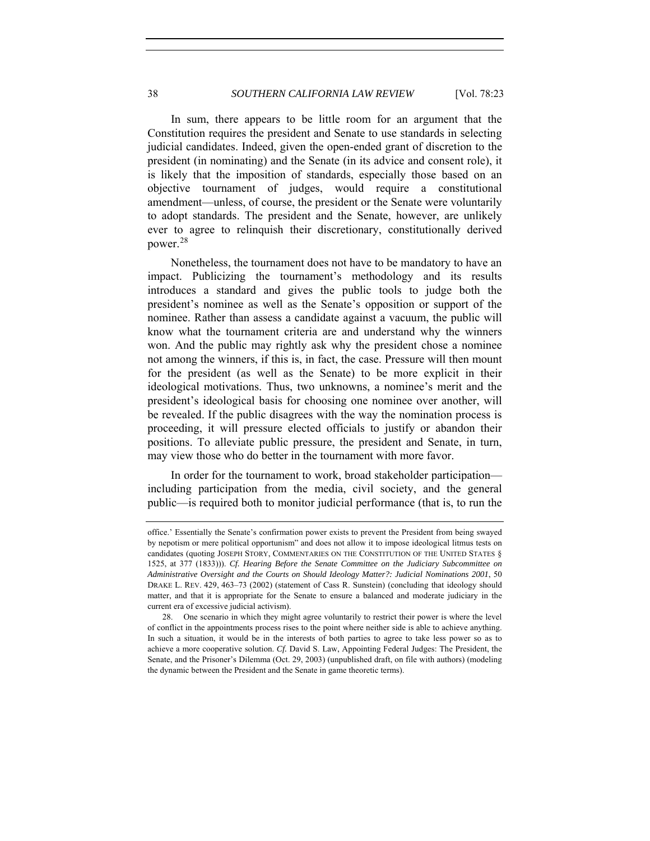In sum, there appears to be little room for an argument that the Constitution requires the president and Senate to use standards in selecting judicial candidates. Indeed, given the open-ended grant of discretion to the president (in nominating) and the Senate (in its advice and consent role), it is likely that the imposition of standards, especially those based on an objective tournament of judges, would require a constitutional amendment—unless, of course, the president or the Senate were voluntarily to adopt standards. The president and the Senate, however, are unlikely ever to agree to relinquish their discretionary, constitutionally derived power.[28](#page-15-0)

Nonetheless, the tournament does not have to be mandatory to have an impact. Publicizing the tournament's methodology and its results introduces a standard and gives the public tools to judge both the president's nominee as well as the Senate's opposition or support of the nominee. Rather than assess a candidate against a vacuum, the public will know what the tournament criteria are and understand why the winners won. And the public may rightly ask why the president chose a nominee not among the winners, if this is, in fact, the case. Pressure will then mount for the president (as well as the Senate) to be more explicit in their ideological motivations. Thus, two unknowns, a nominee's merit and the president's ideological basis for choosing one nominee over another, will be revealed. If the public disagrees with the way the nomination process is proceeding, it will pressure elected officials to justify or abandon their positions. To alleviate public pressure, the president and Senate, in turn, may view those who do better in the tournament with more favor.

In order for the tournament to work, broad stakeholder participation including participation from the media, civil society, and the general public—is required both to monitor judicial performance (that is, to run the

office.' Essentially the Senate's confirmation power exists to prevent the President from being swayed by nepotism or mere political opportunism" and does not allow it to impose ideological litmus tests on candidates (quoting JOSEPH STORY, COMMENTARIES ON THE CONSTITUTION OF THE UNITED STATES § 1525, at 377 (1833))). *Cf. Hearing Before the Senate Committee on the Judiciary Subcommittee on Administrative Oversight and the Courts on Should Ideology Matter?: Judicial Nominations 2001*, 50 DRAKE L. REV. 429, 463–73 (2002) (statement of Cass R. Sunstein) (concluding that ideology should matter, and that it is appropriate for the Senate to ensure a balanced and moderate judiciary in the current era of excessive judicial activism).

<span id="page-15-0"></span> <sup>28.</sup> One scenario in which they might agree voluntarily to restrict their power is where the level of conflict in the appointments process rises to the point where neither side is able to achieve anything. In such a situation, it would be in the interests of both parties to agree to take less power so as to achieve a more cooperative solution. *Cf.* David S. Law, Appointing Federal Judges: The President, the Senate, and the Prisoner's Dilemma (Oct. 29, 2003) (unpublished draft, on file with authors) (modeling the dynamic between the President and the Senate in game theoretic terms).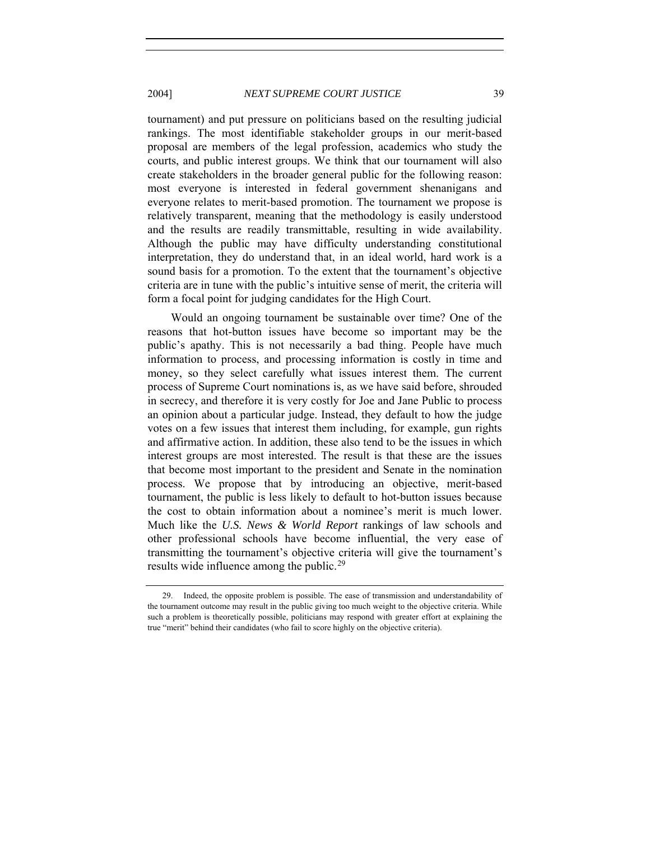#### 2004] *NEXT SUPREME COURT JUSTICE* 39

tournament) and put pressure on politicians based on the resulting judicial rankings. The most identifiable stakeholder groups in our merit-based proposal are members of the legal profession, academics who study the courts, and public interest groups. We think that our tournament will also create stakeholders in the broader general public for the following reason: most everyone is interested in federal government shenanigans and everyone relates to merit-based promotion. The tournament we propose is relatively transparent, meaning that the methodology is easily understood and the results are readily transmittable, resulting in wide availability. Although the public may have difficulty understanding constitutional interpretation, they do understand that, in an ideal world, hard work is a sound basis for a promotion. To the extent that the tournament's objective criteria are in tune with the public's intuitive sense of merit, the criteria will form a focal point for judging candidates for the High Court.

Would an ongoing tournament be sustainable over time? One of the reasons that hot-button issues have become so important may be the public's apathy. This is not necessarily a bad thing. People have much information to process, and processing information is costly in time and money, so they select carefully what issues interest them. The current process of Supreme Court nominations is, as we have said before, shrouded in secrecy, and therefore it is very costly for Joe and Jane Public to process an opinion about a particular judge. Instead, they default to how the judge votes on a few issues that interest them including, for example, gun rights and affirmative action. In addition, these also tend to be the issues in which interest groups are most interested. The result is that these are the issues that become most important to the president and Senate in the nomination process. We propose that by introducing an objective, merit-based tournament, the public is less likely to default to hot-button issues because the cost to obtain information about a nominee's merit is much lower. Much like the *U.S. News & World Report* rankings of law schools and other professional schools have become influential, the very ease of transmitting the tournament's objective criteria will give the tournament's results wide influence among the public.<sup>[29](#page-16-0)</sup>

<span id="page-16-0"></span> <sup>29.</sup> Indeed, the opposite problem is possible. The ease of transmission and understandability of the tournament outcome may result in the public giving too much weight to the objective criteria. While such a problem is theoretically possible, politicians may respond with greater effort at explaining the true "merit" behind their candidates (who fail to score highly on the objective criteria).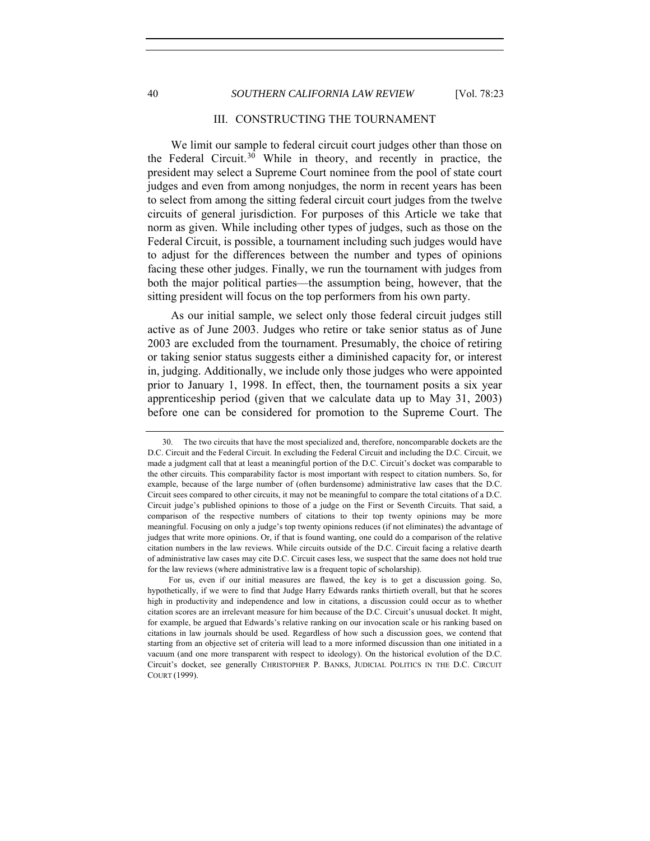#### <span id="page-17-0"></span>40 *SOUTHERN CALIFORNIA LAW REVIEW* [Vol. 78:23

#### III. CONSTRUCTING THE TOURNAMENT

We limit our sample to federal circuit court judges other than those on the Federal Circuit.[30](#page-17-1) While in theory, and recently in practice, the president may select a Supreme Court nominee from the pool of state court judges and even from among nonjudges, the norm in recent years has been to select from among the sitting federal circuit court judges from the twelve circuits of general jurisdiction. For purposes of this Article we take that norm as given. While including other types of judges, such as those on the Federal Circuit, is possible, a tournament including such judges would have to adjust for the differences between the number and types of opinions facing these other judges. Finally, we run the tournament with judges from both the major political parties—the assumption being, however, that the sitting president will focus on the top performers from his own party.

As our initial sample, we select only those federal circuit judges still active as of June 2003. Judges who retire or take senior status as of June 2003 are excluded from the tournament. Presumably, the choice of retiring or taking senior status suggests either a diminished capacity for, or interest in, judging. Additionally, we include only those judges who were appointed prior to January 1, 1998. In effect, then, the tournament posits a six year apprenticeship period (given that we calculate data up to May 31, 2003) before one can be considered for promotion to the Supreme Court. The

<span id="page-17-1"></span> <sup>30.</sup> The two circuits that have the most specialized and, therefore, noncomparable dockets are the D.C. Circuit and the Federal Circuit. In excluding the Federal Circuit and including the D.C. Circuit, we made a judgment call that at least a meaningful portion of the D.C. Circuit's docket was comparable to the other circuits. This comparability factor is most important with respect to citation numbers. So, for example, because of the large number of (often burdensome) administrative law cases that the D.C. Circuit sees compared to other circuits, it may not be meaningful to compare the total citations of a D.C. Circuit judge's published opinions to those of a judge on the First or Seventh Circuits. That said, a comparison of the respective numbers of citations to their top twenty opinions may be more meaningful. Focusing on only a judge's top twenty opinions reduces (if not eliminates) the advantage of judges that write more opinions. Or, if that is found wanting, one could do a comparison of the relative citation numbers in the law reviews. While circuits outside of the D.C. Circuit facing a relative dearth of administrative law cases may cite D.C. Circuit cases less, we suspect that the same does not hold true for the law reviews (where administrative law is a frequent topic of scholarship).

For us, even if our initial measures are flawed, the key is to get a discussion going. So, hypothetically, if we were to find that Judge Harry Edwards ranks thirtieth overall, but that he scores high in productivity and independence and low in citations, a discussion could occur as to whether citation scores are an irrelevant measure for him because of the D.C. Circuit's unusual docket. It might, for example, be argued that Edwards's relative ranking on our invocation scale or his ranking based on citations in law journals should be used. Regardless of how such a discussion goes, we contend that starting from an objective set of criteria will lead to a more informed discussion than one initiated in a vacuum (and one more transparent with respect to ideology). On the historical evolution of the D.C. Circuit's docket, see generally CHRISTOPHER P. BANKS, JUDICIAL POLITICS IN THE D.C. CIRCUIT COURT (1999).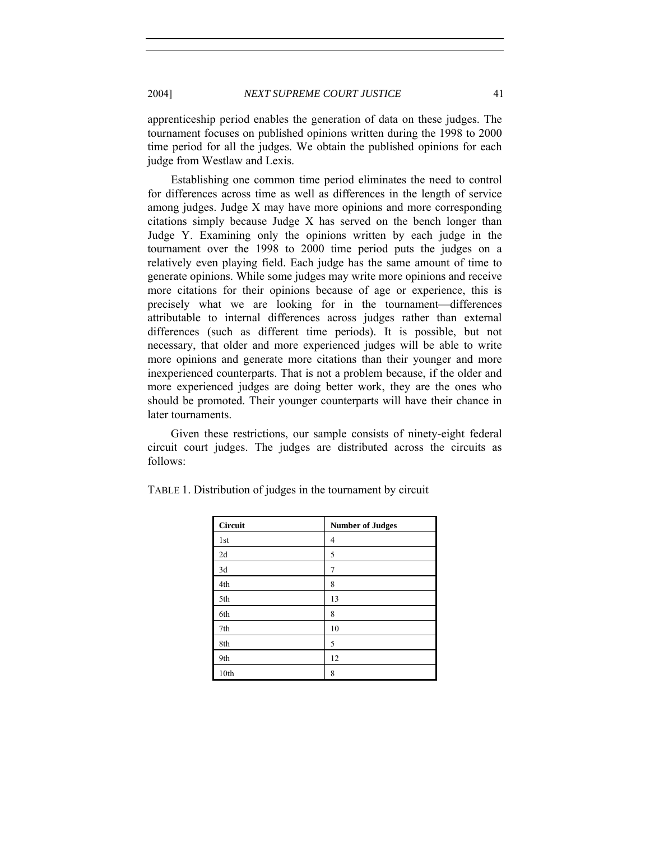apprenticeship period enables the generation of data on these judges. The tournament focuses on published opinions written during the 1998 to 2000 time period for all the judges. We obtain the published opinions for each judge from Westlaw and Lexis.

Establishing one common time period eliminates the need to control for differences across time as well as differences in the length of service among judges. Judge X may have more opinions and more corresponding citations simply because Judge X has served on the bench longer than Judge Y. Examining only the opinions written by each judge in the tournament over the 1998 to 2000 time period puts the judges on a relatively even playing field. Each judge has the same amount of time to generate opinions. While some judges may write more opinions and receive more citations for their opinions because of age or experience, this is precisely what we are looking for in the tournament—differences attributable to internal differences across judges rather than external differences (such as different time periods). It is possible, but not necessary, that older and more experienced judges will be able to write more opinions and generate more citations than their younger and more inexperienced counterparts. That is not a problem because, if the older and more experienced judges are doing better work, they are the ones who should be promoted. Their younger counterparts will have their chance in later tournaments.

 Given these restrictions, our sample consists of ninety-eight federal circuit court judges. The judges are distributed across the circuits as follows:

| Circuit | <b>Number of Judges</b> |
|---------|-------------------------|
| 1st     | 4                       |
| 2d      | 5                       |
| 3d      | 7                       |
| 4th     | 8                       |
| 5th     | 13                      |
| 6th     | 8                       |
| 7th     | 10                      |
| 8th     | 5                       |
| 9th     | 12                      |
| 10th    | 8                       |

TABLE 1. Distribution of judges in the tournament by circuit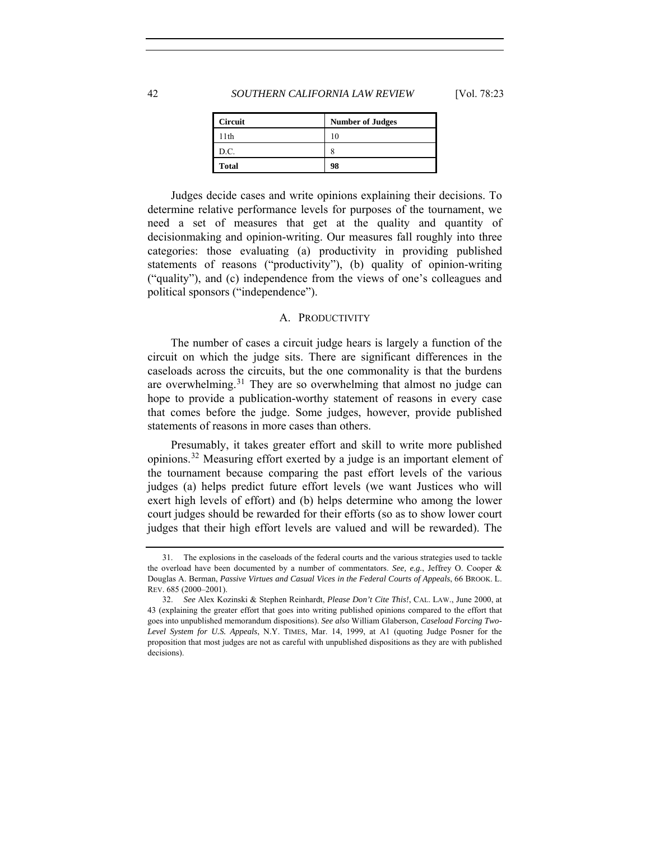#### <span id="page-19-0"></span>42 *SOUTHERN CALIFORNIA LAW REVIEW* [Vol. 78:23

| <b>Circuit</b> | <b>Number of Judges</b> |
|----------------|-------------------------|
| 11th           |                         |
| D.C.           | c                       |
| <b>Total</b>   | 98                      |

 Judges decide cases and write opinions explaining their decisions. To determine relative performance levels for purposes of the tournament, we need a set of measures that get at the quality and quantity of decisionmaking and opinion-writing. Our measures fall roughly into three categories: those evaluating (a) productivity in providing published statements of reasons ("productivity"), (b) quality of opinion-writing ("quality"), and (c) independence from the views of one's colleagues and political sponsors ("independence").

#### A. PRODUCTIVITY

The number of cases a circuit judge hears is largely a function of the circuit on which the judge sits. There are significant differences in the caseloads across the circuits, but the one commonality is that the burdens are overwhelming.[31](#page-19-1) They are so overwhelming that almost no judge can hope to provide a publication-worthy statement of reasons in every case that comes before the judge. Some judges, however, provide published statements of reasons in more cases than others.

Presumably, it takes greater effort and skill to write more published opinions.[32](#page-19-2) Measuring effort exerted by a judge is an important element of the tournament because comparing the past effort levels of the various judges (a) helps predict future effort levels (we want Justices who will exert high levels of effort) and (b) helps determine who among the lower court judges should be rewarded for their efforts (so as to show lower court judges that their high effort levels are valued and will be rewarded). The

<span id="page-19-1"></span> <sup>31.</sup> The explosions in the caseloads of the federal courts and the various strategies used to tackle the overload have been documented by a number of commentators. *See, e.g.*, Jeffrey O. Cooper & Douglas A. Berman, *Passive Virtues and Casual Vices in the Federal Courts of Appeals*, 66 BROOK. L. REV. 685 (2000–2001).

<span id="page-19-2"></span><sup>32.</sup> *See* Alex Kozinski & Stephen Reinhardt, *Please Don't Cite This!*, CAL. LAW., June 2000, at 43 (explaining the greater effort that goes into writing published opinions compared to the effort that goes into unpublished memorandum dispositions). *See also* William Glaberson, *Caseload Forcing Two-Level System for U.S. Appeals*, N.Y. TIMES, Mar. 14, 1999, at A1 (quoting Judge Posner for the proposition that most judges are not as careful with unpublished dispositions as they are with published decisions).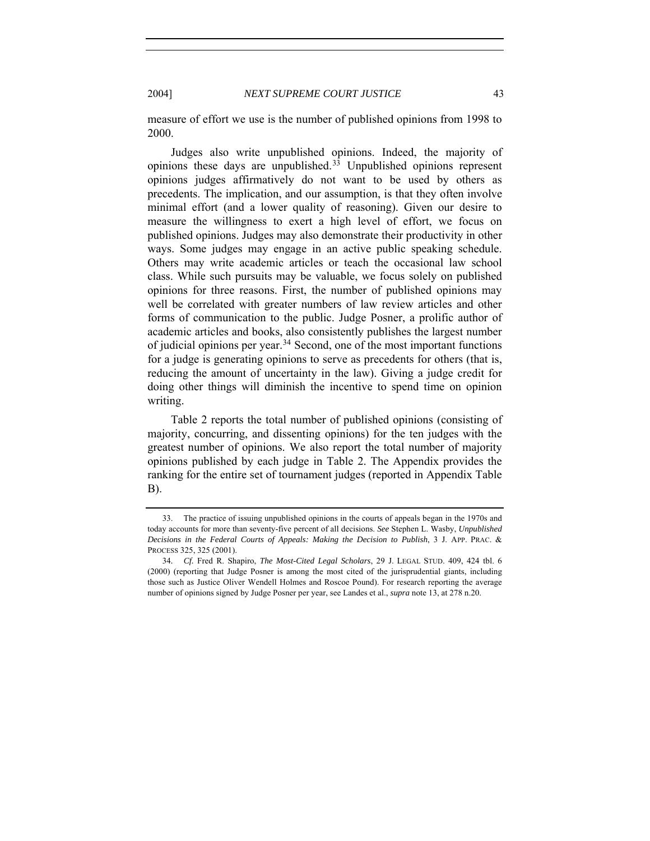measure of effort we use is the number of published opinions from 1998 to 2000.

Judges also write unpublished opinions. Indeed, the majority of opinions these days are unpublished.<sup>[33](#page-20-0)</sup> Unpublished opinions represent opinions judges affirmatively do not want to be used by others as precedents. The implication, and our assumption, is that they often involve minimal effort (and a lower quality of reasoning). Given our desire to measure the willingness to exert a high level of effort, we focus on published opinions. Judges may also demonstrate their productivity in other ways. Some judges may engage in an active public speaking schedule. Others may write academic articles or teach the occasional law school class. While such pursuits may be valuable, we focus solely on published opinions for three reasons. First, the number of published opinions may well be correlated with greater numbers of law review articles and other forms of communication to the public. Judge Posner, a prolific author of academic articles and books, also consistently publishes the largest number of judicial opinions per year.<sup>[34](#page-20-1)</sup> Second, one of the most important functions for a judge is generating opinions to serve as precedents for others (that is, reducing the amount of uncertainty in the law). Giving a judge credit for doing other things will diminish the incentive to spend time on opinion writing.

Table 2 reports the total number of published opinions (consisting of majority, concurring, and dissenting opinions) for the ten judges with the greatest number of opinions. We also report the total number of majority opinions published by each judge in Table 2. The Appendix provides the ranking for the entire set of tournament judges (reported in Appendix Table B).

<span id="page-20-0"></span> <sup>33.</sup> The practice of issuing unpublished opinions in the courts of appeals began in the 1970s and today accounts for more than seventy-five percent of all decisions. *See* Stephen L. Wasby, *Unpublished Decisions in the Federal Courts of Appeals: Making the Decision to Publish*, 3 J. APP. PRAC. & PROCESS 325, 325 (2001).

<span id="page-20-1"></span><sup>34</sup>*. Cf.* Fred R. Shapiro, *The Most-Cited Legal Scholars*, 29 J. LEGAL STUD. 409, 424 tbl. 6 (2000) (reporting that Judge Posner is among the most cited of the jurisprudential giants, including those such as Justice Oliver Wendell Holmes and Roscoe Pound). For research reporting the average number of opinions signed by Judge Posner per year, see Landes et al., *supra* note 13, at 278 n.20.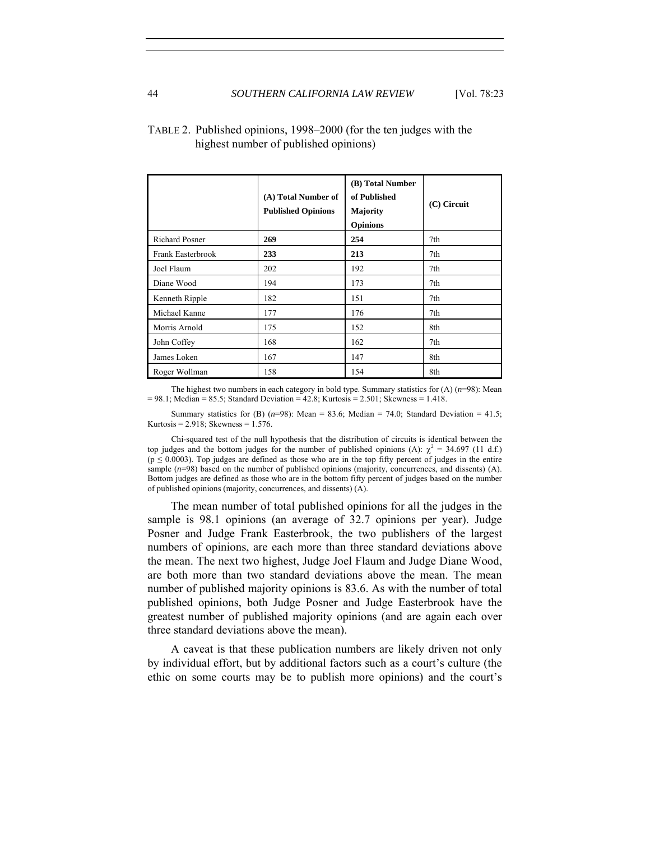|                       | (A) Total Number of<br><b>Published Opinions</b> | (B) Total Number<br>of Published<br>Majority<br><b>Opinions</b> | $(C)$ Circuit |
|-----------------------|--------------------------------------------------|-----------------------------------------------------------------|---------------|
| <b>Richard Posner</b> | 269                                              | 254                                                             | 7th           |
| Frank Easterbrook     | 233                                              | 213                                                             | 7th           |
| Joel Flaum            | 202                                              | 192                                                             | 7th           |
| Diane Wood            | 194                                              | 173                                                             | 7th           |
| Kenneth Ripple        | 182                                              | 151                                                             | 7th           |
| Michael Kanne         | 177                                              | 176                                                             | 7th           |
| Morris Arnold         | 175                                              | 152                                                             | 8th           |
| John Coffey           | 168                                              | 162                                                             | 7th           |
| James Loken           | 167                                              | 147                                                             | 8th           |
| Roger Wollman         | 158                                              | 154                                                             | 8th           |

#### TABLE 2. Published opinions, 1998–2000 (for the ten judges with the highest number of published opinions)

The highest two numbers in each category in bold type. Summary statistics for  $(A)$  ( $n=98$ ): Mean  $= 98.1$ ; Median = 85.5; Standard Deviation = 42.8; Kurtosis = 2.501; Skewness = 1.418.

Summary statistics for (B)  $(n=98)$ : Mean = 83.6; Median = 74.0; Standard Deviation = 41.5; Kurtosis =  $2.918$ ; Skewness = 1.576.

Chi-squared test of the null hypothesis that the distribution of circuits is identical between the top judges and the bottom judges for the number of published opinions (A):  $\chi^2 = 34.697$  (11 d.f.)  $(p \le 0.0003)$ . Top judges are defined as those who are in the top fifty percent of judges in the entire sample ( $n=98$ ) based on the number of published opinions (majority, concurrences, and dissents) (A). Bottom judges are defined as those who are in the bottom fifty percent of judges based on the number of published opinions (majority, concurrences, and dissents) (A).

The mean number of total published opinions for all the judges in the sample is 98.1 opinions (an average of 32.7 opinions per year). Judge Posner and Judge Frank Easterbrook, the two publishers of the largest numbers of opinions, are each more than three standard deviations above the mean. The next two highest, Judge Joel Flaum and Judge Diane Wood, are both more than two standard deviations above the mean. The mean number of published majority opinions is 83.6. As with the number of total published opinions, both Judge Posner and Judge Easterbrook have the greatest number of published majority opinions (and are again each over three standard deviations above the mean).

A caveat is that these publication numbers are likely driven not only by individual effort, but by additional factors such as a court's culture (the ethic on some courts may be to publish more opinions) and the court's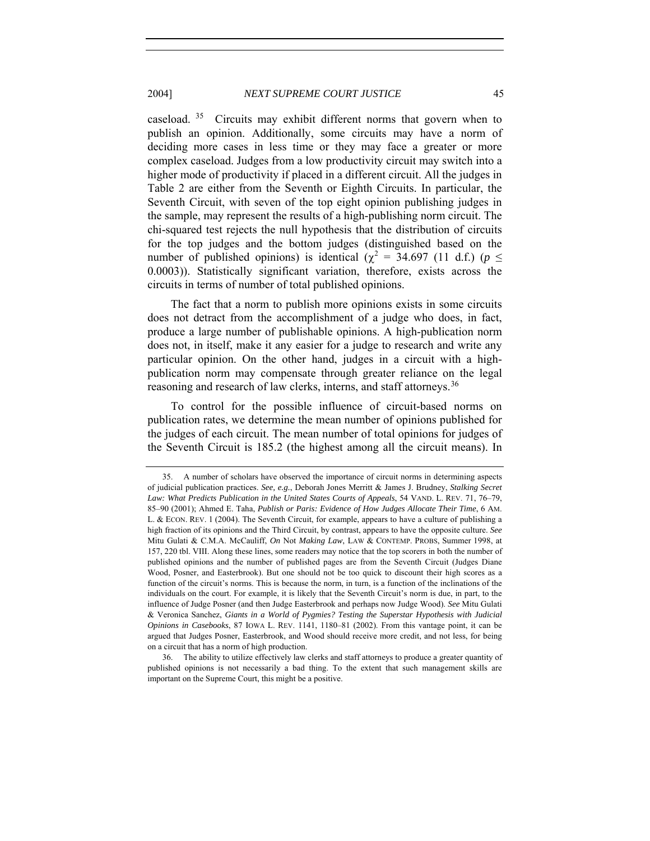caseload.  $35$  Circuits may exhibit different norms that govern when to publish an opinion. Additionally, some circuits may have a norm of deciding more cases in less time or they may face a greater or more complex caseload. Judges from a low productivity circuit may switch into a higher mode of productivity if placed in a different circuit. All the judges in Table 2 are either from the Seventh or Eighth Circuits. In particular, the Seventh Circuit, with seven of the top eight opinion publishing judges in the sample, may represent the results of a high-publishing norm circuit. The chi-squared test rejects the null hypothesis that the distribution of circuits for the top judges and the bottom judges (distinguished based on the number of published opinions) is identical ( $\chi^2 = 34.697$  (11 d.f.) ( $p \leq$ 0.0003)). Statistically significant variation, therefore, exists across the circuits in terms of number of total published opinions.

The fact that a norm to publish more opinions exists in some circuits does not detract from the accomplishment of a judge who does, in fact, produce a large number of publishable opinions. A high-publication norm does not, in itself, make it any easier for a judge to research and write any particular opinion. On the other hand, judges in a circuit with a highpublication norm may compensate through greater reliance on the legal reasoning and research of law clerks, interns, and staff attorneys.<sup>[36](#page-22-1)</sup>

To control for the possible influence of circuit-based norms on publication rates, we determine the mean number of opinions published for the judges of each circuit. The mean number of total opinions for judges of the Seventh Circuit is 185.2 (the highest among all the circuit means). In

<span id="page-22-0"></span> <sup>35.</sup> A number of scholars have observed the importance of circuit norms in determining aspects of judicial publication practices. *See, e.g.*, Deborah Jones Merritt & James J. Brudney, *Stalking Secret Law: What Predicts Publication in the United States Courts of Appeals*, 54 VAND. L. REV. 71, 76–79, 85–90 (2001); Ahmed E. Taha, *Publish or Paris: Evidence of How Judges Allocate Their Time*, 6 AM. L. & ECON. REV. 1 (2004). The Seventh Circuit, for example, appears to have a culture of publishing a high fraction of its opinions and the Third Circuit, by contrast, appears to have the opposite culture. *See* Mitu Gulati & C.M.A. McCauliff, *On* Not *Making Law*, LAW & CONTEMP. PROBS, Summer 1998, at 157, 220 tbl. VIII. Along these lines, some readers may notice that the top scorers in both the number of published opinions and the number of published pages are from the Seventh Circuit (Judges Diane Wood, Posner, and Easterbrook). But one should not be too quick to discount their high scores as a function of the circuit's norms. This is because the norm, in turn, is a function of the inclinations of the individuals on the court. For example, it is likely that the Seventh Circuit's norm is due, in part, to the influence of Judge Posner (and then Judge Easterbrook and perhaps now Judge Wood). *See* Mitu Gulati & Veronica Sanchez, *Giants in a World of Pygmies? Testing the Superstar Hypothesis with Judicial Opinions in Casebooks*, 87 IOWA L. REV. 1141, 1180–81 (2002). From this vantage point, it can be argued that Judges Posner, Easterbrook, and Wood should receive more credit, and not less, for being on a circuit that has a norm of high production.

<span id="page-22-1"></span> <sup>36.</sup> The ability to utilize effectively law clerks and staff attorneys to produce a greater quantity of published opinions is not necessarily a bad thing. To the extent that such management skills are important on the Supreme Court, this might be a positive.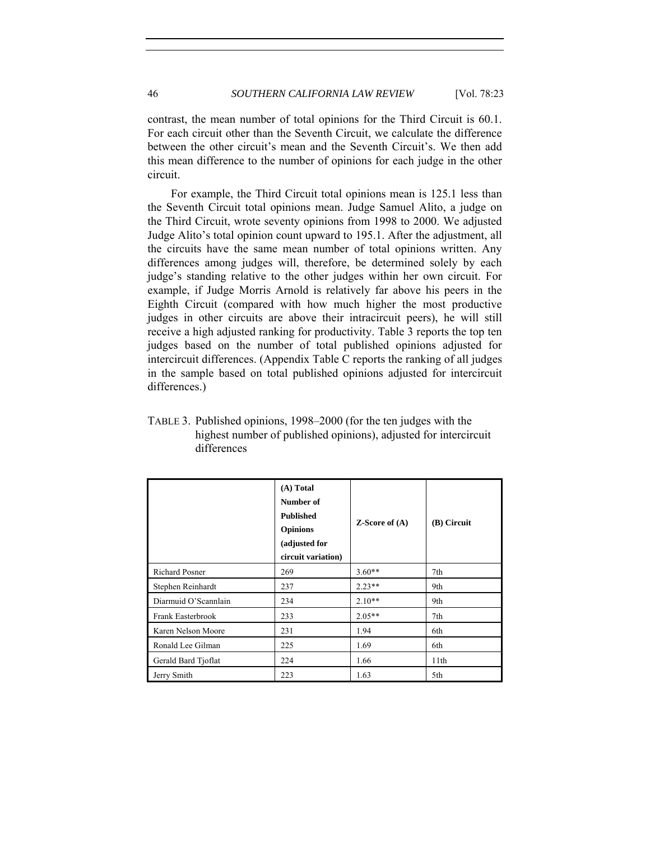contrast, the mean number of total opinions for the Third Circuit is 60.1. For each circuit other than the Seventh Circuit, we calculate the difference between the other circuit's mean and the Seventh Circuit's. We then add this mean difference to the number of opinions for each judge in the other circuit.

For example, the Third Circuit total opinions mean is 125.1 less than the Seventh Circuit total opinions mean. Judge Samuel Alito, a judge on the Third Circuit, wrote seventy opinions from 1998 to 2000. We adjusted Judge Alito's total opinion count upward to 195.1. After the adjustment, all the circuits have the same mean number of total opinions written. Any differences among judges will, therefore, be determined solely by each judge's standing relative to the other judges within her own circuit. For example, if Judge Morris Arnold is relatively far above his peers in the Eighth Circuit (compared with how much higher the most productive judges in other circuits are above their intracircuit peers), he will still receive a high adjusted ranking for productivity. Table 3 reports the top ten judges based on the number of total published opinions adjusted for intercircuit differences. (Appendix Table C reports the ranking of all judges in the sample based on total published opinions adjusted for intercircuit differences.)

|                      | (A) Total<br>Number of<br><b>Published</b><br><b>Opinions</b><br>(adjusted for<br>circuit variation) | <b>Z-Score of <math>(A)</math></b> | (B) Circuit |
|----------------------|------------------------------------------------------------------------------------------------------|------------------------------------|-------------|
| Richard Posner       | 269                                                                                                  | $3.60**$                           | 7th         |
| Stephen Reinhardt    | 237                                                                                                  | $2.23**$                           | 9th         |
| Diarmuid O'Scannlain | 234                                                                                                  | $2.10**$                           | 9th         |
| Frank Easterbrook    | 233                                                                                                  | $2.05**$                           | 7th         |
| Karen Nelson Moore   | 231                                                                                                  | 1.94                               | 6th         |
| Ronald Lee Gilman    | 225                                                                                                  | 1.69                               | 6th         |
| Gerald Bard Tjoflat  | 224                                                                                                  | 1.66                               | 11th        |
| Jerry Smith          | 223                                                                                                  | 1.63                               | 5th         |

TABLE 3. Published opinions, 1998–2000 (for the ten judges with the highest number of published opinions), adjusted for intercircuit differences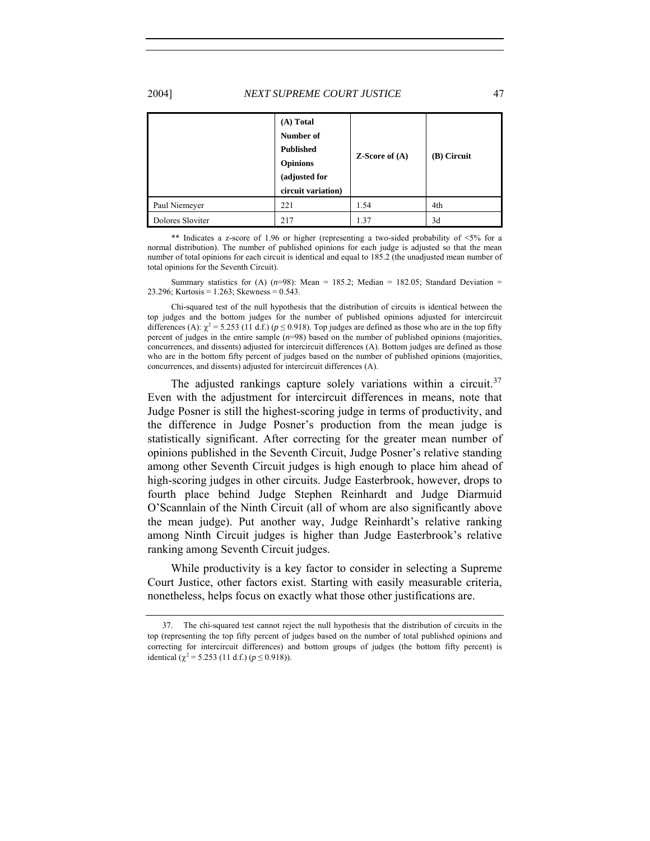2004] *NEXT SUPREME COURT JUSTICE* 47

|                  | $(A)$ Total<br>Number of<br><b>Published</b><br><b>Opinions</b><br>(adjusted for<br>circuit variation) | $Z-Score$ of $(A)$ | (B) Circuit |
|------------------|--------------------------------------------------------------------------------------------------------|--------------------|-------------|
| Paul Niemeyer    | 221                                                                                                    | 1.54               | 4th         |
| Dolores Sloviter | 217                                                                                                    | 1.37               | 3d          |

\*\* Indicates a z-score of 1.96 or higher (representing a two-sided probability of <5% for a normal distribution). The number of published opinions for each judge is adjusted so that the mean number of total opinions for each circuit is identical and equal to 185.2 (the unadjusted mean number of total opinions for the Seventh Circuit).

Summary statistics for (A)  $(n=98)$ : Mean = 185.2; Median = 182.05; Standard Deviation = 23.296; Kurtosis = 1.263; Skewness = 0.543.

Chi-squared test of the null hypothesis that the distribution of circuits is identical between the top judges and the bottom judges for the number of published opinions adjusted for intercircuit differences (A):  $\chi^2$  = 5.253 (11 d.f.) ( $p \le 0.918$ ). Top judges are defined as those who are in the top fifty percent of judges in the entire sample (*n*=98) based on the number of published opinions (majorities, concurrences, and dissents) adjusted for intercircuit differences (A). Bottom judges are defined as those who are in the bottom fifty percent of judges based on the number of published opinions (majorities, concurrences, and dissents) adjusted for intercircuit differences (A).

The adjusted rankings capture solely variations within a circuit.<sup>[37](#page-24-0)</sup> Even with the adjustment for intercircuit differences in means, note that Judge Posner is still the highest-scoring judge in terms of productivity, and the difference in Judge Posner's production from the mean judge is statistically significant. After correcting for the greater mean number of opinions published in the Seventh Circuit, Judge Posner's relative standing among other Seventh Circuit judges is high enough to place him ahead of high-scoring judges in other circuits. Judge Easterbrook, however, drops to fourth place behind Judge Stephen Reinhardt and Judge Diarmuid O'Scannlain of the Ninth Circuit (all of whom are also significantly above the mean judge). Put another way, Judge Reinhardt's relative ranking among Ninth Circuit judges is higher than Judge Easterbrook's relative ranking among Seventh Circuit judges.

While productivity is a key factor to consider in selecting a Supreme Court Justice, other factors exist. Starting with easily measurable criteria, nonetheless, helps focus on exactly what those other justifications are.

<span id="page-24-0"></span> <sup>37.</sup> The chi-squared test cannot reject the null hypothesis that the distribution of circuits in the top (representing the top fifty percent of judges based on the number of total published opinions and correcting for intercircuit differences) and bottom groups of judges (the bottom fifty percent) is identical ( $\chi^2$  = 5.253 (11 d.f.) ( $p \le 0.918$ )).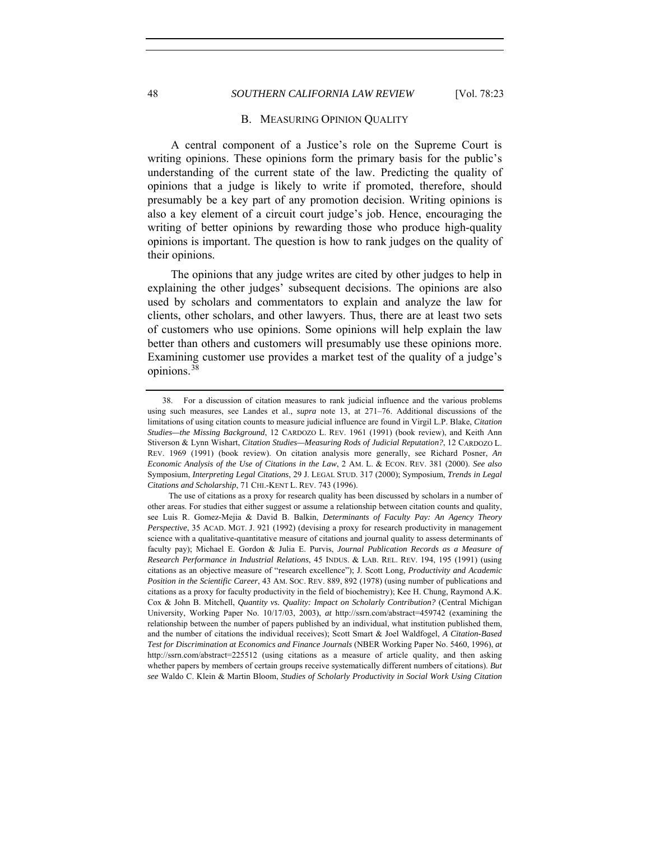#### <span id="page-25-0"></span>48 *SOUTHERN CALIFORNIA LAW REVIEW* [Vol. 78:23

#### B. MEASURING OPINION QUALITY

A central component of a Justice's role on the Supreme Court is writing opinions. These opinions form the primary basis for the public's understanding of the current state of the law. Predicting the quality of opinions that a judge is likely to write if promoted, therefore, should presumably be a key part of any promotion decision. Writing opinions is also a key element of a circuit court judge's job. Hence, encouraging the writing of better opinions by rewarding those who produce high-quality opinions is important. The question is how to rank judges on the quality of their opinions.

The opinions that any judge writes are cited by other judges to help in explaining the other judges' subsequent decisions. The opinions are also used by scholars and commentators to explain and analyze the law for clients, other scholars, and other lawyers. Thus, there are at least two sets of customers who use opinions. Some opinions will help explain the law better than others and customers will presumably use these opinions more. Examining customer use provides a market test of the quality of a judge's opinions.[38](#page-25-1)

<span id="page-25-1"></span> <sup>38.</sup> For a discussion of citation measures to rank judicial influence and the various problems using such measures, see Landes et al., *supra* note 13, at 271–76. Additional discussions of the limitations of using citation counts to measure judicial influence are found in Virgil L.P. Blake, *Citation Studies—the Missing Background*, 12 CARDOZO L. REV. 1961 (1991) (book review), and Keith Ann Stiverson & Lynn Wishart, *Citation Studies—Measuring Rods of Judicial Reputation?*, 12 CARDOZO L. REV. 1969 (1991) (book review). On citation analysis more generally, see Richard Posner, *An Economic Analysis of the Use of Citations in the Law*, 2 AM. L. & ECON. REV. 381 (2000). *See also* Symposium, *Interpreting Legal Citations*, 29 J. LEGAL STUD. 317 (2000); Symposium, *Trends in Legal Citations and Scholarship*, 71 CHI.-KENT L. REV. 743 (1996).

The use of citations as a proxy for research quality has been discussed by scholars in a number of other areas. For studies that either suggest or assume a relationship between citation counts and quality, see Luis R. Gomez-Mejia & David B. Balkin, *Determinants of Faculty Pay: An Agency Theory Perspective*, 35 ACAD. MGT. J. 921 (1992) (devising a proxy for research productivity in management science with a qualitative-quantitative measure of citations and journal quality to assess determinants of faculty pay); Michael E. Gordon & Julia E. Purvis, *Journal Publication Records as a Measure of Research Performance in Industrial Relations*, 45 INDUS. & LAB. REL. REV. 194, 195 (1991) (using citations as an objective measure of "research excellence"); J. Scott Long, *Productivity and Academic Position in the Scientific Career*, 43 AM. SOC. REV. 889, 892 (1978) (using number of publications and citations as a proxy for faculty productivity in the field of biochemistry); Kee H. Chung, Raymond A.K. Cox & John B. Mitchell, *Quantity vs. Quality: Impact on Scholarly Contribution?* (Central Michigan University, Working Paper No. 10/17/03, 2003), *at* http://ssrn.com/abstract=459742 (examining the relationship between the number of papers published by an individual, what institution published them, and the number of citations the individual receives); Scott Smart & Joel Waldfogel, *A Citation-Based Test for Discrimination at Economics and Finance Journals* (NBER Working Paper No. 5460, 1996), *at* http://ssrn.com/abstract=225512 (using citations as a measure of article quality, and then asking whether papers by members of certain groups receive systematically different numbers of citations). *But see* Waldo C. Klein & Martin Bloom, *Studies of Scholarly Productivity in Social Work Using Citation*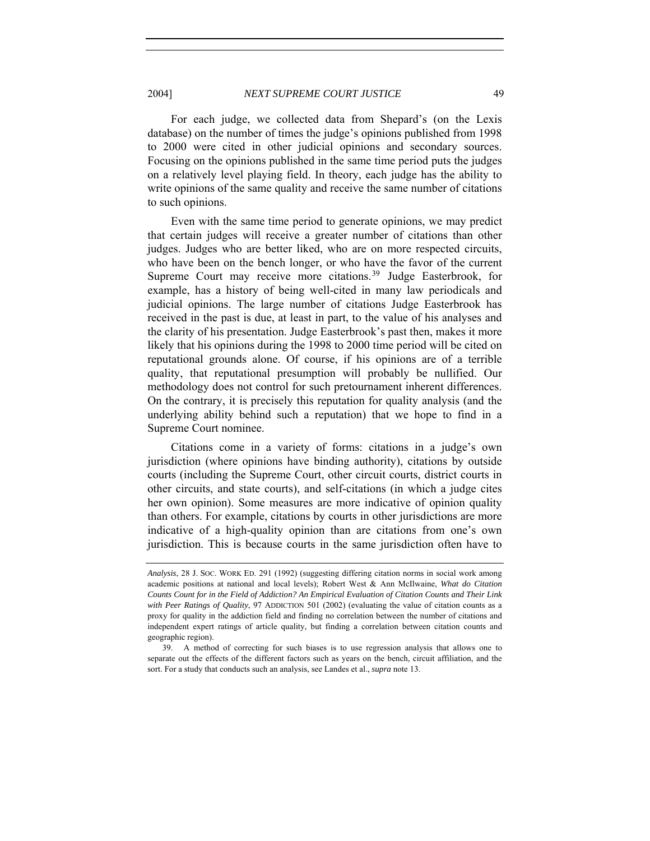For each judge, we collected data from Shepard's (on the Lexis database) on the number of times the judge's opinions published from 1998 to 2000 were cited in other judicial opinions and secondary sources. Focusing on the opinions published in the same time period puts the judges on a relatively level playing field. In theory, each judge has the ability to write opinions of the same quality and receive the same number of citations to such opinions.

Even with the same time period to generate opinions, we may predict that certain judges will receive a greater number of citations than other judges. Judges who are better liked, who are on more respected circuits, who have been on the bench longer, or who have the favor of the current Supreme Court may receive more citations.<sup>[39](#page-26-0)</sup> Judge Easterbrook, for example, has a history of being well-cited in many law periodicals and judicial opinions. The large number of citations Judge Easterbrook has received in the past is due, at least in part, to the value of his analyses and the clarity of his presentation. Judge Easterbrook's past then, makes it more likely that his opinions during the 1998 to 2000 time period will be cited on reputational grounds alone. Of course, if his opinions are of a terrible quality, that reputational presumption will probably be nullified. Our methodology does not control for such pretournament inherent differences. On the contrary, it is precisely this reputation for quality analysis (and the underlying ability behind such a reputation) that we hope to find in a Supreme Court nominee.

Citations come in a variety of forms: citations in a judge's own jurisdiction (where opinions have binding authority), citations by outside courts (including the Supreme Court, other circuit courts, district courts in other circuits, and state courts), and self-citations (in which a judge cites her own opinion). Some measures are more indicative of opinion quality than others. For example, citations by courts in other jurisdictions are more indicative of a high-quality opinion than are citations from one's own jurisdiction. This is because courts in the same jurisdiction often have to

*Analysis*, 28 J. SOC. WORK ED. 291 (1992) (suggesting differing citation norms in social work among academic positions at national and local levels); Robert West & Ann McIlwaine, *What do Citation Counts Count for in the Field of Addiction? An Empirical Evaluation of Citation Counts and Their Link*  with Peer Ratings of Quality, 97 ADDICTION 501 (2002) (evaluating the value of citation counts as a proxy for quality in the addiction field and finding no correlation between the number of citations and independent expert ratings of article quality, but finding a correlation between citation counts and geographic region).

<span id="page-26-0"></span> <sup>39.</sup> A method of correcting for such biases is to use regression analysis that allows one to separate out the effects of the different factors such as years on the bench, circuit affiliation, and the sort. For a study that conducts such an analysis, see Landes et al., *supra* note 13.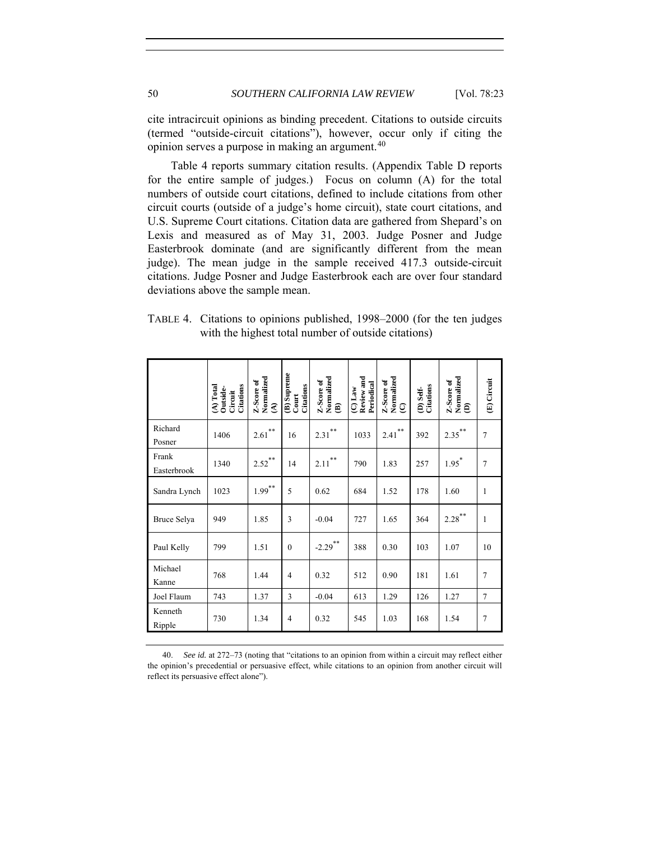cite intracircuit opinions as binding precedent. Citations to outside circuits (termed "outside-circuit citations"), however, occur only if citing the opinion serves a purpose in making an argument.<sup>[40](#page-27-0)</sup>

Table 4 reports summary citation results. (Appendix Table D reports for the entire sample of judges.) Focus on column (A) for the total numbers of outside court citations, defined to include citations from other circuit courts (outside of a judge's home circuit), state court citations, and U.S. Supreme Court citations. Citation data are gathered from Shepard's on Lexis and measured as of May 31, 2003. Judge Posner and Judge Easterbrook dominate (and are significantly different from the mean judge). The mean judge in the sample received 417.3 outside-circuit citations. Judge Posner and Judge Easterbrook each are over four standard deviations above the sample mean.

| TABLE 4. Citations to opinions published, 1998–2000 (for the ten judges |
|-------------------------------------------------------------------------|
| with the highest total number of outside citations)                     |

|                      | Citations<br>$(A)$ Total<br>Outside-<br>Circuit | Normalized<br>Z-Score of<br>ઙ | (B) Supreme<br>Citations<br>Court | Normalized<br>Z-Score of<br>€ | Review and<br>Periodical<br>$\overline{C}$ Law | Normalized<br>Z-Score of<br>ତ୍ର | Citations<br>D) Self- | Z-Score of<br>Normalized<br>$\widehat{e}$ | (E) Circuit    |
|----------------------|-------------------------------------------------|-------------------------------|-----------------------------------|-------------------------------|------------------------------------------------|---------------------------------|-----------------------|-------------------------------------------|----------------|
| Richard<br>Posner    | 1406                                            | $**$<br>2.61                  | 16                                | $***$<br>2.31                 | 1033                                           | $**$<br>2.41                    | 392                   | $2.35***$                                 | 7              |
| Frank<br>Easterbrook | 1340                                            | $***$<br>2.52                 | 14                                | $***$<br>2.11                 | 790                                            | 1.83                            | 257                   | $1.95^*$                                  | $\overline{7}$ |
| Sandra Lynch         | 1023                                            | $***$<br>1.99                 | 5                                 | 0.62                          | 684                                            | 1.52                            | 178                   | 1.60                                      | 1              |
| Bruce Selya          | 949                                             | 1.85                          | 3                                 | $-0.04$                       | 727                                            | 1.65                            | 364                   | $2.28$ <sup>**</sup>                      | 1              |
| Paul Kelly           | 799                                             | 1.51                          | $\mathbf{0}$                      | $-2.29$ <sup>**</sup>         | 388                                            | 0.30                            | 103                   | 1.07                                      | 10             |
| Michael<br>Kanne     | 768                                             | 1.44                          | $\overline{4}$                    | 0.32                          | 512                                            | 0.90                            | 181                   | 1.61                                      | $\overline{7}$ |
| Joel Flaum           | 743                                             | 1.37                          | 3                                 | $-0.04$                       | 613                                            | 1.29                            | 126                   | 1.27                                      | 7              |
| Kenneth<br>Ripple    | 730                                             | 1.34                          | $\overline{4}$                    | 0.32                          | 545                                            | 1.03                            | 168                   | 1.54                                      | 7              |

<span id="page-27-0"></span>40. *See id.* at 272–73 (noting that "citations to an opinion from within a circuit may reflect either the opinion's precedential or persuasive effect, while citations to an opinion from another circuit will reflect its persuasive effect alone").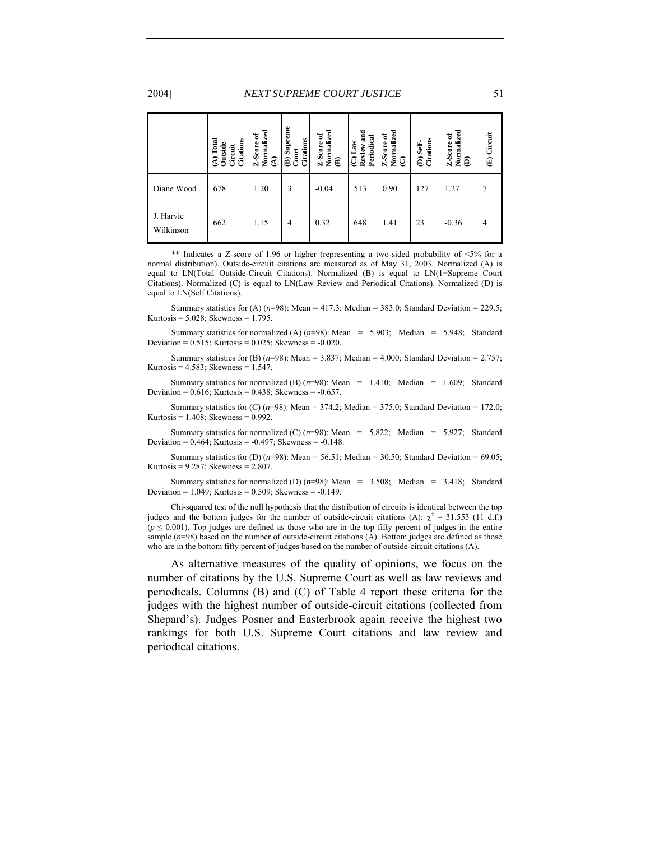#### 2004] *NEXT SUPREME COURT JUSTICE* 51

|                        | Citations<br>Total<br>Outside<br>Circuit<br>$\widehat{\mathcal{E}}$ | Normalized<br>Z-Score of<br>$\widehat{\mathcal{E}}$ | (B) Supreme<br>Citations<br>Court | Normalized<br>Z-Score of<br>€ | and<br>Periodical<br>$_{\rm Law}$<br>Review:<br>ପ୍ର | Normalized $\sum_{(C)}$<br>ቴ<br>Z-Score | <b>(D)</b> Self-<br>Citations | Normalized<br>Z-Score of<br>ê | (E) Circuit |
|------------------------|---------------------------------------------------------------------|-----------------------------------------------------|-----------------------------------|-------------------------------|-----------------------------------------------------|-----------------------------------------|-------------------------------|-------------------------------|-------------|
| Diane Wood             | 678                                                                 | 1.20                                                | 3                                 | $-0.04$                       | 513                                                 | 0.90                                    | 127                           | 1.27                          |             |
| J. Harvie<br>Wilkinson | 662                                                                 | 1.15                                                | $\overline{4}$                    | 0.32                          | 648                                                 | 1.41                                    | 23                            | $-0.36$                       | 4           |

\*\* Indicates a Z-score of 1.96 or higher (representing a two-sided probability of  $\leq 5\%$  for a normal distribution). Outside-circuit citations are measured as of May 31, 2003. Normalized (A) is equal to LN(Total Outside-Circuit Citations). Normalized (B) is equal to LN(1+Supreme Court Citations). Normalized (C) is equal to LN(Law Review and Periodical Citations). Normalized (D) is equal to LN(Self Citations).

Summary statistics for (A)  $(n=98)$ : Mean = 417.3; Median = 383.0; Standard Deviation = 229.5; Kurtosis = 5.028; Skewness = 1.795.

Summary statistics for normalized (A)  $(n=98)$ : Mean = 5.903; Median = 5.948; Standard Deviation =  $0.515$ ; Kurtosis =  $0.025$ ; Skewness =  $-0.020$ .

Summary statistics for (B)  $(n=98)$ : Mean = 3.837; Median = 4.000; Standard Deviation = 2.757; Kurtosis =  $4.583$ ; Skewness =  $1.547$ .

Summary statistics for normalized (B)  $(n=98)$ : Mean = 1.410; Median = 1.609; Standard Deviation =  $0.616$ ; Kurtosis =  $0.438$ ; Skewness =  $-0.657$ .

Summary statistics for  $(C)$  ( $n=98$ ): Mean = 374.2; Median = 375.0; Standard Deviation = 172.0; Kurtosis =  $1.408$ ; Skewness =  $0.992$ .

Summary statistics for normalized (C)  $(n=98)$ : Mean = 5.822; Median = 5.927; Standard Deviation =  $0.464$ ; Kurtosis =  $-0.497$ ; Skewness =  $-0.148$ .

Summary statistics for (D)  $(n=98)$ : Mean = 56.51; Median = 30.50; Standard Deviation = 69.05; Kurtosis = 9.287; Skewness = 2.807.

Summary statistics for normalized (D)  $(n=98)$ : Mean = 3.508; Median = 3.418; Standard Deviation =  $1.049$ ; Kurtosis =  $0.509$ ; Skewness =  $-0.149$ .

Chi-squared test of the null hypothesis that the distribution of circuits is identical between the top judges and the bottom judges for the number of outside-circuit citations (A):  $\chi^2 = 31.553$  (11 d.f.)  $(p \le 0.001)$ . Top judges are defined as those who are in the top fifty percent of judges in the entire sample ( $n=98$ ) based on the number of outside-circuit citations (A). Bottom judges are defined as those who are in the bottom fifty percent of judges based on the number of outside-circuit citations (A).

As alternative measures of the quality of opinions, we focus on the number of citations by the U.S. Supreme Court as well as law reviews and periodicals. Columns (B) and (C) of Table 4 report these criteria for the judges with the highest number of outside-circuit citations (collected from Shepard's). Judges Posner and Easterbrook again receive the highest two rankings for both U.S. Supreme Court citations and law review and periodical citations.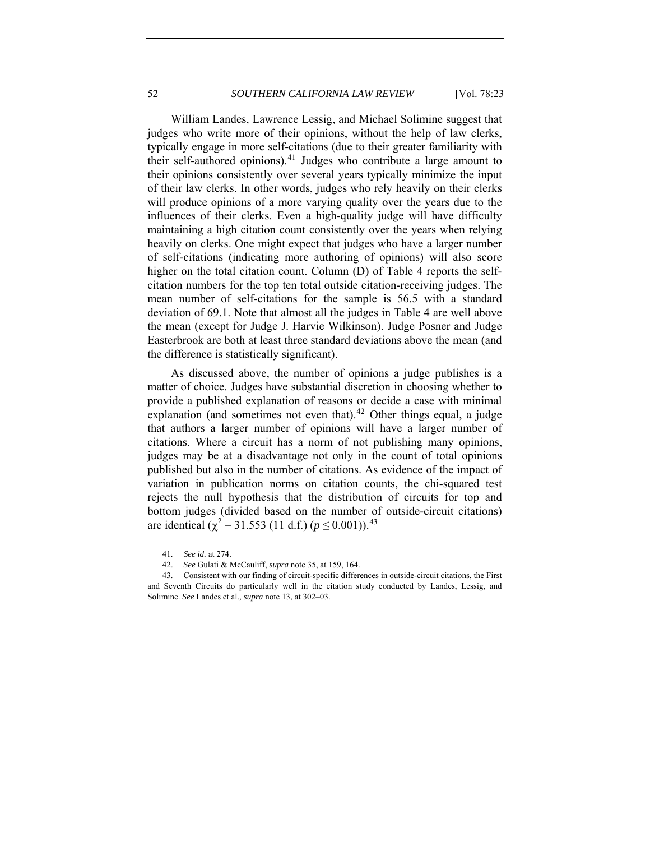William Landes, Lawrence Lessig, and Michael Solimine suggest that judges who write more of their opinions, without the help of law clerks, typically engage in more self-citations (due to their greater familiarity with their self-authored opinions). $41$  Judges who contribute a large amount to their opinions consistently over several years typically minimize the input of their law clerks. In other words, judges who rely heavily on their clerks will produce opinions of a more varying quality over the years due to the influences of their clerks. Even a high-quality judge will have difficulty maintaining a high citation count consistently over the years when relying heavily on clerks. One might expect that judges who have a larger number of self-citations (indicating more authoring of opinions) will also score higher on the total citation count. Column (D) of Table 4 reports the selfcitation numbers for the top ten total outside citation-receiving judges. The mean number of self-citations for the sample is 56.5 with a standard deviation of 69.1. Note that almost all the judges in Table 4 are well above the mean (except for Judge J. Harvie Wilkinson). Judge Posner and Judge Easterbrook are both at least three standard deviations above the mean (and the difference is statistically significant).

As discussed above, the number of opinions a judge publishes is a matter of choice. Judges have substantial discretion in choosing whether to provide a published explanation of reasons or decide a case with minimal explanation (and sometimes not even that). $42$  Other things equal, a judge that authors a larger number of opinions will have a larger number of citations. Where a circuit has a norm of not publishing many opinions, judges may be at a disadvantage not only in the count of total opinions published but also in the number of citations. As evidence of the impact of variation in publication norms on citation counts, the chi-squared test rejects the null hypothesis that the distribution of circuits for top and bottom judges (divided based on the number of outside-circuit citations) are identical ( $\chi^2$  = 31.553 (11 d.f.) ( $p \le 0.001$ )).<sup>[43](#page-29-2)</sup>

<sup>41</sup>*. See id.* at 274.

<sup>42.</sup> *See* Gulati & McCauliff, *supra* note 35, at 159, 164.

<span id="page-29-2"></span><span id="page-29-1"></span><span id="page-29-0"></span> <sup>43.</sup> Consistent with our finding of circuit-specific differences in outside-circuit citations, the First and Seventh Circuits do particularly well in the citation study conducted by Landes, Lessig, and Solimine. *See* Landes et al., *supra* note 13, at 302–03.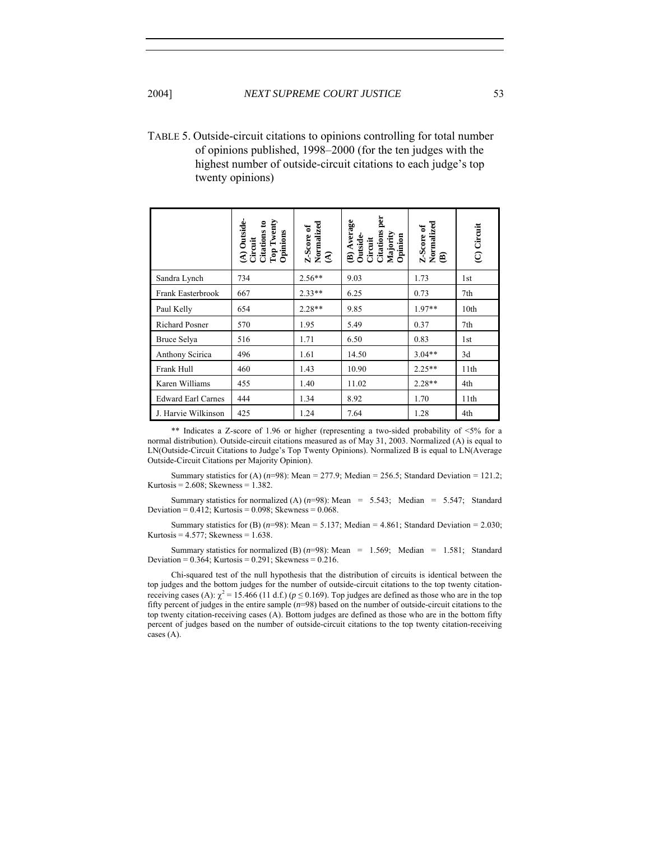TABLE 5. Outside-circuit citations to opinions controlling for total number of opinions published, 1998–2000 (for the ten judges with the highest number of outside-circuit citations to each judge's top twenty opinions)

|                           | $(A)$ Outside-<br>Top Twenty<br>Citations to<br>Opinions<br>Circuit | $\begin{array}{l} \text{Z-Score of}\\ \text{Normalized}\\ \text{(A)} \end{array}$ | per<br>(B) Average<br><b>Citations</b><br>Majority<br>Opinion<br>Outside-<br>Circuit | Normalized<br>(B)<br>Z-Score of | (C) Circuit      |
|---------------------------|---------------------------------------------------------------------|-----------------------------------------------------------------------------------|--------------------------------------------------------------------------------------|---------------------------------|------------------|
| Sandra Lynch              | 734                                                                 | $2.56**$                                                                          | 9.03                                                                                 | 1.73                            | 1st              |
| Frank Easterbrook         | 667                                                                 | $2.33**$                                                                          | 6.25                                                                                 | 0.73                            | 7th              |
| Paul Kelly                | 654                                                                 | $2.28**$                                                                          | 9.85                                                                                 | $1.97**$                        | 10 <sub>th</sub> |
| Richard Posner            | 570                                                                 | 1.95                                                                              | 5.49                                                                                 | 0.37                            | 7th              |
| Bruce Selya               | 516                                                                 | 1.71                                                                              | 6.50                                                                                 | 0.83                            | 1st              |
| Anthony Scirica           | 496                                                                 | 1.61                                                                              | 14.50                                                                                | $3.04**$                        | 3d               |
| Frank Hull                | 460                                                                 | 1.43                                                                              | 10.90                                                                                | $2.25**$                        | 11th             |
| Karen Williams            | 455                                                                 | 1.40                                                                              | 11.02                                                                                | $2.28**$                        | 4th              |
| <b>Edward Earl Carnes</b> | 444                                                                 | 1.34                                                                              | 8.92                                                                                 | 1.70                            | 11th             |
| J. Harvie Wilkinson       | 425                                                                 | 1.24                                                                              | 7.64                                                                                 | 1.28                            | 4th              |

\*\* Indicates a Z-score of 1.96 or higher (representing a two-sided probability of <5% for a normal distribution). Outside-circuit citations measured as of May 31, 2003. Normalized (A) is equal to LN(Outside-Circuit Citations to Judge's Top Twenty Opinions). Normalized B is equal to LN(Average Outside-Circuit Citations per Majority Opinion).

Summary statistics for (A)  $(n=98)$ : Mean = 277.9; Median = 256.5; Standard Deviation = 121.2; Kurtosis =  $2.608$ ; Skewness =  $1.382$ .

Summary statistics for normalized (A)  $(n=98)$ : Mean = 5.543; Median = 5.547; Standard Deviation =  $0.412$ ; Kurtosis =  $0.098$ ; Skewness =  $0.068$ .

Summary statistics for (B)  $(n=98)$ : Mean = 5.137; Median = 4.861; Standard Deviation = 2.030; Kurtosis =  $4.577$ ; Skewness =  $1.638$ .

Summary statistics for normalized (B)  $(n=98)$ : Mean = 1.569; Median = 1.581; Standard Deviation =  $0.364$ ; Kurtosis =  $0.291$ ; Skewness =  $0.216$ .

Chi-squared test of the null hypothesis that the distribution of circuits is identical between the top judges and the bottom judges for the number of outside-circuit citations to the top twenty citationreceiving cases (A):  $\chi^2$  = 15.466 (11 d.f.) ( $p \le 0.169$ ). Top judges are defined as those who are in the top fifty percent of judges in the entire sample (*n*=98) based on the number of outside-circuit citations to the top twenty citation-receiving cases (A). Bottom judges are defined as those who are in the bottom fifty percent of judges based on the number of outside-circuit citations to the top twenty citation-receiving cases (A).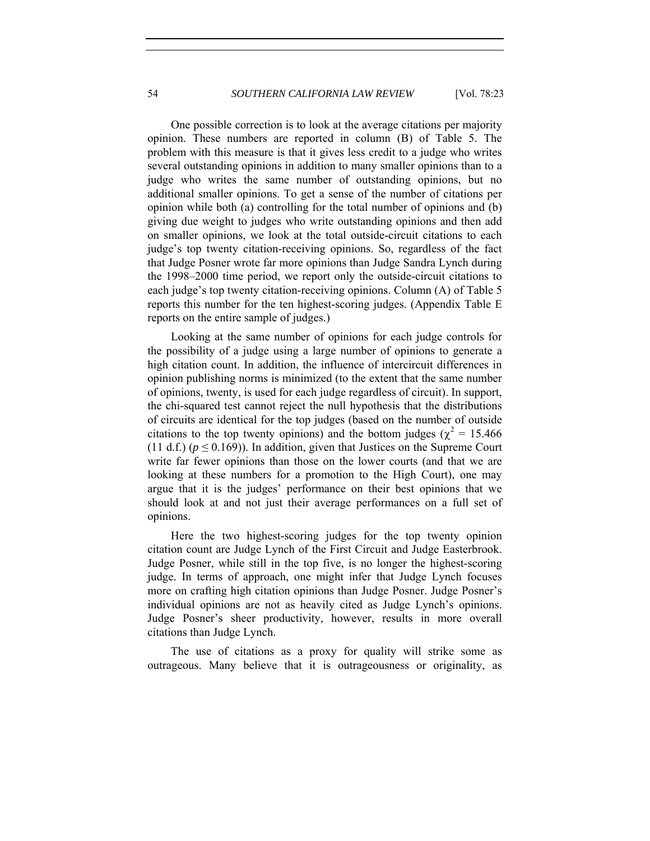One possible correction is to look at the average citations per majority opinion. These numbers are reported in column (B) of Table 5. The problem with this measure is that it gives less credit to a judge who writes several outstanding opinions in addition to many smaller opinions than to a judge who writes the same number of outstanding opinions, but no additional smaller opinions. To get a sense of the number of citations per opinion while both (a) controlling for the total number of opinions and (b) giving due weight to judges who write outstanding opinions and then add on smaller opinions, we look at the total outside-circuit citations to each judge's top twenty citation-receiving opinions. So, regardless of the fact that Judge Posner wrote far more opinions than Judge Sandra Lynch during the 1998–2000 time period, we report only the outside-circuit citations to each judge's top twenty citation-receiving opinions. Column (A) of Table 5 reports this number for the ten highest-scoring judges. (Appendix Table E reports on the entire sample of judges.)

Looking at the same number of opinions for each judge controls for the possibility of a judge using a large number of opinions to generate a high citation count. In addition, the influence of intercircuit differences in opinion publishing norms is minimized (to the extent that the same number of opinions, twenty, is used for each judge regardless of circuit). In support, the chi-squared test cannot reject the null hypothesis that the distributions of circuits are identical for the top judges (based on the number of outside citations to the top twenty opinions) and the bottom judges ( $\chi^2 = 15.466$ (11 d.f.) ( $p \le 0.169$ )). In addition, given that Justices on the Supreme Court write far fewer opinions than those on the lower courts (and that we are looking at these numbers for a promotion to the High Court), one may argue that it is the judges' performance on their best opinions that we should look at and not just their average performances on a full set of opinions.

Here the two highest-scoring judges for the top twenty opinion citation count are Judge Lynch of the First Circuit and Judge Easterbrook. Judge Posner, while still in the top five, is no longer the highest-scoring judge. In terms of approach, one might infer that Judge Lynch focuses more on crafting high citation opinions than Judge Posner. Judge Posner's individual opinions are not as heavily cited as Judge Lynch's opinions. Judge Posner's sheer productivity, however, results in more overall citations than Judge Lynch.

The use of citations as a proxy for quality will strike some as outrageous. Many believe that it is outrageousness or originality, as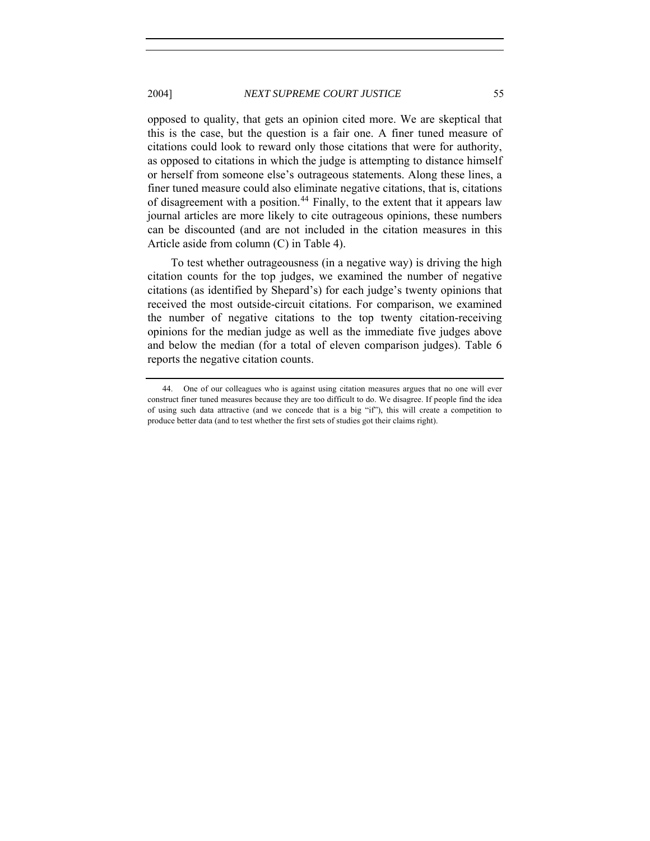opposed to quality, that gets an opinion cited more. We are skeptical that this is the case, but the question is a fair one. A finer tuned measure of citations could look to reward only those citations that were for authority, as opposed to citations in which the judge is attempting to distance himself or herself from someone else's outrageous statements. Along these lines, a finer tuned measure could also eliminate negative citations, that is, citations of disagreement with a position.<sup>[44](#page-32-0)</sup> Finally, to the extent that it appears law journal articles are more likely to cite outrageous opinions, these numbers can be discounted (and are not included in the citation measures in this Article aside from column (C) in Table 4).

To test whether outrageousness (in a negative way) is driving the high citation counts for the top judges, we examined the number of negative citations (as identified by Shepard's) for each judge's twenty opinions that received the most outside-circuit citations. For comparison, we examined the number of negative citations to the top twenty citation-receiving opinions for the median judge as well as the immediate five judges above and below the median (for a total of eleven comparison judges). Table 6 reports the negative citation counts.

<span id="page-32-0"></span> <sup>44.</sup> One of our colleagues who is against using citation measures argues that no one will ever construct finer tuned measures because they are too difficult to do. We disagree. If people find the idea of using such data attractive (and we concede that is a big "if"), this will create a competition to produce better data (and to test whether the first sets of studies got their claims right).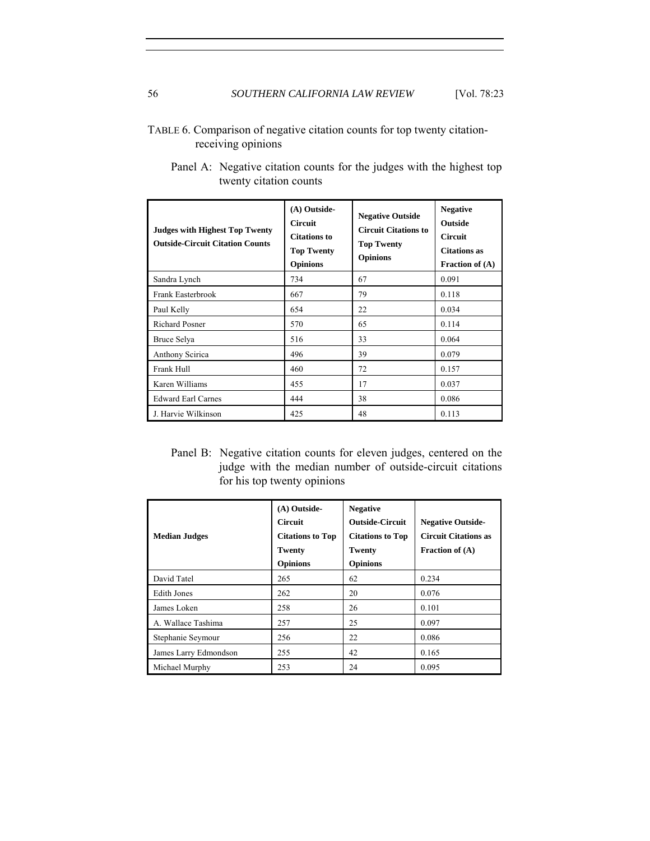### TABLE 6. Comparison of negative citation counts for top twenty citationreceiving opinions

| <b>Judges with Highest Top Twenty</b><br><b>Outside-Circuit Citation Counts</b> | (A) Outside-<br><b>Circuit</b><br><b>Citations to</b><br><b>Top Twenty</b><br><b>Opinions</b> | <b>Negative Outside</b><br><b>Circuit Citations to</b><br><b>Top Twenty</b><br><b>Opinions</b> | <b>Negative</b><br><b>Outside</b><br><b>Circuit</b><br><b>Citations</b> as<br><b>Fraction of (A)</b> |
|---------------------------------------------------------------------------------|-----------------------------------------------------------------------------------------------|------------------------------------------------------------------------------------------------|------------------------------------------------------------------------------------------------------|
| Sandra Lynch                                                                    | 734                                                                                           | 67                                                                                             | 0.091                                                                                                |
| Frank Easterbrook                                                               | 667                                                                                           | 79                                                                                             | 0.118                                                                                                |
| Paul Kelly                                                                      | 654                                                                                           | 22                                                                                             | 0.034                                                                                                |
| <b>Richard Posner</b>                                                           | 570                                                                                           | 65                                                                                             | 0.114                                                                                                |
| Bruce Selya                                                                     | 516                                                                                           | 33                                                                                             | 0.064                                                                                                |
| Anthony Scirica                                                                 | 496                                                                                           | 39                                                                                             | 0.079                                                                                                |
| Frank Hull                                                                      | 460                                                                                           | 72                                                                                             | 0.157                                                                                                |
| Karen Williams                                                                  | 455                                                                                           | 17                                                                                             | 0.037                                                                                                |
| <b>Edward Earl Carnes</b>                                                       | 444                                                                                           | 38                                                                                             | 0.086                                                                                                |
| J. Harvie Wilkinson                                                             | 425                                                                                           | 48                                                                                             | 0.113                                                                                                |

Panel A: Negative citation counts for the judges with the highest top twenty citation counts

Panel B: Negative citation counts for eleven judges, centered on the judge with the median number of outside-circuit citations for his top twenty opinions

| <b>Median Judges</b>  | (A) Outside-<br><b>Circuit</b><br><b>Citations to Top</b><br><b>Twenty</b><br><b>Opinions</b> | <b>Negative</b><br><b>Outside-Circuit</b><br><b>Citations to Top</b><br>Twenty<br><b>Opinions</b> | <b>Negative Outside-</b><br><b>Circuit Citations as</b><br>Fraction of $(A)$ |
|-----------------------|-----------------------------------------------------------------------------------------------|---------------------------------------------------------------------------------------------------|------------------------------------------------------------------------------|
| David Tatel           | 265                                                                                           | 62                                                                                                | 0.234                                                                        |
| <b>Edith Jones</b>    | 262                                                                                           | 20                                                                                                | 0.076                                                                        |
| James Loken           | 258                                                                                           | 26                                                                                                | 0.101                                                                        |
| A. Wallace Tashima    | 257                                                                                           | 25                                                                                                | 0.097                                                                        |
| Stephanie Seymour     | 256                                                                                           | 22                                                                                                | 0.086                                                                        |
| James Larry Edmondson | 255                                                                                           | 42                                                                                                | 0.165                                                                        |
| Michael Murphy        | 253                                                                                           | 24                                                                                                | 0.095                                                                        |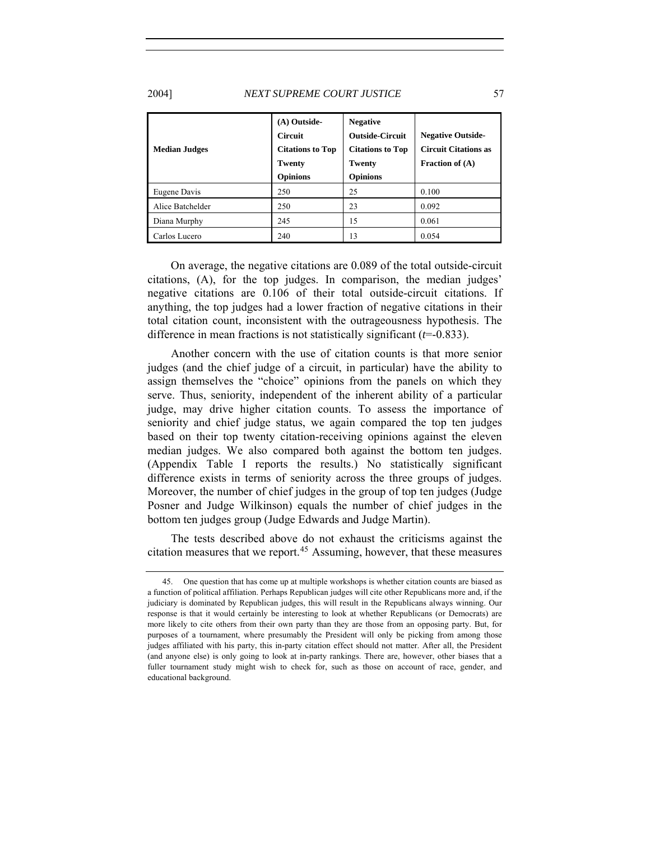#### 2004] *NEXT SUPREME COURT JUSTICE* 57

| <b>Median Judges</b> | (A) Outside-<br><b>Circuit</b><br><b>Citations to Top</b><br><b>Twenty</b><br><b>Opinions</b> | <b>Negative</b><br><b>Outside-Circuit</b><br><b>Citations to Top</b><br>Twenty<br><b>Opinions</b> | <b>Negative Outside-</b><br><b>Circuit Citations as</b><br>Fraction of $(A)$ |
|----------------------|-----------------------------------------------------------------------------------------------|---------------------------------------------------------------------------------------------------|------------------------------------------------------------------------------|
| Eugene Davis         | 250                                                                                           | 25                                                                                                | 0.100                                                                        |
| Alice Batchelder     | 250                                                                                           | 23                                                                                                | 0.092                                                                        |
| Diana Murphy         | 245                                                                                           | 15                                                                                                | 0.061                                                                        |
| Carlos Lucero        | 240                                                                                           | 13                                                                                                | 0.054                                                                        |

 On average, the negative citations are 0.089 of the total outside-circuit citations, (A), for the top judges. In comparison, the median judges' negative citations are 0.106 of their total outside-circuit citations. If anything, the top judges had a lower fraction of negative citations in their total citation count, inconsistent with the outrageousness hypothesis. The difference in mean fractions is not statistically significant (*t*=-0.833).

Another concern with the use of citation counts is that more senior judges (and the chief judge of a circuit, in particular) have the ability to assign themselves the "choice" opinions from the panels on which they serve. Thus, seniority, independent of the inherent ability of a particular judge, may drive higher citation counts. To assess the importance of seniority and chief judge status, we again compared the top ten judges based on their top twenty citation-receiving opinions against the eleven median judges. We also compared both against the bottom ten judges. (Appendix Table I reports the results.) No statistically significant difference exists in terms of seniority across the three groups of judges. Moreover, the number of chief judges in the group of top ten judges (Judge Posner and Judge Wilkinson) equals the number of chief judges in the bottom ten judges group (Judge Edwards and Judge Martin).

The tests described above do not exhaust the criticisms against the citation measures that we report.<sup>[45](#page-34-0)</sup> Assuming, however, that these measures

<span id="page-34-0"></span> <sup>45.</sup> One question that has come up at multiple workshops is whether citation counts are biased as a function of political affiliation. Perhaps Republican judges will cite other Republicans more and, if the judiciary is dominated by Republican judges, this will result in the Republicans always winning. Our response is that it would certainly be interesting to look at whether Republicans (or Democrats) are more likely to cite others from their own party than they are those from an opposing party. But, for purposes of a tournament, where presumably the President will only be picking from among those judges affiliated with his party, this in-party citation effect should not matter. After all, the President (and anyone else) is only going to look at in-party rankings. There are, however, other biases that a fuller tournament study might wish to check for, such as those on account of race, gender, and educational background.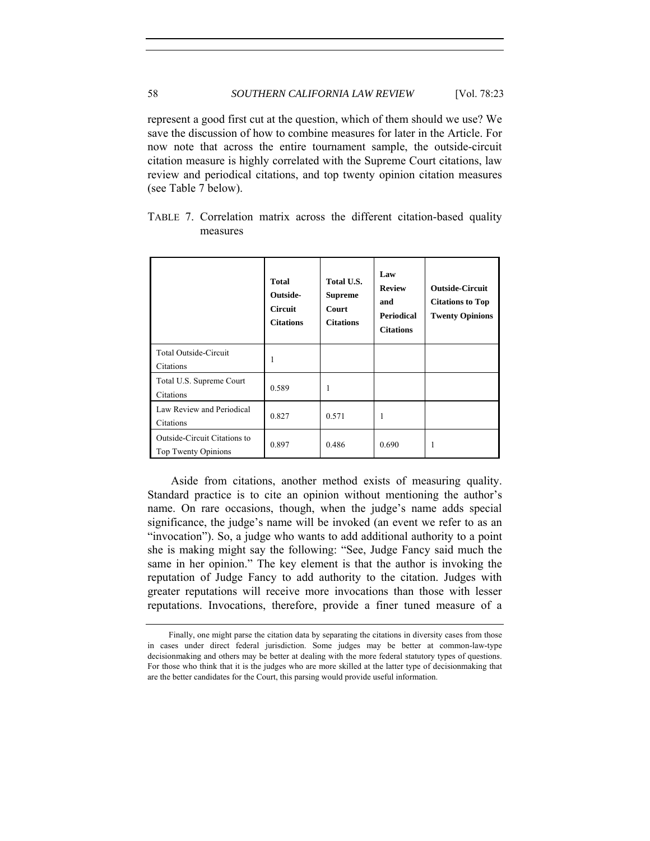represent a good first cut at the question, which of them should we use? We save the discussion of how to combine measures for later in the Article. For now note that across the entire tournament sample, the outside-circuit citation measure is highly correlated with the Supreme Court citations, law review and periodical citations, and top twenty opinion citation measures (see Table 7 below).

|                                                     | <b>Total</b><br>Outside-<br><b>Circuit</b><br><b>Citations</b> | Total U.S.<br><b>Supreme</b><br>Court<br><b>Citations</b> | Law<br><b>Review</b><br>and<br><b>Periodical</b><br><b>Citations</b> | <b>Outside-Circuit</b><br><b>Citations to Top</b><br><b>Twenty Opinions</b> |
|-----------------------------------------------------|----------------------------------------------------------------|-----------------------------------------------------------|----------------------------------------------------------------------|-----------------------------------------------------------------------------|
| Total Outside-Circuit<br>Citations                  | 1                                                              |                                                           |                                                                      |                                                                             |
| Total U.S. Supreme Court<br>Citations               | 0.589                                                          | 1                                                         |                                                                      |                                                                             |
| Law Review and Periodical<br>Citations              | 0.827                                                          | 0.571                                                     |                                                                      |                                                                             |
| Outside-Circuit Citations to<br>Top Twenty Opinions | 0.897                                                          | 0.486                                                     | 0.690                                                                | 1                                                                           |

TABLE 7. Correlation matrix across the different citation-based quality measures

Aside from citations, another method exists of measuring quality. Standard practice is to cite an opinion without mentioning the author's name. On rare occasions, though, when the judge's name adds special significance, the judge's name will be invoked (an event we refer to as an "invocation"). So, a judge who wants to add additional authority to a point she is making might say the following: "See, Judge Fancy said much the same in her opinion." The key element is that the author is invoking the reputation of Judge Fancy to add authority to the citation. Judges with greater reputations will receive more invocations than those with lesser reputations. Invocations, therefore, provide a finer tuned measure of a

Finally, one might parse the citation data by separating the citations in diversity cases from those in cases under direct federal jurisdiction. Some judges may be better at common-law-type decisionmaking and others may be better at dealing with the more federal statutory types of questions. For those who think that it is the judges who are more skilled at the latter type of decisionmaking that are the better candidates for the Court, this parsing would provide useful information.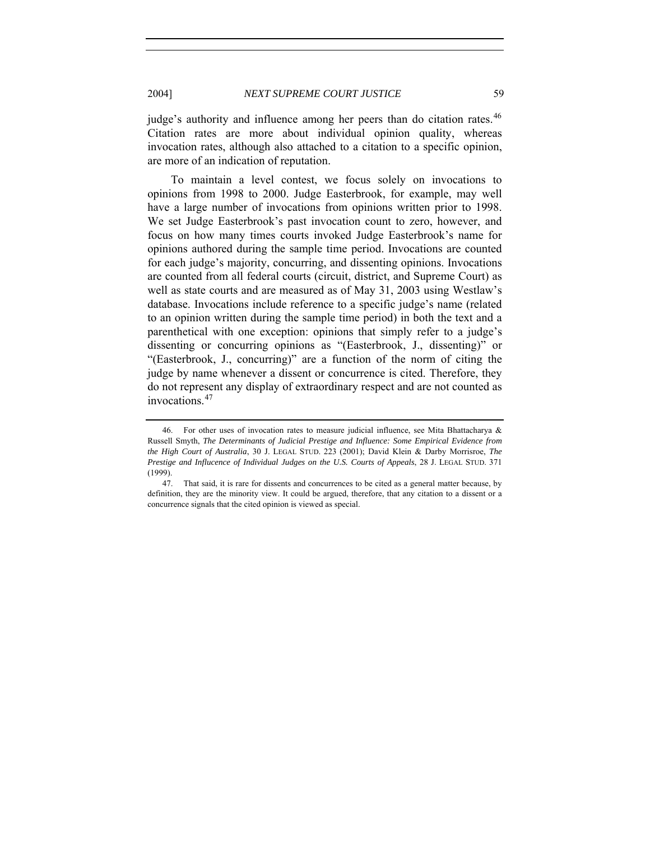judge's authority and influence among her peers than do citation rates.<sup>[46](#page-36-0)</sup> Citation rates are more about individual opinion quality, whereas invocation rates, although also attached to a citation to a specific opinion, are more of an indication of reputation.

To maintain a level contest, we focus solely on invocations to opinions from 1998 to 2000. Judge Easterbrook, for example, may well have a large number of invocations from opinions written prior to 1998. We set Judge Easterbrook's past invocation count to zero, however, and focus on how many times courts invoked Judge Easterbrook's name for opinions authored during the sample time period. Invocations are counted for each judge's majority, concurring, and dissenting opinions. Invocations are counted from all federal courts (circuit, district, and Supreme Court) as well as state courts and are measured as of May 31, 2003 using Westlaw's database. Invocations include reference to a specific judge's name (related to an opinion written during the sample time period) in both the text and a parenthetical with one exception: opinions that simply refer to a judge's dissenting or concurring opinions as "(Easterbrook, J., dissenting)" or "(Easterbrook, J., concurring)" are a function of the norm of citing the judge by name whenever a dissent or concurrence is cited. Therefore, they do not represent any display of extraordinary respect and are not counted as invocations.[47](#page-36-1)

<span id="page-36-0"></span><sup>46.</sup> For other uses of invocation rates to measure judicial influence, see Mita Bhattacharya  $\&$ Russell Smyth, *The Determinants of Judicial Prestige and Influence: Some Empirical Evidence from the High Court of Australia*, 30 J. LEGAL STUD. 223 (2001); David Klein & Darby Morrisroe, *The Prestige and Influcence of Individual Judges on the U.S. Courts of Appeals*, 28 J. LEGAL STUD. 371 (1999).

<span id="page-36-1"></span> <sup>47.</sup> That said, it is rare for dissents and concurrences to be cited as a general matter because, by definition, they are the minority view. It could be argued, therefore, that any citation to a dissent or a concurrence signals that the cited opinion is viewed as special.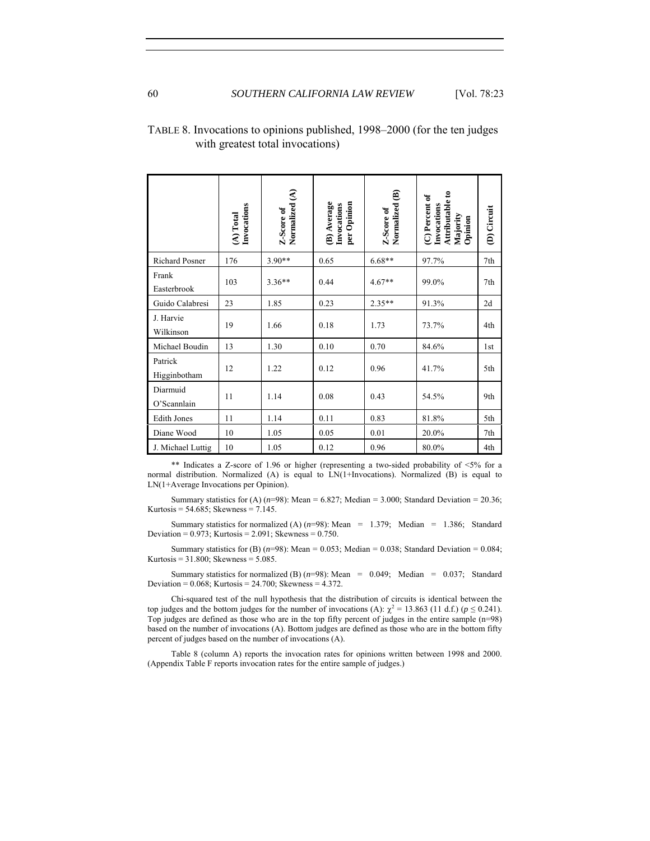|                         | Invocations<br>(A) Total | Normalized (A)<br>Z-Score of | (B) Average<br>per Opinion<br>Invocations | $\widehat{\mathbf{e}}$<br>Normalized<br>Z-Score of | Attributable to<br>(C) Percent of<br>Invocations<br>Majority<br>Opinion | (D) Circuit     |
|-------------------------|--------------------------|------------------------------|-------------------------------------------|----------------------------------------------------|-------------------------------------------------------------------------|-----------------|
| <b>Richard Posner</b>   | 176                      | $3.90**$                     | 0.65                                      | $6.68**$                                           | 97.7%                                                                   | 7th             |
| Frank<br>Easterbrook    | 103                      | $3.36**$                     | 0.44                                      | $4.67**$                                           | 99.0%                                                                   | 7th             |
| Guido Calabresi         | 23                       | 1.85                         | 0.23                                      | $2.35**$                                           | 91.3%                                                                   | 2d              |
| J. Harvie<br>Wilkinson  | 19                       | 1.66                         | 0.18                                      | 1.73                                               | 73.7%                                                                   | 4th             |
| Michael Boudin          | 13                       | 1.30                         | 0.10                                      | 0.70                                               | 84.6%                                                                   | 1 <sub>st</sub> |
| Patrick<br>Higginbotham | 12                       | 1.22                         | 0.12                                      | 0.96                                               | 41.7%                                                                   | 5th             |
| Diarmuid<br>O'Scannlain | 11                       | 1.14                         | 0.08                                      | 0.43                                               | 54.5%                                                                   | 9th             |
| <b>Edith Jones</b>      | 11                       | 1.14                         | 0.11                                      | 0.83                                               | 81.8%                                                                   | 5th             |
| Diane Wood              | 10                       | 1.05                         | 0.05                                      | 0.01                                               | 20.0%                                                                   | 7th             |
| J. Michael Luttig       | 10                       | 1.05                         | 0.12                                      | 0.96                                               | 80.0%                                                                   | 4th             |

## TABLE 8. Invocations to opinions published, 1998–2000 (for the ten judges with greatest total invocations)

\*\* Indicates a Z-score of 1.96 or higher (representing a two-sided probability of  $\leq 5\%$  for a normal distribution. Normalized (A) is equal to LN(1+Invocations). Normalized (B) is equal to LN(1+Average Invocations per Opinion).

Summary statistics for (A)  $(n=98)$ : Mean = 6.827; Median = 3.000; Standard Deviation = 20.36; Kurtosis = 54.685; Skewness = 7.145.

Summary statistics for normalized (A)  $(n=98)$ : Mean = 1.379; Median = 1.386; Standard Deviation =  $0.973$ ; Kurtosis =  $2.091$ ; Skewness =  $0.750$ .

Summary statistics for (B)  $(n=98)$ : Mean = 0.053; Median = 0.038; Standard Deviation = 0.084; Kurtosis = 31.800; Skewness = 5.085.

Summary statistics for normalized (B)  $(n=98)$ : Mean = 0.049; Median = 0.037; Standard Deviation =  $0.068$ ; Kurtosis =  $24.700$ ; Skewness =  $4.372$ .

Chi-squared test of the null hypothesis that the distribution of circuits is identical between the top judges and the bottom judges for the number of invocations (A):  $\chi^2 = 13.863$  (11 d.f.) ( $p \le 0.241$ ). Top judges are defined as those who are in the top fifty percent of judges in the entire sample (n=98) based on the number of invocations (A). Bottom judges are defined as those who are in the bottom fifty percent of judges based on the number of invocations (A).

Table 8 (column A) reports the invocation rates for opinions written between 1998 and 2000. (Appendix Table F reports invocation rates for the entire sample of judges.)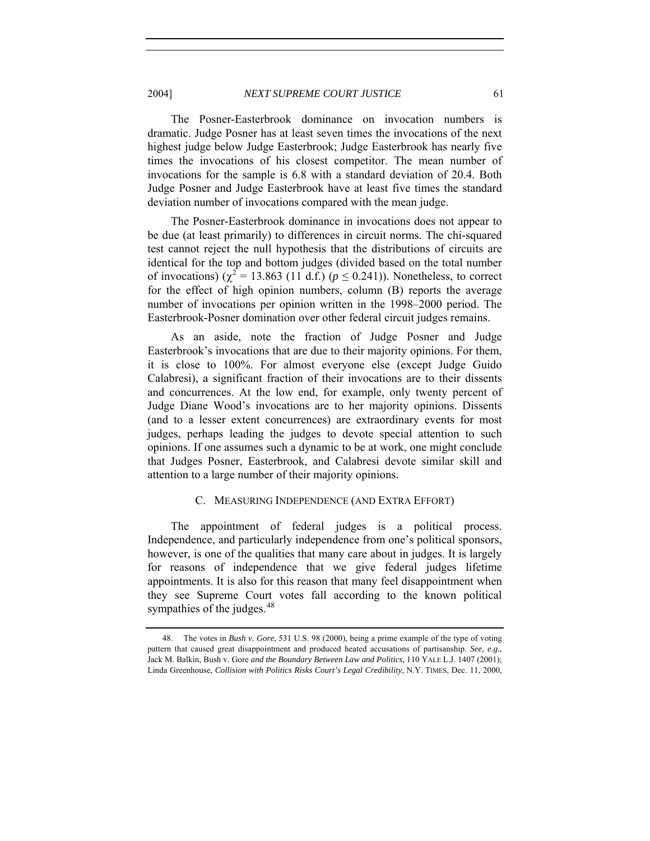The Posner-Easterbrook dominance on invocation numbers is dramatic. Judge Posner has at least seven times the invocations of the next highest judge below Judge Easterbrook; Judge Easterbrook has nearly five times the invocations of his closest competitor. The mean number of invocations for the sample is 6.8 with a standard deviation of 20.4. Both Judge Posner and Judge Easterbrook have at least five times the standard deviation number of invocations compared with the mean judge.

The Posner-Easterbrook dominance in invocations does not appear to be due (at least primarily) to differences in circuit norms. The chi-squared test cannot reject the null hypothesis that the distributions of circuits are identical for the top and bottom judges (divided based on the total number of invocations) ( $\chi^2$  = 13.863 (11 d.f.) ( $p \le 0.241$ )). Nonetheless, to correct for the effect of high opinion numbers, column (B) reports the average number of invocations per opinion written in the 1998–2000 period. The Easterbrook-Posner domination over other federal circuit judges remains.

As an aside, note the fraction of Judge Posner and Judge Easterbrook's invocations that are due to their majority opinions. For them, it is close to 100%. For almost everyone else (except Judge Guido Calabresi), a significant fraction of their invocations are to their dissents and concurrences. At the low end, for example, only twenty percent of Judge Diane Wood's invocations are to her majority opinions. Dissents (and to a lesser extent concurrences) are extraordinary events for most judges, perhaps leading the judges to devote special attention to such opinions. If one assumes such a dynamic to be at work, one might conclude that Judges Posner, Easterbrook, and Calabresi devote similar skill and attention to a large number of their majority opinions.

#### C. MEASURING INDEPENDENCE (AND EXTRA EFFORT)

The appointment of federal judges is a political process. Independence, and particularly independence from one's political sponsors, however, is one of the qualities that many care about in judges. It is largely for reasons of independence that we give federal judges lifetime appointments. It is also for this reason that many feel disappointment when they see Supreme Court votes fall according to the known political sympathies of the judges.<sup>[48](#page-38-0)</sup>

<span id="page-38-0"></span> <sup>48.</sup> The votes in *Bush v. Gore*, 531 U.S. 98 (2000), being a prime example of the type of voting pattern that caused great disappointment and produced heated accusations of partisanship. *See, e.g.*, Jack M. Balkin, Bush v. Gore *and the Boundary Between Law and Politics*, 110 YALE L.J. 1407 (2001); Linda Greenhouse, *Collision with Politics Risks Court's Legal Credibility*, N.Y. TIMES, Dec. 11, 2000,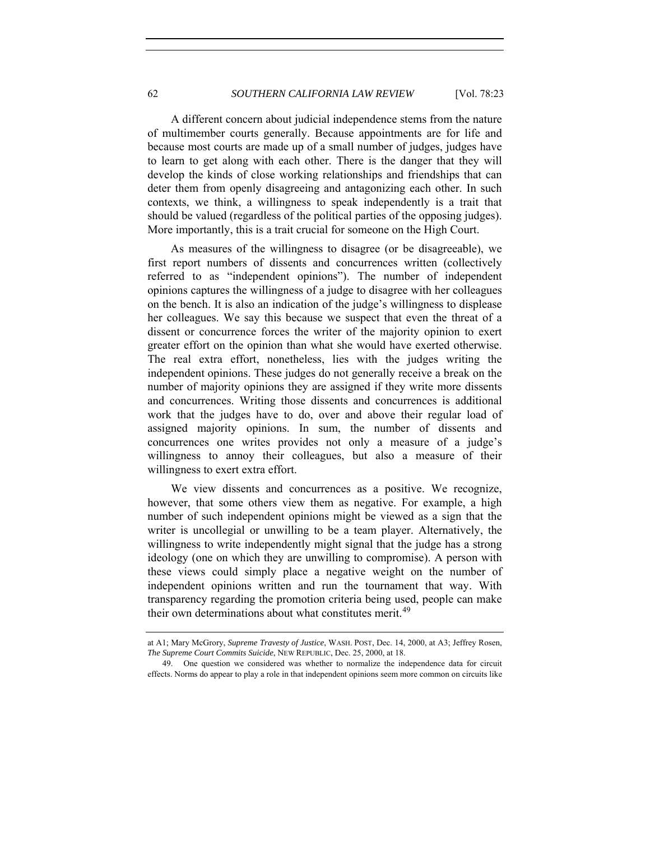A different concern about judicial independence stems from the nature of multimember courts generally. Because appointments are for life and because most courts are made up of a small number of judges, judges have to learn to get along with each other. There is the danger that they will develop the kinds of close working relationships and friendships that can deter them from openly disagreeing and antagonizing each other. In such contexts, we think, a willingness to speak independently is a trait that should be valued (regardless of the political parties of the opposing judges). More importantly, this is a trait crucial for someone on the High Court.

As measures of the willingness to disagree (or be disagreeable), we first report numbers of dissents and concurrences written (collectively referred to as "independent opinions"). The number of independent opinions captures the willingness of a judge to disagree with her colleagues on the bench. It is also an indication of the judge's willingness to displease her colleagues. We say this because we suspect that even the threat of a dissent or concurrence forces the writer of the majority opinion to exert greater effort on the opinion than what she would have exerted otherwise. The real extra effort, nonetheless, lies with the judges writing the independent opinions. These judges do not generally receive a break on the number of majority opinions they are assigned if they write more dissents and concurrences. Writing those dissents and concurrences is additional work that the judges have to do, over and above their regular load of assigned majority opinions. In sum, the number of dissents and concurrences one writes provides not only a measure of a judge's willingness to annoy their colleagues, but also a measure of their willingness to exert extra effort.

We view dissents and concurrences as a positive. We recognize, however, that some others view them as negative. For example, a high number of such independent opinions might be viewed as a sign that the writer is uncollegial or unwilling to be a team player. Alternatively, the willingness to write independently might signal that the judge has a strong ideology (one on which they are unwilling to compromise). A person with these views could simply place a negative weight on the number of independent opinions written and run the tournament that way. With transparency regarding the promotion criteria being used, people can make their own determinations about what constitutes merit.<sup>[49](#page-39-0)</sup>

at A1; Mary McGrory, *Supreme Travesty of Justice*, WASH. POST, Dec. 14, 2000, at A3; Jeffrey Rosen, *The Supreme Court Commits Suicide*, NEW REPUBLIC, Dec. 25, 2000, at 18.

<span id="page-39-0"></span> <sup>49.</sup> One question we considered was whether to normalize the independence data for circuit effects. Norms do appear to play a role in that independent opinions seem more common on circuits like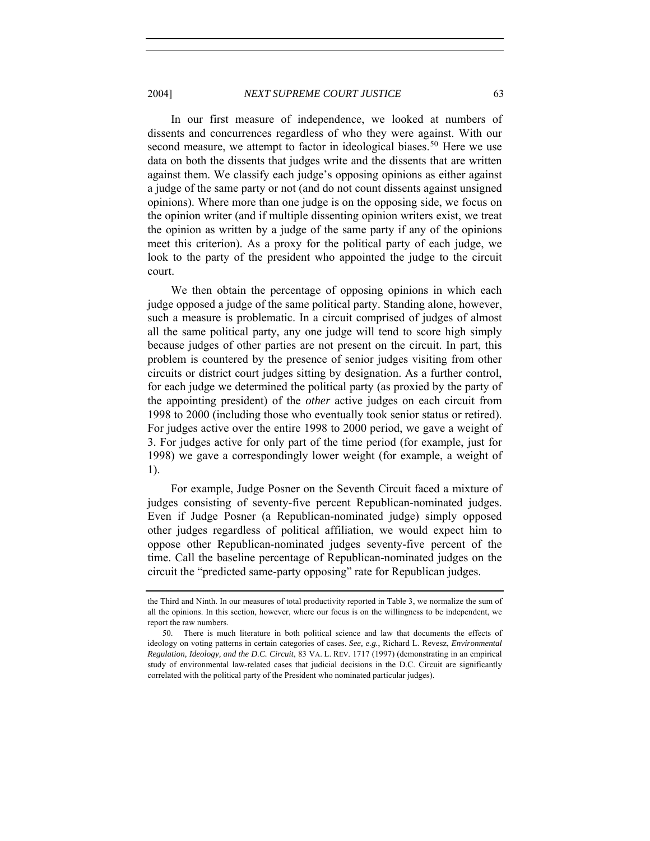2004] *NEXT SUPREME COURT JUSTICE* 63

In our first measure of independence, we looked at numbers of dissents and concurrences regardless of who they were against. With our second measure, we attempt to factor in ideological biases.<sup>[50](#page-40-0)</sup> Here we use data on both the dissents that judges write and the dissents that are written against them. We classify each judge's opposing opinions as either against a judge of the same party or not (and do not count dissents against unsigned opinions). Where more than one judge is on the opposing side, we focus on the opinion writer (and if multiple dissenting opinion writers exist, we treat the opinion as written by a judge of the same party if any of the opinions meet this criterion). As a proxy for the political party of each judge, we look to the party of the president who appointed the judge to the circuit court.

We then obtain the percentage of opposing opinions in which each judge opposed a judge of the same political party. Standing alone, however, such a measure is problematic. In a circuit comprised of judges of almost all the same political party, any one judge will tend to score high simply because judges of other parties are not present on the circuit. In part, this problem is countered by the presence of senior judges visiting from other circuits or district court judges sitting by designation. As a further control, for each judge we determined the political party (as proxied by the party of the appointing president) of the *other* active judges on each circuit from 1998 to 2000 (including those who eventually took senior status or retired). For judges active over the entire 1998 to 2000 period, we gave a weight of 3. For judges active for only part of the time period (for example, just for 1998) we gave a correspondingly lower weight (for example, a weight of 1).

For example, Judge Posner on the Seventh Circuit faced a mixture of judges consisting of seventy-five percent Republican-nominated judges. Even if Judge Posner (a Republican-nominated judge) simply opposed other judges regardless of political affiliation, we would expect him to oppose other Republican-nominated judges seventy-five percent of the time. Call the baseline percentage of Republican-nominated judges on the circuit the "predicted same-party opposing" rate for Republican judges.

the Third and Ninth. In our measures of total productivity reported in Table 3, we normalize the sum of all the opinions. In this section, however, where our focus is on the willingness to be independent, we report the raw numbers.

<span id="page-40-0"></span> <sup>50.</sup> There is much literature in both political science and law that documents the effects of ideology on voting patterns in certain categories of cases. *See, e.g.*, Richard L. Revesz, *Environmental Regulation, Ideology, and the D.C. Circuit*, 83 VA. L. REV. 1717 (1997) (demonstrating in an empirical study of environmental law-related cases that judicial decisions in the D.C. Circuit are significantly correlated with the political party of the President who nominated particular judges).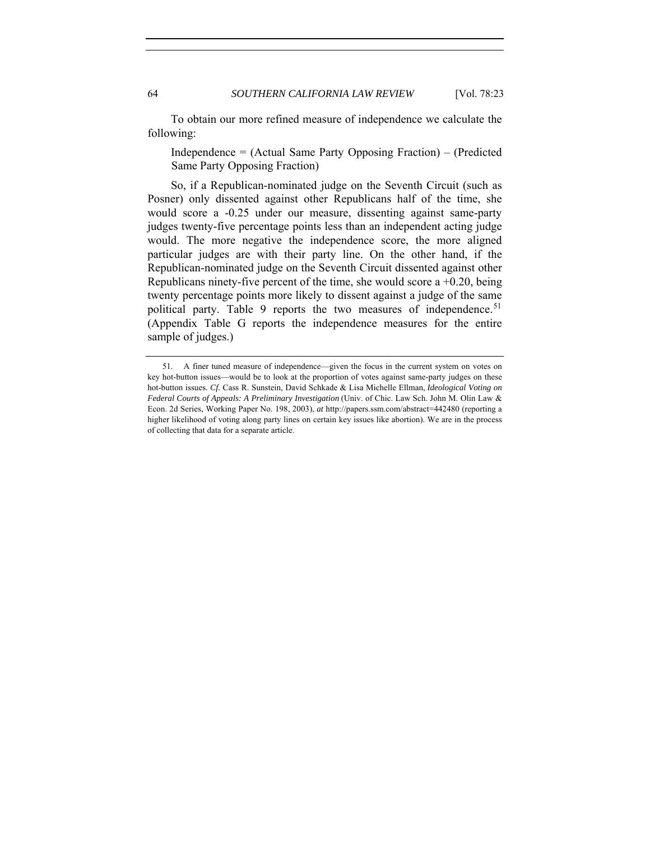To obtain our more refined measure of independence we calculate the following:

Independence = (Actual Same Party Opposing Fraction) – (Predicted Same Party Opposing Fraction)

So, if a Republican-nominated judge on the Seventh Circuit (such as Posner) only dissented against other Republicans half of the time, she would score a -0.25 under our measure, dissenting against same-party judges twenty-five percentage points less than an independent acting judge would. The more negative the independence score, the more aligned particular judges are with their party line. On the other hand, if the Republican-nominated judge on the Seventh Circuit dissented against other Republicans ninety-five percent of the time, she would score  $a +0.20$ , being twenty percentage points more likely to dissent against a judge of the same political party. Table 9 reports the two measures of independence.<sup>[51](#page-41-0)</sup> (Appendix Table G reports the independence measures for the entire sample of judges.)

<span id="page-41-0"></span> <sup>51.</sup> A finer tuned measure of independence—given the focus in the current system on votes on key hot-button issues—would be to look at the proportion of votes against same-party judges on these hot-button issues. *Cf.* Cass R. Sunstein, David Schkade & Lisa Michelle Ellman, *Ideological Voting on Federal Courts of Appeals: A Preliminary Investigation* (Univ. of Chic. Law Sch. John M. Olin Law & Econ. 2d Series, Working Paper No. 198, 2003), *at* http://papers.ssm.com/abstract=442480 (reporting a higher likelihood of voting along party lines on certain key issues like abortion). We are in the process of collecting that data for a separate article.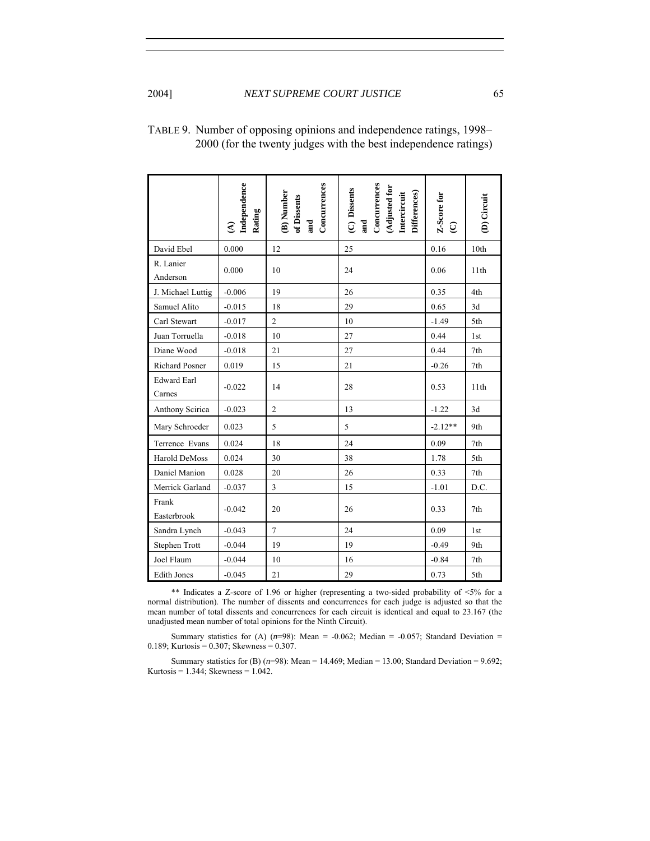|                              | Independence<br>Rating<br>$\widehat{\mathcal{E}}$ | Concurrences<br>(B) Number<br>of Dissents<br>and | Concurrences<br>(Adjusted for<br>(C) Dissents<br>Differences)<br>Intercircuit<br>and | Z-Score for<br>$\mathbb{G}$ | (D) Circuit |
|------------------------------|---------------------------------------------------|--------------------------------------------------|--------------------------------------------------------------------------------------|-----------------------------|-------------|
| David Ebel                   | 0.000                                             | 12                                               | 25                                                                                   | 0.16                        | 10th        |
| R. Lanier<br>Anderson        | 0.000                                             | 10                                               | 24                                                                                   | 0.06                        | 11th        |
| J. Michael Luttig            | $-0.006$                                          | 19                                               | 26                                                                                   | 0.35                        | 4th         |
| Samuel Alito                 | $-0.015$                                          | 18                                               | 29                                                                                   | 0.65                        | 3d          |
| Carl Stewart                 | $-0.017$                                          | $\overline{c}$                                   | 10                                                                                   | $-1.49$                     | 5th         |
| Juan Torruella               | $-0.018$                                          | 10                                               | 27                                                                                   | 0.44                        | 1st         |
| Diane Wood                   | $-0.018$                                          | 21                                               | 27                                                                                   | 0.44                        | 7th         |
| <b>Richard Posner</b>        | 0.019                                             | 15                                               | 21                                                                                   | $-0.26$                     | 7th         |
| <b>Edward Earl</b><br>Carnes | $-0.022$                                          | 14                                               | 28                                                                                   | 0.53                        | 11th        |
| Anthony Scirica              | $-0.023$                                          | $\overline{c}$                                   | 13                                                                                   | $-1.22$                     | 3d          |
| Mary Schroeder               | 0.023                                             | 5                                                | 5                                                                                    | $-2.12**$                   | 9th         |
| Terrence Evans               | 0.024                                             | 18                                               | 24                                                                                   | 0.09                        | 7th         |
| Harold DeMoss                | 0.024                                             | 30                                               | 38                                                                                   | 1.78                        | 5th         |
| Daniel Manion                | 0.028                                             | 20                                               | 26                                                                                   | 0.33                        | 7th         |
| Merrick Garland              | $-0.037$                                          | 3                                                | 15                                                                                   | $-1.01$                     | D.C.        |
| Frank<br>Easterbrook         | $-0.042$                                          | 20                                               | 26                                                                                   | 0.33                        | 7th         |
| Sandra Lynch                 | $-0.043$                                          | $\tau$                                           | 24                                                                                   | 0.09                        | 1st         |
| Stephen Trott                | $-0.044$                                          | 19                                               | 19                                                                                   | $-0.49$                     | 9th         |
| Joel Flaum                   | $-0.044$                                          | 10                                               | 16                                                                                   | $-0.84$                     | 7th         |
| <b>Edith Jones</b>           | $-0.045$                                          | 21                                               | 29                                                                                   | 0.73                        | 5th         |

| TABLE 9. Number of opposing opinions and independence ratings, 1998– |
|----------------------------------------------------------------------|
| 2000 (for the twenty judges with the best independence ratings)      |

\*\* Indicates a Z-score of 1.96 or higher (representing a two-sided probability of <5% for a normal distribution). The number of dissents and concurrences for each judge is adjusted so that the mean number of total dissents and concurrences for each circuit is identical and equal to 23.167 (the unadjusted mean number of total opinions for the Ninth Circuit).

Summary statistics for (A)  $(n=98)$ : Mean = -0.062; Median = -0.057; Standard Deviation = 0.189; Kurtosis = 0.307; Skewness =  $0.307$ .

Summary statistics for (B) (*n*=98): Mean = 14.469; Median = 13.00; Standard Deviation = 9.692; Kurtosis =  $1.344$ ; Skewness =  $1.042$ .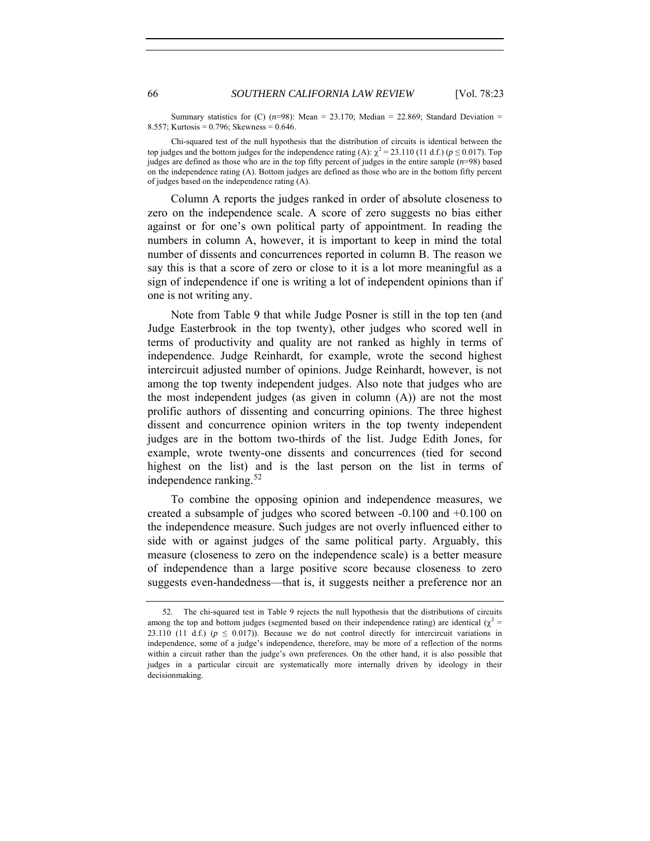Summary statistics for  $(C)$  ( $n=98$ ): Mean = 23.170; Median = 22.869; Standard Deviation = 8.557; Kurtosis = 0.796; Skewness = 0.646.

Chi-squared test of the null hypothesis that the distribution of circuits is identical between the top judges and the bottom judges for the independence rating (A):  $\chi^2 = 23.110$  (11 d.f.) ( $p \le 0.017$ ). Top judges are defined as those who are in the top fifty percent of judges in the entire sample (*n*=98) based on the independence rating (A). Bottom judges are defined as those who are in the bottom fifty percent of judges based on the independence rating (A).

Column A reports the judges ranked in order of absolute closeness to zero on the independence scale. A score of zero suggests no bias either against or for one's own political party of appointment. In reading the numbers in column A, however, it is important to keep in mind the total number of dissents and concurrences reported in column B. The reason we say this is that a score of zero or close to it is a lot more meaningful as a sign of independence if one is writing a lot of independent opinions than if one is not writing any.

Note from Table 9 that while Judge Posner is still in the top ten (and Judge Easterbrook in the top twenty), other judges who scored well in terms of productivity and quality are not ranked as highly in terms of independence. Judge Reinhardt, for example, wrote the second highest intercircuit adjusted number of opinions. Judge Reinhardt, however, is not among the top twenty independent judges. Also note that judges who are the most independent judges (as given in column (A)) are not the most prolific authors of dissenting and concurring opinions. The three highest dissent and concurrence opinion writers in the top twenty independent judges are in the bottom two-thirds of the list. Judge Edith Jones, for example, wrote twenty-one dissents and concurrences (tied for second highest on the list) and is the last person on the list in terms of independence ranking.<sup>[52](#page-43-0)</sup>

To combine the opposing opinion and independence measures, we created a subsample of judges who scored between -0.100 and +0.100 on the independence measure. Such judges are not overly influenced either to side with or against judges of the same political party. Arguably, this measure (closeness to zero on the independence scale) is a better measure of independence than a large positive score because closeness to zero suggests even-handedness—that is, it suggests neither a preference nor an

<span id="page-43-0"></span> <sup>52.</sup> The chi-squared test in Table 9 rejects the null hypothesis that the distributions of circuits among the top and bottom judges (segmented based on their independence rating) are identical  $(\chi^2 =$ 23.110 (11 d.f.) ( $p \le 0.017$ )). Because we do not control directly for intercircuit variations in independence, some of a judge's independence, therefore, may be more of a reflection of the norms within a circuit rather than the judge's own preferences. On the other hand, it is also possible that judges in a particular circuit are systematically more internally driven by ideology in their decisionmaking.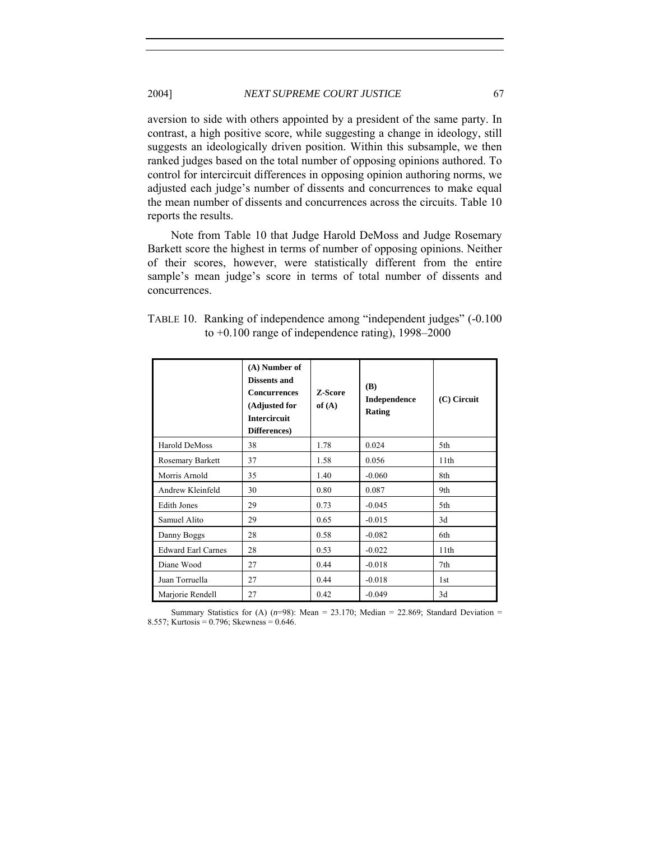## 2004] *NEXT SUPREME COURT JUSTICE* 67

aversion to side with others appointed by a president of the same party. In contrast, a high positive score, while suggesting a change in ideology, still suggests an ideologically driven position. Within this subsample, we then ranked judges based on the total number of opposing opinions authored. To control for intercircuit differences in opposing opinion authoring norms, we adjusted each judge's number of dissents and concurrences to make equal the mean number of dissents and concurrences across the circuits. Table 10 reports the results.

Note from Table 10 that Judge Harold DeMoss and Judge Rosemary Barkett score the highest in terms of number of opposing opinions. Neither of their scores, however, were statistically different from the entire sample's mean judge's score in terms of total number of dissents and concurrences.

| TABLE 10. Ranking of independence among "independent judges" (-0.100) |
|-----------------------------------------------------------------------|
| to $+0.100$ range of independence rating), 1998–2000                  |

|                           | (A) Number of<br><b>Dissents and</b><br><b>Concurrences</b><br>(Adjusted for<br><b>Intercircuit</b><br>Differences) | <b>Z-Score</b><br>of $(A)$ | (B)<br>Independence<br>Rating | $(C)$ Circuit |
|---------------------------|---------------------------------------------------------------------------------------------------------------------|----------------------------|-------------------------------|---------------|
| Harold DeMoss             | 38                                                                                                                  | 1.78                       | 0.024                         | 5th           |
| Rosemary Barkett          | 37                                                                                                                  | 1.58                       | 0.056                         | 11th          |
| Morris Arnold             | 35                                                                                                                  | 1.40                       | $-0.060$                      | 8th           |
| Andrew Kleinfeld          | 30                                                                                                                  | 0.80                       | 0.087                         | 9th           |
| <b>Edith Jones</b>        | 29                                                                                                                  | 0.73                       | $-0.045$                      | 5th           |
| Samuel Alito              | 29                                                                                                                  | 0.65                       | $-0.015$                      | 3d            |
| Danny Boggs               | 28                                                                                                                  | 0.58                       | $-0.082$                      | 6th           |
| <b>Edward Earl Carnes</b> | 28                                                                                                                  | 0.53                       | $-0.022$                      | 11th          |
| Diane Wood                | 27                                                                                                                  | 0.44                       | $-0.018$                      | 7th           |
| Juan Torruella            | 27                                                                                                                  | 0.44                       | $-0.018$                      | 1st           |
| Marjorie Rendell          | 27                                                                                                                  | 0.42                       | $-0.049$                      | 3d            |

Summary Statistics for (A)  $(n=98)$ : Mean = 23.170; Median = 22.869; Standard Deviation = 8.557; Kurtosis = 0.796; Skewness = 0.646.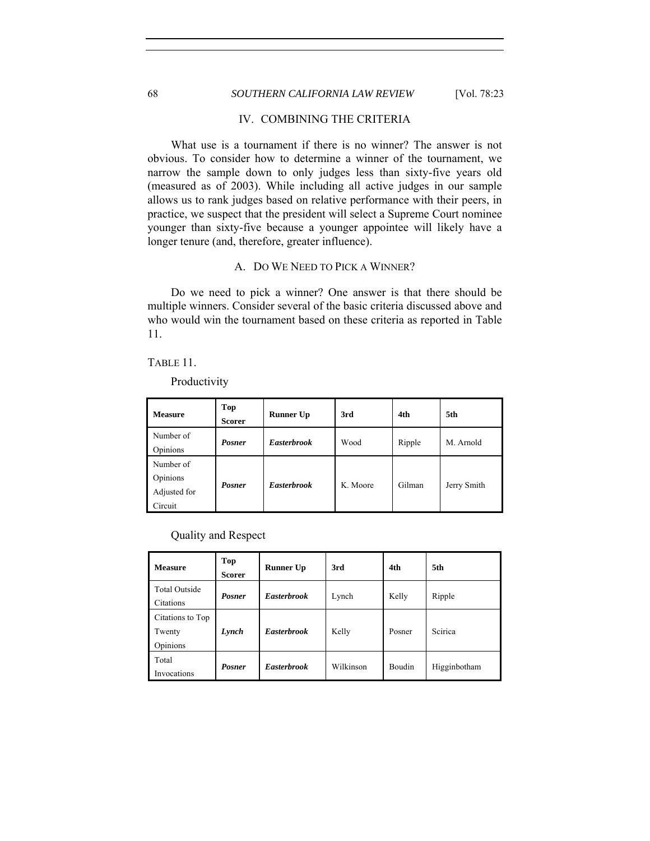## 68 *SOUTHERN CALIFORNIA LAW REVIEW* [Vol. 78:23

## IV. COMBINING THE CRITERIA

What use is a tournament if there is no winner? The answer is not obvious. To consider how to determine a winner of the tournament, we narrow the sample down to only judges less than sixty-five years old (measured as of 2003). While including all active judges in our sample allows us to rank judges based on relative performance with their peers, in practice, we suspect that the president will select a Supreme Court nominee younger than sixty-five because a younger appointee will likely have a longer tenure (and, therefore, greater influence).

## A. DO WE NEED TO PICK A WINNER?

Do we need to pick a winner? One answer is that there should be multiple winners. Consider several of the basic criteria discussed above and who would win the tournament based on these criteria as reported in Table 11.

## TABLE 11.

I

Productivity

| <b>Measure</b>                                   | Top<br><b>Scorer</b> | <b>Runner Up</b>   | 3rd      | 4th    | 5th         |
|--------------------------------------------------|----------------------|--------------------|----------|--------|-------------|
| Number of<br>Opinions                            | <b>Posner</b>        | <b>Easterbrook</b> | Wood     | Ripple | M. Arnold   |
| Number of<br>Opinions<br>Adjusted for<br>Circuit | <b>Posner</b>        | <b>Easterbrook</b> | K. Moore | Gilman | Jerry Smith |

Quality and Respect

| <b>Measure</b>                         | Top<br><b>Scorer</b> | <b>Runner Up</b>   | 3rd       | 4th           | 5th          |
|----------------------------------------|----------------------|--------------------|-----------|---------------|--------------|
| <b>Total Outside</b><br>Citations      | <b>Posner</b>        | <b>Easterbrook</b> | Lynch     | Kelly         | Ripple       |
| Citations to Top<br>Twenty<br>Opinions | Lynch                | <b>Easterbrook</b> | Kelly     | Posner        | Scirica      |
| Total<br>Invocations                   | <b>Posner</b>        | <b>Easterbrook</b> | Wilkinson | <b>Boudin</b> | Higginbotham |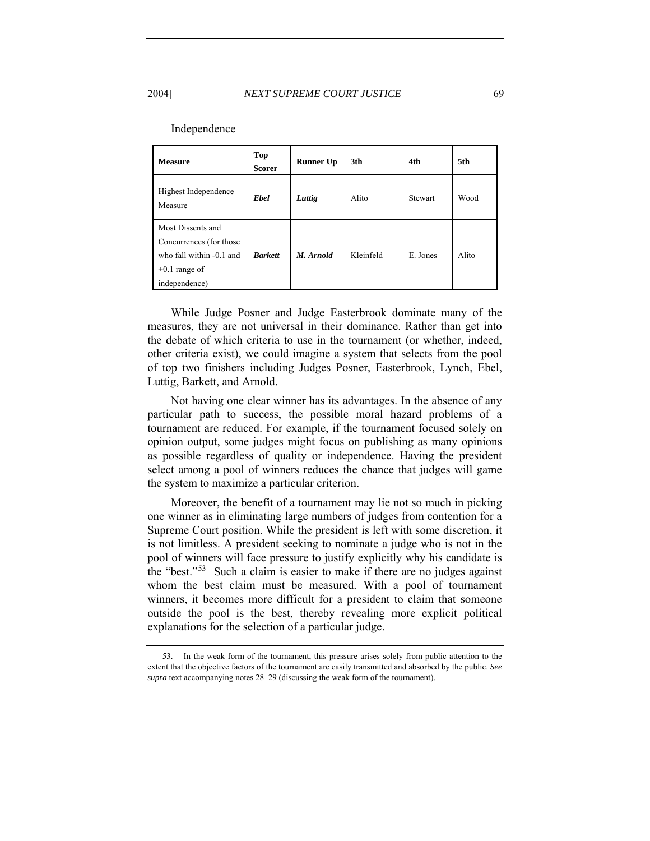| <b>Measure</b>                                                                                                | <b>Top</b><br><b>Scorer</b> | <b>Runner Up</b> | 3th       | 4th      | 5th   |
|---------------------------------------------------------------------------------------------------------------|-----------------------------|------------------|-----------|----------|-------|
| Highest Independence<br>Measure                                                                               | <b>Ebel</b>                 | Luttig           | Alito     | Stewart  | Wood  |
| Most Dissents and<br>Concurrences (for those)<br>who fall within -0.1 and<br>$+0.1$ range of<br>independence) | <b>Barkett</b>              | M. Arnold        | Kleinfeld | E. Jones | Alito |

#### Independence

While Judge Posner and Judge Easterbrook dominate many of the measures, they are not universal in their dominance. Rather than get into the debate of which criteria to use in the tournament (or whether, indeed, other criteria exist), we could imagine a system that selects from the pool of top two finishers including Judges Posner, Easterbrook, Lynch, Ebel, Luttig, Barkett, and Arnold.

Not having one clear winner has its advantages. In the absence of any particular path to success, the possible moral hazard problems of a tournament are reduced. For example, if the tournament focused solely on opinion output, some judges might focus on publishing as many opinions as possible regardless of quality or independence. Having the president select among a pool of winners reduces the chance that judges will game the system to maximize a particular criterion.

Moreover, the benefit of a tournament may lie not so much in picking one winner as in eliminating large numbers of judges from contention for a Supreme Court position. While the president is left with some discretion, it is not limitless. A president seeking to nominate a judge who is not in the pool of winners will face pressure to justify explicitly why his candidate is the "best."[53](#page-46-0) Such a claim is easier to make if there are no judges against whom the best claim must be measured. With a pool of tournament winners, it becomes more difficult for a president to claim that someone outside the pool is the best, thereby revealing more explicit political explanations for the selection of a particular judge.

<span id="page-46-0"></span> <sup>53.</sup> In the weak form of the tournament, this pressure arises solely from public attention to the extent that the objective factors of the tournament are easily transmitted and absorbed by the public. *See supra* text accompanying notes 28–29 (discussing the weak form of the tournament).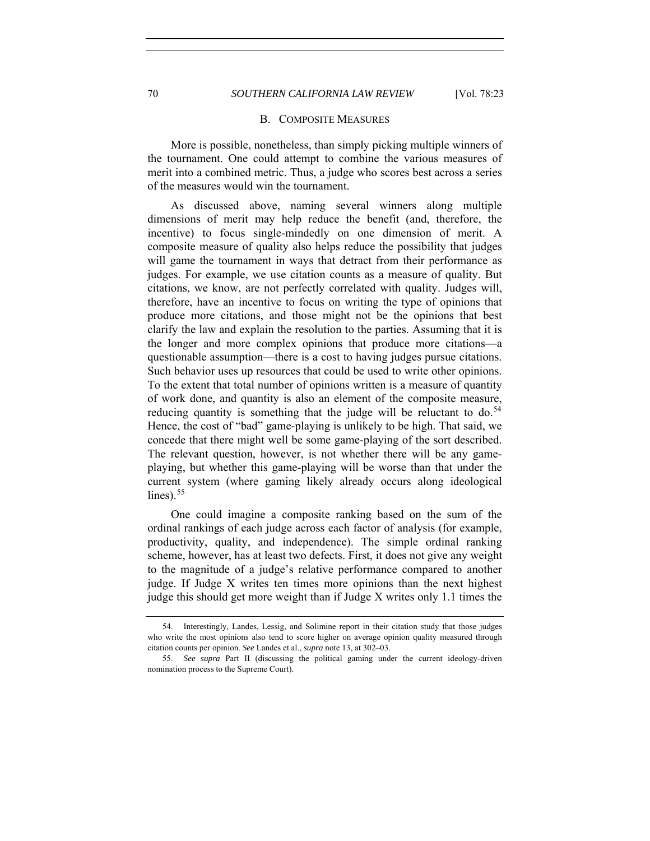#### B. COMPOSITE MEASURES

More is possible, nonetheless, than simply picking multiple winners of the tournament. One could attempt to combine the various measures of merit into a combined metric. Thus, a judge who scores best across a series of the measures would win the tournament.

As discussed above, naming several winners along multiple dimensions of merit may help reduce the benefit (and, therefore, the incentive) to focus single-mindedly on one dimension of merit. A composite measure of quality also helps reduce the possibility that judges will game the tournament in ways that detract from their performance as judges. For example, we use citation counts as a measure of quality. But citations, we know, are not perfectly correlated with quality. Judges will, therefore, have an incentive to focus on writing the type of opinions that produce more citations, and those might not be the opinions that best clarify the law and explain the resolution to the parties. Assuming that it is the longer and more complex opinions that produce more citations—a questionable assumption—there is a cost to having judges pursue citations. Such behavior uses up resources that could be used to write other opinions. To the extent that total number of opinions written is a measure of quantity of work done, and quantity is also an element of the composite measure, reducing quantity is something that the judge will be reluctant to do.<sup>[54](#page-47-0)</sup> Hence, the cost of "bad" game-playing is unlikely to be high. That said, we concede that there might well be some game-playing of the sort described. The relevant question, however, is not whether there will be any gameplaying, but whether this game-playing will be worse than that under the current system (where gaming likely already occurs along ideological lines). $55$ 

One could imagine a composite ranking based on the sum of the ordinal rankings of each judge across each factor of analysis (for example, productivity, quality, and independence). The simple ordinal ranking scheme, however, has at least two defects. First, it does not give any weight to the magnitude of a judge's relative performance compared to another judge. If Judge X writes ten times more opinions than the next highest judge this should get more weight than if Judge X writes only 1.1 times the

<span id="page-47-0"></span> <sup>54.</sup> Interestingly, Landes, Lessig, and Solimine report in their citation study that those judges who write the most opinions also tend to score higher on average opinion quality measured through citation counts per opinion. *See* Landes et al., *supra* note 13, at 302–03.

<span id="page-47-1"></span><sup>55.</sup> *See supra* Part II (discussing the political gaming under the current ideology-driven nomination process to the Supreme Court).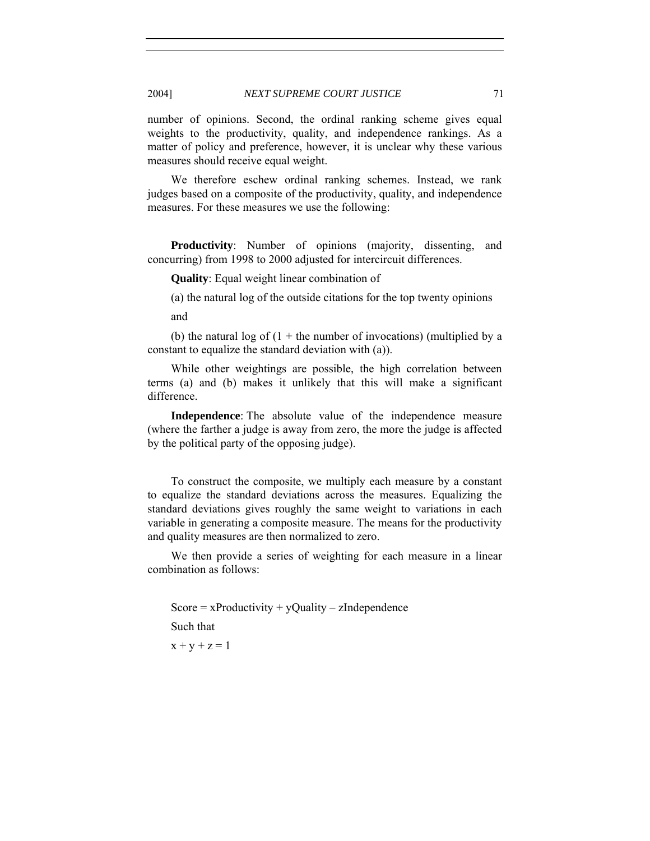number of opinions. Second, the ordinal ranking scheme gives equal weights to the productivity, quality, and independence rankings. As a matter of policy and preference, however, it is unclear why these various measures should receive equal weight.

We therefore eschew ordinal ranking schemes. Instead, we rank judges based on a composite of the productivity, quality, and independence measures. For these measures we use the following:

**Productivity**: Number of opinions (majority, dissenting, and concurring) from 1998 to 2000 adjusted for intercircuit differences.

**Quality**: Equal weight linear combination of

(a) the natural log of the outside citations for the top twenty opinions and

(b) the natural log of  $(1 +$  the number of invocations) (multiplied by a constant to equalize the standard deviation with (a)).

While other weightings are possible, the high correlation between terms (a) and (b) makes it unlikely that this will make a significant difference.

**Independence**: The absolute value of the independence measure (where the farther a judge is away from zero, the more the judge is affected by the political party of the opposing judge).

To construct the composite, we multiply each measure by a constant to equalize the standard deviations across the measures. Equalizing the standard deviations gives roughly the same weight to variations in each variable in generating a composite measure. The means for the productivity and quality measures are then normalized to zero.

We then provide a series of weighting for each measure in a linear combination as follows:

Score =  $x$ Productivity +  $y$ Quality –  $z$ Independence

Such that

 $x + y + z = 1$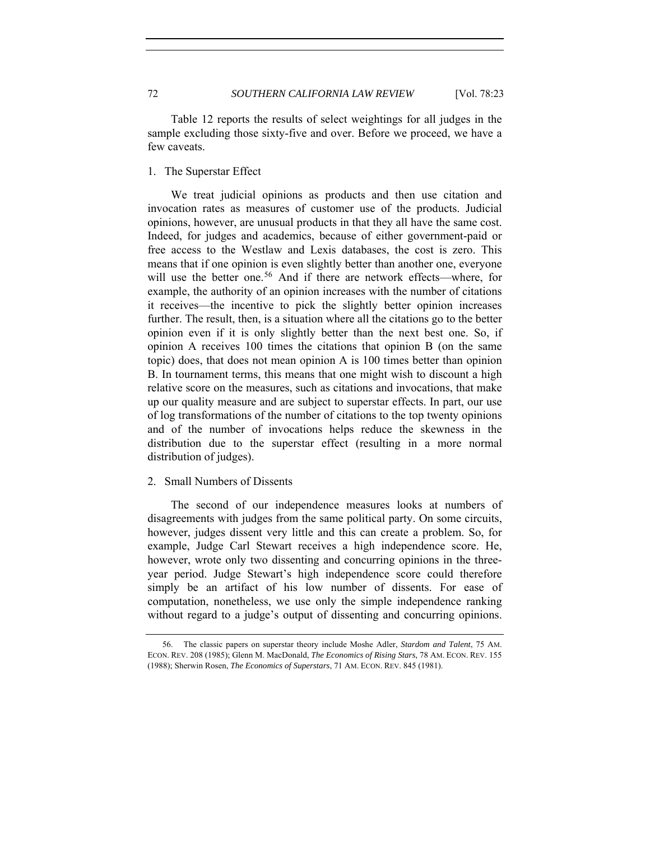Table 12 reports the results of select weightings for all judges in the sample excluding those sixty-five and over. Before we proceed, we have a few caveats.

1. The Superstar Effect

We treat judicial opinions as products and then use citation and invocation rates as measures of customer use of the products. Judicial opinions, however, are unusual products in that they all have the same cost. Indeed, for judges and academics, because of either government-paid or free access to the Westlaw and Lexis databases, the cost is zero. This means that if one opinion is even slightly better than another one, everyone will use the better one.<sup>[56](#page-49-0)</sup> And if there are network effects—where, for example, the authority of an opinion increases with the number of citations it receives—the incentive to pick the slightly better opinion increases further. The result, then, is a situation where all the citations go to the better opinion even if it is only slightly better than the next best one. So, if opinion A receives 100 times the citations that opinion B (on the same topic) does, that does not mean opinion A is 100 times better than opinion B. In tournament terms, this means that one might wish to discount a high relative score on the measures, such as citations and invocations, that make up our quality measure and are subject to superstar effects. In part, our use of log transformations of the number of citations to the top twenty opinions and of the number of invocations helps reduce the skewness in the distribution due to the superstar effect (resulting in a more normal distribution of judges).

## 2. Small Numbers of Dissents

The second of our independence measures looks at numbers of disagreements with judges from the same political party. On some circuits, however, judges dissent very little and this can create a problem. So, for example, Judge Carl Stewart receives a high independence score. He, however, wrote only two dissenting and concurring opinions in the threeyear period. Judge Stewart's high independence score could therefore simply be an artifact of his low number of dissents. For ease of computation, nonetheless, we use only the simple independence ranking without regard to a judge's output of dissenting and concurring opinions.

<span id="page-49-0"></span> <sup>56.</sup> The classic papers on superstar theory include Moshe Adler, *Stardom and Talent*, 75 AM. ECON. REV. 208 (1985); Glenn M. MacDonald, *The Economics of Rising Stars*, 78 AM. ECON. REV. 155 (1988); Sherwin Rosen, *The Economics of Superstars*, 71 AM. ECON. REV. 845 (1981).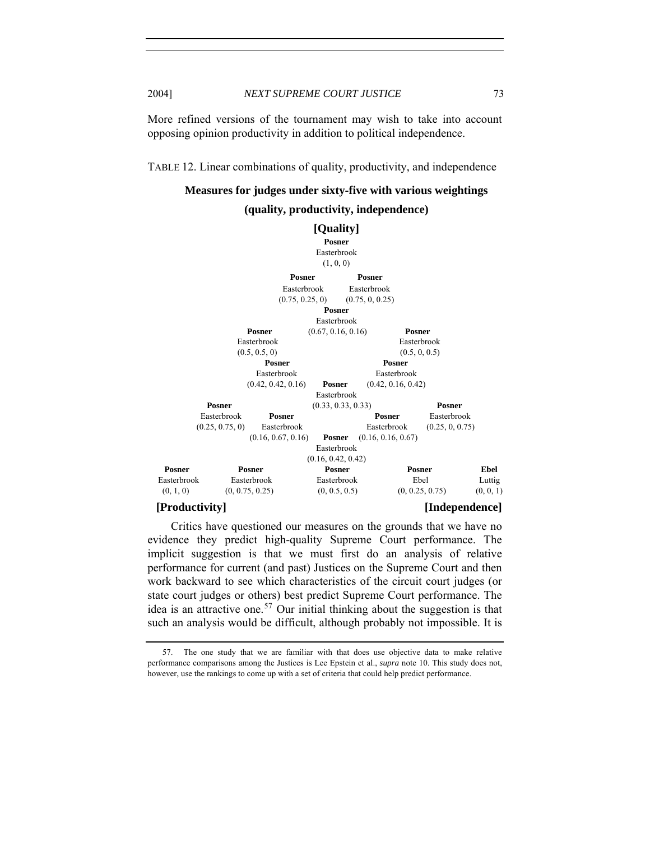More refined versions of the tournament may wish to take into account opposing opinion productivity in addition to political independence.

TABLE 12. Linear combinations of quality, productivity, and independence

**Measures for judges under sixty-five with various weightings** 

### **(quality, productivity, independence)**



Critics have questioned our measures on the grounds that we have no evidence they predict high-quality Supreme Court performance. The implicit suggestion is that we must first do an analysis of relative performance for current (and past) Justices on the Supreme Court and then work backward to see which characteristics of the circuit court judges (or state court judges or others) best predict Supreme Court performance. The idea is an attractive one.<sup>[57](#page-50-0)</sup> Our initial thinking about the suggestion is that such an analysis would be difficult, although probably not impossible. It is

<span id="page-50-0"></span> <sup>57.</sup> The one study that we are familiar with that does use objective data to make relative performance comparisons among the Justices is Lee Epstein et al., *supra* note 10. This study does not, however, use the rankings to come up with a set of criteria that could help predict performance.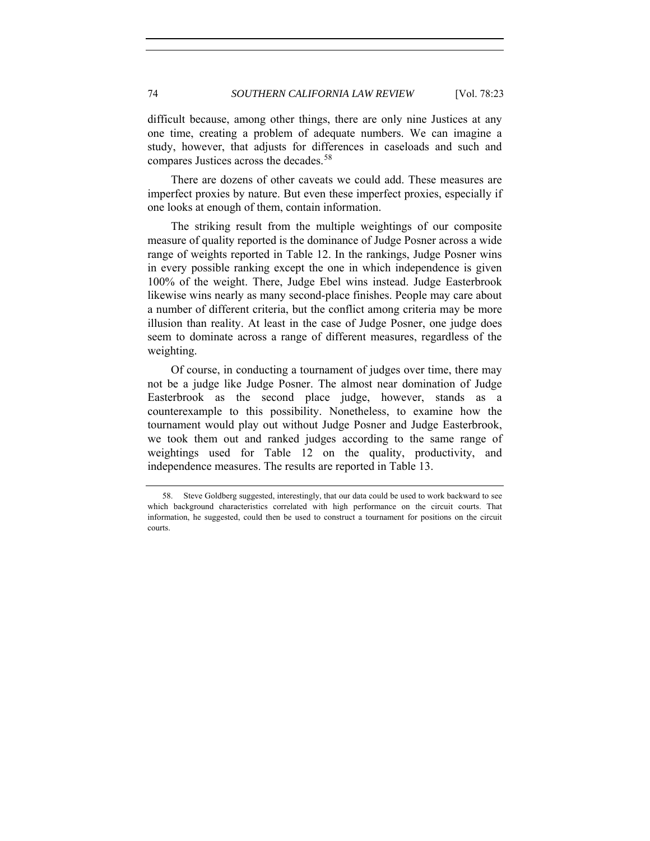difficult because, among other things, there are only nine Justices at any one time, creating a problem of adequate numbers. We can imagine a study, however, that adjusts for differences in caseloads and such and compares Justices across the decades.<sup>[58](#page-51-0)</sup>

There are dozens of other caveats we could add. These measures are imperfect proxies by nature. But even these imperfect proxies, especially if one looks at enough of them, contain information.

The striking result from the multiple weightings of our composite measure of quality reported is the dominance of Judge Posner across a wide range of weights reported in Table 12. In the rankings, Judge Posner wins in every possible ranking except the one in which independence is given 100% of the weight. There, Judge Ebel wins instead. Judge Easterbrook likewise wins nearly as many second-place finishes. People may care about a number of different criteria, but the conflict among criteria may be more illusion than reality. At least in the case of Judge Posner, one judge does seem to dominate across a range of different measures, regardless of the weighting.

Of course, in conducting a tournament of judges over time, there may not be a judge like Judge Posner. The almost near domination of Judge Easterbrook as the second place judge, however, stands as a counterexample to this possibility. Nonetheless, to examine how the tournament would play out without Judge Posner and Judge Easterbrook, we took them out and ranked judges according to the same range of weightings used for Table 12 on the quality, productivity, and independence measures. The results are reported in Table 13.

<span id="page-51-0"></span> <sup>58.</sup> Steve Goldberg suggested, interestingly, that our data could be used to work backward to see which background characteristics correlated with high performance on the circuit courts. That information, he suggested, could then be used to construct a tournament for positions on the circuit courts.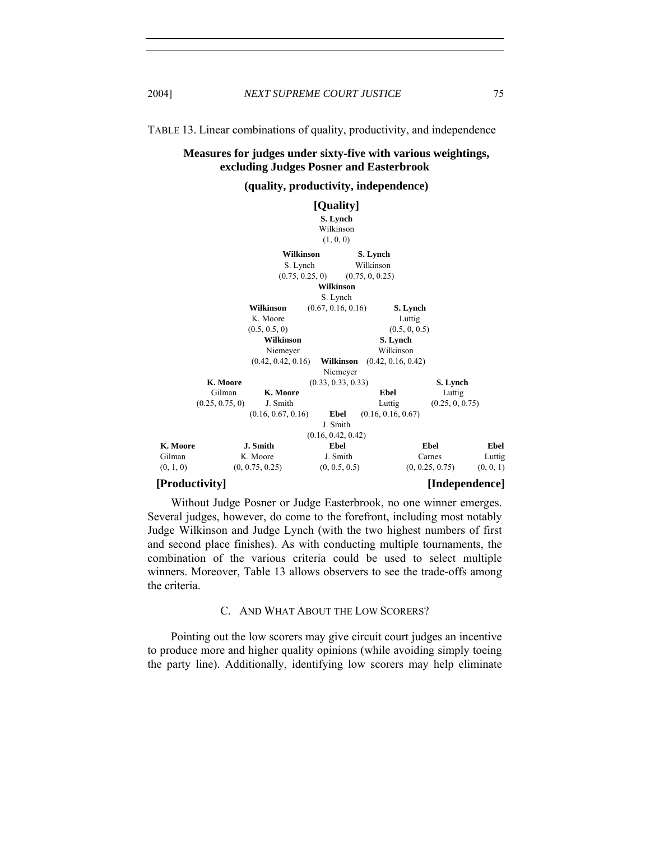TABLE 13. Linear combinations of quality, productivity, and independence

## **Measures for judges under sixty-five with various weightings, excluding Judges Posner and Easterbrook**

## **(quality, productivity, independence)**

|           |                 |                    |                 | [Quality]          |                    |                 |                 |           |
|-----------|-----------------|--------------------|-----------------|--------------------|--------------------|-----------------|-----------------|-----------|
|           |                 |                    |                 | S. Lynch           |                    |                 |                 |           |
|           |                 |                    |                 | Wilkinson          |                    |                 |                 |           |
|           |                 |                    |                 | (1, 0, 0)          |                    |                 |                 |           |
|           |                 |                    | Wilkinson       |                    | S. Lynch           |                 |                 |           |
|           |                 |                    | S. Lynch        |                    | Wilkinson          |                 |                 |           |
|           |                 |                    | (0.75, 0.25, 0) |                    | (0.75, 0, 0.25)    |                 |                 |           |
|           |                 |                    |                 | Wilkinson          |                    |                 |                 |           |
|           |                 |                    |                 | S. Lynch           |                    |                 |                 |           |
|           |                 | Wilkinson          |                 | (0.67, 0.16, 0.16) |                    | S. Lynch        |                 |           |
|           |                 | K. Moore           |                 |                    |                    | Luttig          |                 |           |
|           |                 | (0.5, 0.5, 0)      |                 |                    |                    | (0.5, 0, 0.5)   |                 |           |
|           |                 | <b>Wilkinson</b>   |                 |                    | S. Lynch           |                 |                 |           |
|           |                 | Niemeyer           |                 |                    | Wilkinson          |                 |                 |           |
|           |                 | (0.42, 0.42, 0.16) |                 | Wilkinson          | (0.42, 0.16, 0.42) |                 |                 |           |
|           |                 |                    |                 | Niemeyer           |                    |                 |                 |           |
|           | K. Moore        |                    |                 | (0.33, 0.33, 0.33) |                    |                 | S. Lynch        |           |
|           | Gilman          | K. Moore           |                 |                    | <b>Ebel</b>        |                 | Luttig          |           |
|           | (0.25, 0.75, 0) | J. Smith           |                 |                    | Luttig             |                 | (0.25, 0, 0.75) |           |
|           |                 | (0.16, 0.67, 0.16) |                 | Ebel               | (0.16, 0.16, 0.67) |                 |                 |           |
|           |                 |                    |                 | J. Smith           |                    |                 |                 |           |
|           |                 |                    |                 | (0.16, 0.42, 0.42) |                    |                 |                 |           |
| K. Moore  |                 | J. Smith           |                 | Ebel               |                    | <b>Ebel</b>     |                 | Ebel      |
| Gilman    |                 | K. Moore           |                 | J. Smith           |                    | Carnes          |                 | Luttig    |
| (0, 1, 0) |                 | (0, 0.75, 0.25)    |                 | (0, 0.5, 0.5)      |                    | (0, 0.25, 0.75) |                 | (0, 0, 1) |

### **[Productivity] [Independence]**

Without Judge Posner or Judge Easterbrook, no one winner emerges. Several judges, however, do come to the forefront, including most notably Judge Wilkinson and Judge Lynch (with the two highest numbers of first and second place finishes). As with conducting multiple tournaments, the combination of the various criteria could be used to select multiple winners. Moreover, Table 13 allows observers to see the trade-offs among the criteria.

## C. AND WHAT ABOUT THE LOW SCORERS?

Pointing out the low scorers may give circuit court judges an incentive to produce more and higher quality opinions (while avoiding simply toeing the party line). Additionally, identifying low scorers may help eliminate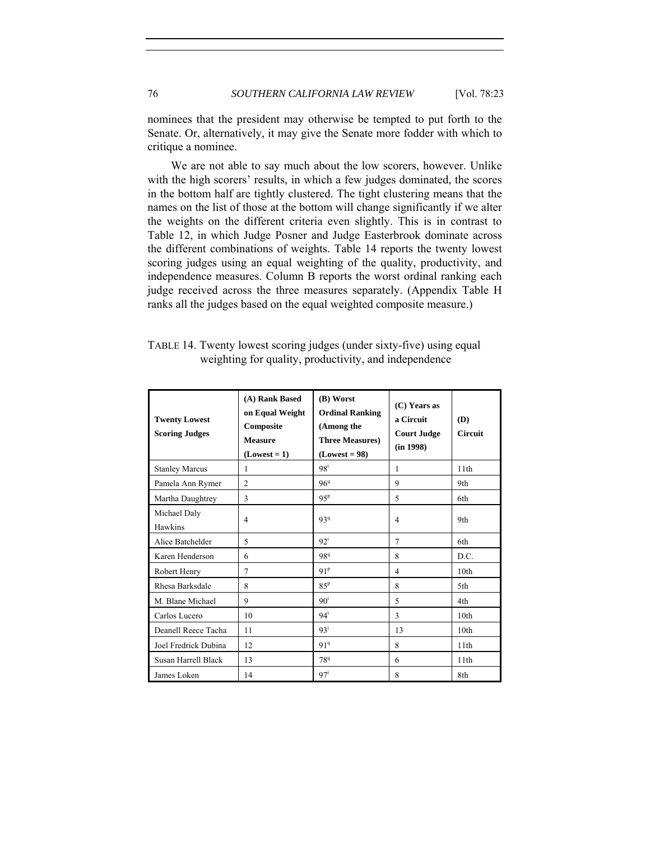nominees that the president may otherwise be tempted to put forth to the Senate. Or, alternatively, it may give the Senate more fodder with which to critique a nominee.

We are not able to say much about the low scorers, however. Unlike with the high scorers' results, in which a few judges dominated, the scores in the bottom half are tightly clustered. The tight clustering means that the names on the list of those at the bottom will change significantly if we alter the weights on the different criteria even slightly. This is in contrast to Table 12, in which Judge Posner and Judge Easterbrook dominate across the different combinations of weights. Table 14 reports the twenty lowest scoring judges using an equal weighting of the quality, productivity, and independence measures. Column B reports the worst ordinal ranking each judge received across the three measures separately. (Appendix Table H ranks all the judges based on the equal weighted composite measure.)

| TABLE 14. Twenty lowest scoring judges (under sixty-five) using equal |  |
|-----------------------------------------------------------------------|--|
| weighting for quality, productivity, and independence                 |  |

| <b>Twenty Lowest</b><br><b>Scoring Judges</b> | (A) Rank Based<br>on Equal Weight<br>Composite<br><b>Measure</b><br>$(Lowest = 1)$ | (B) Worst<br><b>Ordinal Ranking</b><br>(Among the<br><b>Three Measures)</b><br>$(Lowest = 98)$ | (C) Years as<br>a Circuit<br><b>Court Judge</b><br>(in 1998) | (D)<br><b>Circuit</b> |
|-----------------------------------------------|------------------------------------------------------------------------------------|------------------------------------------------------------------------------------------------|--------------------------------------------------------------|-----------------------|
| <b>Stanley Marcus</b>                         | 1                                                                                  | $98^{\mathrm{i}}$                                                                              | 1                                                            | 11 <sup>th</sup>      |
| Pamela Ann Rymer                              | $\overline{c}$                                                                     | 96 <sup>q</sup>                                                                                | 9                                                            | 9th                   |
| Martha Daughtrey                              | 3                                                                                  | 95 <sup>p</sup>                                                                                | 5                                                            | 6th                   |
| Michael Daly<br>Hawkins                       | 4                                                                                  | 939                                                                                            | 4                                                            | 9th                   |
| Alice Batchelder                              | 5                                                                                  | $92^{\mathrm{i}}$                                                                              | 7                                                            | 6th                   |
| Karen Henderson                               | 6                                                                                  | 989                                                                                            | 8                                                            | D.C.                  |
| Robert Henry                                  | $\tau$                                                                             | 91 <sup>p</sup>                                                                                | $\overline{4}$                                               | 10 <sub>th</sub>      |
| Rhesa Barksdale                               | 8                                                                                  | 85 <sup>p</sup>                                                                                | 8                                                            | 5th                   |
| M. Blane Michael                              | 9                                                                                  | $90^{\rm i}$                                                                                   | 5                                                            | 4th                   |
| Carlos Lucero                                 | 10                                                                                 | $94^i$                                                                                         | 3                                                            | 10 <sub>th</sub>      |
| Deanell Reece Tacha                           | 11                                                                                 | 93 <sup>i</sup>                                                                                | 13                                                           | 10 <sub>th</sub>      |
| Joel Fredrick Dubina                          | 12                                                                                 | 91 <sup>q</sup>                                                                                | 8                                                            | 11th                  |
| Susan Harrell Black                           | 13                                                                                 | 78 <sup>q</sup>                                                                                | 6                                                            | 11th                  |
| James Loken                                   | 14                                                                                 | 97 <sup>i</sup>                                                                                | 8                                                            | 8th                   |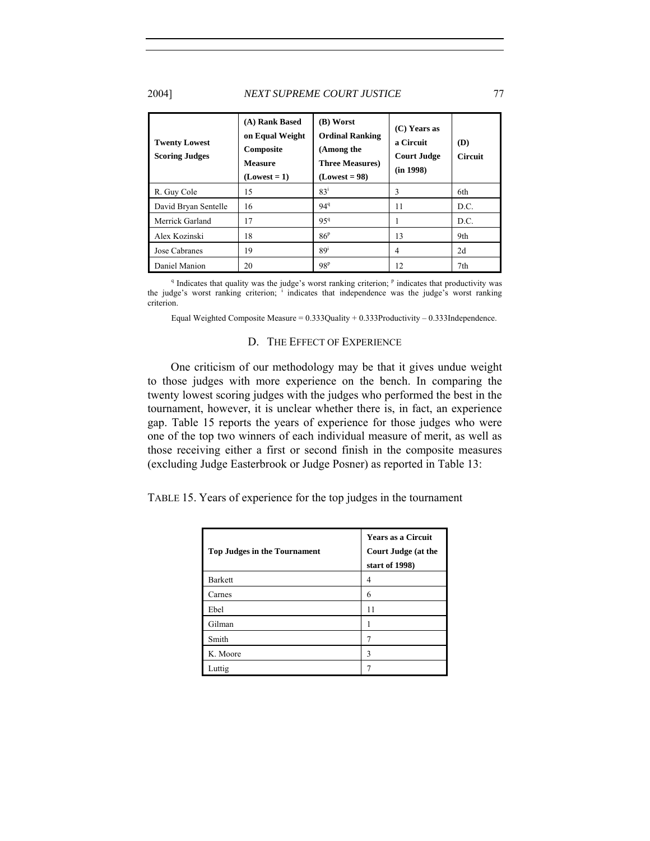### 2004] *NEXT SUPREME COURT JUSTICE* 77

| <b>Twenty Lowest</b><br><b>Scoring Judges</b> | (A) Rank Based<br>on Equal Weight<br>Composite<br><b>Measure</b><br>$(Lowest = 1)$ | (B) Worst<br><b>Ordinal Ranking</b><br>(Among the<br><b>Three Measures</b> )<br>$(Lowest = 98)$ | $(C)$ Years as<br>a Circuit<br><b>Court Judge</b><br>(in 1998) | (D)<br><b>Circuit</b> |
|-----------------------------------------------|------------------------------------------------------------------------------------|-------------------------------------------------------------------------------------------------|----------------------------------------------------------------|-----------------------|
| R. Guy Cole                                   | 15                                                                                 | 83 <sup>i</sup>                                                                                 | 3                                                              | 6th                   |
| David Bryan Sentelle                          | 16                                                                                 | $94^{q}$                                                                                        | 11                                                             | D.C.                  |
| Merrick Garland                               | 17                                                                                 | 959                                                                                             |                                                                | D.C.                  |
| Alex Kozinski                                 | 18                                                                                 | 86 <sup>p</sup>                                                                                 | 13                                                             | 9th                   |
| Jose Cabranes                                 | 19                                                                                 | 89 <sup>1</sup>                                                                                 | $\overline{4}$                                                 | 2d                    |
| Daniel Manion                                 | 20                                                                                 | 98 <sup>p</sup>                                                                                 | 12                                                             | 7th                   |

<sup>q</sup> Indicates that quality was the judge's worst ranking criterion; <sup>p</sup> indicates that productivity was the judge's worst ranking criterion; <sup>i</sup> indicates that independence was the judge's worst ranking criterion.

Equal Weighted Composite Measure =  $0.333$ Quality +  $0.333$ Productivity -  $0.333$ Independence.

#### D. THE EFFECT OF EXPERIENCE

One criticism of our methodology may be that it gives undue weight to those judges with more experience on the bench. In comparing the twenty lowest scoring judges with the judges who performed the best in the tournament, however, it is unclear whether there is, in fact, an experience gap. Table 15 reports the years of experience for those judges who were one of the top two winners of each individual measure of merit, as well as those receiving either a first or second finish in the composite measures (excluding Judge Easterbrook or Judge Posner) as reported in Table 13:

TABLE 15. Years of experience for the top judges in the tournament

| <b>Top Judges in the Tournament</b> | <b>Years as a Circuit</b><br><b>Court Judge (at the</b><br>start of 1998) |
|-------------------------------------|---------------------------------------------------------------------------|
| <b>Barkett</b>                      | 4                                                                         |
| Carnes                              | 6                                                                         |
| Ebel                                | 11                                                                        |
| Gilman                              |                                                                           |
| Smith                               |                                                                           |
| K. Moore                            | 3                                                                         |
| Luttig                              |                                                                           |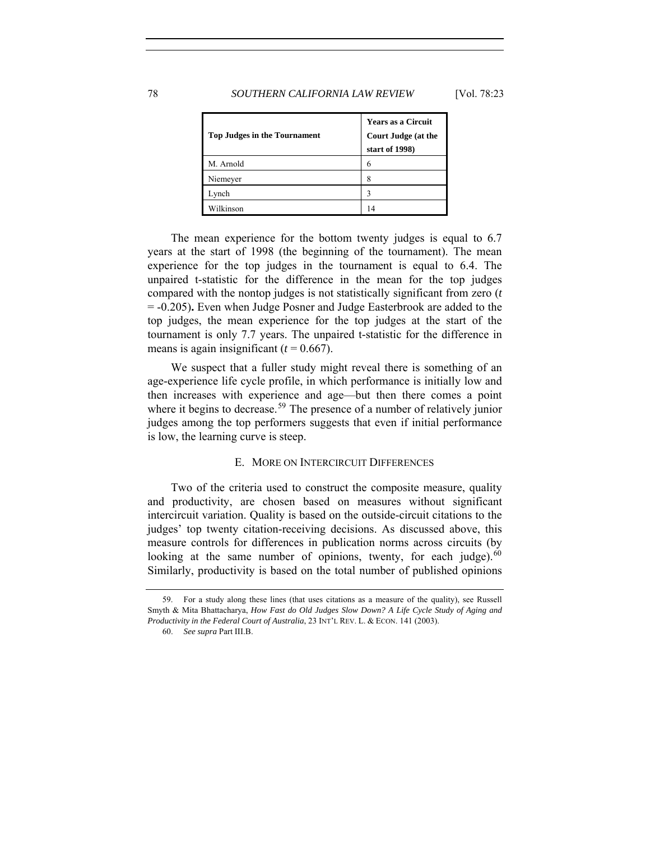## 78 *SOUTHERN CALIFORNIA LAW REVIEW* [Vol. 78:23

| <b>Top Judges in the Tournament</b> | <b>Years as a Circuit</b><br><b>Court Judge (at the</b><br>start of 1998) |
|-------------------------------------|---------------------------------------------------------------------------|
| M. Arnold                           | 6                                                                         |
| Niemeyer                            | 8                                                                         |
| Lynch                               | ٦                                                                         |
| Wilkinson                           | 14                                                                        |

The mean experience for the bottom twenty judges is equal to 6.7 years at the start of 1998 (the beginning of the tournament). The mean experience for the top judges in the tournament is equal to 6.4. The unpaired t-statistic for the difference in the mean for the top judges compared with the nontop judges is not statistically significant from zero (*t* = -0.205)**.** Even when Judge Posner and Judge Easterbrook are added to the top judges, the mean experience for the top judges at the start of the tournament is only 7.7 years. The unpaired t-statistic for the difference in means is again insignificant  $(t = 0.667)$ .

We suspect that a fuller study might reveal there is something of an age-experience life cycle profile, in which performance is initially low and then increases with experience and age—but then there comes a point where it begins to decrease.<sup>[59](#page-55-0)</sup> The presence of a number of relatively junior judges among the top performers suggests that even if initial performance is low, the learning curve is steep.

## E. MORE ON INTERCIRCUIT DIFFERENCES

Two of the criteria used to construct the composite measure, quality and productivity, are chosen based on measures without significant intercircuit variation. Quality is based on the outside-circuit citations to the judges' top twenty citation-receiving decisions. As discussed above, this measure controls for differences in publication norms across circuits (by looking at the same number of opinions, twenty, for each judge). $60$ Similarly, productivity is based on the total number of published opinions

<span id="page-55-1"></span><span id="page-55-0"></span> <sup>59.</sup> For a study along these lines (that uses citations as a measure of the quality), see Russell Smyth & Mita Bhattacharya, *How Fast do Old Judges Slow Down? A Life Cycle Study of Aging and Productivity in the Federal Court of Australia*, 23 INT'L REV. L. & ECON. 141 (2003).

<sup>60.</sup> *See supra* Part III.B.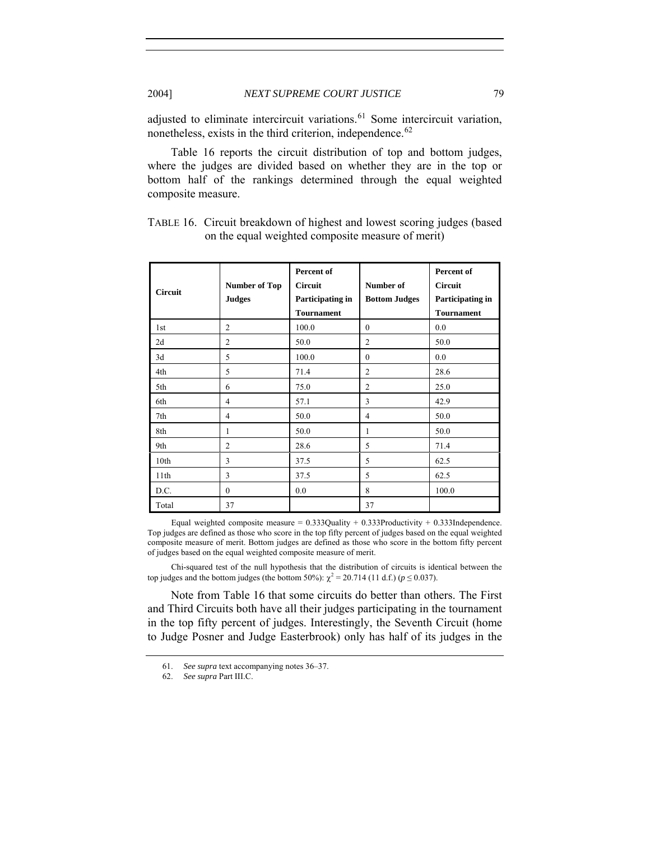adjusted to eliminate intercircuit variations.<sup>[61](#page-56-0)</sup> Some intercircuit variation, nonetheless, exists in the third criterion, independence.<sup>[62](#page-56-1)</sup>

Table 16 reports the circuit distribution of top and bottom judges, where the judges are divided based on whether they are in the top or bottom half of the rankings determined through the equal weighted composite measure.

| Circuit | <b>Number of Top</b><br><b>Judges</b> | Percent of<br><b>Circuit</b><br>Participating in<br><b>Tournament</b> | Number of<br><b>Bottom Judges</b> | Percent of<br><b>Circuit</b><br>Participating in<br><b>Tournament</b> |
|---------|---------------------------------------|-----------------------------------------------------------------------|-----------------------------------|-----------------------------------------------------------------------|
| 1st     | 2                                     | 100.0                                                                 | $\theta$                          | 0.0                                                                   |
| 2d      | $\overline{2}$                        | 50.0                                                                  | $\overline{2}$                    | 50.0                                                                  |
| 3d      | 5                                     | 100.0                                                                 | $\mathbf{0}$                      | 0.0                                                                   |
| 4th     | 5                                     | 71.4                                                                  | $\overline{2}$                    | 28.6                                                                  |
| 5th     | 6                                     | 75.0                                                                  | $\overline{c}$                    | 25.0                                                                  |
| 6th     | 4                                     | 57.1                                                                  | 3                                 | 42.9                                                                  |
| 7th     | 4                                     | 50.0                                                                  | 4                                 | 50.0                                                                  |
| 8th     | 1                                     | 50.0                                                                  | 1                                 | 50.0                                                                  |
| 9th     | $\overline{2}$                        | 28.6                                                                  | 5                                 | 71.4                                                                  |
| 10th    | 3                                     | 37.5                                                                  | 5                                 | 62.5                                                                  |
| 11th    | 3                                     | 37.5                                                                  | 5                                 | 62.5                                                                  |
| D.C.    | $\theta$                              | 0.0                                                                   | 8                                 | 100.0                                                                 |
| Total   | 37                                    |                                                                       | 37                                |                                                                       |

| TABLE 16. Circuit breakdown of highest and lowest scoring judges (based |
|-------------------------------------------------------------------------|
| on the equal weighted composite measure of merit)                       |

Equal weighted composite measure =  $0.333$ Quality +  $0.333$ Productivity +  $0.333$ Independence. Top judges are defined as those who score in the top fifty percent of judges based on the equal weighted composite measure of merit. Bottom judges are defined as those who score in the bottom fifty percent of judges based on the equal weighted composite measure of merit.

Chi-squared test of the null hypothesis that the distribution of circuits is identical between the top judges and the bottom judges (the bottom 50%):  $\chi^2 = 20.714$  (11 d.f.) (*p* ≤ 0.037).

Note from Table 16 that some circuits do better than others. The First and Third Circuits both have all their judges participating in the tournament in the top fifty percent of judges. Interestingly, the Seventh Circuit (home to Judge Posner and Judge Easterbrook) only has half of its judges in the

<sup>61.</sup> *See supra* text accompanying notes 36–37.

<span id="page-56-1"></span><span id="page-56-0"></span><sup>62.</sup> *See supra* Part III.C.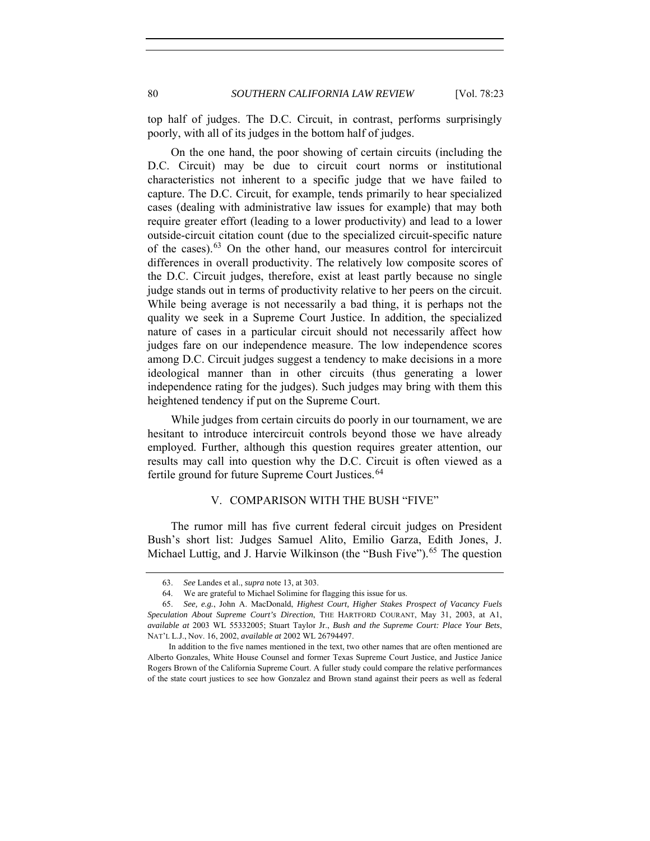top half of judges. The D.C. Circuit, in contrast, performs surprisingly poorly, with all of its judges in the bottom half of judges.

On the one hand, the poor showing of certain circuits (including the D.C. Circuit) may be due to circuit court norms or institutional characteristics not inherent to a specific judge that we have failed to capture. The D.C. Circuit, for example, tends primarily to hear specialized cases (dealing with administrative law issues for example) that may both require greater effort (leading to a lower productivity) and lead to a lower outside-circuit citation count (due to the specialized circuit-specific nature of the cases).[63](#page-57-0) On the other hand, our measures control for intercircuit differences in overall productivity. The relatively low composite scores of the D.C. Circuit judges, therefore, exist at least partly because no single judge stands out in terms of productivity relative to her peers on the circuit. While being average is not necessarily a bad thing, it is perhaps not the quality we seek in a Supreme Court Justice. In addition, the specialized nature of cases in a particular circuit should not necessarily affect how judges fare on our independence measure. The low independence scores among D.C. Circuit judges suggest a tendency to make decisions in a more ideological manner than in other circuits (thus generating a lower independence rating for the judges). Such judges may bring with them this heightened tendency if put on the Supreme Court.

While judges from certain circuits do poorly in our tournament, we are hesitant to introduce intercircuit controls beyond those we have already employed. Further, although this question requires greater attention, our results may call into question why the D.C. Circuit is often viewed as a fertile ground for future Supreme Court Justices.<sup>[64](#page-57-1)</sup>

## V. COMPARISON WITH THE BUSH "FIVE"

The rumor mill has five current federal circuit judges on President Bush's short list: Judges Samuel Alito, Emilio Garza, Edith Jones, J. Michael Luttig, and J. Harvie Wilkinson (the "Bush Five").<sup>[65](#page-57-2)</sup> The question

 <sup>63.</sup> *See* Landes et al., *supra* note 13, at 303.

 <sup>64.</sup> We are grateful to Michael Solimine for flagging this issue for us.

<span id="page-57-2"></span><span id="page-57-1"></span><span id="page-57-0"></span><sup>65.</sup> *See, e.g.*, John A. MacDonald, *Highest Court, Higher Stakes Prospect of Vacancy Fuels Speculation About Supreme Court's Direction*, THE HARTFORD COURANT, May 31, 2003, at A1, *available at* 2003 WL 55332005; Stuart Taylor Jr., *Bush and the Supreme Court: Place Your Bets*, NAT'L L.J., Nov. 16, 2002, *available at* 2002 WL 26794497.

In addition to the five names mentioned in the text, two other names that are often mentioned are Alberto Gonzales, White House Counsel and former Texas Supreme Court Justice, and Justice Janice Rogers Brown of the California Supreme Court. A fuller study could compare the relative performances of the state court justices to see how Gonzalez and Brown stand against their peers as well as federal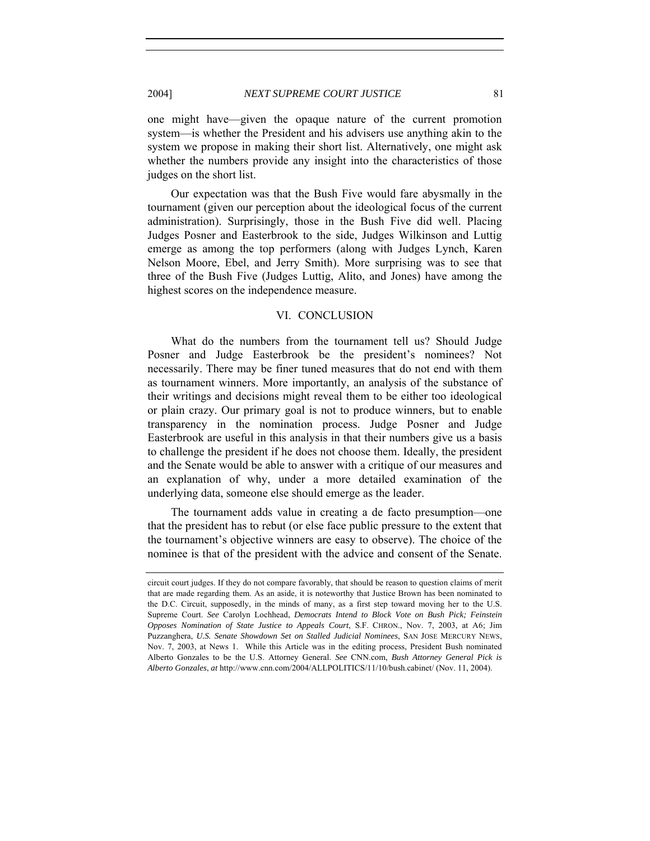one might have—given the opaque nature of the current promotion system—is whether the President and his advisers use anything akin to the system we propose in making their short list. Alternatively, one might ask whether the numbers provide any insight into the characteristics of those judges on the short list.

Our expectation was that the Bush Five would fare abysmally in the tournament (given our perception about the ideological focus of the current administration). Surprisingly, those in the Bush Five did well. Placing Judges Posner and Easterbrook to the side, Judges Wilkinson and Luttig emerge as among the top performers (along with Judges Lynch, Karen Nelson Moore, Ebel, and Jerry Smith). More surprising was to see that three of the Bush Five (Judges Luttig, Alito, and Jones) have among the highest scores on the independence measure.

## VI. CONCLUSION

What do the numbers from the tournament tell us? Should Judge Posner and Judge Easterbrook be the president's nominees? Not necessarily. There may be finer tuned measures that do not end with them as tournament winners. More importantly, an analysis of the substance of their writings and decisions might reveal them to be either too ideological or plain crazy. Our primary goal is not to produce winners, but to enable transparency in the nomination process. Judge Posner and Judge Easterbrook are useful in this analysis in that their numbers give us a basis to challenge the president if he does not choose them. Ideally, the president and the Senate would be able to answer with a critique of our measures and an explanation of why, under a more detailed examination of the underlying data, someone else should emerge as the leader.

The tournament adds value in creating a de facto presumption—one that the president has to rebut (or else face public pressure to the extent that the tournament's objective winners are easy to observe). The choice of the nominee is that of the president with the advice and consent of the Senate.

circuit court judges. If they do not compare favorably, that should be reason to question claims of merit that are made regarding them. As an aside, it is noteworthy that Justice Brown has been nominated to the D.C. Circuit, supposedly, in the minds of many, as a first step toward moving her to the U.S. Supreme Court. *See* Carolyn Lochhead, *Democrats Intend to Block Vote on Bush Pick; Feinstein Opposes Nomination of State Justice to Appeals Court*, S.F. CHRON., Nov. 7, 2003, at A6; Jim Puzzanghera, *U.S. Senate Showdown Set on Stalled Judicial Nominees*, SAN JOSE MERCURY NEWS, Nov. 7, 2003, at News 1. While this Article was in the editing process, President Bush nominated Alberto Gonzales to be the U.S. Attorney General. *See* CNN.com, *Bush Attorney General Pick is Alberto Gonzales*, *at* http://www.cnn.com/2004/ALLPOLITICS/11/10/bush.cabinet/ (Nov. 11, 2004).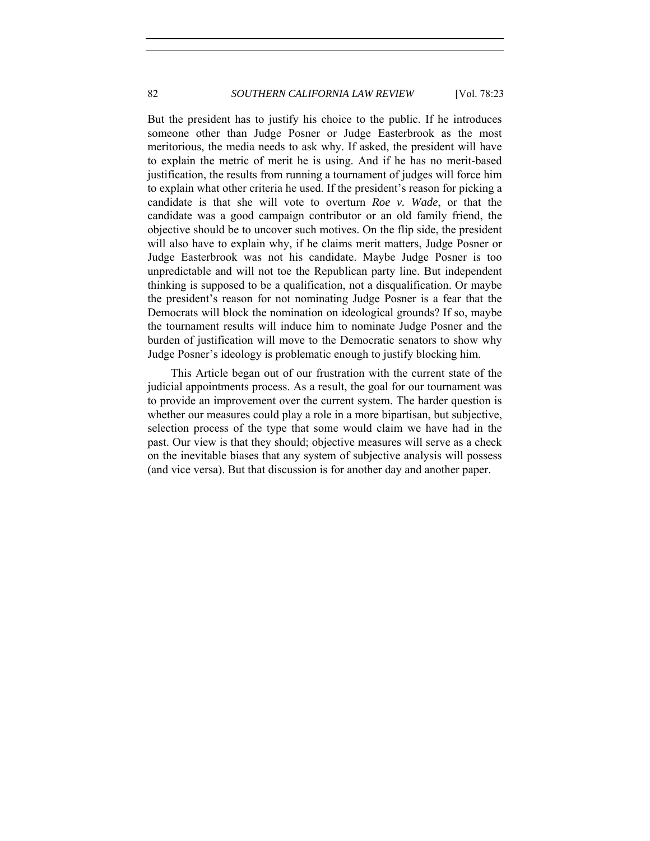But the president has to justify his choice to the public. If he introduces someone other than Judge Posner or Judge Easterbrook as the most meritorious, the media needs to ask why. If asked, the president will have to explain the metric of merit he is using. And if he has no merit-based justification, the results from running a tournament of judges will force him to explain what other criteria he used. If the president's reason for picking a candidate is that she will vote to overturn *Roe v. Wade*, or that the candidate was a good campaign contributor or an old family friend, the objective should be to uncover such motives. On the flip side, the president will also have to explain why, if he claims merit matters, Judge Posner or Judge Easterbrook was not his candidate. Maybe Judge Posner is too unpredictable and will not toe the Republican party line. But independent thinking is supposed to be a qualification, not a disqualification. Or maybe the president's reason for not nominating Judge Posner is a fear that the Democrats will block the nomination on ideological grounds? If so, maybe the tournament results will induce him to nominate Judge Posner and the burden of justification will move to the Democratic senators to show why Judge Posner's ideology is problematic enough to justify blocking him.

This Article began out of our frustration with the current state of the judicial appointments process. As a result, the goal for our tournament was to provide an improvement over the current system. The harder question is whether our measures could play a role in a more bipartisan, but subjective, selection process of the type that some would claim we have had in the past. Our view is that they should; objective measures will serve as a check on the inevitable biases that any system of subjective analysis will possess (and vice versa). But that discussion is for another day and another paper.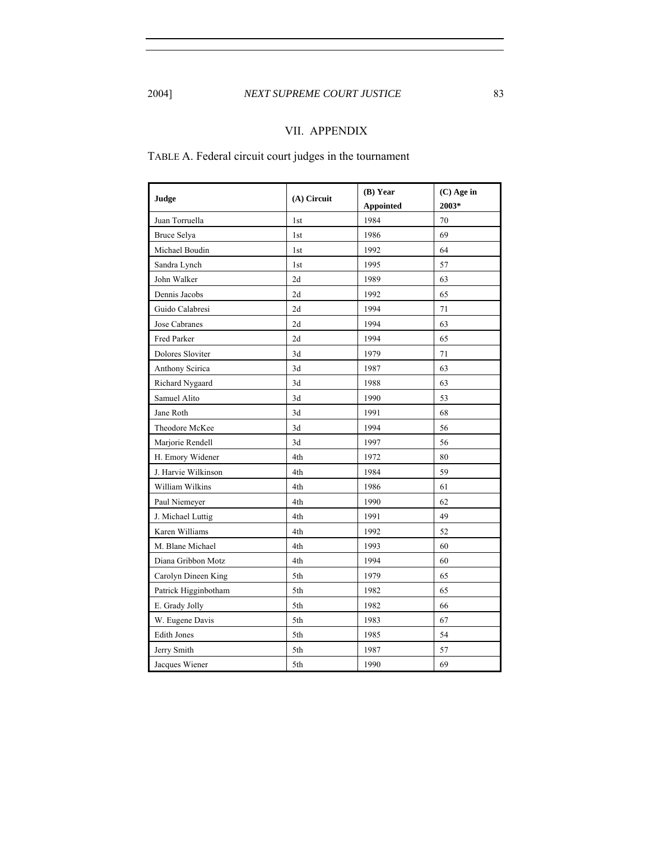# 2004] *NEXT SUPREME COURT JUSTICE* 83

# VII. APPENDIX

TABLE A. Federal circuit court judges in the tournament

| Judge                | (A) Circuit     | (B) Year         | (C) Age in |
|----------------------|-----------------|------------------|------------|
|                      |                 | <b>Appointed</b> | 2003*      |
| Juan Torruella       | 1 <sub>st</sub> | 1984             | 70         |
| Bruce Selya          | 1 <sub>st</sub> | 1986             | 69         |
| Michael Boudin       | 1st             | 1992             | 64         |
| Sandra Lynch         | 1 <sub>st</sub> | 1995             | 57         |
| John Walker          | 2d              | 1989             | 63         |
| Dennis Jacobs        | 2d              | 1992             | 65         |
| Guido Calabresi      | 2d              | 1994             | 71         |
| Jose Cabranes        | 2d              | 1994             | 63         |
| Fred Parker          | 2d              | 1994             | 65         |
| Dolores Sloviter     | 3d              | 1979             | 71         |
| Anthony Scirica      | 3d              | 1987             | 63         |
| Richard Nygaard      | 3d              | 1988             | 63         |
| Samuel Alito         | 3d              | 1990             | 53         |
| Jane Roth            | 3d              | 1991             | 68         |
| Theodore McKee       | 3d              | 1994             | 56         |
| Marjorie Rendell     | 3d              | 1997             | 56         |
| H. Emory Widener     | 4th             | 1972             | 80         |
| J. Harvie Wilkinson  | 4th             | 1984             | 59         |
| William Wilkins      | 4th             | 1986             | 61         |
| Paul Niemeyer        | 4th             | 1990             | 62         |
| J. Michael Luttig    | 4th             | 1991             | 49         |
| Karen Williams       | 4th             | 1992             | 52         |
| M. Blane Michael     | 4th             | 1993             | 60         |
| Diana Gribbon Motz   | 4th             | 1994             | 60         |
| Carolyn Dineen King  | 5th             | 1979             | 65         |
| Patrick Higginbotham | 5th             | 1982             | 65         |
| E. Grady Jolly       | 5th             | 1982             | 66         |
| W. Eugene Davis      | 5th             | 1983             | 67         |
| <b>Edith Jones</b>   | 5th             | 1985             | 54         |
| Jerry Smith          | 5th             | 1987             | 57         |
| Jacques Wiener       | 5th             | 1990             | 69         |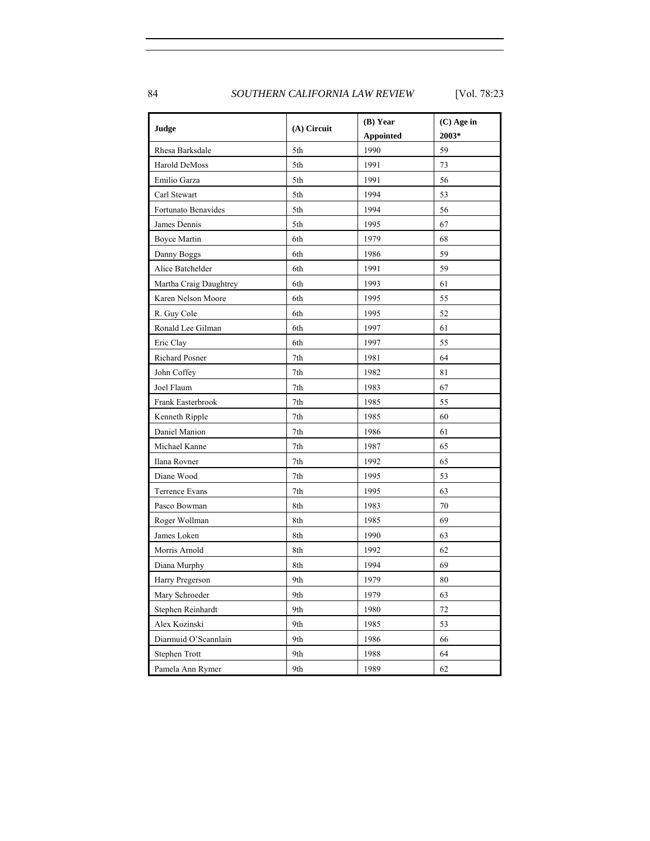84 *SOUTHERN CALIFORNIA LAW REVIEW* [Vol. 78:23

| Judge                  | (A) Circuit    | (B) Year<br><b>Appointed</b> | $(C)$ Age in<br>2003* |
|------------------------|----------------|------------------------------|-----------------------|
| Rhesa Barksdale        | 5th            | 1990                         | 59                    |
| Harold DeMoss          | 5th            | 1991                         | 73                    |
| Emilio Garza           | 5th            | 1991                         | 56                    |
| Carl Stewart           | 5th            | 1994                         | 53                    |
| Fortunato Benavides    | 5th            | 1994                         | 56                    |
| James Dennis           | 5th            | 1995                         | 67                    |
| <b>Boyce Martin</b>    | 6th            | 1979                         | 68                    |
| Danny Boggs            | 6th            | 1986                         | 59                    |
| Alice Batchelder       | 6th            | 1991                         | 59                    |
| Martha Craig Daughtrey | 6th            | 1993                         | 61                    |
| Karen Nelson Moore     | 6th            | 1995                         | 55                    |
| R. Guy Cole            | 6th            | 1995                         | 52                    |
| Ronald Lee Gilman      | 6th            | 1997                         | 61                    |
| Eric Clay              | 6th            | 1997                         | 55                    |
| Richard Posner         | 7th            | 1981                         | 64                    |
| John Coffey            | 7th            | 1982                         | 81                    |
| Joel Flaum             | 7th            | 1983                         | 67                    |
| Frank Easterbrook      | 7th            | 1985                         | 55                    |
| Kenneth Ripple         | 7th            | 1985                         | 60                    |
| Daniel Manion          | 7th            | 1986                         | 61                    |
| Michael Kanne          | 7th            | 1987                         | 65                    |
| Ilana Rovner           | 7th            | 1992                         | 65                    |
| Diane Wood             | $7\mathrm{th}$ | 1995                         | 53                    |
| Terrence Evans         | 7th            | 1995                         | 63                    |
| Pasco Bowman           | 8th            | 1983                         | $70\,$                |
| Roger Wollman          | 8th            | 1985                         | 69                    |
| James Loken            | 8th            | 1990                         | 63                    |
| Morris Arnold          | 8th            | 1992                         | 62                    |
| Diana Murphy           | 8th            | 1994                         | 69                    |
| Harry Pregerson        | 9th            | 1979                         | 80                    |
| Mary Schroeder         | 9th            | 1979                         | 63                    |
| Stephen Reinhardt      | 9th            | 1980                         | 72                    |
| Alex Kozinski          | 9th            | 1985                         | 53                    |
| Diarmuid O'Scannlain   | 9th            | 1986                         | 66                    |
| Stephen Trott          | 9th            | 1988                         | 64                    |
| Pamela Ann Rymer       | 9th            | 1989                         | 62                    |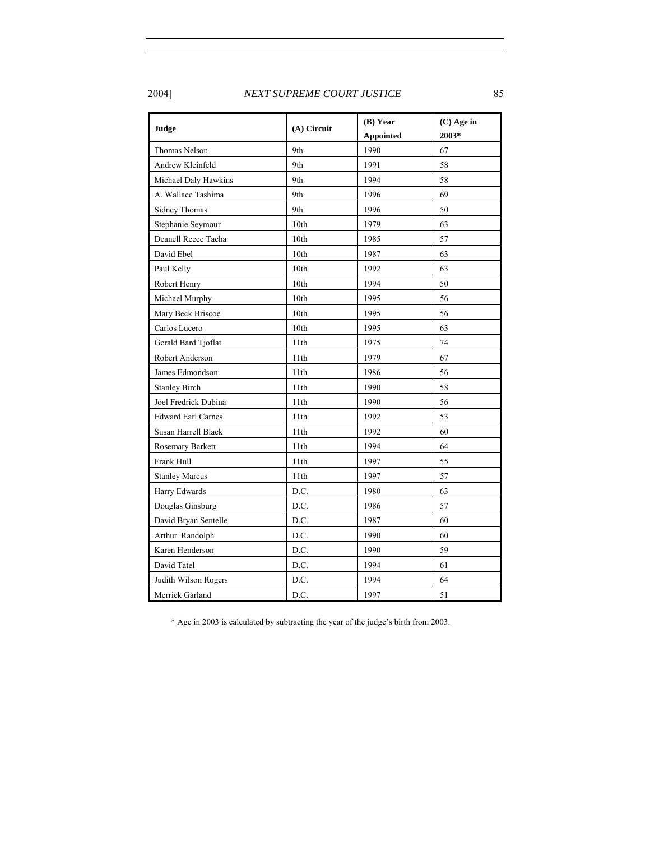2004] *NEXT SUPREME COURT JUSTICE* 85

| Judge                     | $(A)$ Circuit    | (B) Year         | (C) Age in |
|---------------------------|------------------|------------------|------------|
|                           |                  | <b>Appointed</b> | 2003*      |
| Thomas Nelson             | 9th              | 1990             | 67         |
| Andrew Kleinfeld          | 9th              | 1991             | 58         |
| Michael Daly Hawkins      | 9th              | 1994             | 58         |
| A. Wallace Tashima        | 9th              | 1996             | 69         |
| Sidney Thomas             | 9th              | 1996             | 50         |
| Stephanie Seymour         | 10th             | 1979             | 63         |
| Deanell Reece Tacha       | 10 <sub>th</sub> | 1985             | 57         |
| David Ebel                | 10th             | 1987             | 63         |
| Paul Kelly                | 10th             | 1992             | 63         |
| Robert Henry              | 10th             | 1994             | 50         |
| Michael Murphy            | 10 <sub>th</sub> | 1995             | 56         |
| Mary Beck Briscoe         | 10th             | 1995             | 56         |
| Carlos Lucero             | 10th             | 1995             | 63         |
| Gerald Bard Tjoflat       | 11th             | 1975             | 74         |
| Robert Anderson           | 11th             | 1979             | 67         |
| James Edmondson           | 11th             | 1986             | 56         |
| <b>Stanley Birch</b>      | 11th             | 1990             | 58         |
| Joel Fredrick Dubina      | 11th             | 1990             | 56         |
| <b>Edward Earl Carnes</b> | 11th             | 1992             | 53         |
| Susan Harrell Black       | 11th             | 1992             | 60         |
| Rosemary Barkett          | 11th             | 1994             | 64         |
| Frank Hull                | 11th             | 1997             | 55         |
| <b>Stanley Marcus</b>     | 11th             | 1997             | 57         |
| Harry Edwards             | D.C.             | 1980             | 63         |
| Douglas Ginsburg          | D.C.             | 1986             | 57         |
| David Bryan Sentelle      | D.C.             | 1987             | 60         |
| Arthur Randolph           | D.C.             | 1990             | 60         |
| Karen Henderson           | D.C.             | 1990             | 59         |
| David Tatel               | D.C.             | 1994             | 61         |
| Judith Wilson Rogers      | D.C.             | 1994             | 64         |
| Merrick Garland           | D.C.             | 1997             | 51         |

\* Age in 2003 is calculated by subtracting the year of the judge's birth from 2003.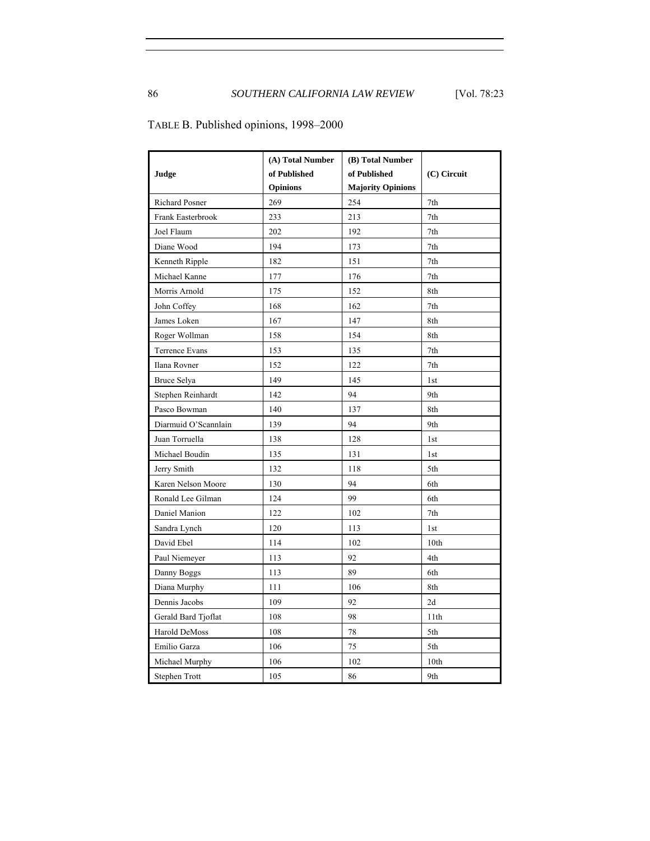|                      | (A) Total Number | (B) Total Number         |                  |
|----------------------|------------------|--------------------------|------------------|
| Judge                | of Published     | of Published             | $(C)$ Circuit    |
|                      | <b>Opinions</b>  | <b>Majority Opinions</b> |                  |
| Richard Posner       | 269              | 254                      | 7th              |
| Frank Easterbrook    | 233              | 213                      | 7th              |
| Joel Flaum           | 202              | 192                      | 7th              |
| Diane Wood           | 194              | 173                      | 7th              |
| Kenneth Ripple       | 182              | 151                      | 7th              |
| Michael Kanne        | 177              | 176                      | 7th              |
| Morris Arnold        | 175              | 152                      | 8th              |
| John Coffey          | 168              | 162                      | 7th              |
| James Loken          | 167              | 147                      | 8th              |
| Roger Wollman        | 158              | 154                      | 8th              |
| Terrence Evans       | 153              | 135                      | 7th              |
| Ilana Rovner         | 152              | 122                      | 7th              |
| Bruce Selya          | 149              | 145                      | 1st              |
| Stephen Reinhardt    | 142              | 94                       | 9th              |
| Pasco Bowman         | 140              | 137                      | 8th              |
| Diarmuid O'Scannlain | 139              | 94                       | 9th              |
| Juan Torruella       | 138              | 128                      | 1st              |
| Michael Boudin       | 135              | 131                      | 1st              |
| Jerry Smith          | 132              | 118                      | 5th              |
| Karen Nelson Moore   | 130              | 94                       | 6th              |
| Ronald Lee Gilman    | 124              | 99                       | 6th              |
| Daniel Manion        | 122              | 102                      | 7th              |
| Sandra Lynch         | 120              | 113                      | 1st              |
| David Ebel           | 114              | 102                      | 10 <sub>th</sub> |
| Paul Niemeyer        | 113              | 92                       | 4th              |
| Danny Boggs          | 113              | 89                       | 6th              |
| Diana Murphy         | 111              | 106                      | 8th              |
| Dennis Jacobs        | 109              | 92                       | 2d               |
| Gerald Bard Tjoflat  | 108              | 98                       | 11th             |
| Harold DeMoss        | 108              | 78                       | 5th              |
| Emilio Garza         | 106              | 75                       | 5th              |
| Michael Murphy       | 106              | 102                      | 10 <sub>th</sub> |
| Stephen Trott        | 105              | 86                       | 9th              |

TABLE B. Published opinions, 1998–2000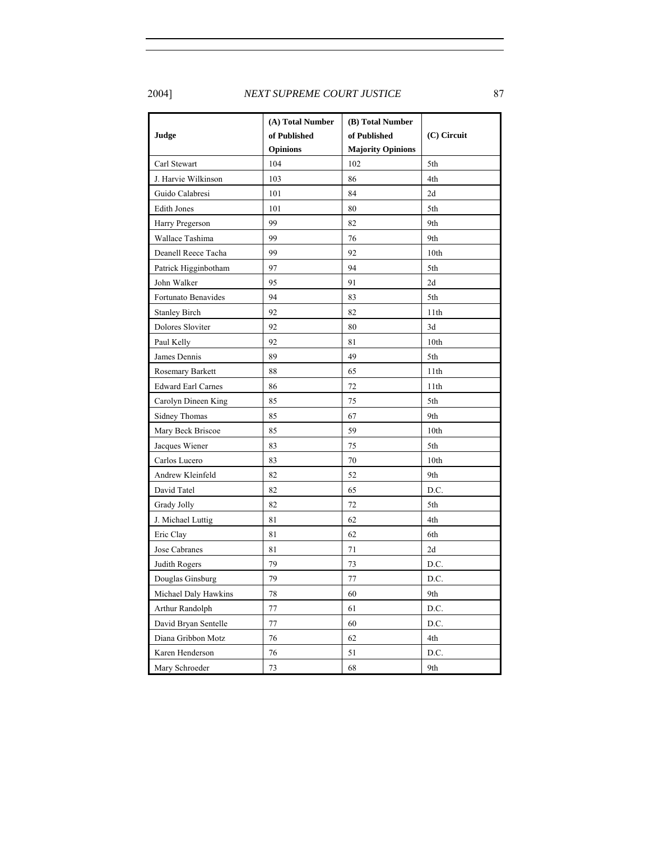# 2004] *NEXT SUPREME COURT JUSTICE* 87

|                           | (A) Total Number | (B) Total Number         |                  |
|---------------------------|------------------|--------------------------|------------------|
| Judge                     | of Published     | of Published             | (C) Circuit      |
|                           | <b>Opinions</b>  | <b>Majority Opinions</b> |                  |
| Carl Stewart              | 104              | 102                      | 5th              |
| J. Harvie Wilkinson       | 103              | 86                       | 4th              |
| Guido Calabresi           | 101              | 84                       | 2d               |
| <b>Edith Jones</b>        | 101              | 80                       | 5th              |
| Harry Pregerson           | 99               | 82                       | 9th              |
| Wallace Tashima           | 99               | 76                       | 9th              |
| Deanell Reece Tacha       | 99               | 92                       | 10 <sub>th</sub> |
| Patrick Higginbotham      | 97               | 94                       | 5th              |
| John Walker               | 95               | 91                       | 2d               |
| Fortunato Benavides       | 94               | 83                       | 5th              |
| <b>Stanley Birch</b>      | 92               | 82                       | 11th             |
| Dolores Sloviter          | 92               | 80                       | 3d               |
| Paul Kelly                | 92               | 81                       | 10th             |
| James Dennis              | 89               | 49                       | 5th              |
| Rosemary Barkett          | 88               | 65                       | 11th             |
| <b>Edward Earl Carnes</b> | 86               | 72                       | 11th             |
| Carolyn Dineen King       | 85               | 75                       | 5th              |
| Sidney Thomas             | 85               | 67                       | 9th              |
| Mary Beck Briscoe         | 85               | 59                       | 10th             |
| Jacques Wiener            | 83               | 75                       | 5th              |
| Carlos Lucero             | 83               | 70                       | 10 <sub>th</sub> |
| Andrew Kleinfeld          | 82               | 52                       | 9th              |
| David Tatel               | 82               | 65                       | D.C.             |
| Grady Jolly               | 82               | 72                       | 5th              |
| J. Michael Luttig         | 81               | 62                       | 4th              |
| Eric Clay                 | 81               | 62                       | 6th              |
| Jose Cabranes             | 81               | 71                       | 2d               |
| Judith Rogers             | 79               | 73                       | D.C.             |
| Douglas Ginsburg          | 79               | 77                       | D.C.             |
| Michael Daly Hawkins      | 78               | 60                       | 9th              |
| Arthur Randolph           | $77 \,$          | 61                       | D.C.             |
| David Bryan Sentelle      | 77               | 60                       | D.C.             |
| Diana Gribbon Motz        | 76               | 62                       | 4th              |
| Karen Henderson           | 76               | 51                       | D.C.             |
| Mary Schroeder            | 73               | 68                       | 9th              |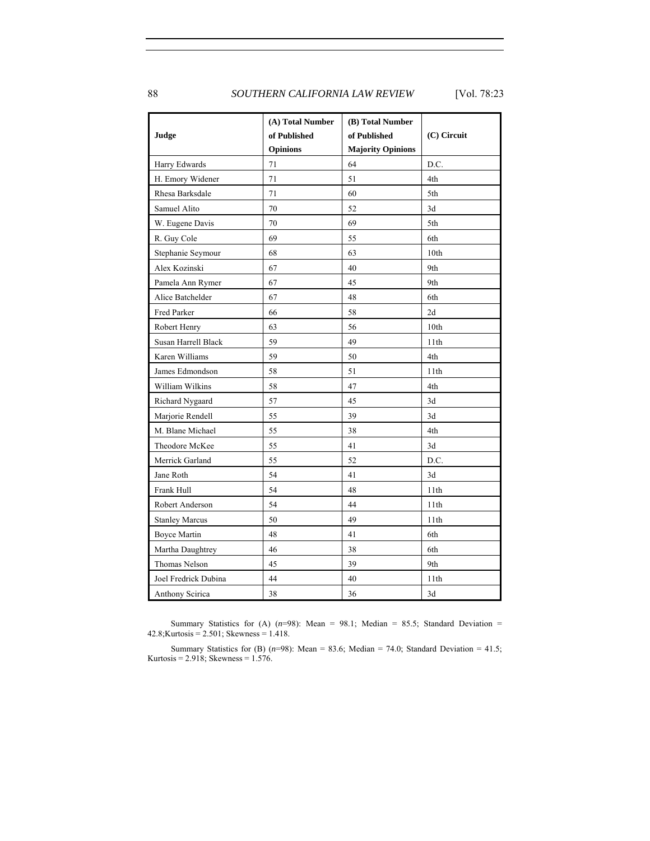88 *SOUTHERN CALIFORNIA LAW REVIEW* [Vol. 78:23

| Judge                 | (A) Total Number<br>of Published<br><b>Opinions</b> | (B) Total Number<br>of Published<br><b>Majority Opinions</b> | $(C)$ Circuit    |
|-----------------------|-----------------------------------------------------|--------------------------------------------------------------|------------------|
| Harry Edwards         | 71                                                  | 64                                                           | D.C.             |
| H. Emory Widener      | 71                                                  | 51                                                           | 4th              |
| Rhesa Barksdale       | 71                                                  | 60                                                           | 5th              |
| Samuel Alito          | 70                                                  | 52                                                           | 3d               |
| W. Eugene Davis       | 70                                                  | 69                                                           | 5th              |
| R. Guy Cole           | 69                                                  | 55                                                           | 6th              |
| Stephanie Seymour     | 68                                                  | 63                                                           | 10 <sub>th</sub> |
| Alex Kozinski         | 67                                                  | 40                                                           | 9th              |
| Pamela Ann Rymer      | 67                                                  | 45                                                           | 9th              |
| Alice Batchelder      | 67                                                  | 48                                                           | 6th              |
| Fred Parker           | 66                                                  | 58                                                           | 2d               |
| Robert Henry          | 63                                                  | 56                                                           | 10th             |
| Susan Harrell Black   | 59                                                  | 49                                                           | 11th             |
| Karen Williams        | 59                                                  | 50                                                           | 4th              |
| James Edmondson       | 58                                                  | 51                                                           | 11th             |
| William Wilkins       | 58                                                  | 47                                                           | 4th              |
| Richard Nygaard       | 57                                                  | 45                                                           | 3d               |
| Marjorie Rendell      | 55                                                  | 39                                                           | 3d               |
| M. Blane Michael      | 55                                                  | 38                                                           | 4th              |
| Theodore McKee        | 55                                                  | 41                                                           | 3d               |
| Merrick Garland       | 55                                                  | 52                                                           | D.C.             |
| Jane Roth             | 54                                                  | 41                                                           | 3d               |
| Frank Hull            | 54                                                  | 48                                                           | 11th             |
| Robert Anderson       | 54                                                  | 44                                                           | 11th             |
| <b>Stanley Marcus</b> | 50                                                  | 49                                                           | 11th             |
| <b>Boyce Martin</b>   | 48                                                  | 41                                                           | 6th              |
| Martha Daughtrey      | 46                                                  | 38                                                           | 6th              |
| <b>Thomas Nelson</b>  | 45                                                  | 39                                                           | 9th              |
| Joel Fredrick Dubina  | 44                                                  | 40                                                           | 11th             |
| Anthony Scirica       | 38                                                  | 36                                                           | 3d               |

Summary Statistics for (A)  $(n=98)$ : Mean = 98.1; Median = 85.5; Standard Deviation =  $42.8$ ; Kurtosis =  $2.501$ ; Skewness =  $1.418$ .

Summary Statistics for (B)  $(n=98)$ : Mean = 83.6; Median = 74.0; Standard Deviation = 41.5; Kurtosis = 2.918; Skewness = 1.576.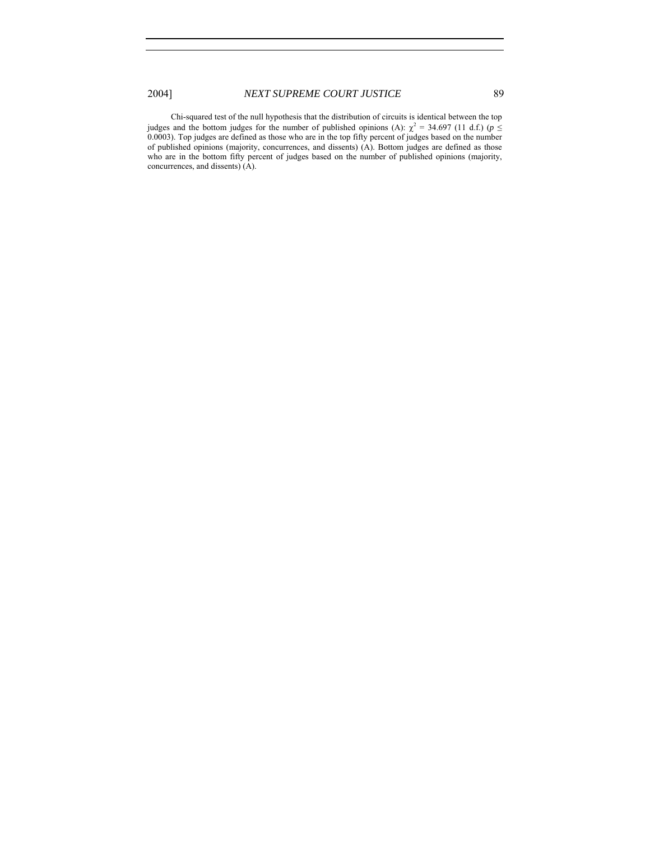Chi-squared test of the null hypothesis that the distribution of circuits is identical between the top judges and the bottom judges for the number of published opinions (A):  $\chi^2$  = 34.697 (11 d.f.) (*p* ≤ 0.0003). Top judges are defined as those who are in the top fifty percent of judges based on the number of published opinions (majority, concurrences, and dissents) (A). Bottom judges are defined as those who are in the bottom fifty percent of judges based on the number of published opinions (majority, concurrences, and dissents) (A).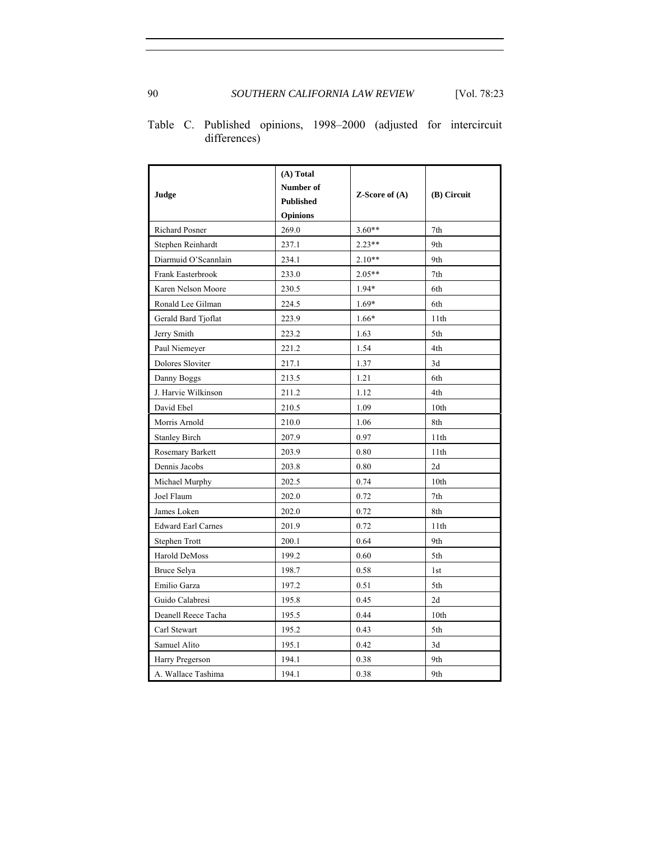| Judge                     | (A) Total<br>Number of<br><b>Published</b><br>Opinions | $Z$ -Score of $(A)$ | (B) Circuit     |
|---------------------------|--------------------------------------------------------|---------------------|-----------------|
| Richard Posner            | 269.0                                                  | $3.60**$            | 7th             |
| Stephen Reinhardt         | 237.1                                                  | $2.23**$            | 9th             |
| Diarmuid O'Scannlain      | 234.1                                                  | $2.10**$            | 9th             |
| Frank Easterbrook         | 233.0                                                  | $2.05**$            | 7th             |
| Karen Nelson Moore        | 230.5                                                  | 1.94*               | 6th             |
| Ronald Lee Gilman         | 224.5                                                  | $1.69*$             | 6th             |
| Gerald Bard Tjoflat       | 223.9                                                  | $1.66*$             | 11th            |
| Jerry Smith               | 223.2                                                  | 1.63                | 5th             |
| Paul Niemeyer             | 221.2                                                  | 1.54                | 4th             |
| Dolores Sloviter          | 217.1                                                  | 1.37                | 3d              |
| Danny Boggs               | 213.5                                                  | 1.21                | 6th             |
| J. Harvie Wilkinson       | 211.2                                                  | 1.12                | 4th             |
| David Ebel                | 210.5                                                  | 1.09                | 10th            |
| Morris Arnold             | 210.0                                                  | 1.06                | 8th             |
| <b>Stanley Birch</b>      | 207.9                                                  | 0.97                | 11th            |
| Rosemary Barkett          | 203.9                                                  | 0.80                | 11th            |
| Dennis Jacobs             | 203.8                                                  | 0.80                | 2d              |
| Michael Murphy            | 202.5                                                  | 0.74                | 10th            |
| Joel Flaum                | 202.0                                                  | 0.72                | 7th             |
| James Loken               | 202.0                                                  | 0.72                | 8th             |
| <b>Edward Earl Carnes</b> | 201.9                                                  | 0.72                | 11th            |
| Stephen Trott             | 200.1                                                  | 0.64                | 9th             |
| Harold DeMoss             | 199.2                                                  | 0.60                | 5th             |
| Bruce Selya               | 198.7                                                  | 0.58                | 1 <sub>st</sub> |
| Emilio Garza              | 197.2                                                  | 0.51                | 5th             |
| Guido Calabresi           | 195.8                                                  | 0.45                | 2d              |
| Deanell Reece Tacha       | 195.5                                                  | 0.44                | 10th            |
| Carl Stewart              | 195.2                                                  | 0.43                | 5th             |
| Samuel Alito              | 195.1                                                  | 0.42                | 3d              |
| Harry Pregerson           | 194.1                                                  | 0.38                | 9th             |
| A. Wallace Tashima        | 194.1                                                  | 0.38                | 9th             |

Table C. Published opinions, 1998–2000 (adjusted for intercircuit differences)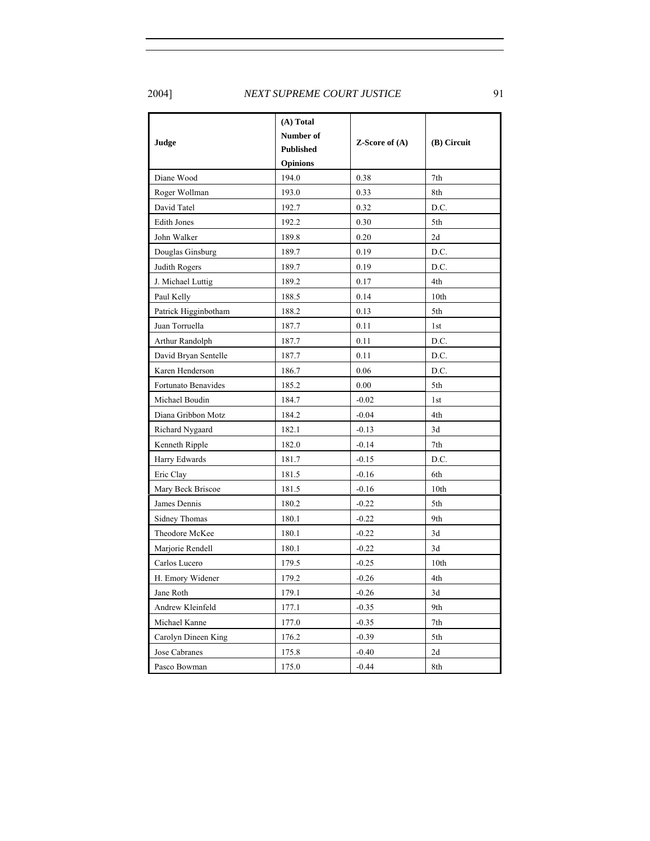2004] *NEXT SUPREME COURT JUSTICE* 91

|                      | (A) Total        | <b>Z-Score of <math>(A)</math></b> | (B) Circuit      |
|----------------------|------------------|------------------------------------|------------------|
| Judge                | Number of        |                                    |                  |
|                      | <b>Published</b> |                                    |                  |
|                      | <b>Opinions</b>  |                                    |                  |
| Diane Wood           | 194.0            | 0.38                               | 7th              |
| Roger Wollman        | 193.0            | 0.33                               | 8th              |
| David Tatel          | 192.7            | 0.32                               | D.C.             |
| <b>Edith Jones</b>   | 192.2            | 0.30                               | 5th              |
| John Walker          | 189.8            | 0.20                               | 2d               |
| Douglas Ginsburg     | 189.7            | 0.19                               | D.C.             |
| Judith Rogers        | 189.7            | 0.19                               | D.C.             |
| J. Michael Luttig    | 189.2            | 0.17                               | 4th              |
| Paul Kelly           | 188.5            | 0.14                               | 10th             |
| Patrick Higginbotham | 188.2            | 0.13                               | 5th              |
| Juan Torruella       | 187.7            | 0.11                               | 1st              |
| Arthur Randolph      | 187.7            | 0.11                               | D.C.             |
| David Bryan Sentelle | 187.7            | 0.11                               | D.C.             |
| Karen Henderson      | 186.7            | 0.06                               | D.C.             |
| Fortunato Benavides  | 185.2            | 0.00                               | 5th              |
| Michael Boudin       | 184.7            | $-0.02$                            | 1st              |
| Diana Gribbon Motz   | 184.2            | $-0.04$                            | 4th              |
| Richard Nygaard      | 182.1            | $-0.13$                            | 3d               |
| Kenneth Ripple       | 182.0            | $-0.14$                            | 7th              |
| Harry Edwards        | 181.7            | $-0.15$                            | D.C.             |
| Eric Clay            | 181.5            | $-0.16$                            | 6th              |
| Mary Beck Briscoe    | 181.5            | $-0.16$                            | 10 <sub>th</sub> |
| James Dennis         | 180.2            | $-0.22$                            | 5th              |
| Sidney Thomas        | 180.1            | $-0.22$                            | 9th              |
| Theodore McKee       | 180.1            | $-0.22$                            | 3d               |
| Marjorie Rendell     | 180.1            | $-0.22$                            | 3d               |
| Carlos Lucero        | 179.5            | $-0.25$                            | 10 <sub>th</sub> |
| H. Emory Widener     | 179.2            | $-0.26$                            | 4th              |
| Jane Roth            | 179.1            | $-0.26$                            | 3d               |
| Andrew Kleinfeld     | 177.1            | $-0.35$                            | 9th              |
| Michael Kanne        | 177.0            | $-0.35$                            | 7th              |
| Carolyn Dineen King  | 176.2            | $-0.39$                            | 5th              |
| Jose Cabranes        | 175.8            | $-0.40$                            | 2d               |
| Pasco Bowman         | 175.0            | $-0.44$                            | 8th              |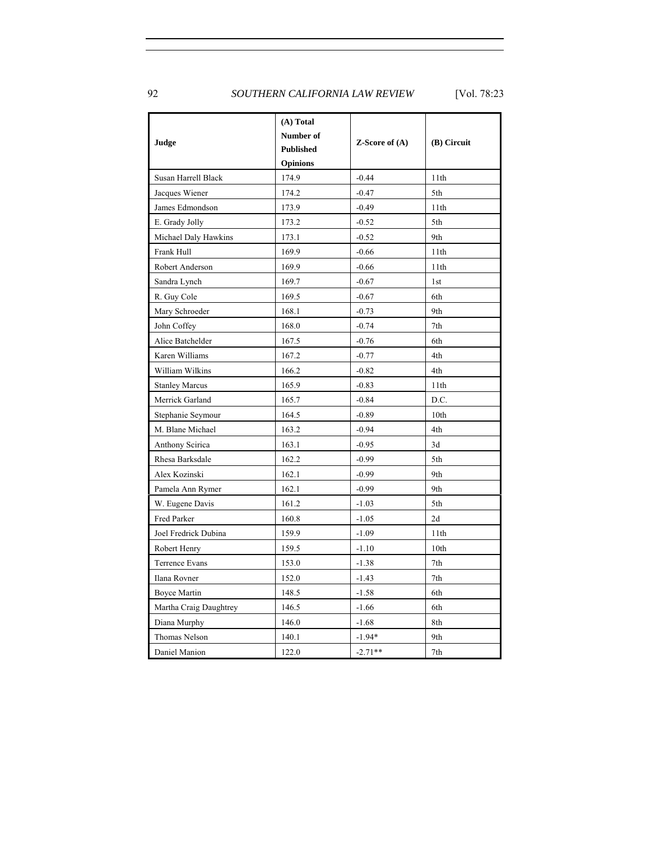92 *SOUTHERN CALIFORNIA LAW REVIEW* [Vol. 78:23

|                        | (A) Total        |                                    |                 |  |
|------------------------|------------------|------------------------------------|-----------------|--|
|                        | Number of        |                                    | (B) Circuit     |  |
| Judge                  | <b>Published</b> | <b>Z-Score of <math>(A)</math></b> |                 |  |
|                        | <b>Opinions</b>  |                                    |                 |  |
| Susan Harrell Black    | 174.9            | $-0.44$                            | 11th            |  |
| Jacques Wiener         | 174.2            | $-0.47$                            | 5th             |  |
| James Edmondson        | 173.9            | $-0.49$                            | 11th            |  |
| E. Grady Jolly         | 173.2            | $-0.52$                            | 5th             |  |
| Michael Daly Hawkins   | 173.1            | $-0.52$                            | 9th             |  |
| Frank Hull             | 169.9            | $-0.66$                            | 11th            |  |
| Robert Anderson        | 169.9            | $-0.66$                            | 11th            |  |
| Sandra Lynch           | 169.7            | $-0.67$                            | 1 <sub>st</sub> |  |
| R. Guy Cole            | 169.5            | $-0.67$                            | 6th             |  |
| Mary Schroeder         | 168.1            | $-0.73$                            | 9th             |  |
| John Coffey            | 168.0            | $-0.74$                            | 7th             |  |
| Alice Batchelder       | 167.5            | $-0.76$                            | 6th             |  |
| Karen Williams         | 167.2            | $-0.77$                            | 4th             |  |
| William Wilkins        | 166.2            | $-0.82$                            | 4th             |  |
| <b>Stanley Marcus</b>  | 165.9            | $-0.83$                            | 11th            |  |
| Merrick Garland        | 165.7            | $-0.84$                            | D.C.            |  |
| Stephanie Seymour      | 164.5            | $-0.89$                            | 10th            |  |
| M. Blane Michael       | 163.2            | $-0.94$                            | 4th             |  |
| Anthony Scirica        | 163.1            | $-0.95$                            | 3d              |  |
| Rhesa Barksdale        | 162.2            | $-0.99$                            | 5th             |  |
| Alex Kozinski          | 162.1            | $-0.99$                            | 9th             |  |
| Pamela Ann Rymer       | 162.1            | $-0.99$                            | 9th             |  |
| W. Eugene Davis        | 161.2            | $-1.03$                            | 5th             |  |
| Fred Parker            | 160.8            | $-1.05$                            | 2d              |  |
| Joel Fredrick Dubina   | 159.9            | $-1.09$                            | 11th            |  |
| Robert Henry           | 159.5            | $-1.10$                            | 10th            |  |
| Terrence Evans         | 153.0            | $-1.38$                            | 7th             |  |
| Ilana Rovner           | 152.0            | $-1.43$                            | 7th             |  |
| Boyce Martin           | 148.5            | $-1.58$                            | 6th             |  |
| Martha Craig Daughtrey | 146.5            | $-1.66$                            | 6th             |  |
| Diana Murphy           | 146.0            | $-1.68$                            | 8th             |  |
| Thomas Nelson          | 140.1            | $-1.94*$                           | 9th             |  |
| Daniel Manion          | 122.0            | $-2.71**$                          | 7th             |  |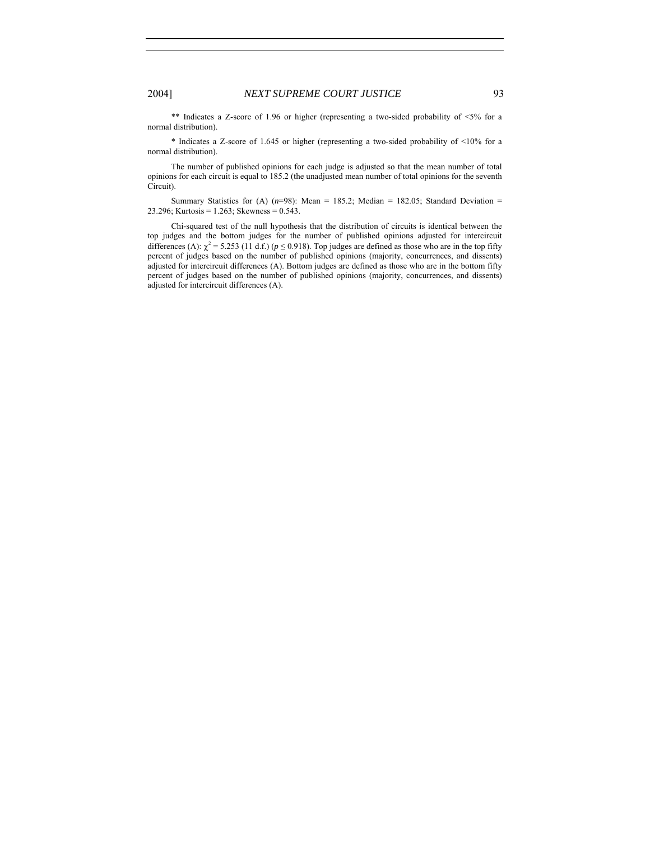\*\* Indicates a Z-score of 1.96 or higher (representing a two-sided probability of <5% for a normal distribution).

\* Indicates a Z-score of 1.645 or higher (representing a two-sided probability of <10% for a normal distribution).

The number of published opinions for each judge is adjusted so that the mean number of total opinions for each circuit is equal to 185.2 (the unadjusted mean number of total opinions for the seventh Circuit).

Summary Statistics for (A)  $(n=98)$ : Mean = 185.2; Median = 182.05; Standard Deviation = 23.296; Kurtosis = 1.263; Skewness = 0.543.

Chi-squared test of the null hypothesis that the distribution of circuits is identical between the top judges and the bottom judges for the number of published opinions adjusted for intercircuit differences (A):  $\chi^2$  = 5.253 (11 d.f.) ( $p \le 0.918$ ). Top judges are defined as those who are in the top fifty percent of judges based on the number of published opinions (majority, concurrences, and dissents) adjusted for intercircuit differences (A). Bottom judges are defined as those who are in the bottom fifty percent of judges based on the number of published opinions (majority, concurrences, and dissents) adjusted for intercircuit differences (A).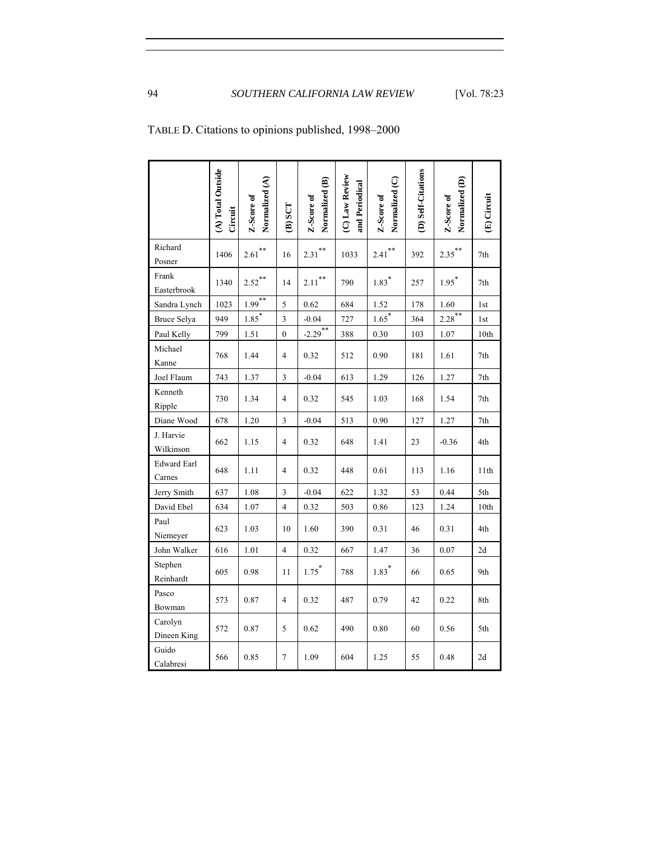|                              | (A) Total Outside<br>Circuit | Normalized (A)<br>Z-Score of | $(B)$ SCT      | Normalized (B)<br>Z-Score of | (C) Law Review<br>and Periodical | Normalized (C)<br>Z-Score of | (D) Self-Citations | Normalized (D)<br>Z-Score of | (E) Circuit      |
|------------------------------|------------------------------|------------------------------|----------------|------------------------------|----------------------------------|------------------------------|--------------------|------------------------------|------------------|
| Richard<br>Posner            | 1406                         | $2.61$ <sup>**</sup>         | 16             | $2.31***$                    | 1033                             | $2.41$ <sup>**</sup>         | 392                | $2.35***$                    | 7th              |
| Frank<br>Easterbrook         | 1340                         | $2.52***$                    | 14             | $2.11***$                    | 790                              | $1.83*$                      | 257                | $1.95^*$                     | 7th              |
| Sandra Lynch                 | 1023                         | $1.99***$                    | 5              | 0.62                         | 684                              | 1.52                         | 178                | 1.60                         | 1st              |
| Bruce Selya                  | 949                          | $1.85$ <sup>*</sup>          | 3              | $-0.04$                      | 727                              | $1.65$ <sup>*</sup>          | 364                | $2.28$ <sup>**</sup>         | 1st              |
| Paul Kelly                   | 799                          | 1.51                         | $\mathbf{0}$   | $-2.29$ <sup>**</sup>        | 388                              | 0.30                         | 103                | 1.07                         | 10 <sub>th</sub> |
| Michael<br>Kanne             | 768                          | 1.44                         | $\overline{4}$ | 0.32                         | 512                              | 0.90                         | 181                | 1.61                         | 7th              |
| Joel Flaum                   | 743                          | 1.37                         | 3              | $-0.04$                      | 613                              | 1.29                         | 126                | 1.27                         | 7th              |
| Kenneth<br>Ripple            | 730                          | 1.34                         | $\overline{4}$ | 0.32                         | 545                              | 1.03                         | 168                | 1.54                         | 7th              |
| Diane Wood                   | 678                          | 1.20                         | 3              | $-0.04$                      | 513                              | 0.90                         | 127                | 1.27                         | 7th              |
| J. Harvie<br>Wilkinson       | 662                          | 1.15                         | $\overline{4}$ | 0.32                         | 648                              | 1.41                         | 23                 | $-0.36$                      | 4th              |
| <b>Edward Earl</b><br>Carnes | 648                          | 1.11                         | $\overline{4}$ | 0.32                         | 448                              | 0.61                         | 113                | 1.16                         | 11th             |
| Jerry Smith                  | 637                          | 1.08                         | 3              | $-0.04$                      | 622                              | 1.32                         | 53                 | 0.44                         | 5th              |
| David Ebel                   | 634                          | 1.07                         | $\overline{4}$ | 0.32                         | 503                              | 0.86                         | 123                | 1.24                         | 10 <sub>th</sub> |
| Paul<br>Niemeyer             | 623                          | 1.03                         | 10             | 1.60                         | 390                              | 0.31                         | 46                 | 0.31                         | 4th              |
| John Walker                  | 616                          | 1.01                         | $\overline{4}$ | 0.32                         | 667                              | 1.47                         | 36                 | 0.07                         | 2d               |
| Stephen<br>Reinhardt         | 605                          | 0.98                         | 11             | $1.75$ <sup>*</sup>          | 788                              | $1.83*$                      | 66                 | 0.65                         | 9th              |
| Pasco<br>Bowman              | 573                          | 0.87                         | $\overline{4}$ | 0.32                         | 487                              | 0.79                         | 42                 | 0.22                         | 8th              |
| Carolyn<br>Dineen King       | 572                          | 0.87                         | 5              | 0.62                         | 490                              | 0.80                         | 60                 | 0.56                         | 5th              |
| Guido<br>Calabresi           | 566                          | 0.85                         | $\overline{7}$ | 1.09                         | 604                              | 1.25                         | 55                 | 0.48                         | 2d               |

TABLE D. Citations to opinions published, 1998–2000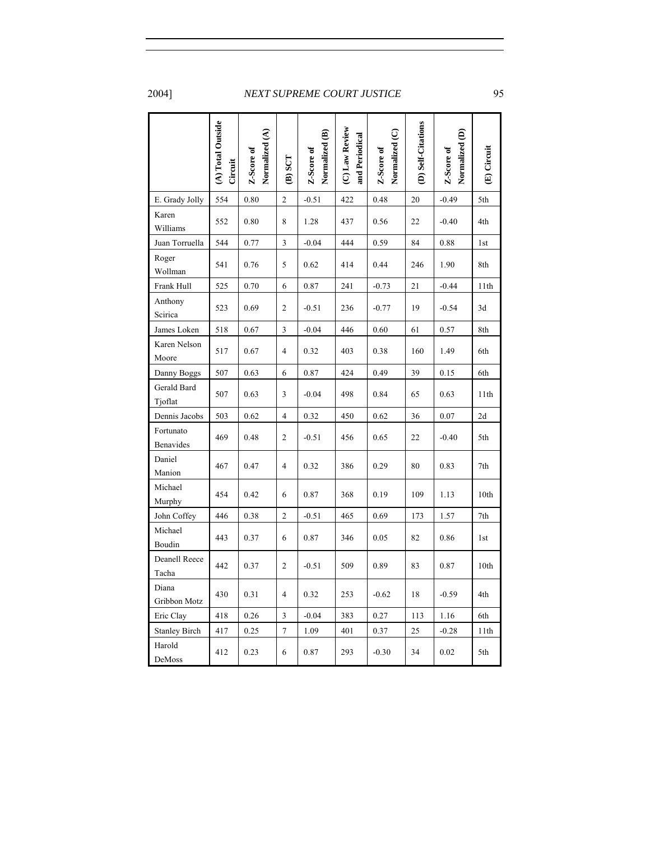|                        | (A) Total Outside<br>Circuit | Normalized (A)<br>Z-Score of | (SCT           | Normalized (B)<br>Z-Score of | (C) Law Review<br>and Periodical | Normalized (C)<br>Z-Score of | (D) Self-Citations | Normalized (D)<br>Z-Score of | (E) Circuit |
|------------------------|------------------------------|------------------------------|----------------|------------------------------|----------------------------------|------------------------------|--------------------|------------------------------|-------------|
| E. Grady Jolly         | 554                          | 0.80                         | $\overline{c}$ | $-0.51$                      | 422                              | 0.48                         | 20                 | $-0.49$                      | 5th         |
| Karen<br>Williams      | 552                          | 0.80                         | 8              | 1.28                         | 437                              | 0.56                         | 22                 | $-0.40$                      | 4th         |
| Juan Torruella         | 544                          | 0.77                         | 3              | $-0.04$                      | 444                              | 0.59                         | 84                 | 0.88                         | 1st         |
| Roger<br>Wollman       | 541                          | 0.76                         | 5              | 0.62                         | 414                              | 0.44                         | 246                | 1.90                         | 8th         |
| Frank Hull             | 525                          | 0.70                         | 6              | 0.87                         | 241                              | $-0.73$                      | 21                 | $-0.44$                      | 11th        |
| Anthony<br>Scirica     | 523                          | 0.69                         | $\overline{c}$ | $-0.51$                      | 236                              | $-0.77$                      | 19                 | $-0.54$                      | 3d          |
| James Loken            | 518                          | 0.67                         | 3              | $-0.04$                      | 446                              | 0.60                         | 61                 | 0.57                         | 8th         |
| Karen Nelson<br>Moore  | 517                          | 0.67                         | 4              | 0.32                         | 403                              | 0.38                         | 160                | 1.49                         | 6th         |
| Danny Boggs            | 507                          | 0.63                         | 6              | 0.87                         | 424                              | 0.49                         | 39                 | 0.15                         | 6th         |
| Gerald Bard<br>Tjoflat | 507                          | 0.63                         | 3              | $-0.04$                      | 498                              | 0.84                         | 65                 | 0.63                         | 11th        |
| Dennis Jacobs          | 503                          | 0.62                         | 4              | 0.32                         | 450                              | 0.62                         | 36                 | 0.07                         | 2d          |
| Fortunato<br>Benavides | 469                          | 0.48                         | $\overline{2}$ | $-0.51$                      | 456                              | 0.65                         | 22                 | $-0.40$                      | 5th         |
| Daniel<br>Manion       | 467                          | 0.47                         | $\overline{4}$ | 0.32                         | 386                              | 0.29                         | 80                 | 0.83                         | 7th         |
| Michael<br>Murphy      | 454                          | 0.42                         | 6              | 0.87                         | 368                              | 0.19                         | 109                | 1.13                         | 10th        |
| John Coffey            | 446                          | 0.38                         | $\overline{c}$ | $-0.51$                      | 465                              | 0.69                         | 173                | 1.57                         | 7th         |
| Michael<br>Boudin      | 443                          | 0.37                         | 6              | 0.87                         | 346                              | 0.05                         | 82                 | 0.86                         | 1st         |
| Deanell Reece<br>Tacha | 442                          | 0.37                         | $\mathfrak{2}$ | $-0.51$                      | 509                              | 0.89                         | 83                 | 0.87                         | 10th        |
| Diana<br>Gribbon Motz  | 430                          | 0.31                         | 4              | 0.32                         | 253                              | $-0.62$                      | 18                 | $-0.59$                      | 4th         |
| Eric Clay              | 418                          | 0.26                         | 3              | $-0.04$                      | 383                              | 0.27                         | 113                | 1.16                         | 6th         |
| <b>Stanley Birch</b>   | 417                          | 0.25                         | 7              | 1.09                         | 401                              | 0.37                         | 25                 | $-0.28$                      | 11th        |
| Harold<br>DeMoss       | 412                          | 0.23                         | 6              | 0.87                         | 293                              | $-0.30$                      | 34                 | 0.02                         | 5th         |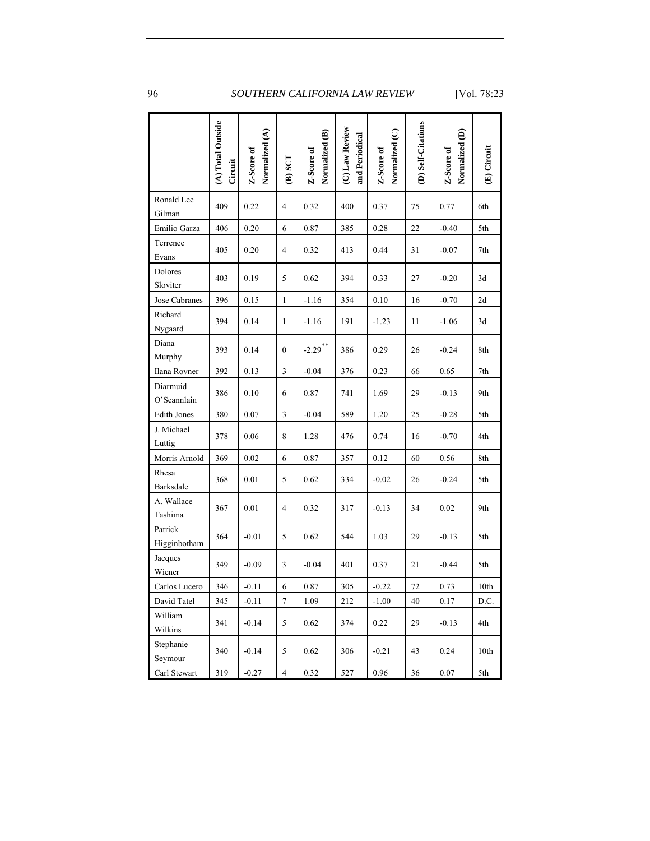|                         | (A) Total Outside<br>Circuit | Normalized (A)<br>Z-Score of | $(B)$ SCT      | Normalized (B)<br>Z-Score of | (C) Law Review<br>and Periodical | Normalized (C)<br>Z-Score of | (D) Self-Citations | Normalized (D)<br>Z-Score of | (E) Circuit |
|-------------------------|------------------------------|------------------------------|----------------|------------------------------|----------------------------------|------------------------------|--------------------|------------------------------|-------------|
| Ronald Lee<br>Gilman    | 409                          | 0.22                         | $\overline{4}$ | 0.32                         | 400                              | 0.37                         | 75                 | 0.77                         | 6th         |
| Emilio Garza            | 406                          | 0.20                         | 6              | 0.87                         | 385                              | 0.28                         | 22                 | $-0.40$                      | 5th         |
| Terrence<br>Evans       | 405                          | 0.20                         | 4              | 0.32                         | 413                              | 0.44                         | 31                 | $-0.07$                      | 7th         |
| Dolores<br>Sloviter     | 403                          | 0.19                         | 5              | 0.62                         | 394                              | 0.33                         | 27                 | $-0.20$                      | 3d          |
| Jose Cabranes           | 396                          | 0.15                         | $\mathbf{1}$   | $-1.16$                      | 354                              | 0.10                         | 16                 | $-0.70$                      | 2d          |
| Richard<br>Nygaard      | 394                          | 0.14                         | 1              | $-1.16$                      | 191                              | $-1.23$                      | 11                 | $-1.06$                      | 3d          |
| Diana<br>Murphy         | 393                          | 0.14                         | $\mathbf{0}$   | $-2.29$ **                   | 386                              | 0.29                         | 26                 | $-0.24$                      | 8th         |
| Ilana Rovner            | 392                          | 0.13                         | 3              | $-0.04$                      | 376                              | 0.23                         | 66                 | 0.65                         | 7th         |
| Diarmuid<br>O'Scannlain | 386                          | 0.10                         | 6              | 0.87                         | 741                              | 1.69                         | 29                 | $-0.13$                      | 9th         |
| <b>Edith Jones</b>      | 380                          | 0.07                         | $\mathfrak{Z}$ | $-0.04$                      | 589                              | 1.20                         | 25                 | $-0.28$                      | 5th         |
| J. Michael<br>Luttig    | 378                          | 0.06                         | 8              | 1.28                         | 476                              | 0.74                         | 16                 | $-0.70$                      | 4th         |
| Morris Arnold           | 369                          | 0.02                         | 6              | 0.87                         | 357                              | 0.12                         | 60                 | 0.56                         | 8th         |
| Rhesa<br>Barksdale      | 368                          | 0.01                         | 5              | 0.62                         | 334                              | $-0.02$                      | 26                 | $-0.24$                      | 5th         |
| A. Wallace<br>Tashima   | 367                          | 0.01                         | 4              | 0.32                         | 317                              | $-0.13$                      | 34                 | 0.02                         | 9th         |
| Patrick<br>Higginbotham | 364                          | $-0.01$                      | 5              | 0.62                         | 544                              | 1.03                         | 29                 | $-0.13$                      | 5th         |
| Jacques<br>Wiener       | 349                          | $-0.09$                      | 3              | $-0.04$                      | 401                              | 0.37                         | 21                 | $-0.44$                      | 5th         |
| Carlos Lucero           | 346                          | $-0.11$                      | 6              | $0.87\,$                     | $305\,$                          | $-0.22$                      | $72\,$             | 0.73                         | 10th        |
| David Tatel             | 345                          | $-0.11$                      | 7              | 1.09                         | 212                              | $-1.00$                      | 40                 | 0.17                         | D.C.        |
| William<br>Wilkins      | 341                          | $-0.14$                      | 5              | 0.62                         | 374                              | 0.22                         | 29                 | $-0.13$                      | 4th         |
| Stephanie<br>Seymour    | 340                          | $-0.14$                      | 5              | 0.62                         | 306                              | $-0.21$                      | 43                 | 0.24                         | 10th        |
| Carl Stewart            | 319                          | $-0.27$                      | $\overline{4}$ | 0.32                         | 527                              | 0.96                         | 36                 | 0.07                         | 5th         |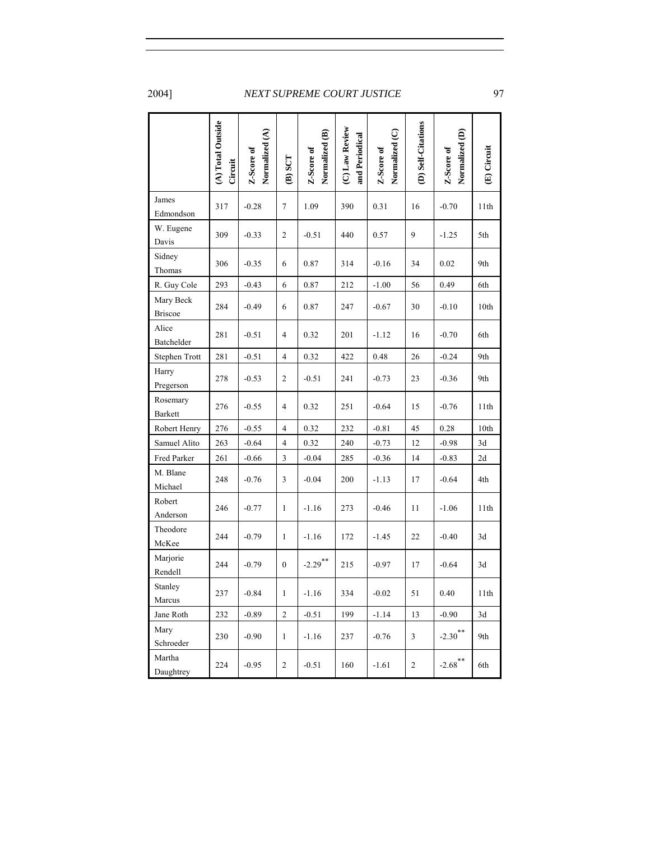|                             | (A) Total Outside<br>Circuit | Normalized (A)<br>Z-Score of | $(B)$ SCT        | Normalized (B)<br>Z-Score of | (C) Law Review<br>and Periodical | Normalized (C)<br>Z-Score of | (D) Self-Citations | Normalized (D)<br>Z-Score of | (E) Circuit |
|-----------------------------|------------------------------|------------------------------|------------------|------------------------------|----------------------------------|------------------------------|--------------------|------------------------------|-------------|
| James<br>Edmondson          | 317                          | $-0.28$                      | $\tau$           | 1.09                         | 390                              | 0.31                         | 16                 | $-0.70$                      | 11th        |
| W. Eugene<br>Davis          | 309                          | $-0.33$                      | 2                | $-0.51$                      | 440                              | 0.57                         | 9                  | $-1.25$                      | 5th         |
| Sidney<br>Thomas            | 306                          | $-0.35$                      | 6                | 0.87                         | 314                              | $-0.16$                      | 34                 | 0.02                         | 9th         |
| R. Guy Cole                 | 293                          | $-0.43$                      | 6                | 0.87                         | 212                              | $-1.00$                      | 56                 | 0.49                         | 6th         |
| Mary Beck<br><b>Briscoe</b> | 284                          | $-0.49$                      | 6                | 0.87                         | 247                              | $-0.67$                      | 30                 | $-0.10$                      | 10th        |
| Alice<br>Batchelder         | 281                          | $-0.51$                      | 4                | 0.32                         | 201                              | $-1.12$                      | 16                 | $-0.70$                      | 6th         |
| Stephen Trott               | 281                          | $-0.51$                      | 4                | 0.32                         | 422                              | 0.48                         | 26                 | $-0.24$                      | 9th         |
| Harry<br>Pregerson          | 278                          | $-0.53$                      | 2                | $-0.51$                      | 241                              | $-0.73$                      | 23                 | $-0.36$                      | 9th         |
| Rosemary<br><b>Barkett</b>  | 276                          | $-0.55$                      | 4                | 0.32                         | 251                              | $-0.64$                      | 15                 | $-0.76$                      | 11th        |
| Robert Henry                | 276                          | $-0.55$                      | 4                | 0.32                         | 232                              | $-0.81$                      | 45                 | 0.28                         | 10th        |
| Samuel Alito                | 263                          | $-0.64$                      | 4                | 0.32                         | 240                              | $-0.73$                      | 12                 | $-0.98$                      | 3d          |
| Fred Parker                 | 261                          | $-0.66$                      | 3                | $-0.04$                      | 285                              | $-0.36$                      | 14                 | $-0.83$                      | 2d          |
| M. Blane<br>Michael         | 248                          | $-0.76$                      | 3                | $-0.04$                      | 200                              | $-1.13$                      | 17                 | $-0.64$                      | 4th         |
| Robert<br>Anderson          | 246                          | $-0.77$                      | 1                | $-1.16$                      | 273                              | $-0.46$                      | 11                 | $-1.06$                      | 11th        |
| Theodore<br>McKee           | 244                          | $-0.79$                      | $\mathbf{1}$     | $-1.16$                      | 172                              | $-1.45$                      | 22                 | $-0.40$                      | 3d          |
| Marjorie<br>Rendell         | 244                          | $-0.79$                      | $\overline{0}$   | $-2.29$ **                   | 215                              | $-0.97$                      | 17                 | $-0.64$                      | 3d          |
| Stanley<br>Marcus           | 237                          | $-0.84$                      | $\mathbf{1}$     | $-1.16$                      | 334                              | $-0.02$                      | 51                 | 0.40                         | 11th        |
| Jane Roth                   | 232                          | $-0.89$                      | $\sqrt{2}$       | $-0.51$                      | 199                              | $-1.14$                      | 13                 | $-0.90$                      | 3d          |
| Mary<br>Schroeder           | 230                          | $-0.90$                      | $\mathbf{1}$     | $-1.16$                      | 237                              | $-0.76$                      | 3                  | $-2.30$ <sup>**</sup>        | 9th         |
| Martha<br>Daughtrey         | 224                          | $-0.95$                      | $\boldsymbol{2}$ | $-0.51$                      | 160                              | $-1.61$                      | $\boldsymbol{2}$   | $-2.68$ <sup>**</sup>        | 6th         |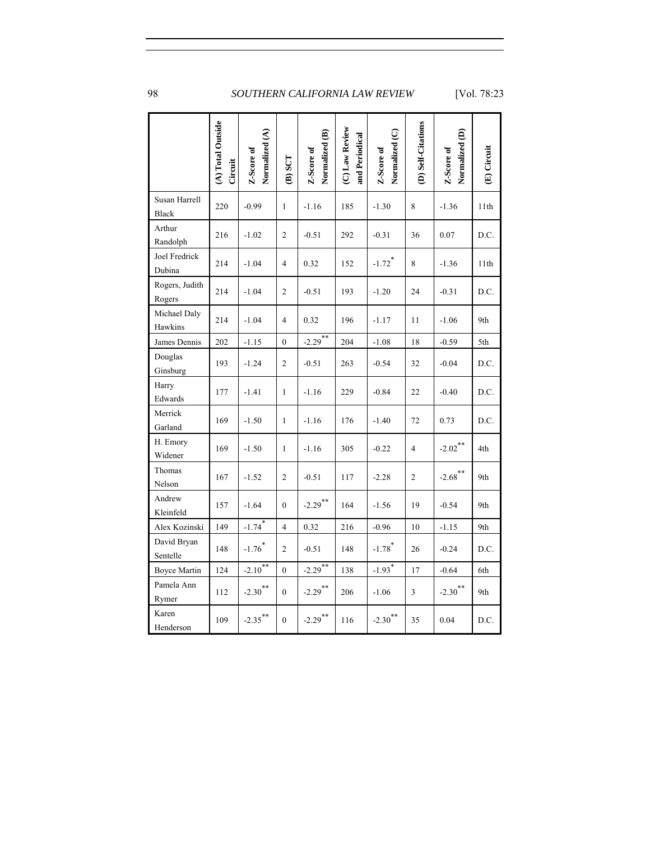|                               | (A) Total Outside<br>Circuit | Normalized (A)<br>Z-Score of | $(B)$ SCT        | Normalized (B)<br>Z-Score of | (C) Law Review<br>and Periodical | Normalized (C)<br>Z-Score of | (D) Self-Citations | Normalized (D)<br>Z-Score of | (E) Circuit |
|-------------------------------|------------------------------|------------------------------|------------------|------------------------------|----------------------------------|------------------------------|--------------------|------------------------------|-------------|
| Susan Harrell<br><b>Black</b> | 220                          | $-0.99$                      | $\mathbf{1}$     | $-1.16$                      | 185                              | $-1.30$                      | 8                  | $-1.36$                      | 11th        |
| Arthur<br>Randolph            | 216                          | $-1.02$                      | $\overline{c}$   | $-0.51$                      | 292                              | $-0.31$                      | 36                 | 0.07                         | D.C.        |
| Joel Fredrick<br>Dubina       | 214                          | $-1.04$                      | $\overline{4}$   | 0.32                         | 152                              | $-1.72$ <sup>*</sup>         | 8                  | $-1.36$                      | 11th        |
| Rogers, Judith<br>Rogers      | 214                          | $-1.04$                      | 2                | $-0.51$                      | 193                              | $-1.20$                      | 24                 | $-0.31$                      | D.C.        |
| Michael Daly<br>Hawkins       | 214                          | $-1.04$                      | 4                | 0.32                         | 196                              | $-1.17$                      | 11                 | $-1.06$                      | 9th         |
| James Dennis                  | 202                          | $-1.15$                      | $\mathbf{0}$     | $-2.29$                      | 204                              | $-1.08$                      | 18                 | $-0.59$                      | 5th         |
| Douglas<br>Ginsburg           | 193                          | $-1.24$                      | $\mathfrak{2}$   | $-0.51$                      | 263                              | $-0.54$                      | 32                 | $-0.04$                      | D.C.        |
| Harry<br>Edwards              | 177                          | $-1.41$                      | $\mathbf{1}$     | $-1.16$                      | 229                              | $-0.84$                      | 22                 | $-0.40$                      | D.C.        |
| Merrick<br>Garland            | 169                          | $-1.50$                      | $\mathbf{1}$     | $-1.16$                      | 176                              | $-1.40$                      | 72                 | 0.73                         | D.C.        |
| H. Emory<br>Widener           | 169                          | $-1.50$                      | $\mathbf{1}$     | $-1.16$                      | 305                              | $-0.22$                      | $\overline{4}$     | $-2.02$ <sup>**</sup>        | 4th         |
| Thomas<br>Nelson              | 167                          | $-1.52$                      | $\overline{c}$   | $-0.51$                      | 117                              | $-2.28$                      | $\overline{c}$     | $-2.68$ <sup>**</sup>        | 9th         |
| Andrew<br>Kleinfeld           | 157                          | $-1.64$                      | $\overline{0}$   | $-2.29$ <sup>**</sup>        | 164                              | $-1.56$                      | 19                 | $-0.54$                      | 9th         |
| Alex Kozinski                 | 149                          | $-1.74$ <sup>*</sup>         | $\overline{4}$   | 0.32                         | 216                              | $-0.96$                      | 10                 | $-1.15$                      | 9th         |
| David Bryan<br>Sentelle       | 148                          | $-1.76$ <sup>*</sup>         | $\boldsymbol{2}$ | $-0.51$                      | 148                              | $-1.78$ <sup>*</sup>         | 26                 | $-0.24$                      | D.C.        |
| <b>Boyce Martin</b>           | 124                          | $-2.10^{**}$                 | $\mathbf{0}$     | $-2.29$ **                   | 138                              | $-1.93$ <sup>*</sup>         | 17                 | $-0.64$                      | 6th         |
| Pamela Ann<br>Rymer           | 112                          | $-2.30$ <sup>**</sup>        | $\mathbf{0}$     | $-2.29$ **                   | 206                              | $-1.06$                      | $\overline{3}$     | $-2.30$ <sup>**</sup>        | 9th         |
| Karen<br>Henderson            | 109                          | $-2.35***$                   | $\overline{0}$   | $-2.29$ **                   | 116                              | $-2.30$ <sup>**</sup>        | 35                 | 0.04                         | D.C.        |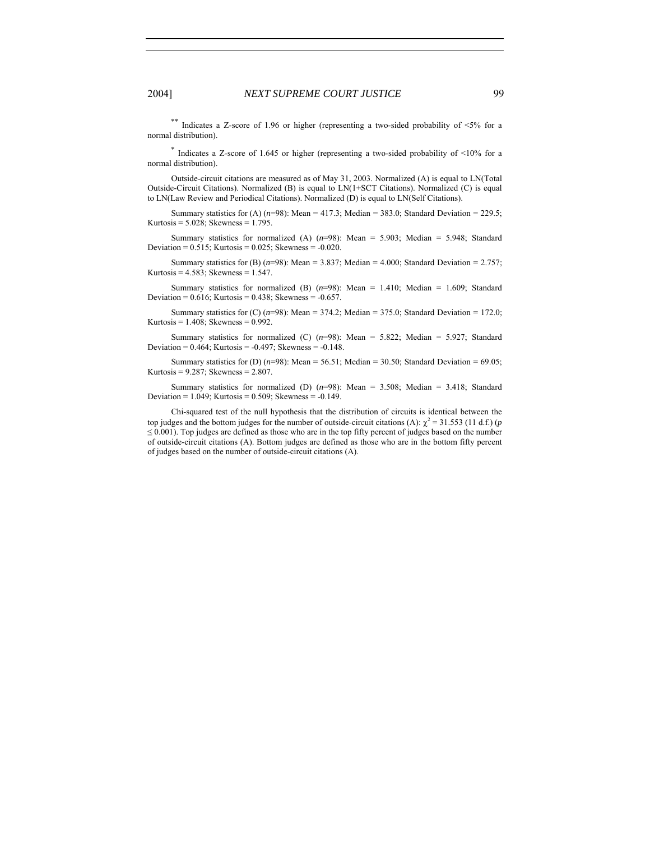\*\* Indicates a Z-score of 1.96 or higher (representing a two-sided probability of  $\leq 5\%$  for a normal distribution).

\* Indicates a Z-score of 1.645 or higher (representing a two-sided probability of <10% for a normal distribution).

Outside-circuit citations are measured as of May 31, 2003. Normalized (A) is equal to LN(Total Outside-Circuit Citations). Normalized (B) is equal to LN(1+SCT Citations). Normalized (C) is equal to LN(Law Review and Periodical Citations). Normalized (D) is equal to LN(Self Citations).

Summary statistics for (A)  $(n=98)$ : Mean = 417.3; Median = 383.0; Standard Deviation = 229.5; Kurtosis =  $5.028$ ; Skewness =  $1.795$ .

Summary statistics for normalized (A) (*n*=98): Mean = 5.903; Median = 5.948; Standard Deviation =  $0.515$ ; Kurtosis =  $0.025$ ; Skewness =  $-0.020$ .

Summary statistics for (B)  $(n=98)$ : Mean = 3.837; Median = 4.000; Standard Deviation = 2.757; Kurtosis =  $4.583$ ; Skewness =  $1.547$ .

Summary statistics for normalized (B)  $(n=98)$ : Mean = 1.410; Median = 1.609; Standard Deviation =  $0.616$ ; Kurtosis =  $0.438$ ; Skewness =  $-0.657$ .

Summary statistics for  $(C)$  ( $n=98$ ): Mean = 374.2; Median = 375.0; Standard Deviation = 172.0; Kurtosis =  $1.408$ ; Skewness =  $0.992$ .

Summary statistics for normalized (C)  $(n=98)$ : Mean = 5.822; Median = 5.927; Standard Deviation =  $0.464$ ; Kurtosis =  $-0.497$ ; Skewness =  $-0.148$ .

Summary statistics for (D)  $(n=98)$ : Mean = 56.51; Median = 30.50; Standard Deviation = 69.05; Kurtosis = 9.287; Skewness = 2.807.

Summary statistics for normalized (D) (*n*=98): Mean = 3.508; Median = 3.418; Standard Deviation = 1.049; Kurtosis = 0.509; Skewness = -0.149.

Chi-squared test of the null hypothesis that the distribution of circuits is identical between the top judges and the bottom judges for the number of outside-circuit citations (A):  $\chi^2 = 31.553$  (11 d.f.) (*p*  $\leq 0.001$ ). Top judges are defined as those who are in the top fifty percent of judges based on the number of outside-circuit citations (A). Bottom judges are defined as those who are in the bottom fifty percent of judges based on the number of outside-circuit citations (A).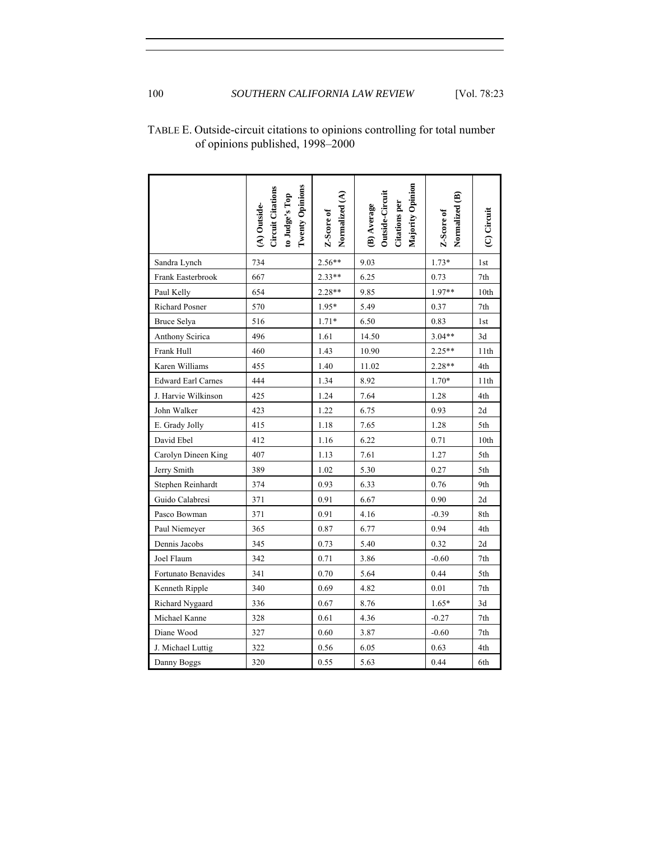| <b>Twenty Opinions</b><br><b>Circuit Citations</b><br>to Judge's Top<br>(A) Outside- | Normalized (A)<br>Z-Score of | Majority Opinion<br>Outside-Circuit<br><b>Citations</b> per<br>(B) Average | Normalized (B)<br>Z-Score of | (C) Circuit     |
|--------------------------------------------------------------------------------------|------------------------------|----------------------------------------------------------------------------|------------------------------|-----------------|
| 734                                                                                  | $2.56**$                     | 9.03                                                                       | $1.73*$                      | 1st             |
| 667                                                                                  | $2.33**$                     | 6.25                                                                       | 0.73                         | 7th             |
| 654                                                                                  | 2.28**                       | 9.85                                                                       | 1.97**                       | 10th            |
| 570                                                                                  | 1.95*                        | 5.49                                                                       | 0.37                         | 7th             |
| 516                                                                                  | $1.71*$                      | 6.50                                                                       | 0.83                         | 1st             |
| 496                                                                                  | 1.61                         | 14.50                                                                      | $3.04**$                     | 3d              |
| 460                                                                                  | 1.43                         | 10.90                                                                      | $2.25**$                     | 11th            |
| 455                                                                                  | 1.40                         | 11.02                                                                      | $2.28**$                     | 4th             |
| 444                                                                                  | 1.34                         | 8.92                                                                       | 1.70*                        | 11th            |
| 425                                                                                  | 1.24                         | 7.64                                                                       | 1.28                         | 4th             |
| 423                                                                                  | 1.22                         | 6.75                                                                       | 0.93                         | 2d              |
| 415                                                                                  | 1.18                         | 7.65                                                                       | 1.28                         | 5th             |
| 412                                                                                  | 1.16                         | 6.22                                                                       | 0.71                         | 10th            |
| 407                                                                                  | 1.13                         | 7.61                                                                       | 1.27                         | 5th             |
| 389                                                                                  | $1.02\,$                     | 5.30                                                                       | 0.27                         | 5th             |
| 371                                                                                  | 0.03                         | 633                                                                        | 0.76                         | Q <sub>th</sub> |

#### TABLE E. Outside-circuit citations to opinions controlling for total number of opinions published, 1998–2000

| <b>Richard Posner</b>     | 570 | $1.95*$ | 5.49  | 0.37     | 7th             |
|---------------------------|-----|---------|-------|----------|-----------------|
| Bruce Selya               | 516 | $1.71*$ | 6.50  | 0.83     | 1 <sub>st</sub> |
| Anthony Scirica           | 496 | 1.61    | 14.50 | $3.04**$ | 3d              |
| Frank Hull                | 460 | 1.43    | 10.90 | $2.25**$ | 11th            |
| Karen Williams            | 455 | 1.40    | 11.02 | $2.28**$ | 4th             |
| <b>Edward Earl Carnes</b> | 444 | 1.34    | 8.92  | $1.70*$  | 11th            |
| J. Harvie Wilkinson       | 425 | 1.24    | 7.64  | 1.28     | 4th             |
| John Walker               | 423 | 1.22    | 6.75  | 0.93     | 2d              |
| E. Grady Jolly            | 415 | 1.18    | 7.65  | 1.28     | 5th             |
| David Ebel                | 412 | 1.16    | 6.22  | 0.71     | 10th            |
| Carolyn Dineen King       | 407 | 1.13    | 7.61  | 1.27     | 5th             |
| Jerry Smith               | 389 | 1.02    | 5.30  | 0.27     | 5th             |
| Stephen Reinhardt         | 374 | 0.93    | 6.33  | 0.76     | 9th             |
| Guido Calabresi           | 371 | 0.91    | 6.67  | 0.90     | 2d              |
| Pasco Bowman              | 371 | 0.91    | 4.16  | $-0.39$  | 8th             |
| Paul Niemeyer             | 365 | 0.87    | 6.77  | 0.94     | 4th             |
| Dennis Jacobs             | 345 | 0.73    | 5.40  | 0.32     | 2d              |
| Joel Flaum                | 342 | 0.71    | 3.86  | $-0.60$  | 7th             |
| Fortunato Benavides       | 341 | 0.70    | 5.64  | 0.44     | 5th             |
| Kenneth Ripple            | 340 | 0.69    | 4.82  | 0.01     | 7th             |
| Richard Nygaard           | 336 | 0.67    | 8.76  | $1.65*$  | 3d              |
| Michael Kanne             | 328 | 0.61    | 4.36  | $-0.27$  | 7th             |
| Diane Wood                | 327 | 0.60    | 3.87  | $-0.60$  | 7th             |
| J. Michael Luttig         | 322 | 0.56    | 6.05  | 0.63     | 4th             |
| Danny Boggs               | 320 | 0.55    | 5.63  | 0.44     | 6th             |

Sandra Lynch Frank Easterbrook Paul Kelly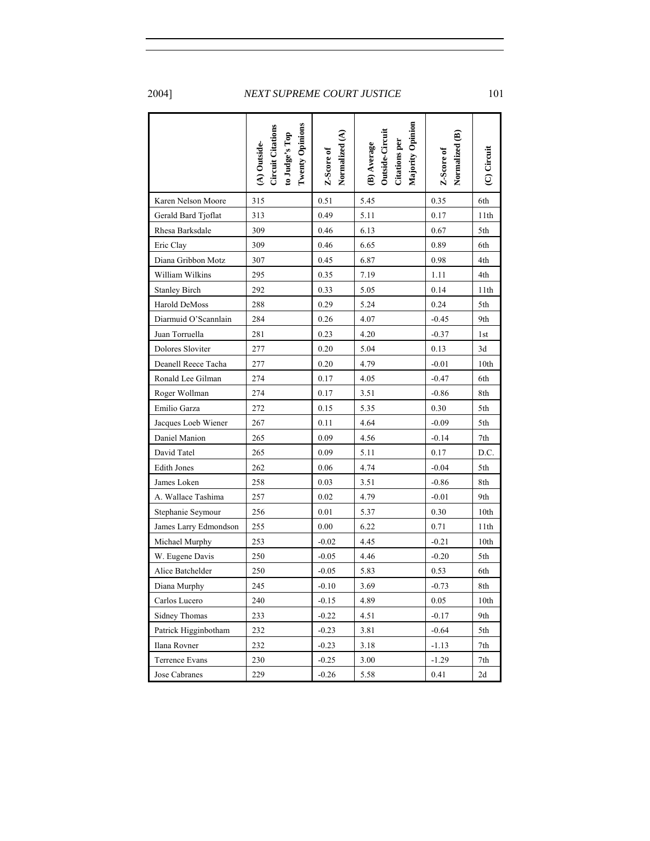|                       | $(A)$ Outside-<br>Circuit Citations<br>to Judge's Top<br>Twenty Opinions | Normalized (A)<br>Z-Score of | Majority Opinion<br>(B) Average<br>Outside-Circuit<br>Citations per | Normalized (B)<br>Z-Score of | (C) Circuit |
|-----------------------|--------------------------------------------------------------------------|------------------------------|---------------------------------------------------------------------|------------------------------|-------------|
| Karen Nelson Moore    | 315                                                                      | 0.51                         | 5.45                                                                | 0.35                         | 6th         |
| Gerald Bard Tjoflat   | 313                                                                      | 0.49                         | 5.11                                                                | 0.17                         | 11th        |
| Rhesa Barksdale       | 309                                                                      | 0.46                         | 6.13                                                                | 0.67                         | 5th         |
| Eric Clay             | 309                                                                      | 0.46                         | 6.65                                                                | 0.89                         | 6th         |
| Diana Gribbon Motz    | 307                                                                      | 0.45                         | 6.87                                                                | 0.98                         | 4th         |
| William Wilkins       | 295                                                                      | 0.35                         | 7.19                                                                | 1.11                         | 4th         |
| <b>Stanley Birch</b>  | 292                                                                      | 0.33                         | 5.05                                                                | 0.14                         | 11th        |
| Harold DeMoss         | 288                                                                      | 0.29                         | 5.24                                                                | 0.24                         | 5th         |
| Diarmuid O'Scannlain  | 284                                                                      | 0.26                         | 4.07                                                                | $-0.45$                      | 9th         |
| Juan Torruella        | 281                                                                      | 0.23                         | 4.20                                                                | $-0.37$                      | 1st         |
| Dolores Sloviter      | 277                                                                      | 0.20                         | 5.04                                                                | 0.13                         | 3d          |
| Deanell Reece Tacha   | 277                                                                      | 0.20                         | 4.79                                                                | $-0.01$                      | 10th        |
| Ronald Lee Gilman     | 274                                                                      | 0.17                         | 4.05                                                                | $-0.47$                      | 6th         |
| Roger Wollman         | 274                                                                      | 0.17                         | 3.51                                                                | $-0.86$                      | 8th         |
| Emilio Garza          | 272                                                                      | 0.15                         | 5.35                                                                | 0.30                         | 5th         |
| Jacques Loeb Wiener   | 267                                                                      | 0.11                         | 4.64                                                                | $-0.09$                      | 5th         |
| Daniel Manion         | 265                                                                      | 0.09                         | 4.56                                                                | $-0.14$                      | 7th         |
| David Tatel           | 265                                                                      | 0.09                         | 5.11                                                                | 0.17                         | D.C.        |
| <b>Edith Jones</b>    | 262                                                                      | 0.06                         | 4.74                                                                | $-0.04$                      | 5th         |
| James Loken           | 258                                                                      | 0.03                         | 3.51                                                                | $-0.86$                      | 8th         |
| A. Wallace Tashima    | 257                                                                      | 0.02                         | 4.79                                                                | $-0.01$                      | 9th         |
| Stephanie Seymour     | 256                                                                      | 0.01                         | 5.37                                                                | 0.30                         | 10th        |
| James Larry Edmondson | 255                                                                      | 0.00                         | 6.22                                                                | 0.71                         | 11th        |
| Michael Murphy        | 253                                                                      | $-0.02$                      | 4.45                                                                | $-0.21$                      | 10th        |
| W. Eugene Davis       | 250                                                                      | $-0.05$                      | 4.46                                                                | $-0.20$                      | 5th         |
| Alice Batchelder      | 250                                                                      | $-0.05$                      | 5.83                                                                | 0.53                         | 6th         |
| Diana Murphy          | 245                                                                      | $-0.10$                      | 3.69                                                                | $-0.73$                      | 8th         |
| Carlos Lucero         | 240                                                                      | $-0.15$                      | 4.89                                                                | 0.05                         | 10th        |
| <b>Sidney Thomas</b>  | 233                                                                      | $-0.22$                      | 4.51                                                                | $-0.17$                      | 9th         |
| Patrick Higginbotham  | 232                                                                      | $-0.23$                      | 3.81                                                                | $-0.64$                      | 5th         |
| Ilana Rovner          | 232                                                                      | $-0.23$                      | 3.18                                                                | $-1.13$                      | 7th         |
| Terrence Evans        | 230                                                                      | $-0.25$                      | 3.00                                                                | $-1.29$                      | 7th         |
| Jose Cabranes         | 229                                                                      | $-0.26$                      | 5.58                                                                | 0.41                         | 2d          |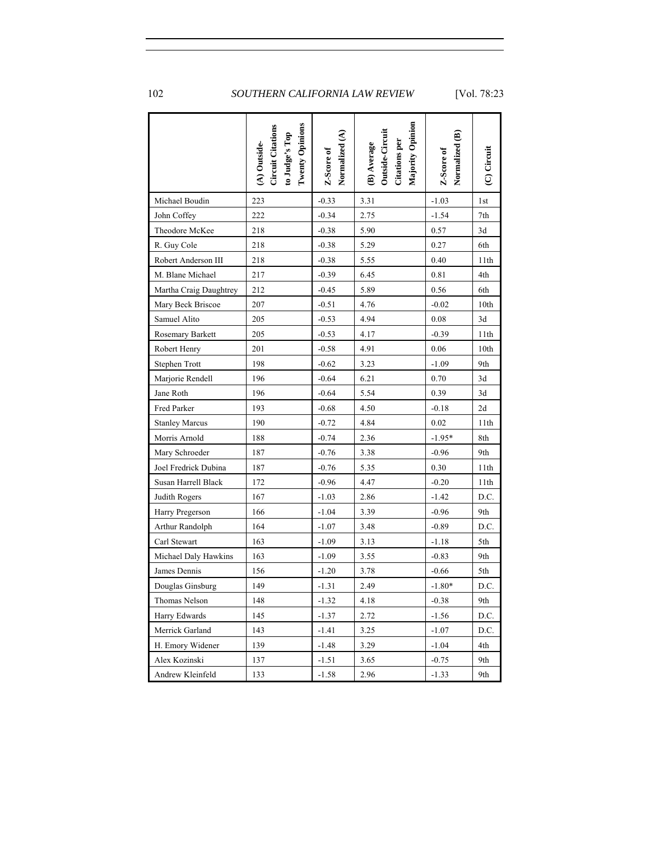|                        | <b>Twenty Opinions</b><br>Circuit Citations<br>to Judge's Top<br>(A) Outside- | Normalized (A)<br>Z-Score of | Majority Opinion<br>(B) Average<br>Outside-Circuit<br>Citations per | Normalized (B)<br>Z-Score of | (C) Circuit |
|------------------------|-------------------------------------------------------------------------------|------------------------------|---------------------------------------------------------------------|------------------------------|-------------|
| Michael Boudin         | 223                                                                           | $-0.33$                      | 3.31                                                                | $-1.03$                      | 1st         |
| John Coffey            | 222                                                                           | $-0.34$                      | 2.75                                                                | $-1.54$                      | 7th         |
| Theodore McKee         | 218                                                                           | $-0.38$                      | 5.90                                                                | 0.57                         | 3d          |
| R. Guy Cole            | 218                                                                           | $-0.38$                      | 5.29                                                                | 0.27                         | 6th         |
| Robert Anderson III    | 218                                                                           | $-0.38$                      | 5.55                                                                | 0.40                         | 11th        |
| M. Blane Michael       | 217                                                                           | $-0.39$                      | 6.45                                                                | 0.81                         | 4th         |
| Martha Craig Daughtrey | 212                                                                           | $-0.45$                      | 5.89                                                                | 0.56                         | 6th         |
| Mary Beck Briscoe      | 207                                                                           | $-0.51$                      | 4.76                                                                | $-0.02$                      | 10th        |
| Samuel Alito           | 205                                                                           | $-0.53$                      | 4.94                                                                | 0.08                         | 3d          |
| Rosemary Barkett       | 205                                                                           | $-0.53$                      | 4.17                                                                | $-0.39$                      | 11th        |
| Robert Henry           | 201                                                                           | $-0.58$                      | 4.91                                                                | 0.06                         | 10th        |
| Stephen Trott          | 198                                                                           | $-0.62$                      | 3.23                                                                | $-1.09$                      | 9th         |
| Marjorie Rendell       | 196                                                                           | $-0.64$                      | 6.21                                                                | 0.70                         | 3d          |
| Jane Roth              | 196                                                                           | $-0.64$                      | 5.54                                                                | 0.39                         | 3d          |
| Fred Parker            | 193                                                                           | $-0.68$                      | 4.50                                                                | $-0.18$                      | 2d          |
| <b>Stanley Marcus</b>  | 190                                                                           | $-0.72$                      | 4.84                                                                | 0.02                         | 11th        |
| Morris Arnold          | 188                                                                           | $-0.74$                      | 2.36                                                                | $-1.95*$                     | 8th         |
| Mary Schroeder         | 187                                                                           | $-0.76$                      | 3.38                                                                | $-0.96$                      | 9th         |
| Joel Fredrick Dubina   | 187                                                                           | $-0.76$                      | 5.35                                                                | 0.30                         | 11th        |
| Susan Harrell Black    | 172                                                                           | $-0.96$                      | 4.47                                                                | $-0.20$                      | 11th        |
| Judith Rogers          | 167                                                                           | $-1.03$                      | 2.86                                                                | $-1.42$                      | D.C.        |
| Harry Pregerson        | 166                                                                           | $-1.04$                      | 3.39                                                                | $-0.96$                      | 9th         |
| Arthur Randolph        | 164                                                                           | $-1.07$                      | 3.48                                                                | $-0.89$                      | D.C.        |
| Carl Stewart           | 163                                                                           | $-1.09$                      | 3.13                                                                | $-1.18$                      | 5th         |
| Michael Daly Hawkins   | 163                                                                           | $-1.09$                      | 3.55                                                                | $-0.83$                      | 9th         |
| James Dennis           | 156                                                                           | $-1.20$                      | 3.78                                                                | $-0.66$                      | 5th         |
| Douglas Ginsburg       | 149                                                                           | $-1.31$                      | 2.49                                                                | $-1.80*$                     | D.C.        |
| Thomas Nelson          | 148                                                                           | $-1.32$                      | 4.18                                                                | $-0.38$                      | 9th         |
| Harry Edwards          | 145                                                                           | $-1.37$                      | 2.72                                                                | $-1.56$                      | D.C.        |
| Merrick Garland        | 143                                                                           | $-1.41$                      | 3.25                                                                | $-1.07$                      | D.C.        |
| H. Emory Widener       | 139                                                                           | $-1.48$                      | 3.29                                                                | $-1.04$                      | 4th         |
| Alex Kozinski          | 137                                                                           | $-1.51$                      | 3.65                                                                | $-0.75$                      | 9th         |
| Andrew Kleinfeld       | 133                                                                           | $-1.58$                      | 2.96                                                                | $-1.33$                      | 9th         |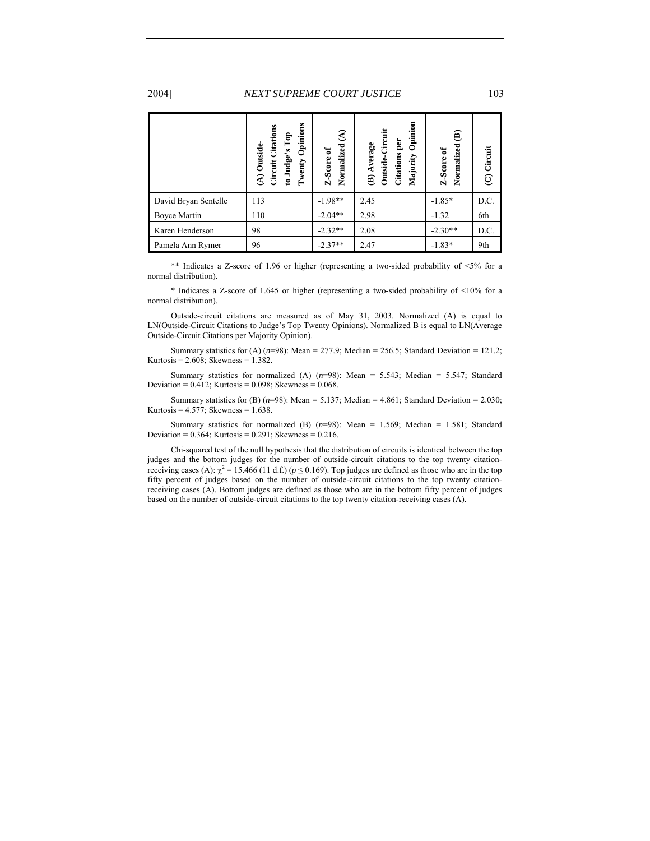|                      | Opinions<br>Citations<br>to Judge's Top<br>$(A)$ Outside-<br>Twenty<br>Circuit | $\widehat{\mathcal{E}}$<br>Normalized<br>Z-Score of | Opinion<br>Outside-Circuit<br>per<br>(B) Average<br><b>Citations</b><br>Majority | ⊜<br>Normalized<br>Z-Score of | (C) Circuit |
|----------------------|--------------------------------------------------------------------------------|-----------------------------------------------------|----------------------------------------------------------------------------------|-------------------------------|-------------|
| David Bryan Sentelle | 113                                                                            | $-1.98**$                                           | 2.45                                                                             | $-1.85*$                      | D.C.        |
| Boyce Martin         | 110                                                                            | $-2.04**$                                           | 2.98                                                                             | $-1.32$                       | 6th         |
| Karen Henderson      | 98                                                                             | $-2.32**$                                           | 2.08                                                                             | $-2.30**$                     | D.C.        |
| Pamela Ann Rymer     | 96                                                                             | $-2.37**$                                           | 2.47                                                                             | $-1.83*$                      | 9th         |

 \*\* Indicates a Z-score of 1.96 or higher (representing a two-sided probability of <5% for a normal distribution).

\* Indicates a Z-score of 1.645 or higher (representing a two-sided probability of <10% for a normal distribution).

Outside-circuit citations are measured as of May 31, 2003. Normalized (A) is equal to LN(Outside-Circuit Citations to Judge's Top Twenty Opinions). Normalized B is equal to LN(Average Outside-Circuit Citations per Majority Opinion).

Summary statistics for (A) (*n*=98): Mean = 277.9; Median = 256.5; Standard Deviation = 121.2; Kurtosis = 2.608; Skewness = 1.382.

Summary statistics for normalized (A)  $(n=98)$ : Mean = 5.543; Median = 5.547; Standard Deviation =  $0.412$ ; Kurtosis =  $0.098$ ; Skewness =  $0.068$ .

Summary statistics for (B)  $(n=98)$ : Mean = 5.137; Median = 4.861; Standard Deviation = 2.030; Kurtosis =  $4.577$ ; Skewness =  $1.638$ .

Summary statistics for normalized (B) (*n*=98): Mean = 1.569; Median = 1.581; Standard Deviation =  $0.364$ ; Kurtosis =  $0.291$ ; Skewness =  $0.216$ .

Chi-squared test of the null hypothesis that the distribution of circuits is identical between the top judges and the bottom judges for the number of outside-circuit citations to the top twenty citationreceiving cases (A):  $\chi^2$  = 15.466 (11 d.f.) ( $p \le 0.169$ ). Top judges are defined as those who are in the top fifty percent of judges based on the number of outside-circuit citations to the top twenty citationreceiving cases (A). Bottom judges are defined as those who are in the bottom fifty percent of judges based on the number of outside-circuit citations to the top twenty citation-receiving cases (A).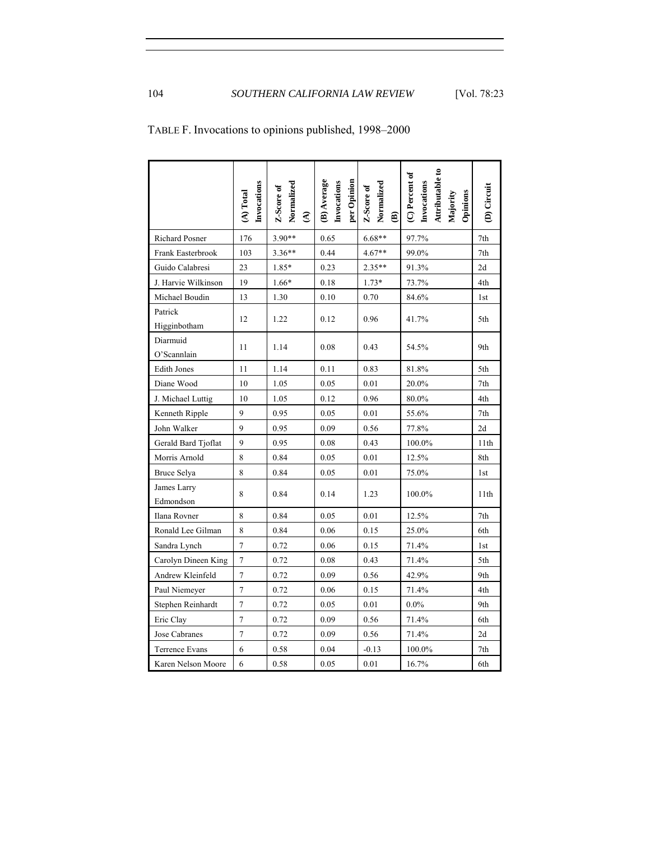|                          | Invocations<br>(A) Total | Normalized<br>Z-Score of<br>$\widehat{\mathbf{z}}$ | (B) Average<br>per Opinion<br>Invocations | Normalized<br>Z-Score of<br>$\mathbf{\widehat{e}}$ | Attributable to<br>$(\mathbb{C})$ Percent of<br>Invocations<br>Opinions<br>Majority | (D) Circuit     |
|--------------------------|--------------------------|----------------------------------------------------|-------------------------------------------|----------------------------------------------------|-------------------------------------------------------------------------------------|-----------------|
| <b>Richard Posner</b>    | 176                      | $3.90**$                                           | 0.65                                      | $6.68**$                                           | 97.7%                                                                               | 7th             |
| Frank Easterbrook        | 103                      | $3.36**$                                           | 0.44                                      | $4.67**$                                           | 99.0%                                                                               | 7th             |
| Guido Calabresi          | 23                       | $1.85*$                                            | 0.23                                      | 2.35**                                             | 91.3%                                                                               | 2d              |
| J. Harvie Wilkinson      | 19                       | $1.66*$                                            | 0.18                                      | $1.73*$                                            | 73.7%                                                                               | 4th             |
| Michael Boudin           | 13                       | 1.30                                               | 0.10                                      | 0.70                                               | 84.6%                                                                               | 1 <sub>st</sub> |
| Patrick<br>Higginbotham  | 12                       | 1.22                                               | 0.12                                      | 0.96                                               | 41.7%                                                                               | 5th             |
| Diarmuid<br>O'Scannlain  | 11                       | 1.14                                               | 0.08                                      | 0.43                                               | 54.5%                                                                               | 9th             |
| <b>Edith Jones</b>       | 11                       | 1.14                                               | 0.11                                      | 0.83                                               | 81.8%                                                                               | 5th             |
| Diane Wood               | 10                       | 1.05                                               | 0.05                                      | 0.01                                               | 20.0%                                                                               | 7th             |
| J. Michael Luttig        | 10                       | 1.05                                               | 0.12                                      | 0.96                                               | 80.0%                                                                               | 4th             |
| Kenneth Ripple           | 9                        | 0.95                                               | 0.05                                      | 0.01                                               | 55.6%                                                                               | 7th             |
| John Walker              | 9                        | 0.95                                               | 0.09                                      | 0.56                                               | 77.8%                                                                               | 2d              |
| Gerald Bard Tjoflat      | 9                        | 0.95                                               | 0.08                                      | 0.43                                               | 100.0%                                                                              | 11th            |
| Morris Arnold            | 8                        | 0.84                                               | 0.05                                      | 0.01                                               | 12.5%                                                                               | 8th             |
| Bruce Selya              | $\,8\,$                  | 0.84                                               | 0.05                                      | 0.01                                               | 75.0%                                                                               | 1st             |
| James Larry<br>Edmondson | 8                        | 0.84                                               | 0.14                                      | 1.23                                               | 100.0%                                                                              | 11th            |
| Ilana Rovner             | 8                        | 0.84                                               | 0.05                                      | 0.01                                               | 12.5%                                                                               | 7th             |
| Ronald Lee Gilman        | 8                        | 0.84                                               | 0.06                                      | 0.15                                               | 25.0%                                                                               | 6th             |
| Sandra Lynch             | $\overline{7}$           | 0.72                                               | 0.06                                      | 0.15                                               | 71.4%                                                                               | 1st             |
| Carolyn Dineen King      | $\overline{7}$           | 0.72                                               | 0.08                                      | 0.43                                               | 71.4%                                                                               | 5th             |
| Andrew Kleinfeld         | 7                        | 0.72                                               | 0.09                                      | 0.56                                               | 42.9%                                                                               | 9th             |
| Paul Niemeyer            | $\overline{7}$           | 0.72                                               | 0.06                                      | 0.15                                               | 71.4%                                                                               | 4th             |
| Stephen Reinhardt        | $\overline{7}$           | 0.72                                               | 0.05                                      | 0.01                                               | $0.0\%$                                                                             | 9th             |
| Eric Clay                | $\overline{7}$           | 0.72                                               | 0.09                                      | 0.56                                               | 71.4%                                                                               | 6th             |
| Jose Cabranes            | 7                        | 0.72                                               | 0.09                                      | 0.56                                               | 71.4%                                                                               | 2d              |
| <b>Terrence Evans</b>    | 6                        | 0.58                                               | 0.04                                      | $-0.13$                                            | 100.0%                                                                              | 7th             |
| Karen Nelson Moore       | 6                        | 0.58                                               | 0.05                                      | 0.01                                               | 16.7%                                                                               | 6th             |

TABLE F. Invocations to opinions published, 1998–2000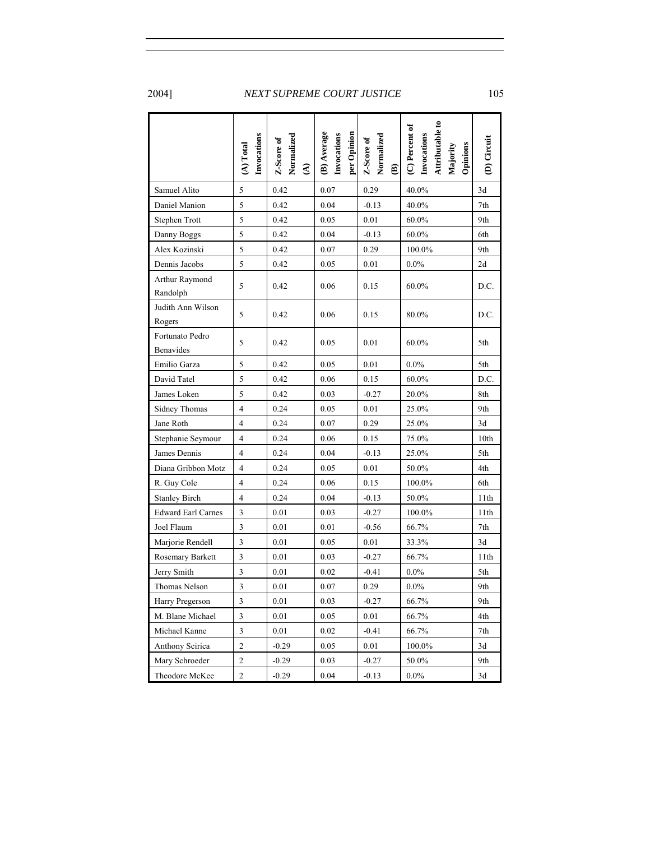|                              | Invocations<br>(A) Total | Normalized<br>Z-Score of<br>$\widehat{\mathcal{E}}$ | (B) Average<br>per Opinion<br>Invocations | Normalized<br>Z-Score of<br>⊜ | Attributable to<br>(C) Percent of<br>Invocations<br>Opinions<br>Majority | (D) Circuit    |
|------------------------------|--------------------------|-----------------------------------------------------|-------------------------------------------|-------------------------------|--------------------------------------------------------------------------|----------------|
| Samuel Alito                 | $\sqrt{5}$               | 0.42                                                | 0.07                                      | 0.29                          | 40.0%                                                                    | 3d             |
| Daniel Manion                | 5                        | 0.42                                                | 0.04                                      | $-0.13$                       | 40.0%                                                                    | 7th            |
| Stephen Trott                | 5                        | 0.42                                                | 0.05                                      | 0.01                          | $60.0\%$                                                                 | 9th            |
| Danny Boggs                  | $\sqrt{5}$               | 0.42                                                | 0.04                                      | $-0.13$                       | 60.0%                                                                    | 6th            |
| Alex Kozinski                | 5                        | 0.42                                                | 0.07                                      | 0.29                          | 100.0%                                                                   | 9th            |
| Dennis Jacobs                | 5                        | 0.42                                                | 0.05                                      | 0.01                          | $0.0\%$                                                                  | 2d             |
| Arthur Raymond<br>Randolph   | 5                        | 0.42                                                | 0.06                                      | 0.15                          | $60.0\%$                                                                 | D.C.           |
| Judith Ann Wilson<br>Rogers  | 5                        | 0.42                                                | 0.06                                      | 0.15                          | 80.0%                                                                    | D.C.           |
| Fortunato Pedro<br>Benavides | 5                        | 0.42                                                | 0.05                                      | 0.01                          | $60.0\%$                                                                 | 5th            |
| Emilio Garza                 | 5                        | 0.42                                                | 0.05                                      | 0.01                          | $0.0\%$                                                                  | 5th            |
| David Tatel                  | 5                        | 0.42                                                | 0.06                                      | 0.15                          | 60.0%                                                                    | D.C.           |
| James Loken                  | $\sqrt{5}$               | 0.42                                                | 0.03                                      | $-0.27$                       | 20.0%                                                                    | 8th            |
| Sidney Thomas                | 4                        | 0.24                                                | 0.05                                      | 0.01                          | 25.0%                                                                    | 9th            |
| Jane Roth                    | $\overline{\mathbf{4}}$  | 0.24                                                | 0.07                                      | 0.29                          | 25.0%                                                                    | 3d             |
| Stephanie Seymour            | 4                        | 0.24                                                | 0.06                                      | 0.15                          | 75.0%                                                                    | 10th           |
| James Dennis                 | 4                        | 0.24                                                | 0.04                                      | $-0.13$                       | 25.0%                                                                    | 5th            |
| Diana Gribbon Motz           | $\overline{4}$           | 0.24                                                | 0.05                                      | 0.01                          | 50.0%                                                                    | 4th            |
| R. Guy Cole                  | 4                        | 0.24                                                | 0.06                                      | 0.15                          | 100.0%                                                                   | 6th            |
| <b>Stanley Birch</b>         | 4                        | 0.24                                                | 0.04                                      | $-0.13$                       | 50.0%                                                                    | 11th           |
| <b>Edward Earl Carnes</b>    | 3                        | 0.01                                                | 0.03                                      | $-0.27$                       | 100.0%                                                                   | 11th           |
| Joel Flaum                   | 3                        | 0.01                                                | 0.01                                      | $-0.56$                       | 66.7%                                                                    | $7\mathrm{th}$ |
| Marjorie Rendell             | $\mathfrak{Z}$           | 0.01                                                | 0.05                                      | 0.01                          | 33.3%                                                                    | 3d             |
| Rosemary Barkett             | 3                        | 0.01                                                | 0.03                                      | $-0.27$                       | 66.7%                                                                    | 11th           |
| Jerry Smith                  | $\sqrt{3}$               | 0.01                                                | 0.02                                      | $-0.41$                       | $0.0\%$                                                                  | 5th            |
| Thomas Nelson                | 3                        | $0.01\,$                                            | $0.07\,$                                  | $0.29\,$                      | $0.0\%$                                                                  | 9th            |
| Harry Pregerson              | 3                        | 0.01                                                | 0.03                                      | $-0.27$                       | 66.7%                                                                    | 9th            |
| M. Blane Michael             | $\mathfrak{Z}$           | 0.01                                                | 0.05                                      | 0.01                          | 66.7%                                                                    | 4th            |
| Michael Kanne                | $\mathfrak{Z}$           | 0.01                                                | 0.02                                      | $-0.41$                       | 66.7%                                                                    | 7th            |
| Anthony Scirica              | $\overline{c}$           | $-0.29$                                             | 0.05                                      | 0.01                          | 100.0%                                                                   | 3d             |
| Mary Schroeder               | $\overline{\mathbf{c}}$  | $-0.29$                                             | 0.03                                      | $-0.27$                       | 50.0%                                                                    | 9th            |
| Theodore McKee               | $\overline{c}$           | $-0.29$                                             | $0.04\,$                                  | $-0.13$                       | $0.0\%$                                                                  | 3d             |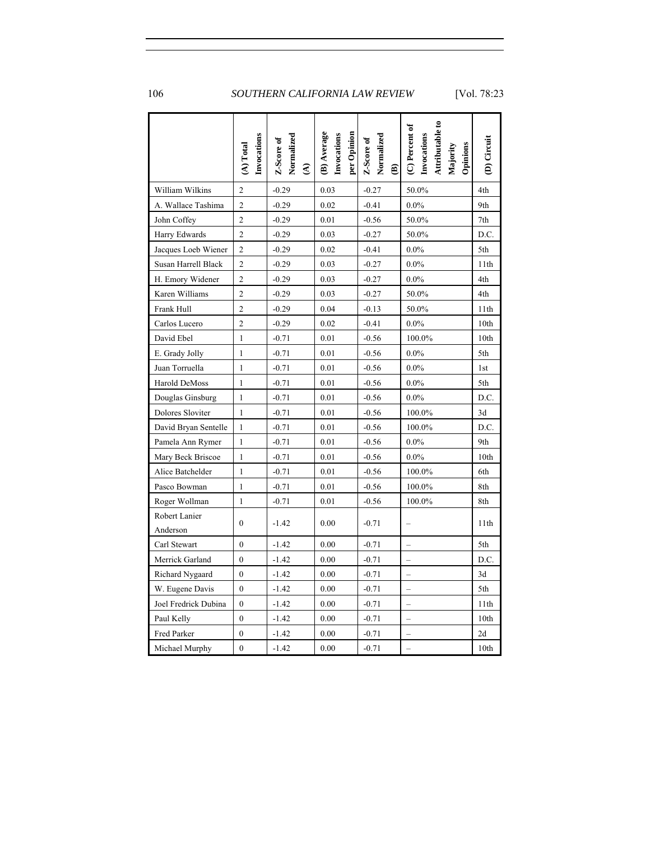|                      | Invocations<br>(A) Total | Normalized<br>Z-Score of<br>$\widehat{\mathbf{c}}$ | (B) Average<br>per Opinion<br>Invocations | Normalized<br>Z-Score of<br>$\mathbf{\widehat{e}}$ | Attributable to<br>(C) Percent of<br>Invocations<br>Opinions<br>Majority | (D) Circuit      |
|----------------------|--------------------------|----------------------------------------------------|-------------------------------------------|----------------------------------------------------|--------------------------------------------------------------------------|------------------|
| William Wilkins      | $\overline{c}$           | $-0.29$                                            | 0.03                                      | $-0.27$                                            | 50.0%                                                                    | 4th              |
| A. Wallace Tashima   | $\mathfrak{2}$           | $-0.29$                                            | 0.02                                      | $-0.41$                                            | $0.0\%$                                                                  | 9th              |
| John Coffey          | $\overline{c}$           | $-0.29$                                            | 0.01                                      | $-0.56$                                            | 50.0%                                                                    | 7th              |
| Harry Edwards        | $\overline{2}$           | $-0.29$                                            | 0.03                                      | $-0.27$                                            | 50.0%                                                                    | D.C.             |
| Jacques Loeb Wiener  | $\overline{2}$           | $-0.29$                                            | 0.02                                      | $-0.41$                                            | $0.0\%$                                                                  | 5th              |
| Susan Harrell Black  | $\overline{2}$           | $-0.29$                                            | 0.03                                      | $-0.27$                                            | $0.0\%$                                                                  | 11th             |
| H. Emory Widener     | $\overline{2}$           | $-0.29$                                            | 0.03                                      | $-0.27$                                            | $0.0\%$                                                                  | 4th              |
| Karen Williams       | $\overline{2}$           | $-0.29$                                            | 0.03                                      | $-0.27$                                            | 50.0%                                                                    | 4th              |
| Frank Hull           | $\overline{2}$           | $-0.29$                                            | 0.04                                      | $-0.13$                                            | 50.0%                                                                    | 11th             |
| Carlos Lucero        | $\overline{2}$           | $-0.29$                                            | 0.02                                      | $-0.41$                                            | $0.0\%$                                                                  | 10th             |
| David Ebel           | 1                        | $-0.71$                                            | 0.01                                      | $-0.56$                                            | 100.0%                                                                   | 10th             |
| E. Grady Jolly       | 1                        | $-0.71$                                            | 0.01                                      | $-0.56$                                            | $0.0\%$                                                                  | 5th              |
| Juan Torruella       | 1                        | $-0.71$                                            | 0.01                                      | $-0.56$                                            | $0.0\%$                                                                  | 1st              |
| Harold DeMoss        | 1                        | $-0.71$                                            | 0.01                                      | $-0.56$                                            | $0.0\%$                                                                  | 5th              |
| Douglas Ginsburg     | 1                        | $-0.71$                                            | 0.01                                      | $-0.56$                                            | $0.0\%$                                                                  | D.C.             |
| Dolores Sloviter     | $\mathbf{1}$             | $-0.71$                                            | 0.01                                      | $-0.56$                                            | 100.0%                                                                   | 3d               |
| David Bryan Sentelle | 1                        | $-0.71$                                            | 0.01                                      | $-0.56$                                            | 100.0%                                                                   | D.C.             |
| Pamela Ann Rymer     | 1                        | $-0.71$                                            | 0.01                                      | $-0.56$                                            | $0.0\%$                                                                  | 9th              |
| Mary Beck Briscoe    | 1                        | $-0.71$                                            | 0.01                                      | $-0.56$                                            | $0.0\%$                                                                  | 10th             |
| Alice Batchelder     | $\mathbf{1}$             | $-0.71$                                            | 0.01                                      | $-0.56$                                            | 100.0%                                                                   | 6th              |
| Pasco Bowman         | $\mathbf{1}$             | $-0.71$                                            | 0.01                                      | $-0.56$                                            | 100.0%                                                                   | 8th              |
| Roger Wollman        | $\mathbf{1}$             | $-0.71$                                            | 0.01                                      | $-0.56$                                            | 100.0%                                                                   | 8th              |
| Robert Lanier        | $\theta$                 |                                                    |                                           |                                                    |                                                                          |                  |
| Anderson             |                          | $-1.42$                                            | 0.00                                      | $-0.71$                                            |                                                                          | 11th             |
| Carl Stewart         | $\mathbf{0}$             | $-1.42$                                            | 0.00                                      | $-0.71$                                            |                                                                          | 5th              |
| Merrick Garland      | $\mathbf{0}$             | $-1.42$                                            | 0.00                                      | $-0.71$                                            |                                                                          | D.C.             |
| Richard Nygaard      | $\theta$                 | $-1.42$                                            | 0.00                                      | $-0.71$                                            | $\overline{\phantom{0}}$                                                 | 3d               |
| W. Eugene Davis      | $\mathbf{0}$             | $-1.42$                                            | 0.00                                      | $-0.71$                                            | $\overline{\phantom{0}}$                                                 | 5th              |
| Joel Fredrick Dubina | $\mathbf{0}$             | $-1.42$                                            | 0.00                                      | $-0.71$                                            |                                                                          | 11th             |
| Paul Kelly           | $\theta$                 | $-1.42$                                            | 0.00                                      | $-0.71$                                            |                                                                          | 10th             |
| Fred Parker          | $\mathbf{0}$             | -1.42                                              | 0.00                                      | $-0.71$                                            | $\overline{\phantom{0}}$                                                 | 2d               |
| Michael Murphy       | $\mathbf{0}$             | $-1.42$                                            | 0.00                                      | $-0.71$                                            |                                                                          | 10 <sub>th</sub> |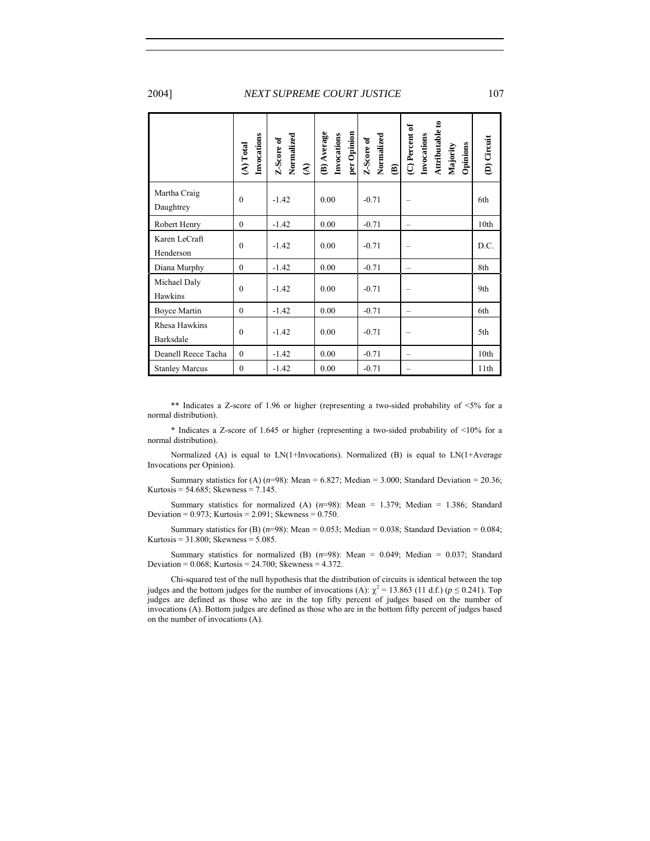|                            | Invocations<br>(A) Total | Normalized<br>Z-Score of<br>$\widehat{\mathbf{f}}$ | (B) Average<br>per Opinion<br>Invocations | Normalized<br>Z-Score of<br>ଛ | Attributable to<br>(C) Percent of<br>Invocations<br>Opinions<br>Majority | (D) Circuit |
|----------------------------|--------------------------|----------------------------------------------------|-------------------------------------------|-------------------------------|--------------------------------------------------------------------------|-------------|
| Martha Craig<br>Daughtrey  | $\mathbf{0}$             | $-1.42$                                            | 0.00                                      | $-0.71$                       |                                                                          | 6th         |
| Robert Henry               | $\mathbf{0}$             | $-1.42$                                            | 0.00                                      | $-0.71$                       |                                                                          | 10th        |
| Karen LeCraft<br>Henderson | $\mathbf{0}$             | $-1.42$                                            | 0.00                                      | $-0.71$                       |                                                                          | D.C.        |
| Diana Murphy               | $\mathbf{0}$             | $-1.42$                                            | 0.00                                      | $-0.71$                       |                                                                          | 8th         |
| Michael Daly<br>Hawkins    | $\theta$                 | $-1.42$                                            | 0.00                                      | $-0.71$                       |                                                                          | 9th         |
| <b>Boyce Martin</b>        | $\theta$                 | $-1.42$                                            | 0.00                                      | $-0.71$                       |                                                                          | 6th         |
| Rhesa Hawkins<br>Barksdale | $\theta$                 | $-1.42$                                            | 0.00                                      | $-0.71$                       |                                                                          | 5th         |
| Deanell Reece Tacha        | $\mathbf{0}$             | $-1.42$                                            | 0.00                                      | $-0.71$                       |                                                                          | 10th        |
| <b>Stanley Marcus</b>      | $\theta$                 | $-1.42$                                            | 0.00                                      | $-0.71$                       |                                                                          | 11th        |

 \*\* Indicates a Z-score of 1.96 or higher (representing a two-sided probability of <5% for a normal distribution).

\* Indicates a Z-score of 1.645 or higher (representing a two-sided probability of <10% for a normal distribution).

Normalized (A) is equal to LN(1+Invocations). Normalized (B) is equal to LN(1+Average Invocations per Opinion).

Summary statistics for (A)  $(n=98)$ : Mean = 6.827; Median = 3.000; Standard Deviation = 20.36; Kurtosis = 54.685; Skewness = 7.145.

Summary statistics for normalized (A)  $(n=98)$ : Mean = 1.379; Median = 1.386; Standard Deviation =  $0.973$ ; Kurtosis =  $2.091$ ; Skewness =  $0.750$ .

Summary statistics for (B)  $(n=98)$ : Mean = 0.053; Median = 0.038; Standard Deviation = 0.084; Kurtosis = 31.800; Skewness = 5.085.

Summary statistics for normalized (B) (*n*=98): Mean = 0.049; Median = 0.037; Standard Deviation =  $0.068$ ; Kurtosis =  $24.700$ ; Skewness =  $4.372$ .

Chi-squared test of the null hypothesis that the distribution of circuits is identical between the top judges and the bottom judges for the number of invocations (A):  $\chi^2 = 13.863$  (11 d.f.) ( $p \le 0.241$ ). Top judges are defined as those who are in the top fifty percent of judges based on the number of invocations (A). Bottom judges are defined as those who are in the bottom fifty percent of judges based on the number of invocations (A).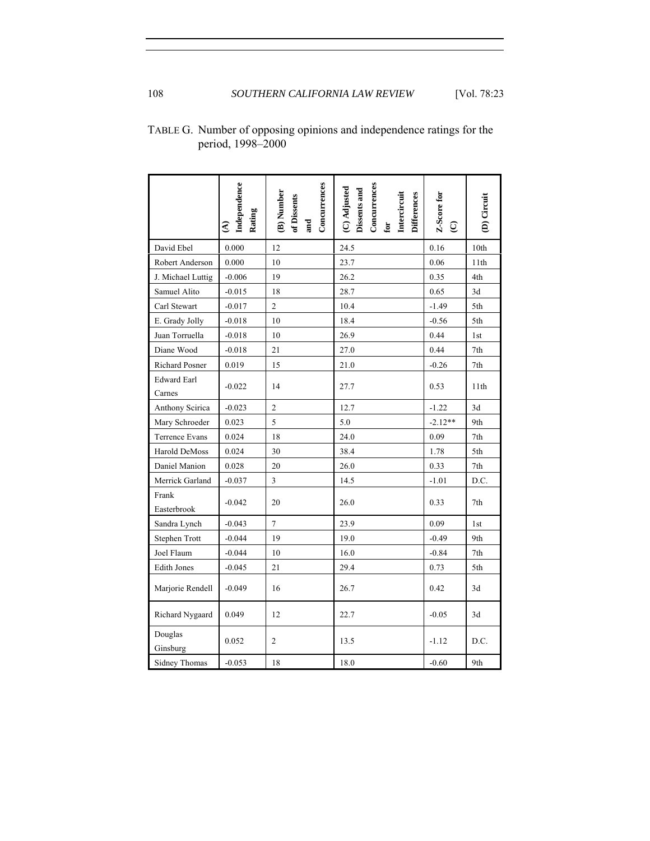|                              | Independence<br>Rating<br>$\widehat{\mathcal{E}}$ | Concurrences<br>(B) Number<br>of Dissents<br>and | Concurrences<br>(C) Adjusted<br>Dissents and<br>Intercircuit<br>Differences<br>$\overline{\mathbf{c}}$ | Z-Score for<br>$\odot$ | (D) Circuit |
|------------------------------|---------------------------------------------------|--------------------------------------------------|--------------------------------------------------------------------------------------------------------|------------------------|-------------|
| David Ebel                   | 0.000                                             | 12                                               | 24.5                                                                                                   | 0.16                   | 10th        |
| Robert Anderson              | 0.000                                             | 10                                               | 23.7                                                                                                   | 0.06                   | 11th        |
| J. Michael Luttig            | $-0.006$                                          | 19                                               | 26.2                                                                                                   | 0.35                   | 4th         |
| Samuel Alito                 | $-0.015$                                          | 18                                               | 28.7                                                                                                   | 0.65                   | 3d          |
| Carl Stewart                 | $-0.017$                                          | $\overline{2}$                                   | 10.4                                                                                                   | $-1.49$                | 5th         |
| E. Grady Jolly               | $-0.018$                                          | 10                                               | 18.4                                                                                                   | $-0.56$                | 5th         |
| Juan Torruella               | $-0.018$                                          | 10                                               | 26.9                                                                                                   | 0.44                   | 1st         |
| Diane Wood                   | $-0.018$                                          | 21                                               | 27.0                                                                                                   | 0.44                   | 7th         |
| Richard Posner               | 0.019                                             | 15                                               | 21.0                                                                                                   | $-0.26$                | 7th         |
| <b>Edward Earl</b><br>Carnes | $-0.022$                                          | 14                                               | 27.7                                                                                                   | 0.53                   | 11th        |
| Anthony Scirica              | $-0.023$                                          | $\overline{2}$                                   | 12.7                                                                                                   | $-1.22$                | 3d          |
| Mary Schroeder               | 0.023                                             | 5                                                | 5.0                                                                                                    | $-2.12**$              | 9th         |
| Terrence Evans               | 0.024                                             | 18                                               | 24.0                                                                                                   | 0.09                   | 7th         |
| Harold DeMoss                | 0.024                                             | 30                                               | 38.4                                                                                                   | 1.78                   | 5th         |
| Daniel Manion                | 0.028                                             | 20                                               | 26.0                                                                                                   | 0.33                   | 7th         |
| Merrick Garland              | $-0.037$                                          | $\mathfrak{Z}$                                   | 14.5                                                                                                   | $-1.01$                | D.C.        |
| Frank<br>Easterbrook         | $-0.042$                                          | 20                                               | 26.0                                                                                                   | 0.33                   | 7th         |
| Sandra Lynch                 | $-0.043$                                          | $\sqrt{ }$                                       | 23.9                                                                                                   | 0.09                   | 1st         |
| Stephen Trott                | $-0.044$                                          | 19                                               | 19.0                                                                                                   | $-0.49$                | 9th         |
| Joel Flaum                   | $-0.044$                                          | 10                                               | 16.0                                                                                                   | $-0.84$                | 7th         |
| <b>Edith Jones</b>           | $-0.045$                                          | 21                                               | 29.4                                                                                                   | 0.73                   | 5th         |
| Marjorie Rendell             | $-0.049$                                          | 16                                               | 26.7                                                                                                   | 0.42                   | 3d          |
| Richard Nygaard              | 0.049                                             | 12                                               | 22.7                                                                                                   | $-0.05$                | 3d          |
| Douglas<br>Ginsburg          | 0.052                                             | $\mathbf{2}$                                     | 13.5                                                                                                   | $-1.12$                | D.C.        |
| <b>Sidney Thomas</b>         | $-0.053$                                          | 18                                               | 18.0                                                                                                   | $-0.60$                | 9th         |

TABLE G. Number of opposing opinions and independence ratings for the period, 1998–2000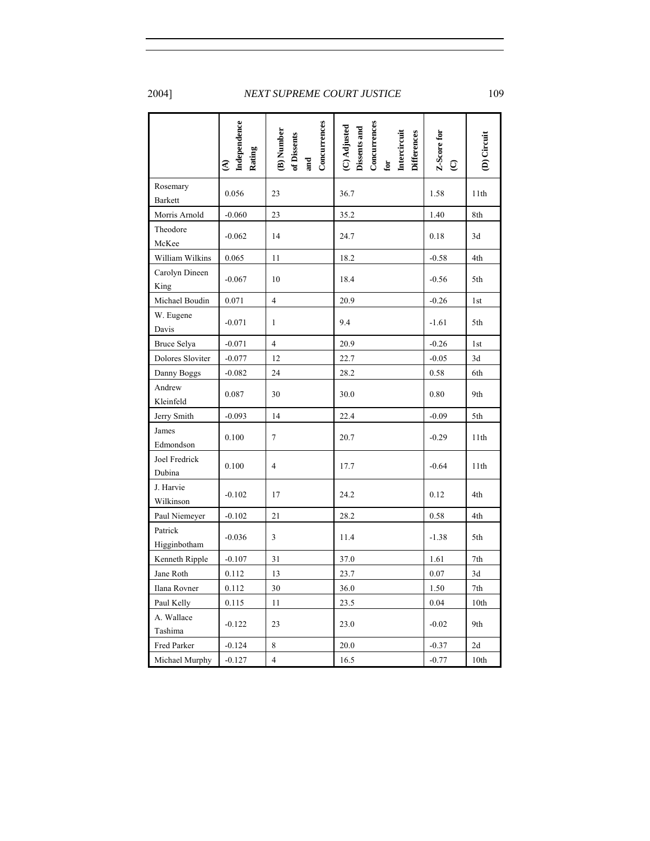|                            | Independence<br>Rating<br>$\widehat{\mathbf{c}}$ | Concurrences<br>(B) Number<br>of Dissents<br>and | Concurrences<br>(C) Adjusted<br>Dissents and<br><b>Differences</b><br>Intercircuit<br>for | Z-Score for<br>$\widehat{Q}$ | (D) Circuit |
|----------------------------|--------------------------------------------------|--------------------------------------------------|-------------------------------------------------------------------------------------------|------------------------------|-------------|
| Rosemary<br><b>Barkett</b> | 0.056                                            | 23                                               | 36.7                                                                                      | 1.58                         | 11th        |
| Morris Arnold              | $-0.060$                                         | 23                                               | 35.2                                                                                      | 1.40                         | 8th         |
| Theodore<br>McKee          | $-0.062$                                         | 14                                               | 24.7                                                                                      | 0.18                         | 3d          |
| William Wilkins            | 0.065                                            | 11                                               | 18.2                                                                                      | $-0.58$                      | 4th         |
| Carolyn Dineen<br>King     | $-0.067$                                         | 10                                               | 18.4                                                                                      | $-0.56$                      | 5th         |
| Michael Boudin             | 0.071                                            | $\overline{4}$                                   | 20.9                                                                                      | $-0.26$                      | 1st         |
| W. Eugene<br>Davis         | $-0.071$                                         | $\mathbf{1}$                                     | 9.4                                                                                       | $-1.61$                      | 5th         |
| Bruce Selya                | $-0.071$                                         | $\overline{4}$                                   | 20.9                                                                                      | $-0.26$                      | 1st         |
| Dolores Sloviter           | $-0.077$                                         | 12                                               | 22.7                                                                                      | $-0.05$                      | 3d          |
| Danny Boggs                | $-0.082$                                         | 24                                               | 28.2                                                                                      | 0.58                         | 6th         |
| Andrew<br>Kleinfeld        | 0.087                                            | 30                                               | 30.0                                                                                      | 0.80                         | 9th         |
| Jerry Smith                | $-0.093$                                         | 14                                               | 22.4                                                                                      | $-0.09$                      | 5th         |
| James<br>Edmondson         | 0.100                                            | $\tau$                                           | 20.7                                                                                      | $-0.29$                      | 11th        |
| Joel Fredrick<br>Dubina    | 0.100                                            | $\overline{4}$                                   | 17.7                                                                                      | $-0.64$                      | 11th        |
| J. Harvie<br>Wilkinson     | $-0.102$                                         | 17                                               | 24.2                                                                                      | 0.12                         | 4th         |
| Paul Niemeyer              | $-0.102$                                         | 21                                               | 28.2                                                                                      | 0.58                         | 4th         |
| Patrick<br>Higginbotham    | $-0.036$                                         | 3                                                | 11.4                                                                                      | $-1.38$                      | 5th         |
| Kenneth Ripple             | $-0.107$                                         | 31                                               | 37.0                                                                                      | 1.61                         | 7th         |
| Jane Roth                  | 0.112                                            | 13                                               | 23.7                                                                                      | 0.07                         | 3d          |
| Ilana Rovner               | 0.112                                            | 30                                               | 36.0                                                                                      | 1.50                         | 7th         |
| Paul Kelly                 | 0.115                                            | 11                                               | 23.5                                                                                      | 0.04                         | 10th        |
| A. Wallace<br>Tashima      | $-0.122$                                         | 23                                               | 23.0                                                                                      | $-0.02$                      | 9th         |
| Fred Parker                | $-0.124$                                         | 8                                                | 20.0                                                                                      | $-0.37$                      | 2d          |
| Michael Murphy             | $-0.127$                                         | $\overline{4}$                                   | 16.5                                                                                      | $-0.77$                      | 10th        |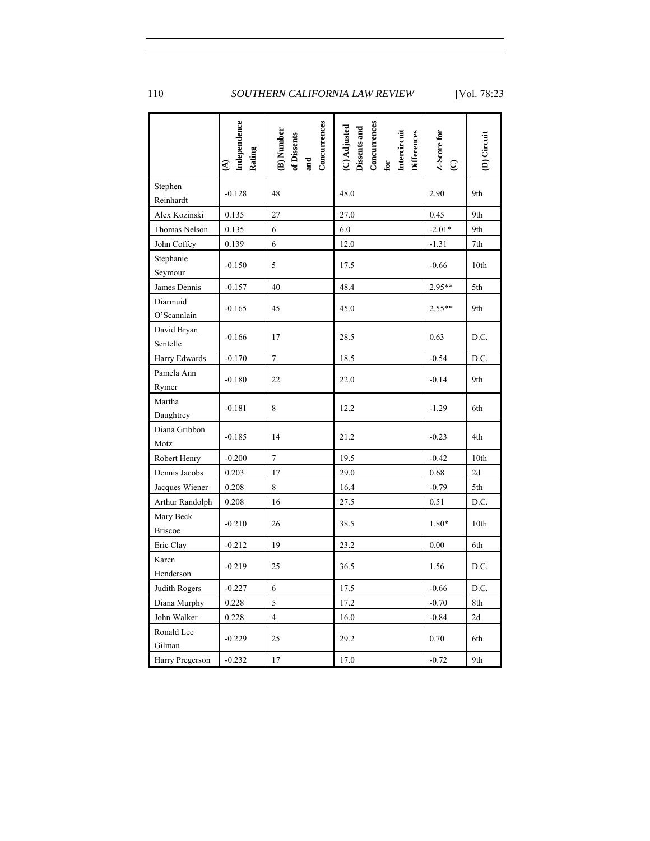|                             | Independence<br>Rating<br>$\widehat{A}$ | Concurrences<br>B) Number<br>of Dissents<br>and | Concurrences<br>(C) Adjusted<br>Dissents and<br><b>Differences</b><br>Intercircuit<br>$\mathbf{f}\mathbf{o}\mathbf{r}$ | Z-Score for<br>$\widehat{Q}$ | (D) Circuit |
|-----------------------------|-----------------------------------------|-------------------------------------------------|------------------------------------------------------------------------------------------------------------------------|------------------------------|-------------|
| Stephen<br>Reinhardt        | $-0.128$                                | 48                                              | 48.0                                                                                                                   | 2.90                         | 9th         |
| Alex Kozinski               | 0.135                                   | 27                                              | 27.0                                                                                                                   | 0.45                         | 9th         |
| Thomas Nelson               | 0.135                                   | 6                                               | 6.0                                                                                                                    | $-2.01*$                     | 9th         |
| John Coffey                 | 0.139                                   | 6                                               | 12.0                                                                                                                   | $-1.31$                      | 7th         |
| Stephanie<br>Seymour        | $-0.150$                                | 5                                               | 17.5                                                                                                                   | $-0.66$                      | 10th        |
| James Dennis                | $-0.157$                                | 40                                              | 48.4                                                                                                                   | 2.95**                       | 5th         |
| Diarmuid<br>O'Scannlain     | $-0.165$                                | 45                                              | 45.0                                                                                                                   | 2.55**                       | 9th         |
| David Bryan<br>Sentelle     | $-0.166$                                | 17                                              | 28.5                                                                                                                   | 0.63                         | D.C.        |
| Harry Edwards               | $-0.170$                                | $\tau$                                          | 18.5                                                                                                                   | $-0.54$                      | D.C.        |
| Pamela Ann<br>Rymer         | $-0.180$                                | 22                                              | 22.0                                                                                                                   | $-0.14$                      | 9th         |
| Martha<br>Daughtrey         | $-0.181$                                | 8                                               | 12.2                                                                                                                   | $-1.29$                      | 6th         |
| Diana Gribbon<br>Motz       | $-0.185$                                | 14                                              | 21.2                                                                                                                   | $-0.23$                      | 4th         |
| Robert Henry                | $-0.200$                                | $\tau$                                          | 19.5                                                                                                                   | $-0.42$                      | 10th        |
| Dennis Jacobs               | 0.203                                   | 17                                              | 29.0                                                                                                                   | 0.68                         | 2d          |
| Jacques Wiener              | 0.208                                   | 8                                               | 16.4                                                                                                                   | $-0.79$                      | 5th         |
| Arthur Randolph             | 0.208                                   | 16                                              | 27.5                                                                                                                   | 0.51                         | D.C.        |
| Mary Beck<br><b>Briscoe</b> | $-0.210$                                | 26                                              | 38.5                                                                                                                   | 1.80*                        | 10th        |
| Eric Clay                   | $-0.212$                                | 19                                              | 23.2                                                                                                                   | 0.00                         | 6th         |
| Karen<br>Henderson          | $-0.219$                                | 25                                              | 36.5                                                                                                                   | 1.56                         | D.C.        |
| Judith Rogers               | $-0.227$                                | 6                                               | 17.5                                                                                                                   | $-0.66$                      | D.C.        |
| Diana Murphy                | 0.228                                   | 5                                               | 17.2                                                                                                                   | $-0.70$                      | 8th         |
| John Walker                 | 0.228                                   | $\overline{\mathbf{4}}$                         | 16.0                                                                                                                   | $-0.84$                      | 2d          |
| Ronald Lee<br>Gilman        | $-0.229$                                | 25                                              | 29.2                                                                                                                   | 0.70                         | 6th         |
| Harry Pregerson             | $-0.232$                                | 17                                              | 17.0                                                                                                                   | $-0.72$                      | 9th         |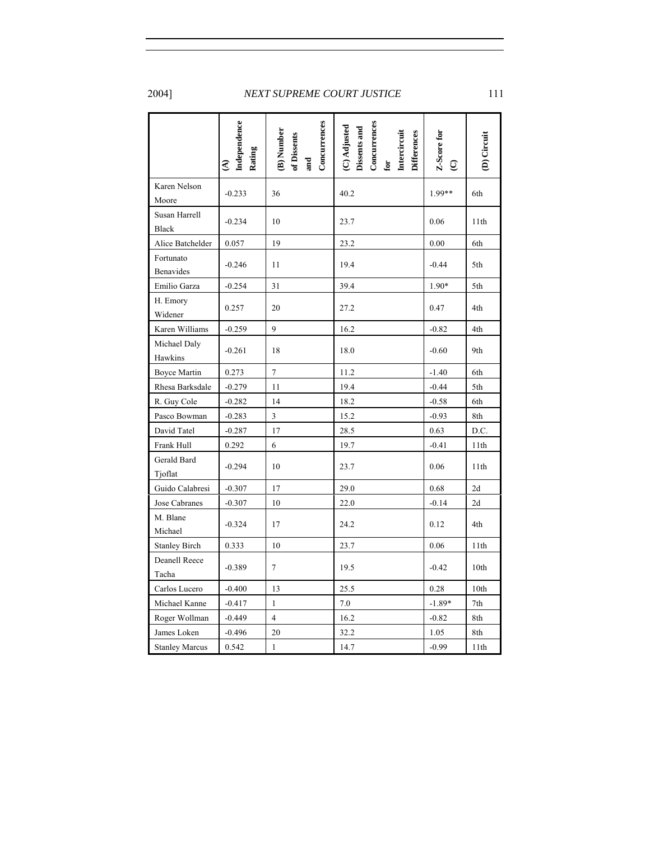|                               | Independence<br>Rating<br>€ | Concurrences<br>B) Number<br>of Dissents<br>and | Concurrences<br>$\left( \text{C}\right)$ Adjusted Dissents and<br>Intercircuit<br><b>Differences</b><br>$\mathbf{for}$ | Z-Score for<br>$\widehat{Q}$ | (D) Circuit |
|-------------------------------|-----------------------------|-------------------------------------------------|------------------------------------------------------------------------------------------------------------------------|------------------------------|-------------|
| Karen Nelson<br>Moore         | $-0.233$                    | 36                                              | 40.2                                                                                                                   | 1.99**                       | 6th         |
| Susan Harrell<br><b>Black</b> | $-0.234$                    | 10                                              | 23.7                                                                                                                   | 0.06                         | 11th        |
| Alice Batchelder              | 0.057                       | 19                                              | 23.2                                                                                                                   | 0.00                         | 6th         |
| Fortunato<br>Benavides        | $-0.246$                    | 11                                              | 19.4                                                                                                                   | $-0.44$                      | 5th         |
| Emilio Garza                  | $-0.254$                    | 31                                              | 39.4                                                                                                                   | 1.90*                        | 5th         |
| H. Emory<br>Widener           | 0.257                       | 20                                              | 27.2                                                                                                                   | 0.47                         | 4th         |
| Karen Williams                | $-0.259$                    | 9                                               | 16.2                                                                                                                   | $-0.82$                      | 4th         |
| Michael Daly<br>Hawkins       | $-0.261$                    | 18                                              | 18.0                                                                                                                   | $-0.60$                      | 9th         |
| <b>Boyce Martin</b>           | 0.273                       | $\tau$                                          | 11.2                                                                                                                   | $-1.40$                      | 6th         |
| Rhesa Barksdale               | $-0.279$                    | 11                                              | 19.4                                                                                                                   | $-0.44$                      | 5th         |
| R. Guy Cole                   | $-0.282$                    | 14                                              | 18.2                                                                                                                   | $-0.58$                      | 6th         |
| Pasco Bowman                  | $-0.283$                    | 3                                               | 15.2                                                                                                                   | $-0.93$                      | 8th         |
| David Tatel                   | $-0.287$                    | 17                                              | 28.5                                                                                                                   | 0.63                         | D.C.        |
| Frank Hull                    | 0.292                       | 6                                               | 19.7                                                                                                                   | $-0.41$                      | 11th        |
| Gerald Bard<br>Tjoflat        | $-0.294$                    | 10                                              | 23.7                                                                                                                   | 0.06                         | 11th        |
| Guido Calabresi               | $-0.307$                    | 17                                              | 29.0                                                                                                                   | 0.68                         | 2d          |
| Jose Cabranes                 | $-0.307$                    | 10                                              | 22.0                                                                                                                   | $-0.14$                      | 2d          |
| M. Blane<br>Michael           | $-0.324$                    | 17                                              | 24.2                                                                                                                   | 0.12                         | 4th         |
| <b>Stanley Birch</b>          | 0.333                       | 10                                              | 23.7                                                                                                                   | 0.06                         | 11th        |
| Deanell Reece<br>Tacha        | $-0.389$                    | $\tau$                                          | 19.5                                                                                                                   | $-0.42$                      | 10th        |
| Carlos Lucero                 | $-0.400$                    | 13                                              | 25.5                                                                                                                   | 0.28                         | 10th        |
| Michael Kanne                 | $-0.417$                    | $\mathbf{1}$                                    | 7.0                                                                                                                    | $-1.89*$                     | 7th         |
| Roger Wollman                 | $-0.449$                    | $\overline{4}$                                  | 16.2                                                                                                                   | $-0.82$                      | 8th         |
| James Loken                   | $-0.496$                    | 20                                              | 32.2                                                                                                                   | 1.05                         | 8th         |
| <b>Stanley Marcus</b>         | 0.542                       | 1                                               | 14.7                                                                                                                   | $-0.99$                      | 11th        |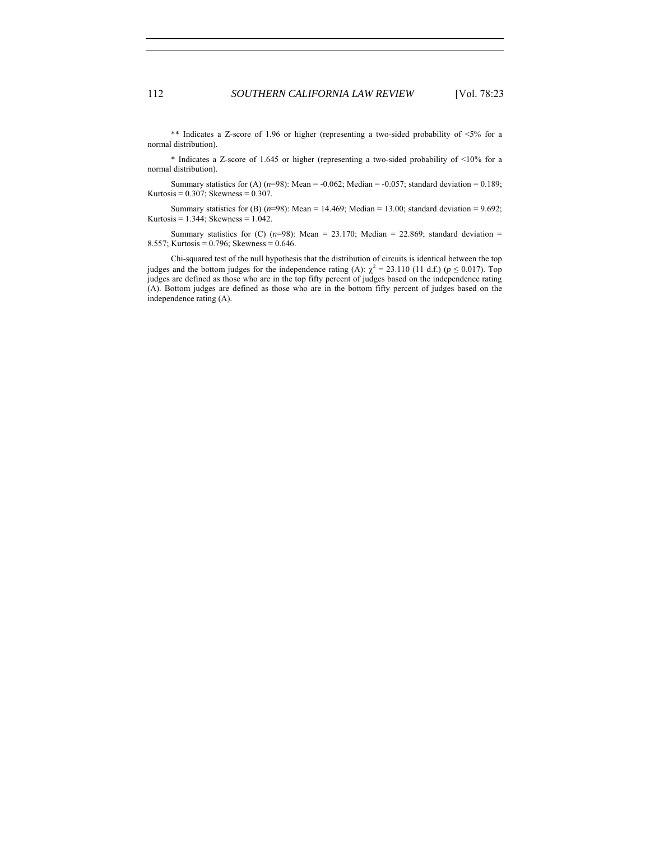\*\* Indicates a Z-score of 1.96 or higher (representing a two-sided probability of  $\leq 5\%$  for a normal distribution).

\* Indicates a Z-score of 1.645 or higher (representing a two-sided probability of <10% for a normal distribution).

Summary statistics for (A)  $(n=98)$ : Mean = -0.062; Median = -0.057; standard deviation = 0.189; Kurtosis =  $0.307$ ; Skewness =  $0.307$ .

Summary statistics for (B)  $(n=98)$ : Mean = 14.469; Median = 13.00; standard deviation = 9.692; Kurtosis =  $1.344$ ; Skewness =  $1.042$ .

Summary statistics for  $(C)$  ( $n=98$ ): Mean = 23.170; Median = 22.869; standard deviation = 8.557; Kurtosis = 0.796; Skewness = 0.646.

Chi-squared test of the null hypothesis that the distribution of circuits is identical between the top judges and the bottom judges for the independence rating (A):  $\chi^2 = 23.110$  (11 d.f.) ( $p \le 0.017$ ). Top judges are defined as those who are in the top fifty percent of judges based on the independence rating (A). Bottom judges are defined as those who are in the bottom fifty percent of judges based on the independence rating (A).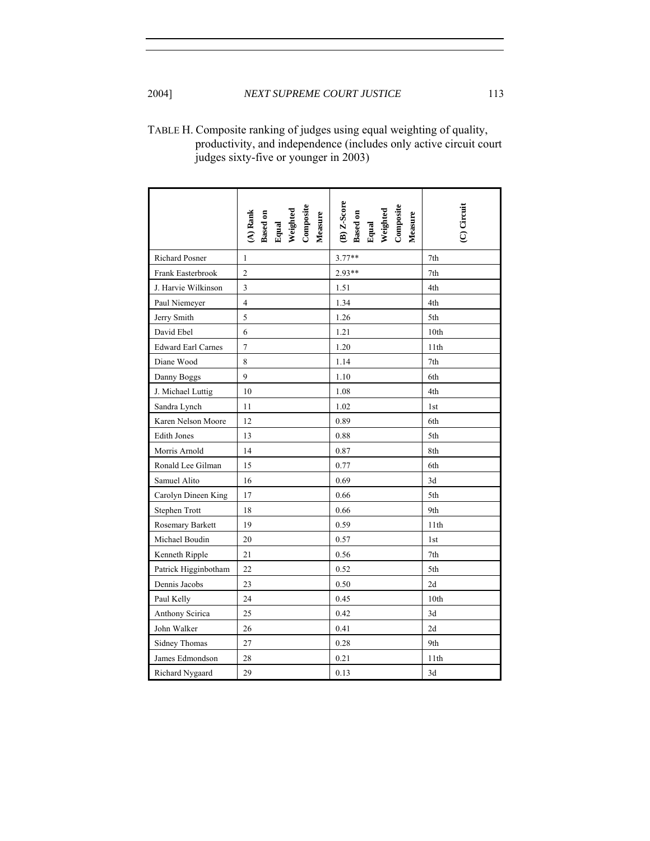| TABLE H. Composite ranking of judges using equal weighting of quality, |
|------------------------------------------------------------------------|
| productivity, and independence (includes only active circuit court     |
| judges sixty-five or younger in 2003)                                  |

|                           | (A) Rank<br>Based on<br>Bqual<br>Weighted<br>Wensure<br>Composite | <b>B</b> ) Z-Score<br>Based on<br>Equal<br>Weighted<br>Weasure<br>Composite | (C) Circuit      |
|---------------------------|-------------------------------------------------------------------|-----------------------------------------------------------------------------|------------------|
| Richard Posner            | 1                                                                 | $3.77**$                                                                    | 7th              |
| Frank Easterbrook         | $\overline{c}$                                                    | 2.93**                                                                      | 7th              |
| J. Harvie Wilkinson       | 3                                                                 | 1.51                                                                        | 4th              |
| Paul Niemeyer             | $\overline{4}$                                                    | 1.34                                                                        | 4th              |
| Jerry Smith               | 5                                                                 | 1.26                                                                        | 5th              |
| David Ebel                | 6                                                                 | 1.21                                                                        | 10 <sub>th</sub> |
| <b>Edward Earl Carnes</b> | $\boldsymbol{7}$                                                  | 1.20                                                                        | 11th             |
| Diane Wood                | 8                                                                 | 1.14                                                                        | 7th              |
| Danny Boggs               | 9                                                                 | 1.10                                                                        | 6th              |
| J. Michael Luttig         | 10                                                                | 1.08                                                                        | 4th              |
| Sandra Lynch              | 11                                                                | 1.02                                                                        | 1st              |
| Karen Nelson Moore        | 12                                                                | 0.89                                                                        | 6th              |
| <b>Edith Jones</b>        | 13                                                                | 0.88                                                                        | 5th              |
| Morris Arnold             | 14                                                                | 0.87                                                                        | 8th              |
| Ronald Lee Gilman         | 15                                                                | 0.77                                                                        | 6th              |
| Samuel Alito              | 16                                                                | 0.69                                                                        | 3d               |
| Carolyn Dineen King       | 17                                                                | 0.66                                                                        | 5th              |
| Stephen Trott             | 18                                                                | 0.66                                                                        | 9th              |
| Rosemary Barkett          | 19                                                                | 0.59                                                                        | 11th             |
| Michael Boudin            | 20                                                                | 0.57                                                                        | 1st              |
| Kenneth Ripple            | 21                                                                | 0.56                                                                        | 7th              |
| Patrick Higginbotham      | 22                                                                | 0.52                                                                        | 5th              |
| Dennis Jacobs             | 23                                                                | 0.50                                                                        | 2d               |
| Paul Kelly                | 24                                                                | 0.45                                                                        | 10th             |
| Anthony Scirica           | 25                                                                | 0.42                                                                        | 3d               |
| John Walker               | 26                                                                | 0.41                                                                        | 2d               |
| <b>Sidney Thomas</b>      | 27                                                                | 0.28                                                                        | 9th              |
| James Edmondson           | 28                                                                | 0.21                                                                        | 11th             |
| Richard Nygaard           | 29                                                                | 0.13                                                                        | 3d               |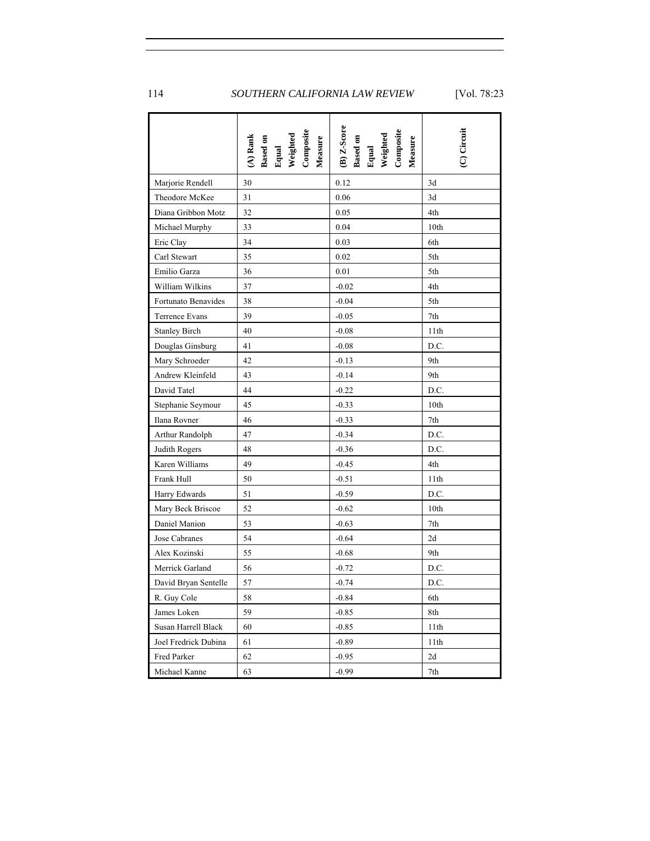|                      | Based on<br>Equal<br>Weighted<br>Composite<br>$(A)$ Rank<br>Measure | (B) Z-Score<br>Based on<br>Equal<br>Weighted<br>Composite<br>Measure | (C) Circuit |
|----------------------|---------------------------------------------------------------------|----------------------------------------------------------------------|-------------|
| Marjorie Rendell     | 30                                                                  | 0.12                                                                 | 3d          |
| Theodore McKee       | 31                                                                  | 0.06                                                                 | 3d          |
| Diana Gribbon Motz   | 32                                                                  | 0.05                                                                 | 4th         |
| Michael Murphy       | 33                                                                  | 0.04                                                                 | 10th        |
| Eric Clay            | 34                                                                  | 0.03                                                                 | 6th         |
| Carl Stewart         | 35                                                                  | 0.02                                                                 | 5th         |
| Emilio Garza         | 36                                                                  | 0.01                                                                 | 5th         |
| William Wilkins      | 37                                                                  | $-0.02$                                                              | 4th         |
| Fortunato Benavides  | 38                                                                  | $-0.04$                                                              | 5th         |
| Terrence Evans       | 39                                                                  | $-0.05$                                                              | 7th         |
| <b>Stanley Birch</b> | 40                                                                  | $-0.08$                                                              | 11th        |
| Douglas Ginsburg     | 41                                                                  | $-0.08$                                                              | D.C.        |
| Mary Schroeder       | 42                                                                  | $-0.13$                                                              | 9th         |
| Andrew Kleinfeld     | 43                                                                  | $-0.14$                                                              | 9th         |
| David Tatel          | 44                                                                  | $-0.22$                                                              | D.C.        |
| Stephanie Seymour    | 45                                                                  | $-0.33$                                                              | 10th        |
| Ilana Rovner         | 46                                                                  | $-0.33$                                                              | 7th         |
| Arthur Randolph      | 47                                                                  | $-0.34$                                                              | D.C.        |
| Judith Rogers        | 48                                                                  | $-0.36$                                                              | D.C.        |
| Karen Williams       | 49                                                                  | $-0.45$                                                              | 4th         |
| Frank Hull           | 50                                                                  | $-0.51$                                                              | 11th        |
| Harry Edwards        | 51                                                                  | $-0.59$                                                              | D.C.        |
| Mary Beck Briscoe    | 52                                                                  | $-0.62$                                                              | 10th        |
| Daniel Manion        | 53                                                                  | $-0.63$                                                              | 7th         |
| Jose Cabranes        | 54                                                                  | $-0.64$                                                              | 2d          |
| Alex Kozinski        | 55                                                                  | $-0.68$                                                              | 9th         |
| Merrick Garland      | 56                                                                  | $-0.72$                                                              | D.C.        |
| David Bryan Sentelle | 57                                                                  | $-0.74$                                                              | D.C.        |
| R. Guy Cole          | 58                                                                  | $-0.84$                                                              | 6th         |
| James Loken          | 59                                                                  | $-0.85$                                                              | 8th         |
| Susan Harrell Black  | 60                                                                  | $-0.85$                                                              | 11th        |
| Joel Fredrick Dubina | 61                                                                  | $-0.89$                                                              | 11th        |
| Fred Parker          | 62                                                                  | $-0.95$                                                              | 2d          |
| Michael Kanne        | 63                                                                  | $-0.99$                                                              | 7th         |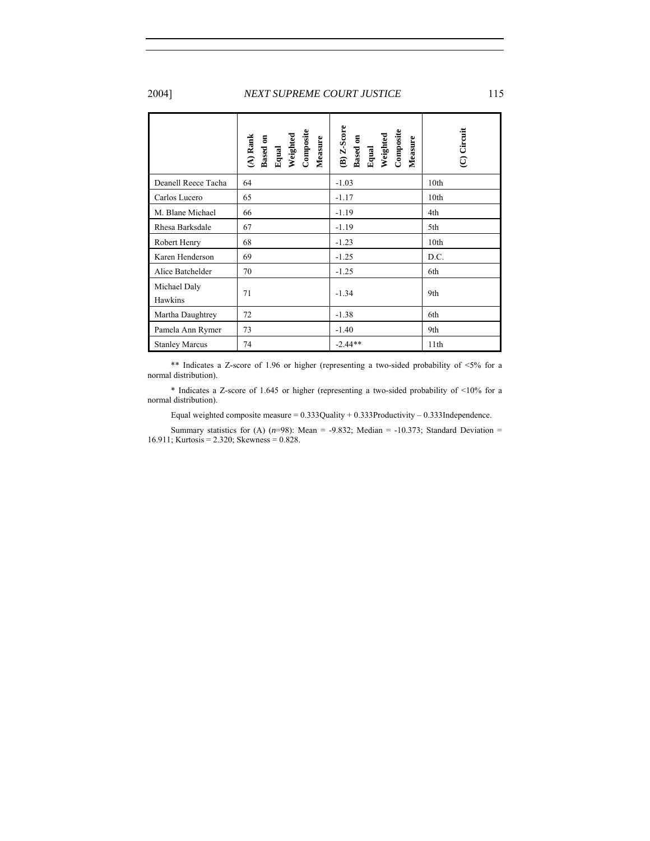|                         | Based on<br>Equal<br>Weighted<br>Composite<br>$(A)$ Rank<br>Measure | $(B)$ $Z$ -Score<br>Composite<br>Based on<br>Equal<br>Weighted<br>Measure | (C) Circuit      |
|-------------------------|---------------------------------------------------------------------|---------------------------------------------------------------------------|------------------|
| Deanell Reece Tacha     | 64                                                                  | $-1.03$                                                                   | 10th             |
| Carlos Lucero           | 65                                                                  | $-1.17$                                                                   | 10th             |
| M. Blane Michael        | 66                                                                  | $-1.19$                                                                   | 4th              |
| Rhesa Barksdale         | 67                                                                  | $-1.19$                                                                   | 5th              |
| Robert Henry            | 68                                                                  | $-1.23$                                                                   | 10 <sub>th</sub> |
| Karen Henderson         | 69                                                                  | $-1.25$                                                                   | D.C.             |
| Alice Batchelder        | 70                                                                  | $-1.25$                                                                   | 6th              |
| Michael Daly<br>Hawkins | 71                                                                  | $-1.34$                                                                   | 9th              |
| Martha Daughtrey        | 72                                                                  | $-1.38$                                                                   | 6th              |
| Pamela Ann Rymer        | 73                                                                  | $-1.40$                                                                   | 9th              |
| <b>Stanley Marcus</b>   | 74                                                                  | $-2.44**$                                                                 | 11th             |

 \*\* Indicates a Z-score of 1.96 or higher (representing a two-sided probability of <5% for a normal distribution).

\* Indicates a Z-score of 1.645 or higher (representing a two-sided probability of <10% for a normal distribution).

Equal weighted composite measure =  $0.333Q$ uality +  $0.333P$ roductivity -  $0.333I$ ndependence.

Summary statistics for (A)  $(n=98)$ : Mean = -9.832; Median = -10.373; Standard Deviation = 16.911; Kurtosis = 2.320; Skewness = 0.828.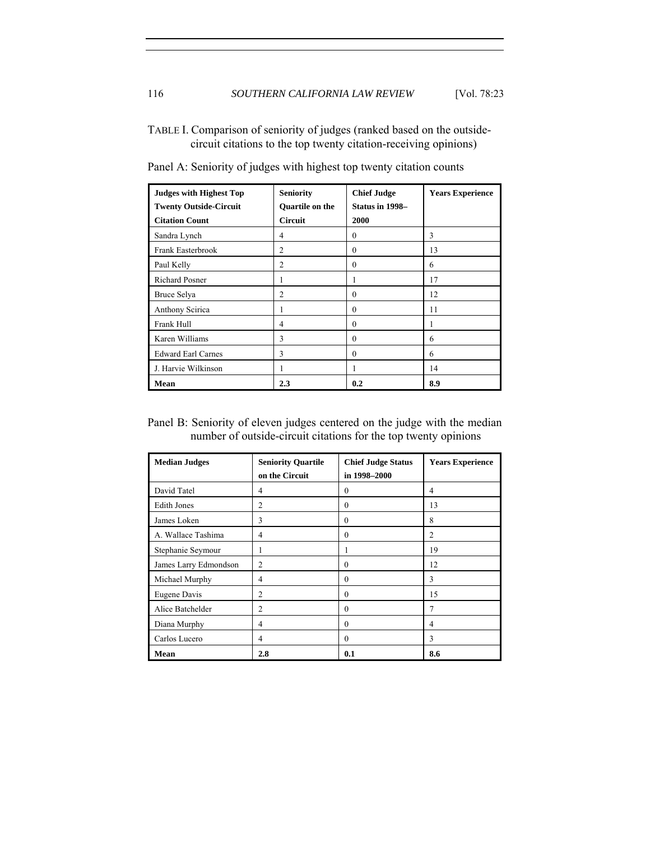TABLE I. Comparison of seniority of judges (ranked based on the outsidecircuit citations to the top twenty citation-receiving opinions)

| <b>Judges with Highest Top</b><br><b>Twenty Outside-Circuit</b><br><b>Citation Count</b> | <b>Seniority</b><br><b>Ouartile on the</b><br><b>Circuit</b> | <b>Chief Judge</b><br>Status in 1998-<br>2000 | <b>Years Experience</b> |
|------------------------------------------------------------------------------------------|--------------------------------------------------------------|-----------------------------------------------|-------------------------|
|                                                                                          |                                                              |                                               |                         |
| Sandra Lynch                                                                             | $\overline{4}$                                               | $\theta$                                      | 3                       |
| Frank Easterbrook                                                                        | $\overline{2}$                                               | $\theta$                                      | 13                      |
| Paul Kelly                                                                               | $\overline{2}$                                               | $\theta$                                      | 6                       |
| <b>Richard Posner</b>                                                                    | 1                                                            |                                               | 17                      |
| Bruce Selya                                                                              | $\overline{c}$                                               | $\theta$                                      | 12                      |
| Anthony Scirica                                                                          | 1                                                            | $\theta$                                      | 11                      |
| Frank Hull                                                                               | 4                                                            | $\theta$                                      | ı.                      |
| Karen Williams                                                                           | 3                                                            | $\theta$                                      | 6                       |
| <b>Edward Earl Carnes</b>                                                                | 3                                                            | $\theta$                                      | 6                       |
| J. Harvie Wilkinson                                                                      | 1                                                            |                                               | 14                      |
| Mean                                                                                     | 2.3                                                          | 0.2                                           | 8.9                     |

Panel A: Seniority of judges with highest top twenty citation counts

Panel B: Seniority of eleven judges centered on the judge with the median number of outside-circuit citations for the top twenty opinions

| <b>Median Judges</b>  | <b>Seniority Quartile</b><br>on the Circuit | <b>Chief Judge Status</b><br>in 1998-2000 | <b>Years Experience</b> |
|-----------------------|---------------------------------------------|-------------------------------------------|-------------------------|
| David Tatel           | $\overline{4}$                              | $\theta$                                  | 4                       |
| <b>Edith Jones</b>    | $\overline{2}$                              | $\mathbf{0}$                              | 13                      |
| James Loken           | 3                                           | $\theta$                                  | 8                       |
| A. Wallace Tashima    | 4                                           | $\Omega$                                  | $\overline{c}$          |
| Stephanie Seymour     | 1                                           | -                                         | 19                      |
| James Larry Edmondson | $\overline{2}$                              | $\Omega$                                  | 12                      |
| Michael Murphy        | 4                                           | $\mathbf{0}$                              | 3                       |
| Eugene Davis          | $\overline{c}$                              | $\theta$                                  | 15                      |
| Alice Batchelder      | $\overline{2}$                              | $\theta$                                  | 7                       |
| Diana Murphy          | 4                                           | $\Omega$                                  | 4                       |
| Carlos Lucero         | 4                                           | $\theta$                                  | 3                       |
| Mean                  | 2.8                                         | 0.1                                       | 8.6                     |